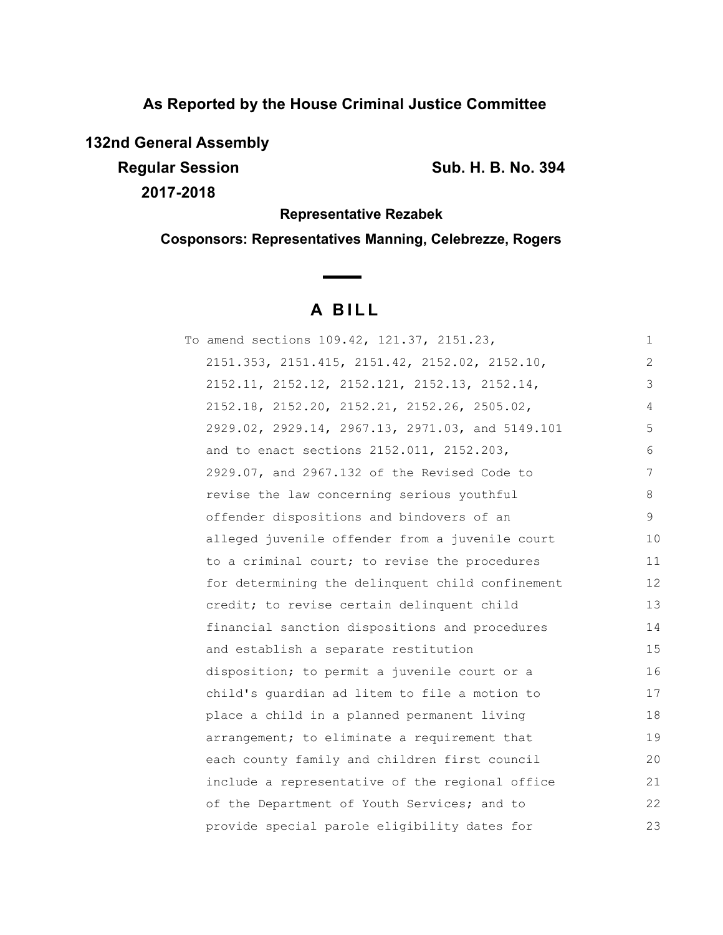## **As Reported by the House Criminal Justice Committee**

**132nd General Assembly**

**Regular Session Sub. H. B. No. 394 2017-2018**

**Representative Rezabek**

**Cosponsors: Representatives Manning, Celebrezze, Rogers**

# **A B I L L**

<u> The Common State State Sta</u>te

| To amend sections 109.42, 121.37, 2151.23,       | 1  |
|--------------------------------------------------|----|
| 2151.353, 2151.415, 2151.42, 2152.02, 2152.10,   | 2  |
| 2152.11, 2152.12, 2152.121, 2152.13, 2152.14,    | 3  |
| 2152.18, 2152.20, 2152.21, 2152.26, 2505.02,     | 4  |
| 2929.02, 2929.14, 2967.13, 2971.03, and 5149.101 | 5  |
| and to enact sections 2152.011, 2152.203,        | 6  |
| 2929.07, and 2967.132 of the Revised Code to     | 7  |
| revise the law concerning serious youthful       | 8  |
| offender dispositions and bindovers of an        | 9  |
| alleged juvenile offender from a juvenile court  | 10 |
| to a criminal court; to revise the procedures    | 11 |
| for determining the delinquent child confinement | 12 |
| credit; to revise certain delinquent child       | 13 |
| financial sanction dispositions and procedures   | 14 |
| and establish a separate restitution             | 15 |
| disposition; to permit a juvenile court or a     | 16 |
| child's quardian ad litem to file a motion to    | 17 |
| place a child in a planned permanent living      | 18 |
| arrangement; to eliminate a requirement that     | 19 |
| each county family and children first council    | 20 |
| include a representative of the regional office  | 21 |
| of the Department of Youth Services; and to      | 22 |
| provide special parole eligibility dates for     | 23 |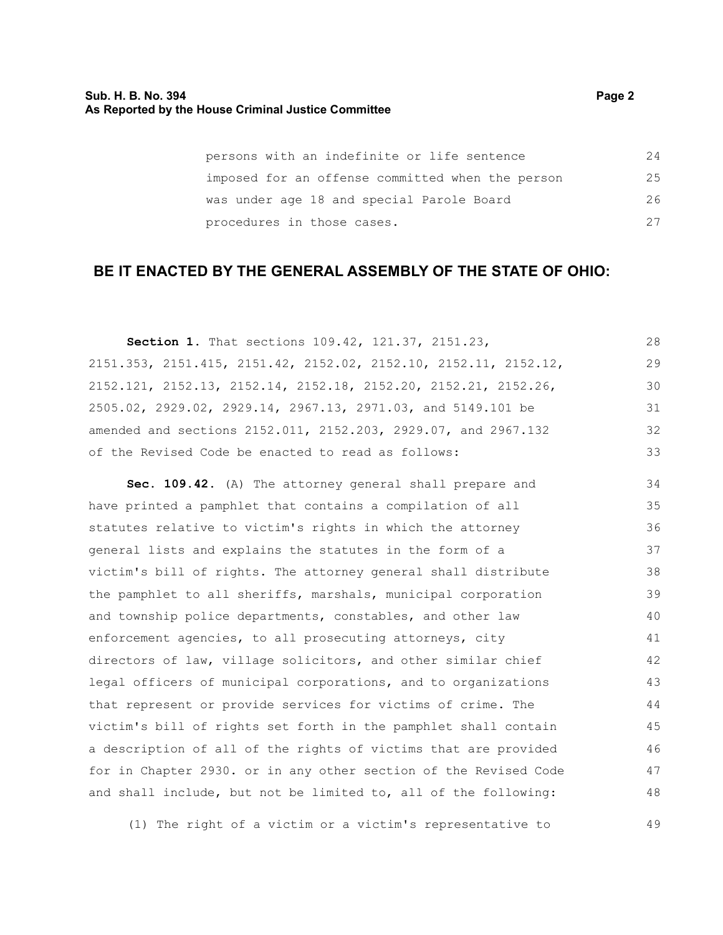| persons with an indefinite or life sentence      | 24 |
|--------------------------------------------------|----|
| imposed for an offense committed when the person | 25 |
| was under age 18 and special Parole Board        | 26 |
| procedures in those cases.                       | 27 |

## **BE IT ENACTED BY THE GENERAL ASSEMBLY OF THE STATE OF OHIO:**

| Section 1. That sections 109.42, 121.37, 2151.23,                | 28 |
|------------------------------------------------------------------|----|
| 2151.353, 2151.415, 2151.42, 2152.02, 2152.10, 2152.11, 2152.12, | 29 |
| 2152.121, 2152.13, 2152.14, 2152.18, 2152.20, 2152.21, 2152.26,  | 30 |
| 2505.02, 2929.02, 2929.14, 2967.13, 2971.03, and 5149.101 be     | 31 |
| amended and sections 2152.011, 2152.203, 2929.07, and 2967.132   | 32 |
| of the Revised Code be enacted to read as follows:               | 33 |
| Sec. 109.42. (A) The attorney general shall prepare and          | 34 |
| have printed a pamphlet that contains a compilation of all       | 35 |
| statutes relative to victim's rights in which the attorney       | 36 |
| general lists and explains the statutes in the form of a         | 37 |
| victim's bill of rights. The attorney general shall distribute   | 38 |
| the pamphlet to all sheriffs, marshals, municipal corporation    | 39 |
| and township police departments, constables, and other law       | 40 |
| enforcement agencies, to all prosecuting attorneys, city         | 41 |
| directors of law, village solicitors, and other similar chief    | 42 |
| legal officers of municipal corporations, and to organizations   | 43 |
| that represent or provide services for victims of crime. The     | 44 |
| victim's bill of rights set forth in the pamphlet shall contain  | 45 |
| a description of all of the rights of victims that are provided  | 46 |
| for in Chapter 2930. or in any other section of the Revised Code | 47 |
| and shall include, but not be limited to, all of the following:  | 48 |
| (1) The right of a victim or a victim's representative to        | 49 |

(1) The right of a victim or a victim's representative to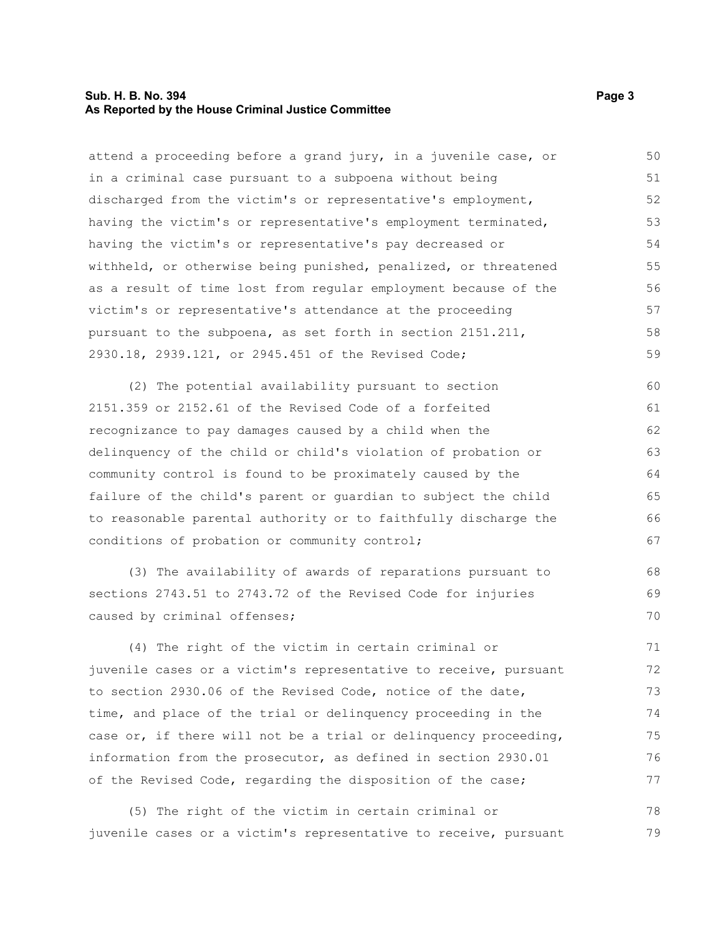#### **Sub. H. B. No. 394 Page 3 As Reported by the House Criminal Justice Committee**

attend a proceeding before a grand jury, in a juvenile case, or in a criminal case pursuant to a subpoena without being discharged from the victim's or representative's employment, having the victim's or representative's employment terminated, having the victim's or representative's pay decreased or withheld, or otherwise being punished, penalized, or threatened as a result of time lost from regular employment because of the victim's or representative's attendance at the proceeding pursuant to the subpoena, as set forth in section 2151.211, 2930.18, 2939.121, or 2945.451 of the Revised Code; 50 51 52 53 54 55 56 57 58 59

(2) The potential availability pursuant to section 2151.359 or 2152.61 of the Revised Code of a forfeited recognizance to pay damages caused by a child when the delinquency of the child or child's violation of probation or community control is found to be proximately caused by the failure of the child's parent or guardian to subject the child to reasonable parental authority or to faithfully discharge the conditions of probation or community control; 60 61 62 63 64 65 66 67

(3) The availability of awards of reparations pursuant to sections 2743.51 to 2743.72 of the Revised Code for injuries caused by criminal offenses;

(4) The right of the victim in certain criminal or juvenile cases or a victim's representative to receive, pursuant to section 2930.06 of the Revised Code, notice of the date, time, and place of the trial or delinquency proceeding in the case or, if there will not be a trial or delinquency proceeding, information from the prosecutor, as defined in section 2930.01 of the Revised Code, regarding the disposition of the case; 71 72 73 74 75 76 77

(5) The right of the victim in certain criminal or juvenile cases or a victim's representative to receive, pursuant 78 79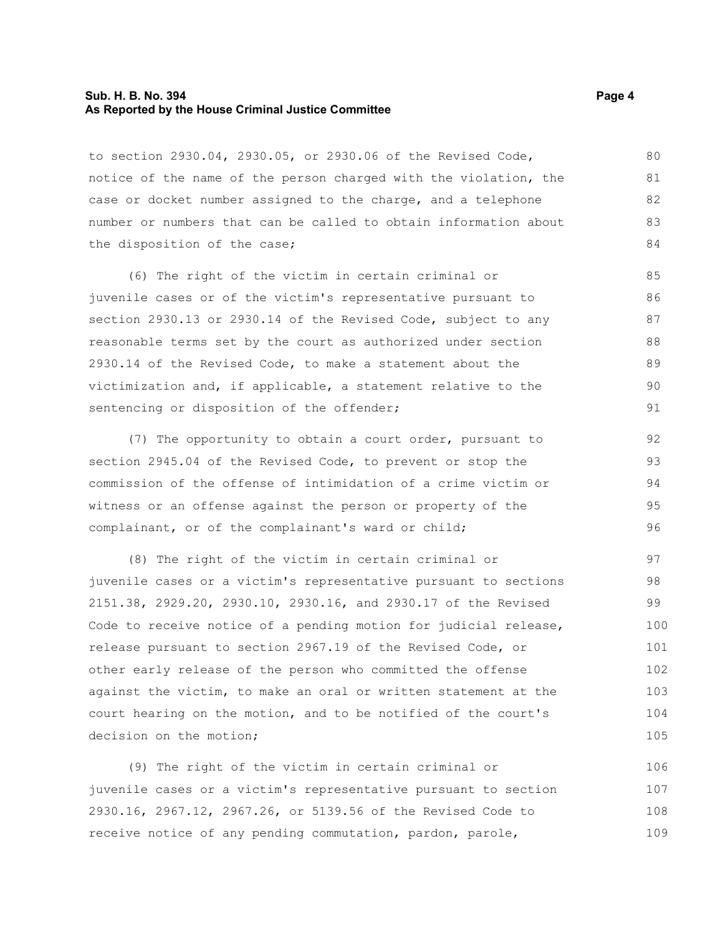#### **Sub. H. B. No. 394 Page 4 As Reported by the House Criminal Justice Committee**

to section 2930.04, 2930.05, or 2930.06 of the Revised Code, notice of the name of the person charged with the violation, the case or docket number assigned to the charge, and a telephone number or numbers that can be called to obtain information about the disposition of the case; 80 81 82 83 84

(6) The right of the victim in certain criminal or juvenile cases or of the victim's representative pursuant to section 2930.13 or 2930.14 of the Revised Code, subject to any reasonable terms set by the court as authorized under section 2930.14 of the Revised Code, to make a statement about the victimization and, if applicable, a statement relative to the sentencing or disposition of the offender;

(7) The opportunity to obtain a court order, pursuant to section 2945.04 of the Revised Code, to prevent or stop the commission of the offense of intimidation of a crime victim or witness or an offense against the person or property of the complainant, or of the complainant's ward or child;

(8) The right of the victim in certain criminal or juvenile cases or a victim's representative pursuant to sections 2151.38, 2929.20, 2930.10, 2930.16, and 2930.17 of the Revised Code to receive notice of a pending motion for judicial release, release pursuant to section 2967.19 of the Revised Code, or other early release of the person who committed the offense against the victim, to make an oral or written statement at the court hearing on the motion, and to be notified of the court's decision on the motion; 97 98 99 100 101 102 103 104 105

(9) The right of the victim in certain criminal or juvenile cases or a victim's representative pursuant to section 2930.16, 2967.12, 2967.26, or 5139.56 of the Revised Code to receive notice of any pending commutation, pardon, parole, 106 107 108 109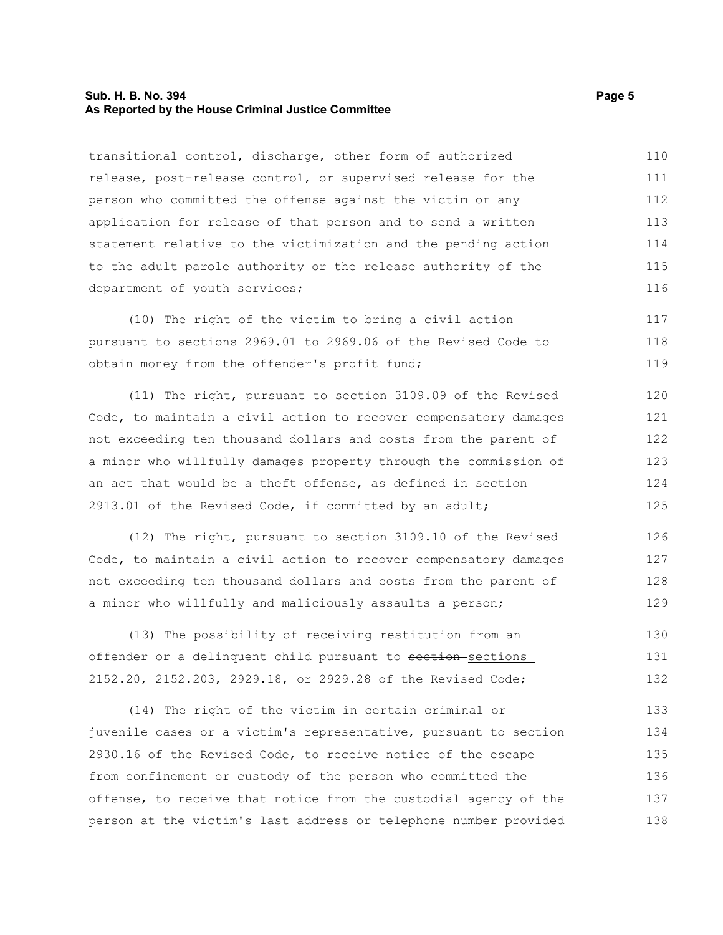#### **Sub. H. B. No. 394 Page 5 As Reported by the House Criminal Justice Committee**

transitional control, discharge, other form of authorized release, post-release control, or supervised release for the person who committed the offense against the victim or any application for release of that person and to send a written statement relative to the victimization and the pending action to the adult parole authority or the release authority of the department of youth services; 110 111 112 113 114 115 116

(10) The right of the victim to bring a civil action pursuant to sections 2969.01 to 2969.06 of the Revised Code to obtain money from the offender's profit fund; 117 118 119

(11) The right, pursuant to section 3109.09 of the Revised Code, to maintain a civil action to recover compensatory damages not exceeding ten thousand dollars and costs from the parent of a minor who willfully damages property through the commission of an act that would be a theft offense, as defined in section 2913.01 of the Revised Code, if committed by an adult; 120 121 122 123 124 125

(12) The right, pursuant to section 3109.10 of the Revised Code, to maintain a civil action to recover compensatory damages not exceeding ten thousand dollars and costs from the parent of a minor who willfully and maliciously assaults a person; 126 127 128 129

(13) The possibility of receiving restitution from an offender or a delinquent child pursuant to section sections 2152.20, 2152.203, 2929.18, or 2929.28 of the Revised Code; 130 131 132

(14) The right of the victim in certain criminal or juvenile cases or a victim's representative, pursuant to section 2930.16 of the Revised Code, to receive notice of the escape from confinement or custody of the person who committed the offense, to receive that notice from the custodial agency of the person at the victim's last address or telephone number provided 133 134 135 136 137 138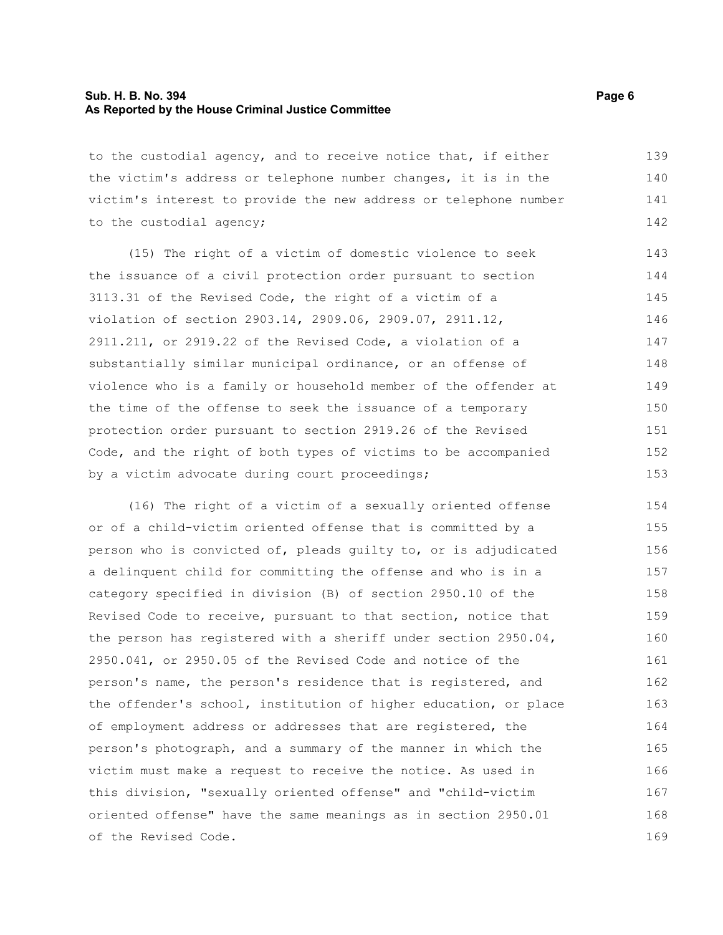#### **Sub. H. B. No. 394 Page 6 As Reported by the House Criminal Justice Committee**

to the custodial agency, and to receive notice that, if either the victim's address or telephone number changes, it is in the victim's interest to provide the new address or telephone number to the custodial agency; 139 140 141 142

(15) The right of a victim of domestic violence to seek the issuance of a civil protection order pursuant to section 3113.31 of the Revised Code, the right of a victim of a violation of section 2903.14, 2909.06, 2909.07, 2911.12, 2911.211, or 2919.22 of the Revised Code, a violation of a substantially similar municipal ordinance, or an offense of violence who is a family or household member of the offender at the time of the offense to seek the issuance of a temporary protection order pursuant to section 2919.26 of the Revised Code, and the right of both types of victims to be accompanied by a victim advocate during court proceedings; 143 144 145 146 147 148 149 150 151 152 153

(16) The right of a victim of a sexually oriented offense or of a child-victim oriented offense that is committed by a person who is convicted of, pleads guilty to, or is adjudicated a delinquent child for committing the offense and who is in a category specified in division (B) of section 2950.10 of the Revised Code to receive, pursuant to that section, notice that the person has registered with a sheriff under section 2950.04, 2950.041, or 2950.05 of the Revised Code and notice of the person's name, the person's residence that is registered, and the offender's school, institution of higher education, or place of employment address or addresses that are registered, the person's photograph, and a summary of the manner in which the victim must make a request to receive the notice. As used in this division, "sexually oriented offense" and "child-victim oriented offense" have the same meanings as in section 2950.01 of the Revised Code. 154 155 156 157 158 159 160 161 162 163 164 165 166 167 168 169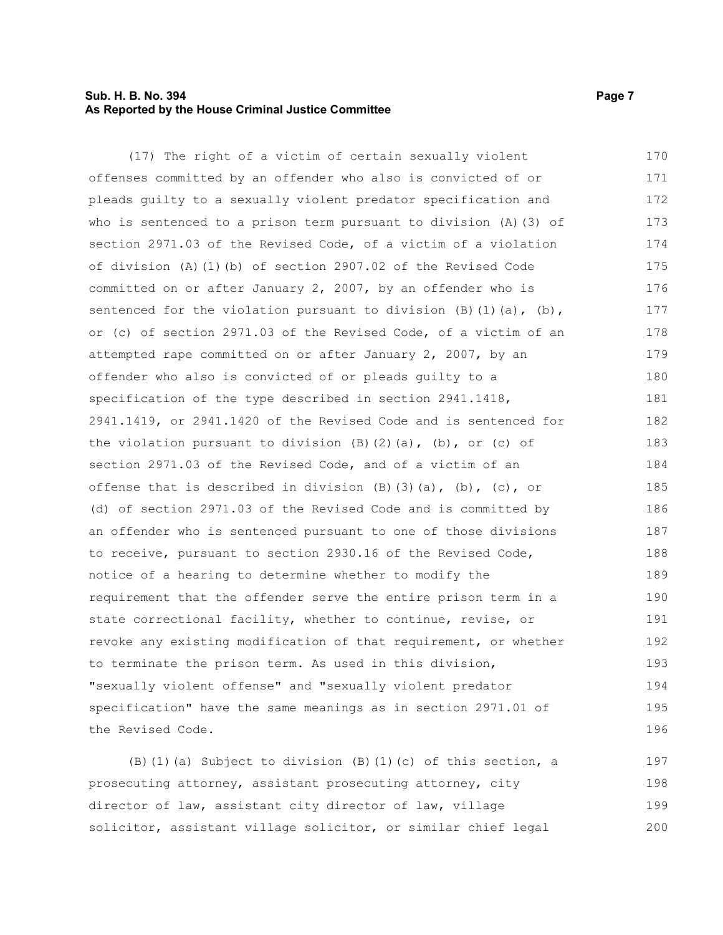#### **Sub. H. B. No. 394 Page 7 As Reported by the House Criminal Justice Committee**

(17) The right of a victim of certain sexually violent offenses committed by an offender who also is convicted of or pleads guilty to a sexually violent predator specification and who is sentenced to a prison term pursuant to division (A)(3) of section 2971.03 of the Revised Code, of a victim of a violation of division (A)(1)(b) of section 2907.02 of the Revised Code committed on or after January 2, 2007, by an offender who is sentenced for the violation pursuant to division  $(B) (1) (a), (b),$ or (c) of section 2971.03 of the Revised Code, of a victim of an attempted rape committed on or after January 2, 2007, by an offender who also is convicted of or pleads guilty to a specification of the type described in section 2941.1418, 2941.1419, or 2941.1420 of the Revised Code and is sentenced for the violation pursuant to division  $(B)$   $(2)$   $(a)$ ,  $(b)$ , or  $(c)$  of section 2971.03 of the Revised Code, and of a victim of an offense that is described in division  $(B)$   $(3)$   $(a)$ ,  $(b)$ ,  $(c)$ , or (d) of section 2971.03 of the Revised Code and is committed by an offender who is sentenced pursuant to one of those divisions to receive, pursuant to section 2930.16 of the Revised Code, notice of a hearing to determine whether to modify the requirement that the offender serve the entire prison term in a state correctional facility, whether to continue, revise, or revoke any existing modification of that requirement, or whether to terminate the prison term. As used in this division, "sexually violent offense" and "sexually violent predator specification" have the same meanings as in section 2971.01 of the Revised Code. 170 171 172 173 174 175 176 177 178 179 180 181 182 183 184 185 186 187 188 189 190 191 192 193 194 195 196 197

(B)(1)(a) Subject to division (B)(1)(c) of this section, a prosecuting attorney, assistant prosecuting attorney, city director of law, assistant city director of law, village solicitor, assistant village solicitor, or similar chief legal 198 199 200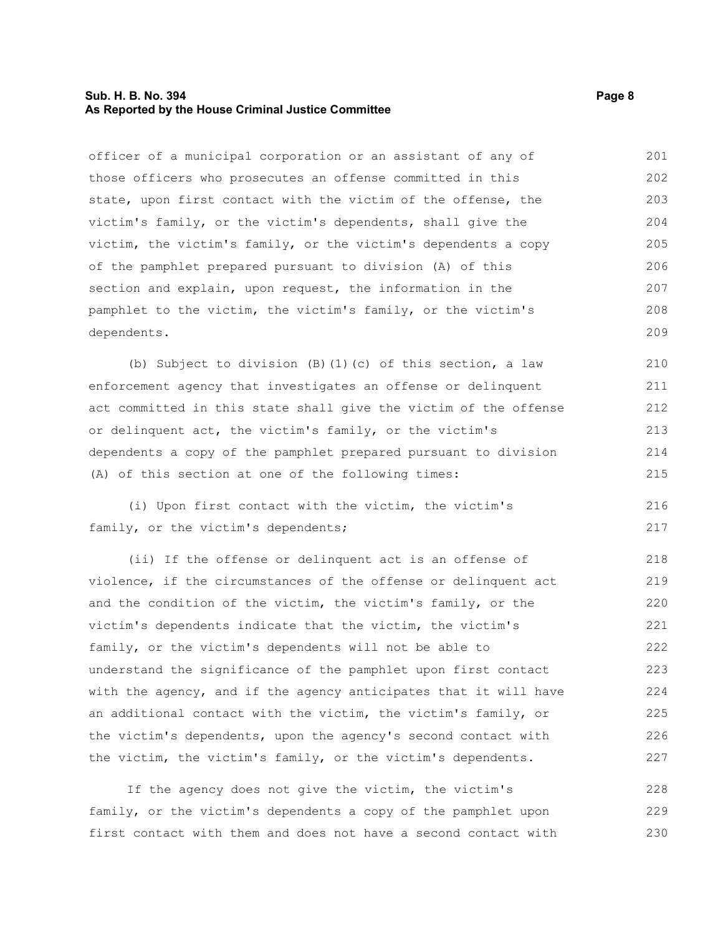#### **Sub. H. B. No. 394 Page 8 As Reported by the House Criminal Justice Committee**

officer of a municipal corporation or an assistant of any of those officers who prosecutes an offense committed in this state, upon first contact with the victim of the offense, the victim's family, or the victim's dependents, shall give the victim, the victim's family, or the victim's dependents a copy of the pamphlet prepared pursuant to division (A) of this section and explain, upon request, the information in the pamphlet to the victim, the victim's family, or the victim's dependents. 201 202 203 204 205 206 207 208 209

(b) Subject to division (B)(1)(c) of this section, a law enforcement agency that investigates an offense or delinquent act committed in this state shall give the victim of the offense or delinquent act, the victim's family, or the victim's dependents a copy of the pamphlet prepared pursuant to division (A) of this section at one of the following times: 210 211 212 213 214 215

(i) Upon first contact with the victim, the victim's family, or the victim's dependents;

(ii) If the offense or delinquent act is an offense of violence, if the circumstances of the offense or delinquent act and the condition of the victim, the victim's family, or the victim's dependents indicate that the victim, the victim's family, or the victim's dependents will not be able to understand the significance of the pamphlet upon first contact with the agency, and if the agency anticipates that it will have an additional contact with the victim, the victim's family, or the victim's dependents, upon the agency's second contact with the victim, the victim's family, or the victim's dependents. 218 219 220 221 222 223 224 225 226 227

If the agency does not give the victim, the victim's family, or the victim's dependents a copy of the pamphlet upon first contact with them and does not have a second contact with 228 229 230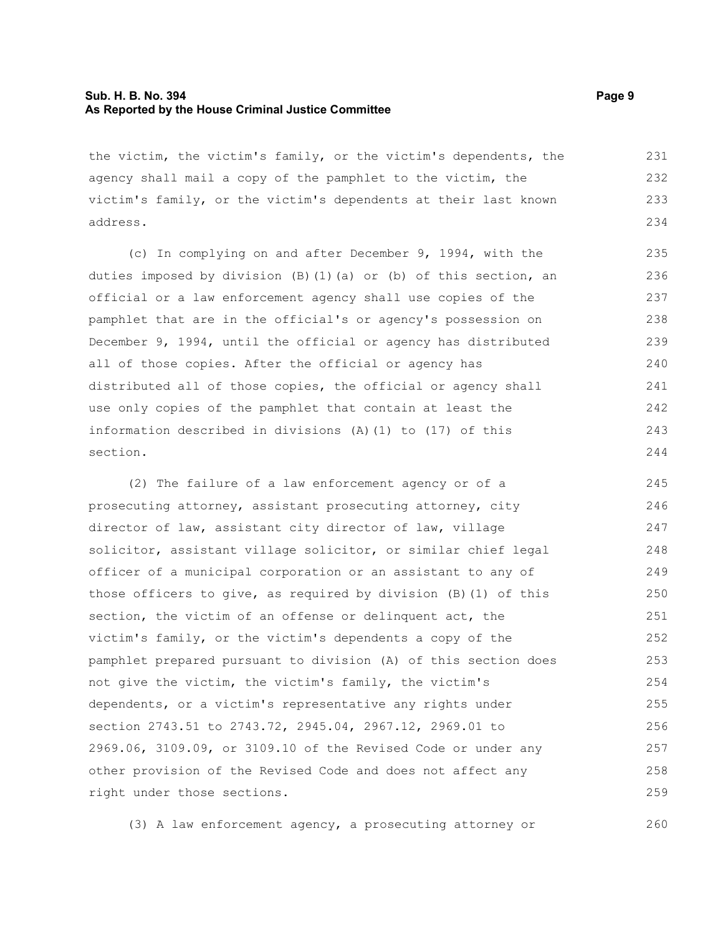#### **Sub. H. B. No. 394 Page 9 As Reported by the House Criminal Justice Committee**

the victim, the victim's family, or the victim's dependents, the agency shall mail a copy of the pamphlet to the victim, the victim's family, or the victim's dependents at their last known address. 231 232 233 234

(c) In complying on and after December 9, 1994, with the duties imposed by division (B)(1)(a) or (b) of this section, an official or a law enforcement agency shall use copies of the pamphlet that are in the official's or agency's possession on December 9, 1994, until the official or agency has distributed all of those copies. After the official or agency has distributed all of those copies, the official or agency shall use only copies of the pamphlet that contain at least the information described in divisions (A)(1) to (17) of this section. 235 236 237 238 239 240 241 242 243 244

(2) The failure of a law enforcement agency or of a prosecuting attorney, assistant prosecuting attorney, city director of law, assistant city director of law, village solicitor, assistant village solicitor, or similar chief legal officer of a municipal corporation or an assistant to any of those officers to give, as required by division (B)(1) of this section, the victim of an offense or delinquent act, the victim's family, or the victim's dependents a copy of the pamphlet prepared pursuant to division (A) of this section does not give the victim, the victim's family, the victim's dependents, or a victim's representative any rights under section 2743.51 to 2743.72, 2945.04, 2967.12, 2969.01 to 2969.06, 3109.09, or 3109.10 of the Revised Code or under any other provision of the Revised Code and does not affect any right under those sections. 245 246 247 248 249 250 251 252 253 254 255 256 257 258 259

(3) A law enforcement agency, a prosecuting attorney or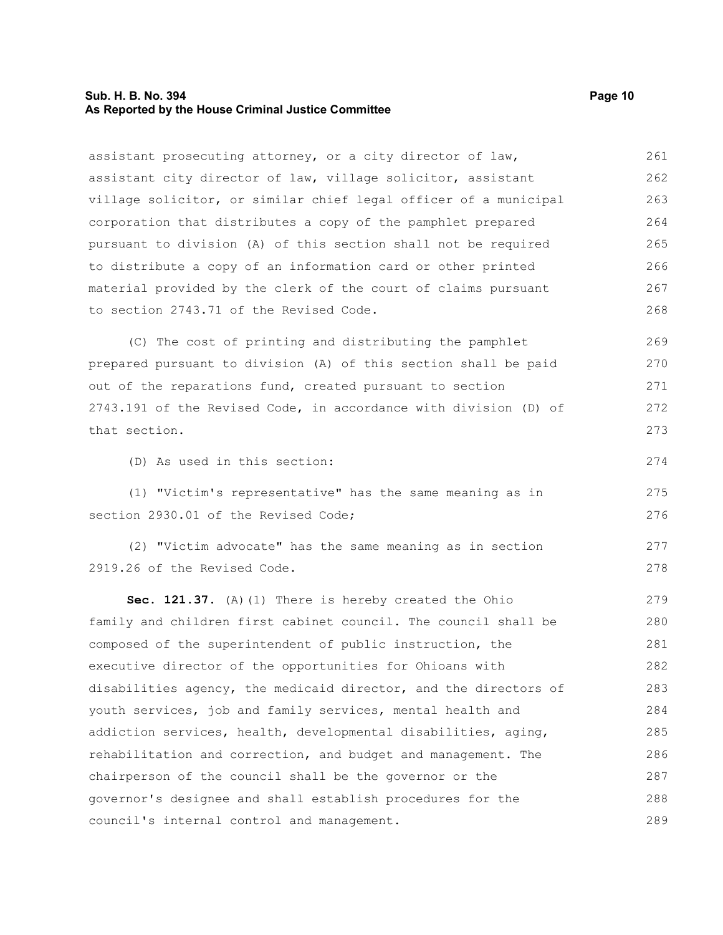#### **Sub. H. B. No. 394 Page 10 As Reported by the House Criminal Justice Committee**

assistant prosecuting attorney, or a city director of law, assistant city director of law, village solicitor, assistant village solicitor, or similar chief legal officer of a municipal corporation that distributes a copy of the pamphlet prepared pursuant to division (A) of this section shall not be required to distribute a copy of an information card or other printed material provided by the clerk of the court of claims pursuant to section 2743.71 of the Revised Code. (C) The cost of printing and distributing the pamphlet prepared pursuant to division (A) of this section shall be paid out of the reparations fund, created pursuant to section 2743.191 of the Revised Code, in accordance with division (D) of that section. (D) As used in this section: (1) "Victim's representative" has the same meaning as in section 2930.01 of the Revised Code; (2) "Victim advocate" has the same meaning as in section 2919.26 of the Revised Code. Sec. 121.37. (A) (1) There is hereby created the Ohio family and children first cabinet council. The council shall be composed of the superintendent of public instruction, the executive director of the opportunities for Ohioans with disabilities agency, the medicaid director, and the directors of youth services, job and family services, mental health and addiction services, health, developmental disabilities, aging, rehabilitation and correction, and budget and management. The chairperson of the council shall be the governor or the governor's designee and shall establish procedures for the council's internal control and management. 261 262 263 264 265 266 267 268 269 270 271 272 273 274 275 276 277 278 279 280 281 282 283 284 285 286 287 288 289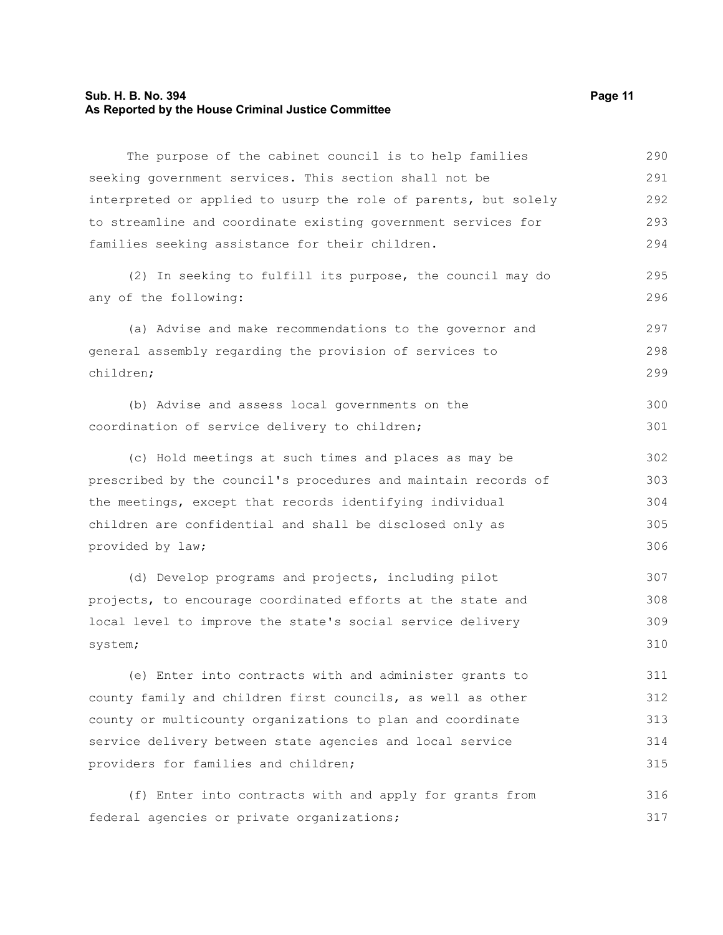### **Sub. H. B. No. 394 Page 11 As Reported by the House Criminal Justice Committee**

| The purpose of the cabinet council is to help families          | 290 |
|-----------------------------------------------------------------|-----|
| seeking government services. This section shall not be          | 291 |
| interpreted or applied to usurp the role of parents, but solely | 292 |
| to streamline and coordinate existing government services for   | 293 |
| families seeking assistance for their children.                 | 294 |
| (2) In seeking to fulfill its purpose, the council may do       | 295 |
| any of the following:                                           | 296 |
| (a) Advise and make recommendations to the governor and         | 297 |
| general assembly regarding the provision of services to         | 298 |
| children;                                                       | 299 |
| (b) Advise and assess local governments on the                  | 300 |
| coordination of service delivery to children;                   | 301 |
| (c) Hold meetings at such times and places as may be            | 302 |
| prescribed by the council's procedures and maintain records of  | 303 |
| the meetings, except that records identifying individual        | 304 |
| children are confidential and shall be disclosed only as        | 305 |
| provided by law;                                                | 306 |
| (d) Develop programs and projects, including pilot              | 307 |
| projects, to encourage coordinated efforts at the state and     | 308 |
| local level to improve the state's social service delivery      | 309 |
| system;                                                         | 310 |
| (e) Enter into contracts with and administer grants to          | 311 |
| county family and children first councils, as well as other     | 312 |
| county or multicounty organizations to plan and coordinate      | 313 |
| service delivery between state agencies and local service       | 314 |
| providers for families and children;                            | 315 |
| (f) Enter into contracts with and apply for grants from         | 316 |
| federal agencies or private organizations;                      | 317 |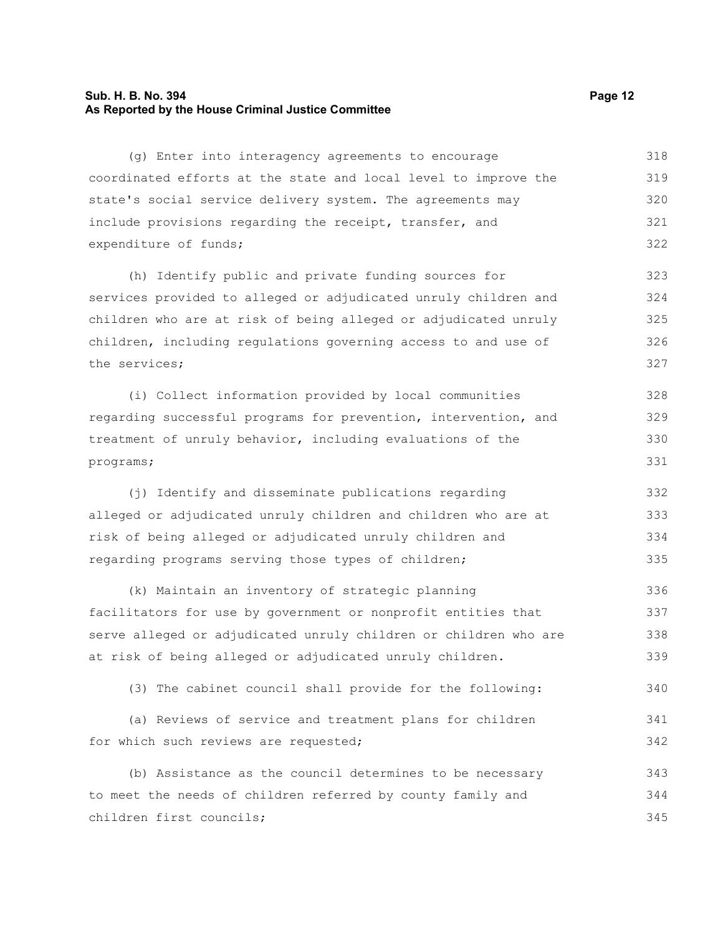#### **Sub. H. B. No. 394 Page 12 As Reported by the House Criminal Justice Committee**

(g) Enter into interagency agreements to encourage coordinated efforts at the state and local level to improve the state's social service delivery system. The agreements may include provisions regarding the receipt, transfer, and expenditure of funds; 318 319 320 321 322

(h) Identify public and private funding sources for services provided to alleged or adjudicated unruly children and children who are at risk of being alleged or adjudicated unruly children, including regulations governing access to and use of the services; 323 324 325 326 327

(i) Collect information provided by local communities regarding successful programs for prevention, intervention, and treatment of unruly behavior, including evaluations of the programs; 328 329 330 331

(j) Identify and disseminate publications regarding alleged or adjudicated unruly children and children who are at risk of being alleged or adjudicated unruly children and regarding programs serving those types of children; 332 333 334 335

(k) Maintain an inventory of strategic planning facilitators for use by government or nonprofit entities that serve alleged or adjudicated unruly children or children who are at risk of being alleged or adjudicated unruly children. 336 337 338 339

(3) The cabinet council shall provide for the following: 340

(a) Reviews of service and treatment plans for children for which such reviews are requested; 341 342

(b) Assistance as the council determines to be necessary to meet the needs of children referred by county family and children first councils; 343 344 345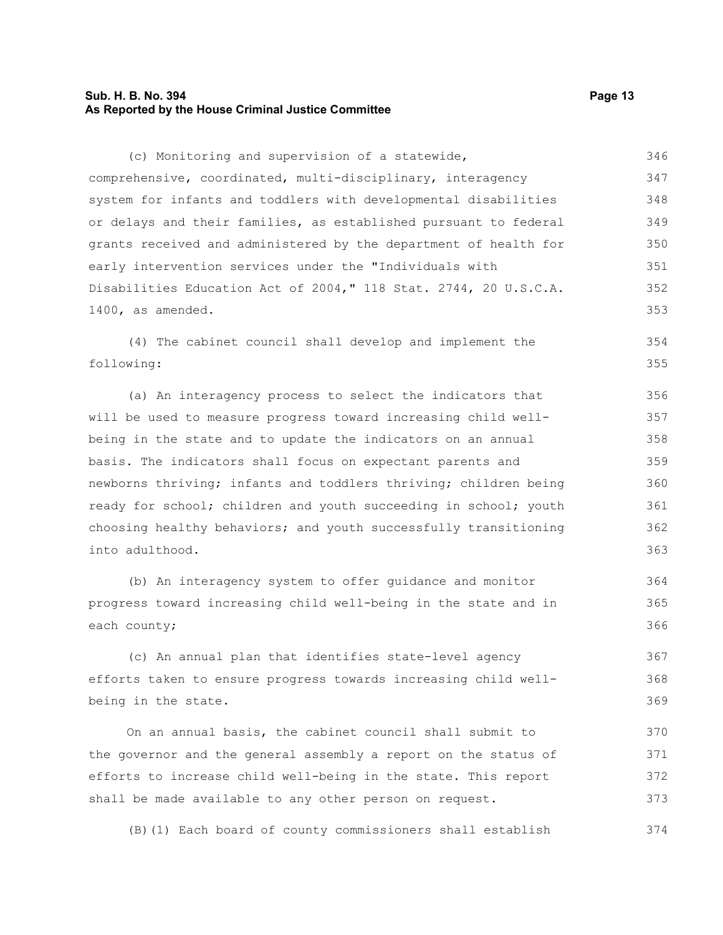#### **Sub. H. B. No. 394 Page 13 As Reported by the House Criminal Justice Committee**

(c) Monitoring and supervision of a statewide, comprehensive, coordinated, multi-disciplinary, interagency system for infants and toddlers with developmental disabilities or delays and their families, as established pursuant to federal grants received and administered by the department of health for early intervention services under the "Individuals with Disabilities Education Act of 2004," 118 Stat. 2744, 20 U.S.C.A. 1400, as amended. 346 347 348 349 350 351 352 353

(4) The cabinet council shall develop and implement the following: 354 355

(a) An interagency process to select the indicators that will be used to measure progress toward increasing child wellbeing in the state and to update the indicators on an annual basis. The indicators shall focus on expectant parents and newborns thriving; infants and toddlers thriving; children being ready for school; children and youth succeeding in school; youth choosing healthy behaviors; and youth successfully transitioning into adulthood. 356 357 358 359 360 361 362 363

(b) An interagency system to offer guidance and monitor progress toward increasing child well-being in the state and in each county;

(c) An annual plan that identifies state-level agency efforts taken to ensure progress towards increasing child wellbeing in the state. 367 368 369

On an annual basis, the cabinet council shall submit to the governor and the general assembly a report on the status of efforts to increase child well-being in the state. This report shall be made available to any other person on request. 370 371 372 373

(B)(1) Each board of county commissioners shall establish 374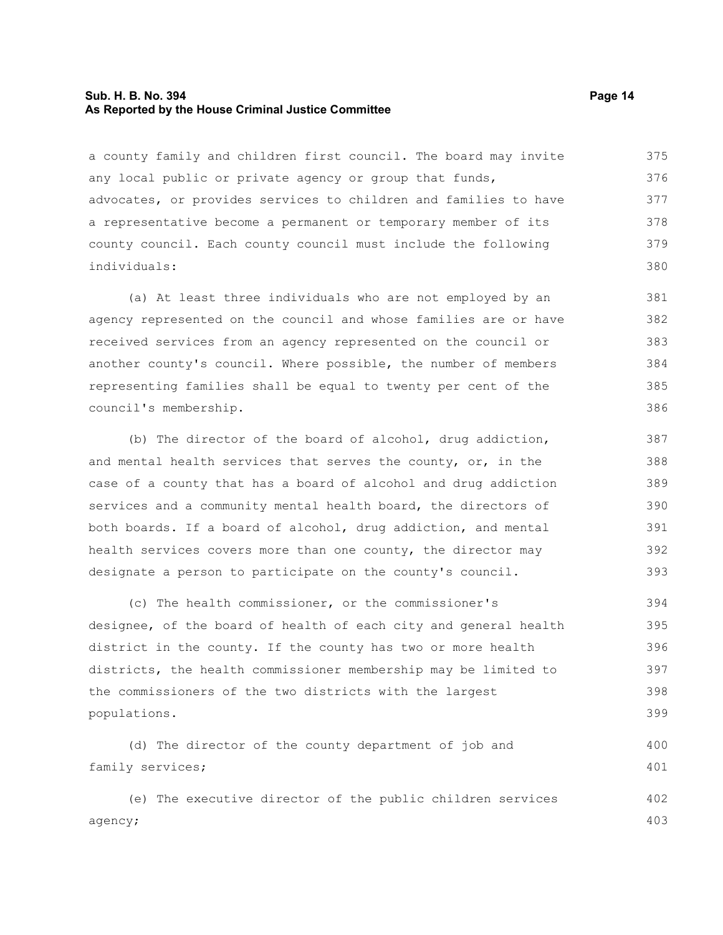#### **Sub. H. B. No. 394 Page 14 As Reported by the House Criminal Justice Committee**

a county family and children first council. The board may invite any local public or private agency or group that funds, advocates, or provides services to children and families to have a representative become a permanent or temporary member of its county council. Each county council must include the following individuals: 375 376 377 378 379 380

(a) At least three individuals who are not employed by an agency represented on the council and whose families are or have received services from an agency represented on the council or another county's council. Where possible, the number of members representing families shall be equal to twenty per cent of the council's membership. 381 382 383 384 385 386

(b) The director of the board of alcohol, drug addiction, and mental health services that serves the county, or, in the case of a county that has a board of alcohol and drug addiction services and a community mental health board, the directors of both boards. If a board of alcohol, drug addiction, and mental health services covers more than one county, the director may designate a person to participate on the county's council. 387 388 389 390 391 392 393

(c) The health commissioner, or the commissioner's designee, of the board of health of each city and general health district in the county. If the county has two or more health districts, the health commissioner membership may be limited to the commissioners of the two districts with the largest populations. 394 395 396 397 398 399

(d) The director of the county department of job and family services; 400 401

(e) The executive director of the public children services agency; 402 403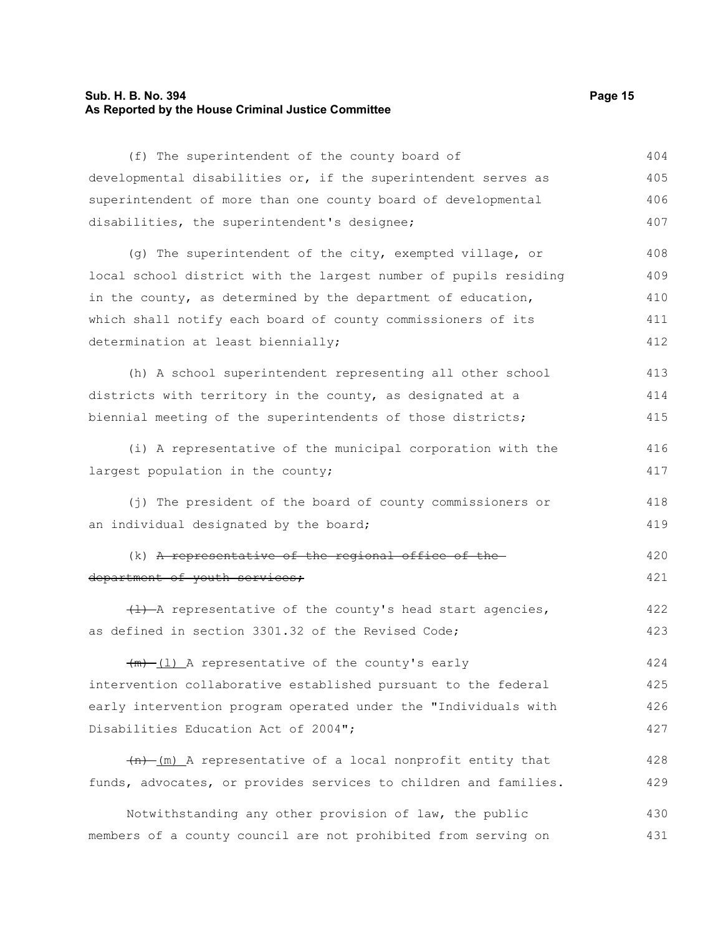#### **Sub. H. B. No. 394 Page 15 As Reported by the House Criminal Justice Committee**

(f) The superintendent of the county board of developmental disabilities or, if the superintendent serves as superintendent of more than one county board of developmental disabilities, the superintendent's designee; (g) The superintendent of the city, exempted village, or local school district with the largest number of pupils residing in the county, as determined by the department of education, which shall notify each board of county commissioners of its determination at least biennially; (h) A school superintendent representing all other school districts with territory in the county, as designated at a biennial meeting of the superintendents of those districts; (i) A representative of the municipal corporation with the largest population in the county; (j) The president of the board of county commissioners or an individual designated by the board; (k) A representative of the regional office of the department of youth services;  $\{1\}$  A representative of the county's head start agencies, as defined in section 3301.32 of the Revised Code;  $\frac{m}{1}$  A representative of the county's early intervention collaborative established pursuant to the federal early intervention program operated under the "Individuals with Disabilities Education Act of 2004";  $(m)$  A representative of a local nonprofit entity that funds, advocates, or provides services to children and families. Notwithstanding any other provision of law, the public members of a county council are not prohibited from serving on 404 405 406 407 408 409 410 411 412 413 414 415 416 417 418 419 420 421 422 423 424 425 426 427 428 429 430 431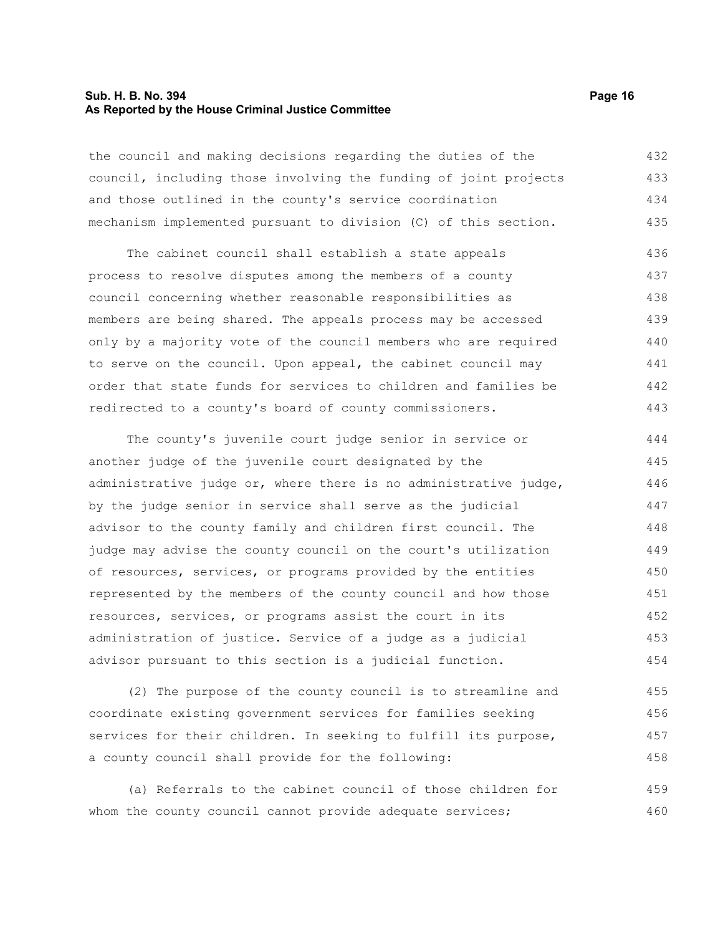#### **Sub. H. B. No. 394 Page 16 As Reported by the House Criminal Justice Committee**

the council and making decisions regarding the duties of the council, including those involving the funding of joint projects and those outlined in the county's service coordination mechanism implemented pursuant to division (C) of this section. 432 433 434 435

The cabinet council shall establish a state appeals process to resolve disputes among the members of a county council concerning whether reasonable responsibilities as members are being shared. The appeals process may be accessed only by a majority vote of the council members who are required to serve on the council. Upon appeal, the cabinet council may order that state funds for services to children and families be redirected to a county's board of county commissioners. 436 437 438 439 440 441 442 443

The county's juvenile court judge senior in service or another judge of the juvenile court designated by the administrative judge or, where there is no administrative judge, by the judge senior in service shall serve as the judicial advisor to the county family and children first council. The judge may advise the county council on the court's utilization of resources, services, or programs provided by the entities represented by the members of the county council and how those resources, services, or programs assist the court in its administration of justice. Service of a judge as a judicial advisor pursuant to this section is a judicial function. 444 445 446 447 448 449 450 451 452 453 454

(2) The purpose of the county council is to streamline and coordinate existing government services for families seeking services for their children. In seeking to fulfill its purpose, a county council shall provide for the following: 455 456 457 458

(a) Referrals to the cabinet council of those children for whom the county council cannot provide adequate services; 459 460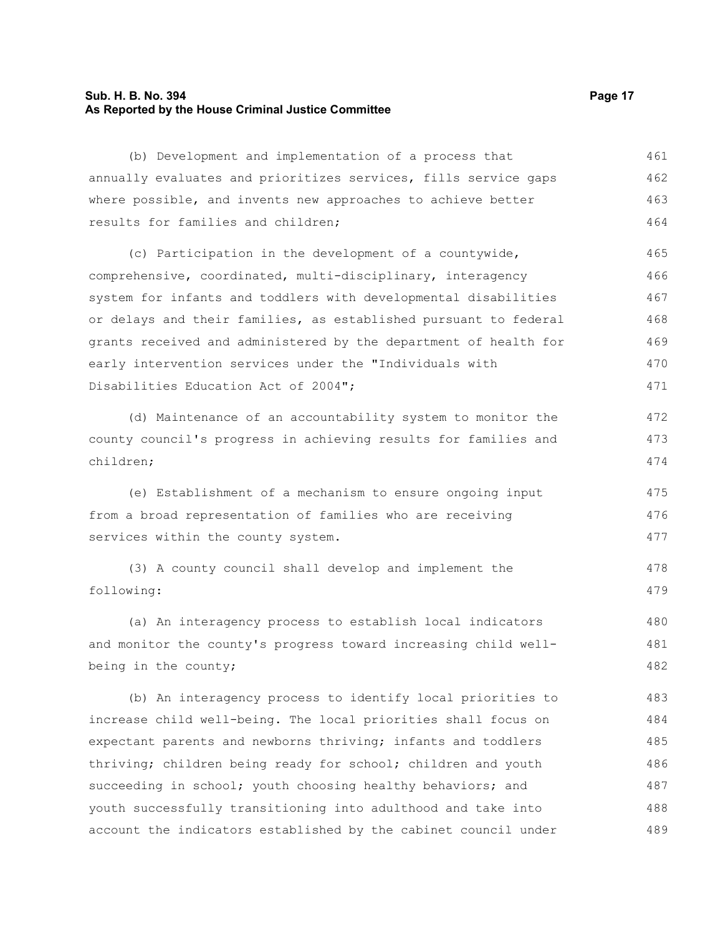#### **Sub. H. B. No. 394 Page 17 As Reported by the House Criminal Justice Committee**

| (b) Development and implementation of a process that             | 461 |
|------------------------------------------------------------------|-----|
| annually evaluates and prioritizes services, fills service gaps  | 462 |
| where possible, and invents new approaches to achieve better     | 463 |
| results for families and children;                               | 464 |
| (c) Participation in the development of a countywide,            | 465 |
| comprehensive, coordinated, multi-disciplinary, interagency      | 466 |
| system for infants and toddlers with developmental disabilities  | 467 |
| or delays and their families, as established pursuant to federal | 468 |
| grants received and administered by the department of health for | 469 |
| early intervention services under the "Individuals with          | 470 |
| Disabilities Education Act of 2004";                             | 471 |
| (d) Maintenance of an accountability system to monitor the       | 472 |
| county council's progress in achieving results for families and  | 473 |
| children;                                                        | 474 |
| (e) Establishment of a mechanism to ensure ongoing input         | 475 |
| from a broad representation of families who are receiving        | 476 |
| services within the county system.                               | 477 |
| (3) A county council shall develop and implement the             | 478 |
| following:                                                       | 479 |
| (a) An interagency process to establish local indicators         | 480 |
| and monitor the county's progress toward increasing child well-  | 481 |
| being in the county;                                             | 482 |
| (b) An interagency process to identify local priorities to       | 483 |
| increase child well-being. The local priorities shall focus on   | 484 |
| expectant parents and newborns thriving; infants and toddlers    | 485 |

thriving; children being ready for school; children and youth succeeding in school; youth choosing healthy behaviors; and youth successfully transitioning into adulthood and take into account the indicators established by the cabinet council under 486 487 488 489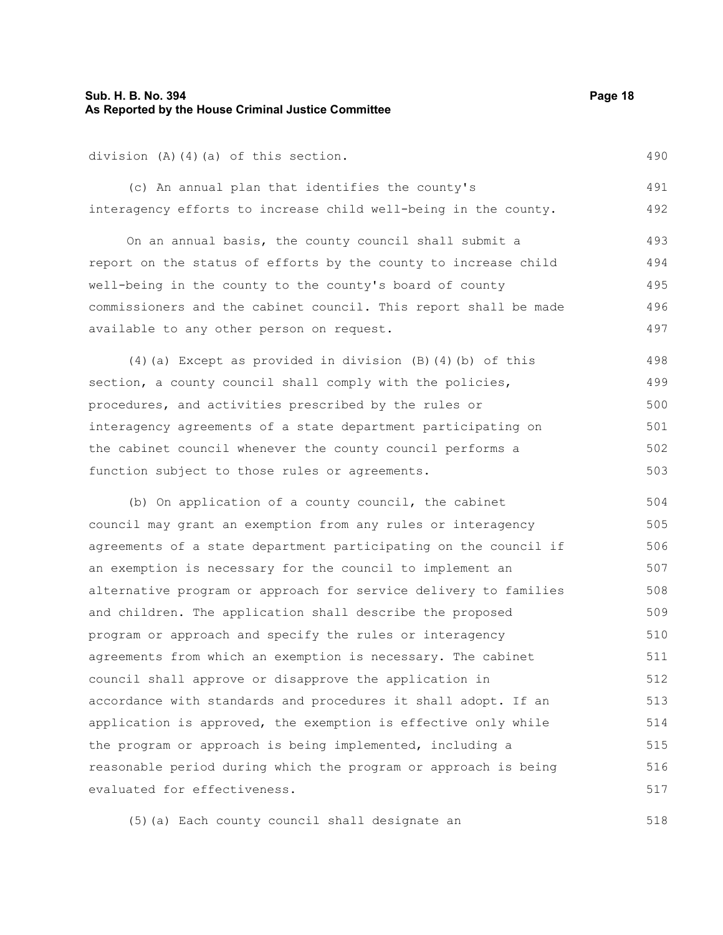#### **Sub. H. B. No. 394 Page 18 As Reported by the House Criminal Justice Committee**

division (A)(4)(a) of this section.

(c) An annual plan that identifies the county's interagency efforts to increase child well-being in the county. 491 492

On an annual basis, the county council shall submit a report on the status of efforts by the county to increase child well-being in the county to the county's board of county commissioners and the cabinet council. This report shall be made available to any other person on request. 493 494 495 496 497

(4)(a) Except as provided in division (B)(4)(b) of this section, a county council shall comply with the policies, procedures, and activities prescribed by the rules or interagency agreements of a state department participating on the cabinet council whenever the county council performs a function subject to those rules or agreements. 498 499 500 501 502 503

(b) On application of a county council, the cabinet council may grant an exemption from any rules or interagency agreements of a state department participating on the council if an exemption is necessary for the council to implement an alternative program or approach for service delivery to families and children. The application shall describe the proposed program or approach and specify the rules or interagency agreements from which an exemption is necessary. The cabinet council shall approve or disapprove the application in accordance with standards and procedures it shall adopt. If an application is approved, the exemption is effective only while the program or approach is being implemented, including a reasonable period during which the program or approach is being evaluated for effectiveness. 504 505 506 507 508 509 510 511 512 513 514 515 516 517

(5)(a) Each county council shall designate an

490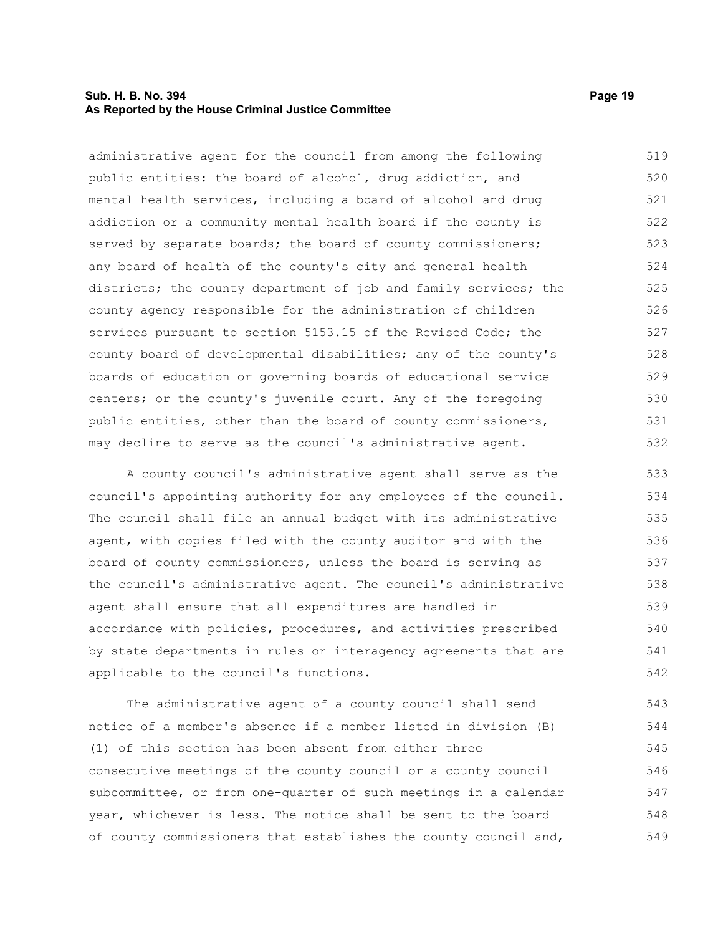#### **Sub. H. B. No. 394 Page 19 As Reported by the House Criminal Justice Committee**

administrative agent for the council from among the following public entities: the board of alcohol, drug addiction, and mental health services, including a board of alcohol and drug addiction or a community mental health board if the county is served by separate boards; the board of county commissioners; any board of health of the county's city and general health districts; the county department of job and family services; the county agency responsible for the administration of children services pursuant to section 5153.15 of the Revised Code; the county board of developmental disabilities; any of the county's boards of education or governing boards of educational service centers; or the county's juvenile court. Any of the foregoing public entities, other than the board of county commissioners, may decline to serve as the council's administrative agent. 519 520 521 522 523 524 525 526 527 528 529 530 531 532

A county council's administrative agent shall serve as the council's appointing authority for any employees of the council. The council shall file an annual budget with its administrative agent, with copies filed with the county auditor and with the board of county commissioners, unless the board is serving as the council's administrative agent. The council's administrative agent shall ensure that all expenditures are handled in accordance with policies, procedures, and activities prescribed by state departments in rules or interagency agreements that are applicable to the council's functions. 533 534 535 536 537 538 539 540 541 542

The administrative agent of a county council shall send notice of a member's absence if a member listed in division (B) (1) of this section has been absent from either three consecutive meetings of the county council or a county council subcommittee, or from one-quarter of such meetings in a calendar year, whichever is less. The notice shall be sent to the board of county commissioners that establishes the county council and, 543 544 545 546 547 548 549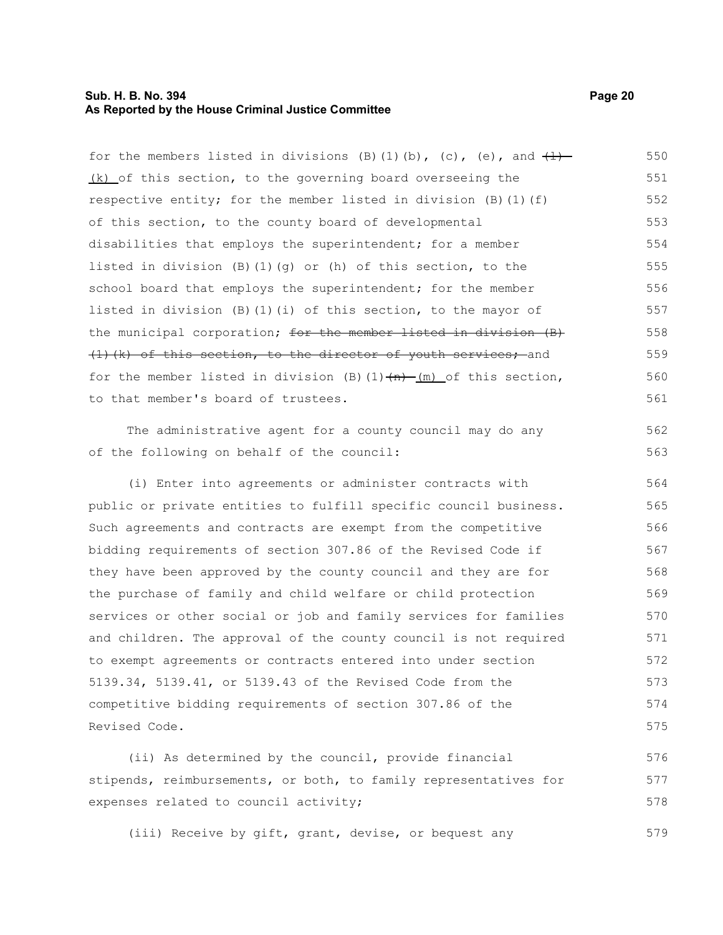#### **Sub. H. B. No. 394 Page 20 As Reported by the House Criminal Justice Committee**

for the members listed in divisions  $(B)(1)(b)$ ,  $(c)$ ,  $(e)$ , and  $\overline{(t)}$  (k) of this section, to the governing board overseeing the respective entity; for the member listed in division (B)(1)(f) of this section, to the county board of developmental disabilities that employs the superintendent; for a member listed in division (B)(1)(g) or (h) of this section, to the school board that employs the superintendent; for the member listed in division (B)(1)(i) of this section, to the mayor of the municipal corporation; for the member listed in division (B) (1)(k) of this section, to the director of youth services; and for the member listed in division (B)(1) $\frac{+}{n}$  (m) of this section, to that member's board of trustees. The administrative agent for a county council may do any of the following on behalf of the council: (i) Enter into agreements or administer contracts with public or private entities to fulfill specific council business. Such agreements and contracts are exempt from the competitive bidding requirements of section 307.86 of the Revised Code if they have been approved by the county council and they are for the purchase of family and child welfare or child protection services or other social or job and family services for families and children. The approval of the county council is not required to exempt agreements or contracts entered into under section 5139.34, 5139.41, or 5139.43 of the Revised Code from the competitive bidding requirements of section 307.86 of the Revised Code. (ii) As determined by the council, provide financial stipends, reimbursements, or both, to family representatives for expenses related to council activity; (iii) Receive by gift, grant, devise, or bequest any 550 551 552 553 554 555 556 557 558 559 560 561 562 563 564 565 566 567 568 569 570 571 572 573 574 575 576 577 578 579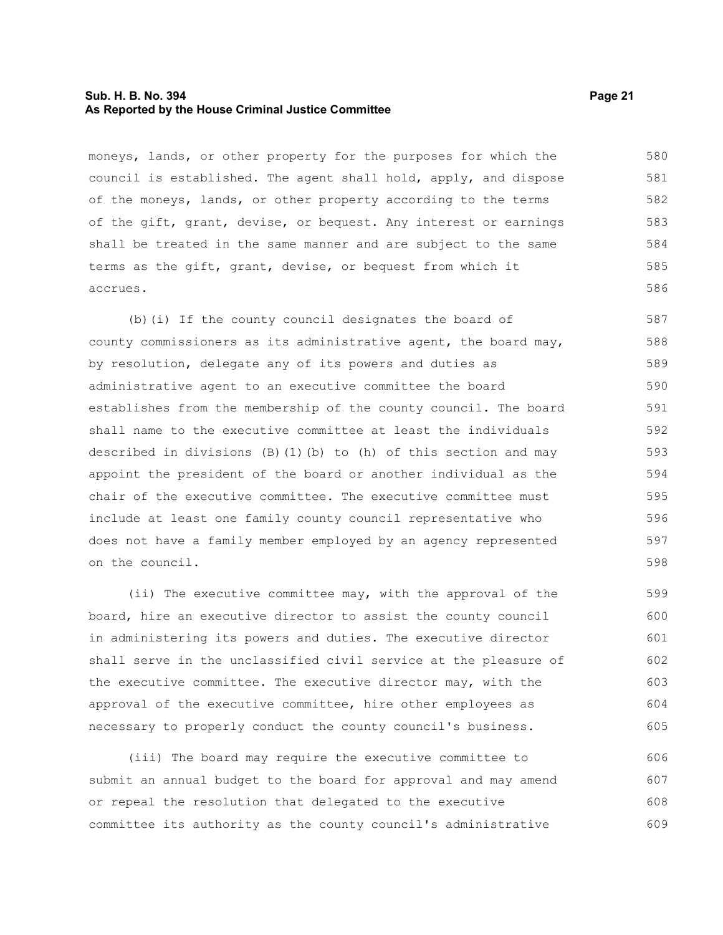#### **Sub. H. B. No. 394 Page 21 As Reported by the House Criminal Justice Committee**

moneys, lands, or other property for the purposes for which the council is established. The agent shall hold, apply, and dispose of the moneys, lands, or other property according to the terms of the gift, grant, devise, or bequest. Any interest or earnings shall be treated in the same manner and are subject to the same terms as the gift, grant, devise, or bequest from which it accrues. 580 581 582 583 584 585 586

(b)(i) If the county council designates the board of county commissioners as its administrative agent, the board may, by resolution, delegate any of its powers and duties as administrative agent to an executive committee the board establishes from the membership of the county council. The board shall name to the executive committee at least the individuals described in divisions  $(B)(1)(b)$  to  $(h)$  of this section and may appoint the president of the board or another individual as the chair of the executive committee. The executive committee must include at least one family county council representative who does not have a family member employed by an agency represented on the council. 587 588 589 590 591 592 593 594 595 596 597 598

(ii) The executive committee may, with the approval of the board, hire an executive director to assist the county council in administering its powers and duties. The executive director shall serve in the unclassified civil service at the pleasure of the executive committee. The executive director may, with the approval of the executive committee, hire other employees as necessary to properly conduct the county council's business. 599 600 601 602 603 604 605

(iii) The board may require the executive committee to submit an annual budget to the board for approval and may amend or repeal the resolution that delegated to the executive committee its authority as the county council's administrative 606 607 608 609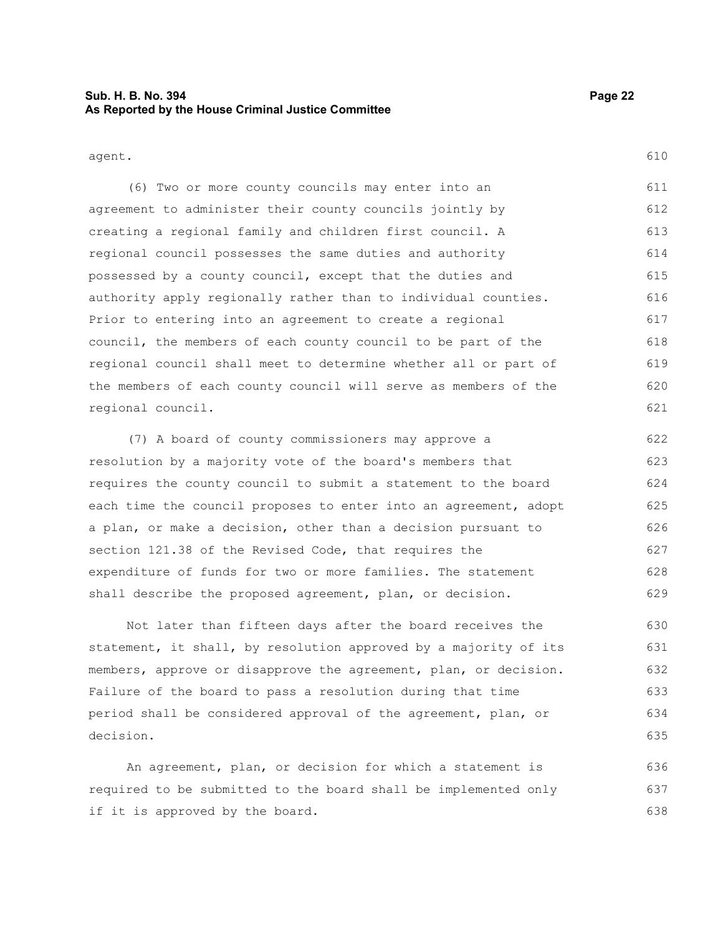#### **Sub. H. B. No. 394 Page 22 As Reported by the House Criminal Justice Committee**

610

agent.

(6) Two or more county councils may enter into an agreement to administer their county councils jointly by creating a regional family and children first council. A regional council possesses the same duties and authority possessed by a county council, except that the duties and authority apply regionally rather than to individual counties. Prior to entering into an agreement to create a regional council, the members of each county council to be part of the regional council shall meet to determine whether all or part of the members of each county council will serve as members of the regional council. 611 612 613 614 615 616 617 618 619 620 621

(7) A board of county commissioners may approve a resolution by a majority vote of the board's members that requires the county council to submit a statement to the board each time the council proposes to enter into an agreement, adopt a plan, or make a decision, other than a decision pursuant to section 121.38 of the Revised Code, that requires the expenditure of funds for two or more families. The statement shall describe the proposed agreement, plan, or decision. 622 623 624 625 626 627 628 629

Not later than fifteen days after the board receives the statement, it shall, by resolution approved by a majority of its members, approve or disapprove the agreement, plan, or decision. Failure of the board to pass a resolution during that time period shall be considered approval of the agreement, plan, or decision. 630 631 632 633 634 635

An agreement, plan, or decision for which a statement is required to be submitted to the board shall be implemented only if it is approved by the board. 636 637 638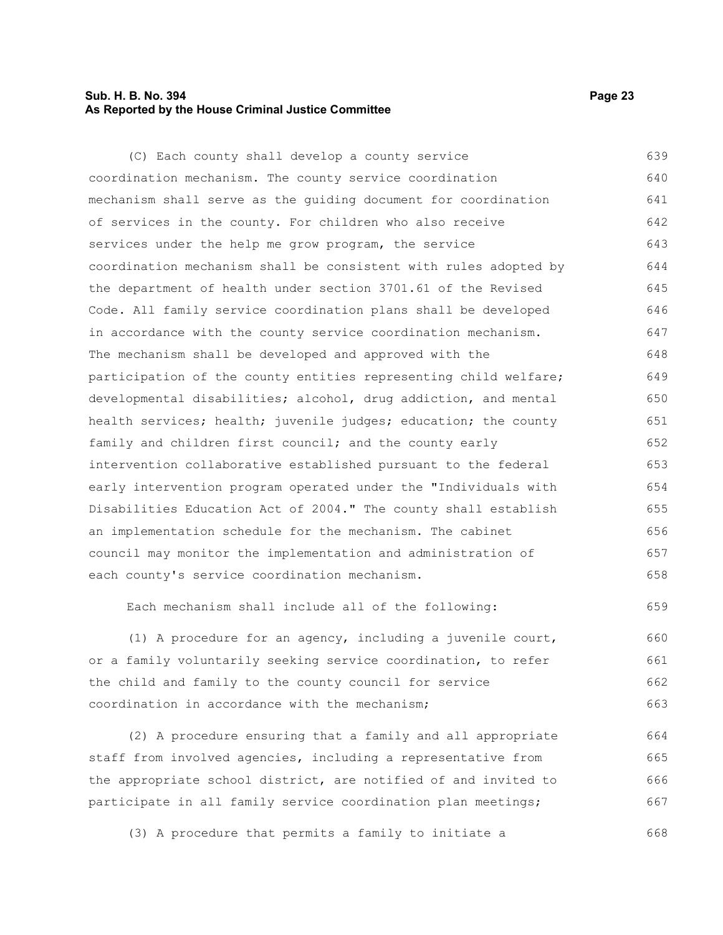#### **Sub. H. B. No. 394 Page 23 As Reported by the House Criminal Justice Committee**

(C) Each county shall develop a county service coordination mechanism. The county service coordination mechanism shall serve as the guiding document for coordination of services in the county. For children who also receive services under the help me grow program, the service coordination mechanism shall be consistent with rules adopted by the department of health under section 3701.61 of the Revised Code. All family service coordination plans shall be developed in accordance with the county service coordination mechanism. The mechanism shall be developed and approved with the participation of the county entities representing child welfare; developmental disabilities; alcohol, drug addiction, and mental health services; health; juvenile judges; education; the county family and children first council; and the county early intervention collaborative established pursuant to the federal early intervention program operated under the "Individuals with Disabilities Education Act of 2004." The county shall establish an implementation schedule for the mechanism. The cabinet council may monitor the implementation and administration of each county's service coordination mechanism. 639 640 641 642 643 644 645 646 647 648 649 650 651 652 653 654 655 656 657 658

Each mechanism shall include all of the following:

(1) A procedure for an agency, including a juvenile court, or a family voluntarily seeking service coordination, to refer the child and family to the county council for service coordination in accordance with the mechanism; 660 661 662 663

(2) A procedure ensuring that a family and all appropriate staff from involved agencies, including a representative from the appropriate school district, are notified of and invited to participate in all family service coordination plan meetings; 664 665 666 667

(3) A procedure that permits a family to initiate a 668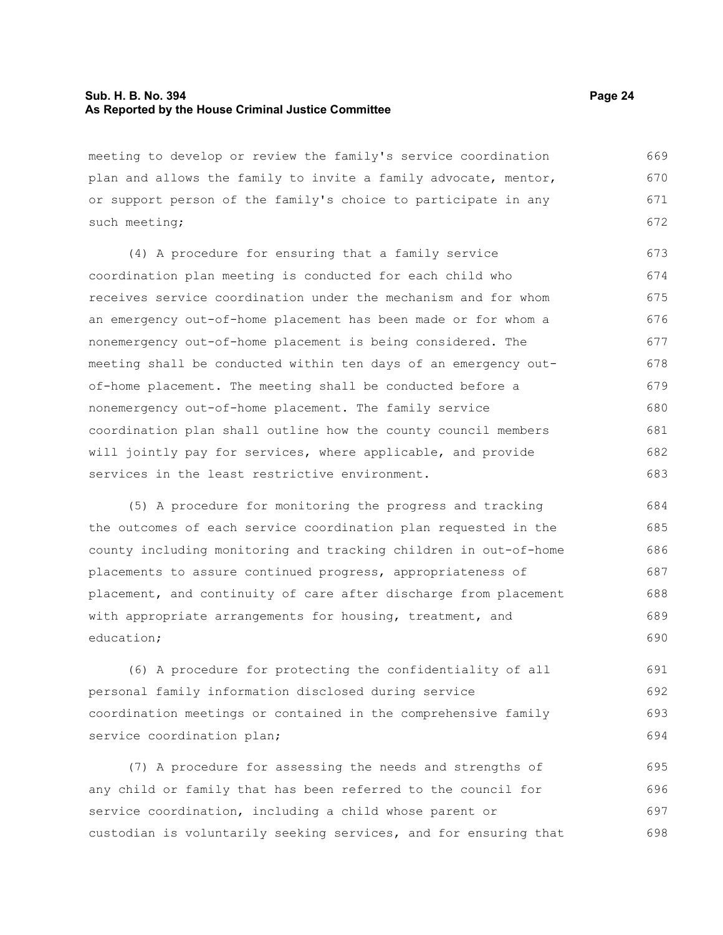#### **Sub. H. B. No. 394 Page 24 As Reported by the House Criminal Justice Committee**

meeting to develop or review the family's service coordination plan and allows the family to invite a family advocate, mentor, or support person of the family's choice to participate in any such meeting; 669 670 671 672

(4) A procedure for ensuring that a family service coordination plan meeting is conducted for each child who receives service coordination under the mechanism and for whom an emergency out-of-home placement has been made or for whom a nonemergency out-of-home placement is being considered. The meeting shall be conducted within ten days of an emergency outof-home placement. The meeting shall be conducted before a nonemergency out-of-home placement. The family service coordination plan shall outline how the county council members will jointly pay for services, where applicable, and provide services in the least restrictive environment. 673 674 675 676 677 678 679 680 681 682 683

(5) A procedure for monitoring the progress and tracking the outcomes of each service coordination plan requested in the county including monitoring and tracking children in out-of-home placements to assure continued progress, appropriateness of placement, and continuity of care after discharge from placement with appropriate arrangements for housing, treatment, and education; 684 685 686 687 688 689 690

(6) A procedure for protecting the confidentiality of all personal family information disclosed during service coordination meetings or contained in the comprehensive family service coordination plan; 691 692 693 694

(7) A procedure for assessing the needs and strengths of any child or family that has been referred to the council for service coordination, including a child whose parent or custodian is voluntarily seeking services, and for ensuring that 695 696 697 698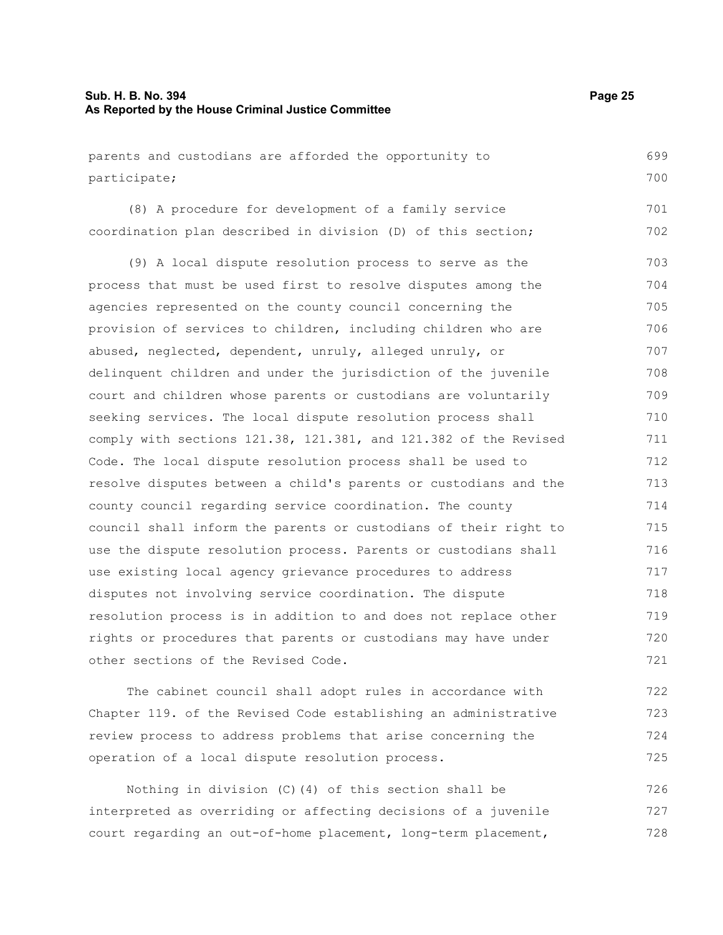#### **Sub. H. B. No. 394 Page 25 As Reported by the House Criminal Justice Committee**

parents and custodians are afforded the opportunity to participate; 699 700

(8) A procedure for development of a family service coordination plan described in division (D) of this section; 701 702

(9) A local dispute resolution process to serve as the process that must be used first to resolve disputes among the agencies represented on the county council concerning the provision of services to children, including children who are abused, neglected, dependent, unruly, alleged unruly, or delinquent children and under the jurisdiction of the juvenile court and children whose parents or custodians are voluntarily seeking services. The local dispute resolution process shall comply with sections 121.38, 121.381, and 121.382 of the Revised Code. The local dispute resolution process shall be used to resolve disputes between a child's parents or custodians and the county council regarding service coordination. The county council shall inform the parents or custodians of their right to use the dispute resolution process. Parents or custodians shall use existing local agency grievance procedures to address disputes not involving service coordination. The dispute resolution process is in addition to and does not replace other rights or procedures that parents or custodians may have under other sections of the Revised Code. 703 704 705 706 707 708 709 710 711 712 713 714 715 716 717 718 719 720 721

The cabinet council shall adopt rules in accordance with Chapter 119. of the Revised Code establishing an administrative review process to address problems that arise concerning the operation of a local dispute resolution process. 722 723 724 725

Nothing in division (C)(4) of this section shall be interpreted as overriding or affecting decisions of a juvenile court regarding an out-of-home placement, long-term placement, 726 727 728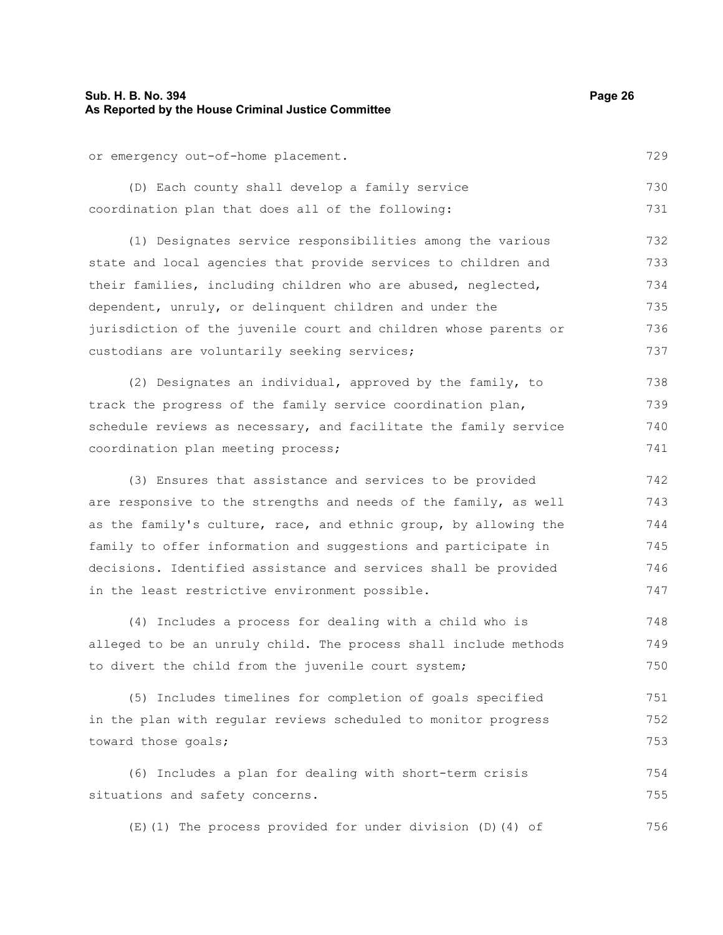#### **Sub. H. B. No. 394 Page 26 As Reported by the House Criminal Justice Committee**

or emergency out-of-home placement.

|  | (D) Each county shall develop a family service    | 730 |
|--|---------------------------------------------------|-----|
|  | coordination plan that does all of the following: | 731 |

(1) Designates service responsibilities among the various state and local agencies that provide services to children and their families, including children who are abused, neglected, dependent, unruly, or delinquent children and under the jurisdiction of the juvenile court and children whose parents or custodians are voluntarily seeking services; 732 733 734 735 736 737

(2) Designates an individual, approved by the family, to track the progress of the family service coordination plan, schedule reviews as necessary, and facilitate the family service coordination plan meeting process; 738 739 740 741

(3) Ensures that assistance and services to be provided are responsive to the strengths and needs of the family, as well as the family's culture, race, and ethnic group, by allowing the family to offer information and suggestions and participate in decisions. Identified assistance and services shall be provided in the least restrictive environment possible. 742 743 744 745 746 747

(4) Includes a process for dealing with a child who is alleged to be an unruly child. The process shall include methods to divert the child from the juvenile court system; 748 749 750

(5) Includes timelines for completion of goals specified in the plan with regular reviews scheduled to monitor progress toward those goals; 751 752 753

(6) Includes a plan for dealing with short-term crisis situations and safety concerns. 754 755

(E)(1) The process provided for under division (D)(4) of 756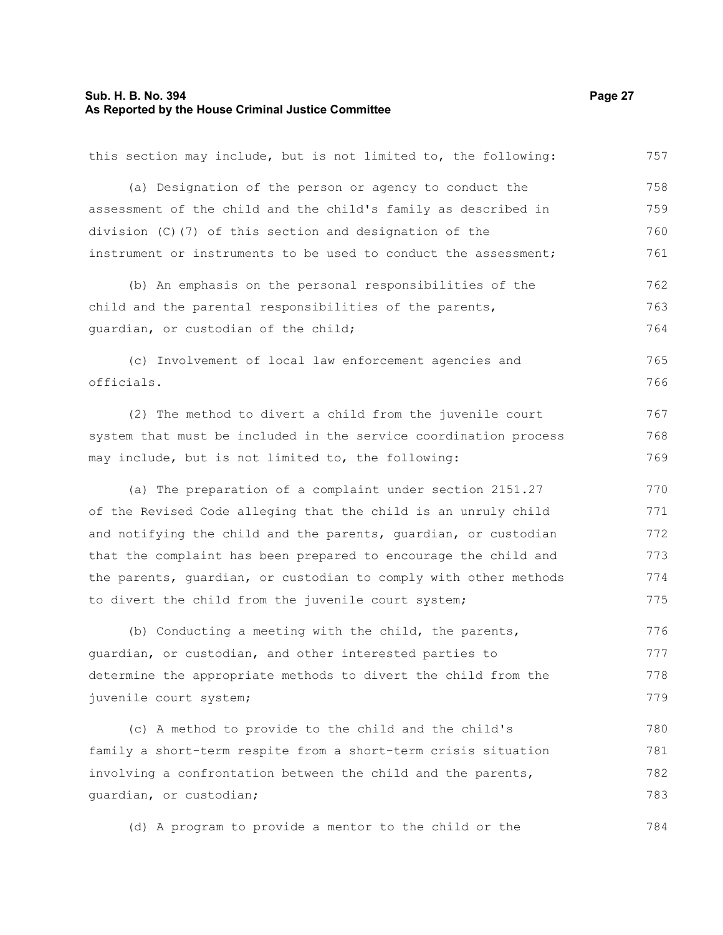#### **Sub. H. B. No. 394 Page 27 As Reported by the House Criminal Justice Committee**

this section may include, but is not limited to, the following: (a) Designation of the person or agency to conduct the assessment of the child and the child's family as described in division (C)(7) of this section and designation of the instrument or instruments to be used to conduct the assessment; (b) An emphasis on the personal responsibilities of the child and the parental responsibilities of the parents, guardian, or custodian of the child; (c) Involvement of local law enforcement agencies and officials. (2) The method to divert a child from the juvenile court system that must be included in the service coordination process may include, but is not limited to, the following: (a) The preparation of a complaint under section 2151.27 of the Revised Code alleging that the child is an unruly child and notifying the child and the parents, guardian, or custodian that the complaint has been prepared to encourage the child and the parents, guardian, or custodian to comply with other methods to divert the child from the juvenile court system; (b) Conducting a meeting with the child, the parents, guardian, or custodian, and other interested parties to 757 758 759 760 761 762 763 764 765 766 767 768 769 770 771 772 773 774 775 776 777

determine the appropriate methods to divert the child from the juvenile court system; 778 779

(c) A method to provide to the child and the child's family a short-term respite from a short-term crisis situation involving a confrontation between the child and the parents, guardian, or custodian; 780 781 782 783

(d) A program to provide a mentor to the child or the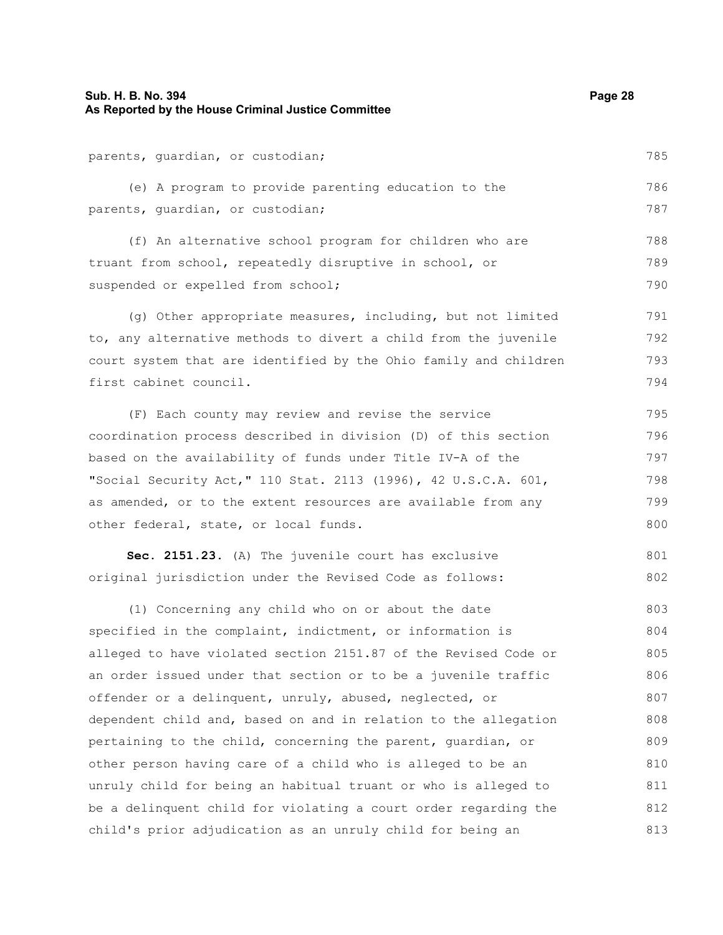| parents, guardian, or custodian;                                 | 785 |
|------------------------------------------------------------------|-----|
| (e) A program to provide parenting education to the              | 786 |
| parents, guardian, or custodian;                                 | 787 |
| (f) An alternative school program for children who are           | 788 |
| truant from school, repeatedly disruptive in school, or          | 789 |
| suspended or expelled from school;                               | 790 |
| (q) Other appropriate measures, including, but not limited       | 791 |
| to, any alternative methods to divert a child from the juvenile  | 792 |
| court system that are identified by the Ohio family and children | 793 |
| first cabinet council.                                           | 794 |
| (F) Each county may review and revise the service                | 795 |
| coordination process described in division (D) of this section   | 796 |
| based on the availability of funds under Title IV-A of the       | 797 |
| "Social Security Act," 110 Stat. 2113 (1996), 42 U.S.C.A. 601,   | 798 |
| as amended, or to the extent resources are available from any    | 799 |
| other federal, state, or local funds.                            | 800 |
| Sec. 2151.23. (A) The juvenile court has exclusive               | 801 |
| original jurisdiction under the Revised Code as follows:         | 802 |
| (1) Concerning any child who on or about the date                | 803 |
| specified in the complaint, indictment, or information is        | 804 |
| alleged to have violated section 2151.87 of the Revised Code or  | 805 |
| an order issued under that section or to be a juvenile traffic   | 806 |
| offender or a delinquent, unruly, abused, neglected, or          | 807 |
| dependent child and, based on and in relation to the allegation  | 808 |
| pertaining to the child, concerning the parent, quardian, or     | 809 |
| other person having care of a child who is alleged to be an      | 810 |
| unruly child for being an habitual truant or who is alleged to   | 811 |
| be a delinquent child for violating a court order regarding the  | 812 |
| child's prior adjudication as an unruly child for being an       | 813 |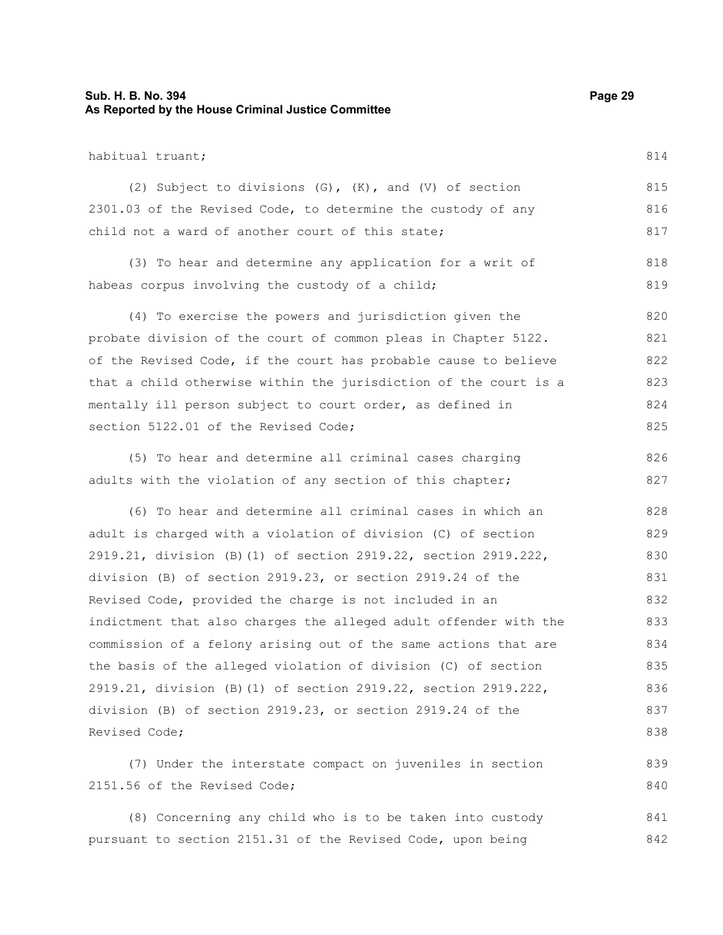#### **Sub. H. B. No. 394 Page 29 As Reported by the House Criminal Justice Committee**

section 5122.01 of the Revised Code;

habitual truant; (2) Subject to divisions (G), (K), and (V) of section 2301.03 of the Revised Code, to determine the custody of any child not a ward of another court of this state; (3) To hear and determine any application for a writ of habeas corpus involving the custody of a child; (4) To exercise the powers and jurisdiction given the probate division of the court of common pleas in Chapter 5122. of the Revised Code, if the court has probable cause to believe that a child otherwise within the jurisdiction of the court is a

(5) To hear and determine all criminal cases charging adults with the violation of any section of this chapter; 826 827

mentally ill person subject to court order, as defined in

(6) To hear and determine all criminal cases in which an adult is charged with a violation of division (C) of section 2919.21, division (B)(1) of section 2919.22, section 2919.222, division (B) of section 2919.23, or section 2919.24 of the Revised Code, provided the charge is not included in an indictment that also charges the alleged adult offender with the commission of a felony arising out of the same actions that are the basis of the alleged violation of division (C) of section 2919.21, division (B)(1) of section 2919.22, section 2919.222, division (B) of section 2919.23, or section 2919.24 of the Revised Code; 828 829 830 831 832 833 834 835 836 837 838

(7) Under the interstate compact on juveniles in section 2151.56 of the Revised Code;

(8) Concerning any child who is to be taken into custody pursuant to section 2151.31 of the Revised Code, upon being 841 842

814

815 816 817

818 819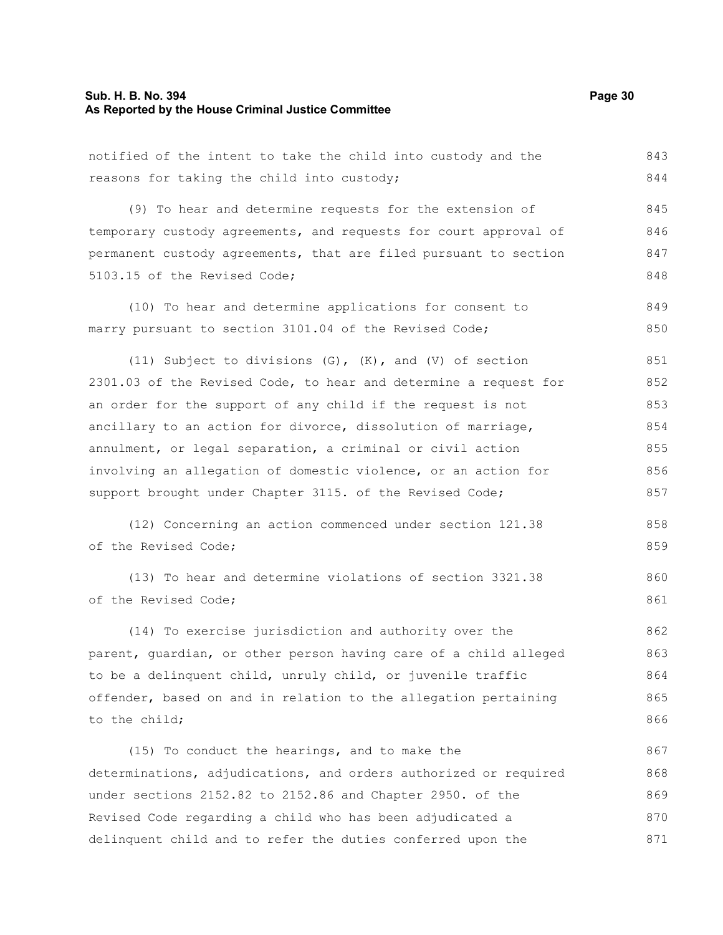#### **Sub. H. B. No. 394 Page 30 As Reported by the House Criminal Justice Committee**

notified of the intent to take the child into custody and the reasons for taking the child into custody; (9) To hear and determine requests for the extension of temporary custody agreements, and requests for court approval of permanent custody agreements, that are filed pursuant to section 5103.15 of the Revised Code; (10) To hear and determine applications for consent to marry pursuant to section 3101.04 of the Revised Code; (11) Subject to divisions (G), (K), and (V) of section 2301.03 of the Revised Code, to hear and determine a request for an order for the support of any child if the request is not ancillary to an action for divorce, dissolution of marriage, annulment, or legal separation, a criminal or civil action involving an allegation of domestic violence, or an action for support brought under Chapter 3115. of the Revised Code; (12) Concerning an action commenced under section 121.38 of the Revised Code; (13) To hear and determine violations of section 3321.38 of the Revised Code; (14) To exercise jurisdiction and authority over the parent, guardian, or other person having care of a child alleged to be a delinquent child, unruly child, or juvenile traffic offender, based on and in relation to the allegation pertaining to the child; (15) To conduct the hearings, and to make the determinations, adjudications, and orders authorized or required under sections 2152.82 to 2152.86 and Chapter 2950. of the Revised Code regarding a child who has been adjudicated a 843 844 845 846 847 848 849 850 851 852 853 854 855 856 857 858 859 860 861 862 863 864 865 866 867 868 869 870

delinquent child and to refer the duties conferred upon the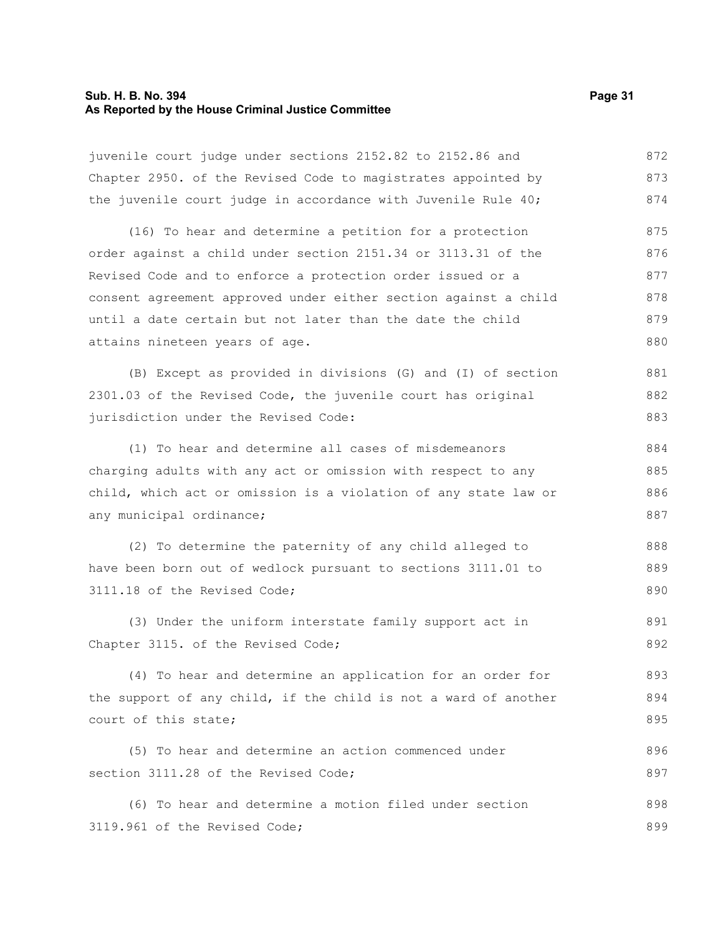#### **Sub. H. B. No. 394 Page 31 As Reported by the House Criminal Justice Committee**

juvenile court judge under sections 2152.82 to 2152.86 and Chapter 2950. of the Revised Code to magistrates appointed by the juvenile court judge in accordance with Juvenile Rule 40; (16) To hear and determine a petition for a protection order against a child under section 2151.34 or 3113.31 of the Revised Code and to enforce a protection order issued or a consent agreement approved under either section against a child until a date certain but not later than the date the child attains nineteen years of age. (B) Except as provided in divisions (G) and (I) of section 2301.03 of the Revised Code, the juvenile court has original jurisdiction under the Revised Code: (1) To hear and determine all cases of misdemeanors charging adults with any act or omission with respect to any child, which act or omission is a violation of any state law or any municipal ordinance; (2) To determine the paternity of any child alleged to have been born out of wedlock pursuant to sections 3111.01 to 3111.18 of the Revised Code; (3) Under the uniform interstate family support act in Chapter 3115. of the Revised Code; (4) To hear and determine an application for an order for the support of any child, if the child is not a ward of another court of this state; (5) To hear and determine an action commenced under section 3111.28 of the Revised Code; 872 873 874 875 876 877 878 879 880 881 882 883 884 885 886 887 888 889 890 891 892 893 894 895 896 897

(6) To hear and determine a motion filed under section 3119.961 of the Revised Code; 898 899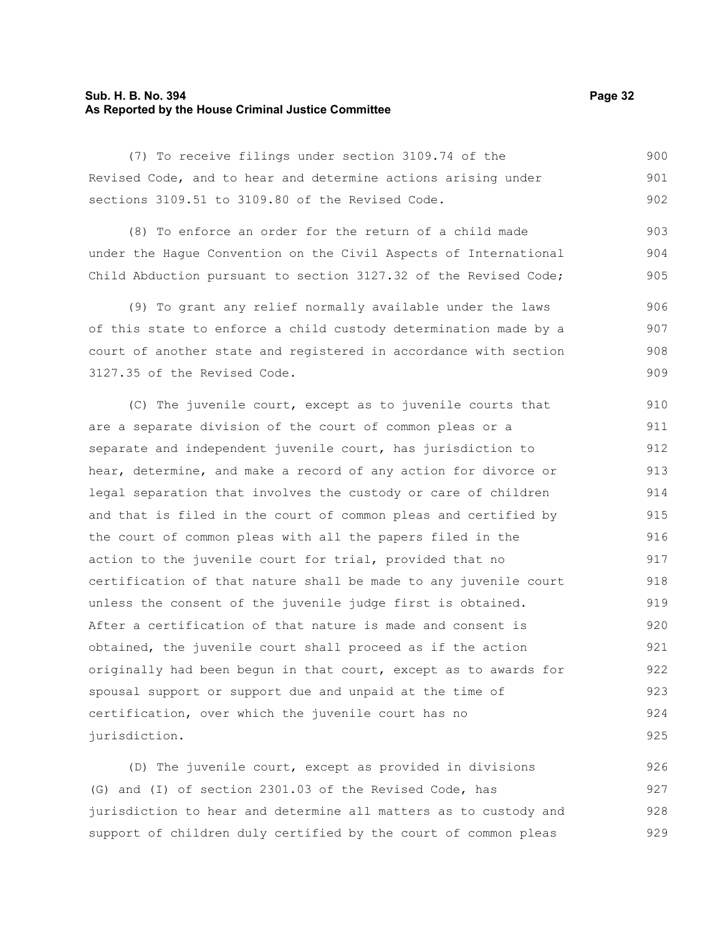#### **Sub. H. B. No. 394 Page 32 As Reported by the House Criminal Justice Committee**

(7) To receive filings under section 3109.74 of the Revised Code, and to hear and determine actions arising under sections 3109.51 to 3109.80 of the Revised Code. 900 901 902

(8) To enforce an order for the return of a child made under the Hague Convention on the Civil Aspects of International Child Abduction pursuant to section 3127.32 of the Revised Code; 903 904 905

(9) To grant any relief normally available under the laws of this state to enforce a child custody determination made by a court of another state and registered in accordance with section 3127.35 of the Revised Code. 906 907 908 909

(C) The juvenile court, except as to juvenile courts that are a separate division of the court of common pleas or a separate and independent juvenile court, has jurisdiction to hear, determine, and make a record of any action for divorce or legal separation that involves the custody or care of children and that is filed in the court of common pleas and certified by the court of common pleas with all the papers filed in the action to the juvenile court for trial, provided that no certification of that nature shall be made to any juvenile court unless the consent of the juvenile judge first is obtained. After a certification of that nature is made and consent is obtained, the juvenile court shall proceed as if the action originally had been begun in that court, except as to awards for spousal support or support due and unpaid at the time of certification, over which the juvenile court has no jurisdiction. 910 911 912 913 914 915 916 917 918 919 920 921 922 923 924 925

(D) The juvenile court, except as provided in divisions (G) and (I) of section 2301.03 of the Revised Code, has jurisdiction to hear and determine all matters as to custody and support of children duly certified by the court of common pleas 926 927 928 929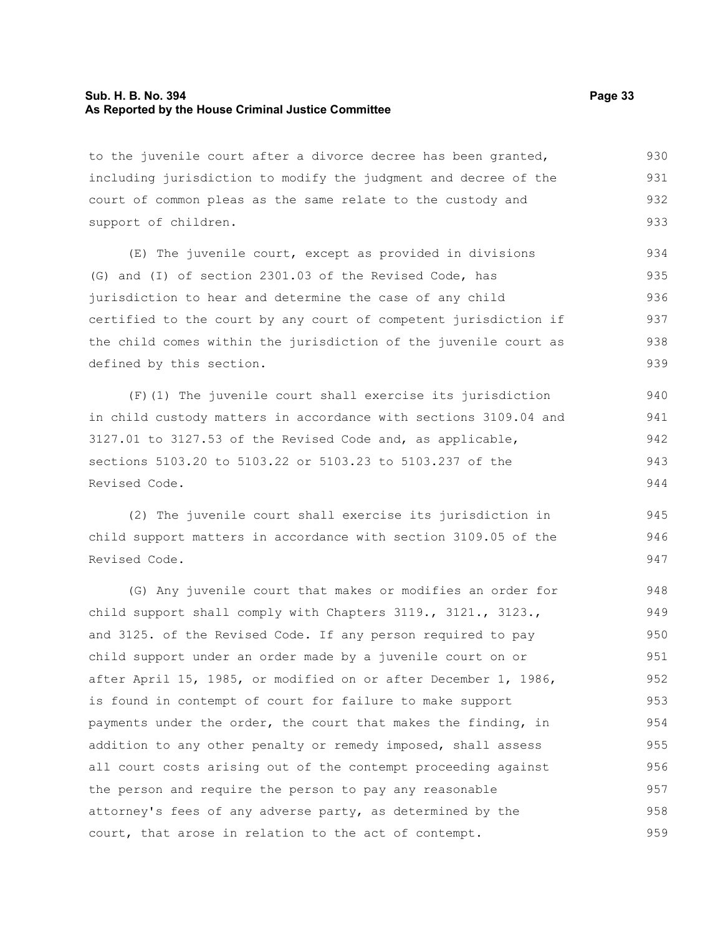#### **Sub. H. B. No. 394 Page 33 As Reported by the House Criminal Justice Committee**

to the juvenile court after a divorce decree has been granted, including jurisdiction to modify the judgment and decree of the court of common pleas as the same relate to the custody and support of children. 930 931 932 933

(E) The juvenile court, except as provided in divisions (G) and (I) of section 2301.03 of the Revised Code, has jurisdiction to hear and determine the case of any child certified to the court by any court of competent jurisdiction if the child comes within the jurisdiction of the juvenile court as defined by this section. 934 935 936 937 938 939

(F)(1) The juvenile court shall exercise its jurisdiction in child custody matters in accordance with sections 3109.04 and 3127.01 to 3127.53 of the Revised Code and, as applicable, sections 5103.20 to 5103.22 or 5103.23 to 5103.237 of the Revised Code. 940 941 942 943 944

(2) The juvenile court shall exercise its jurisdiction in child support matters in accordance with section 3109.05 of the Revised Code.

(G) Any juvenile court that makes or modifies an order for child support shall comply with Chapters 3119., 3121., 3123., and 3125. of the Revised Code. If any person required to pay child support under an order made by a juvenile court on or after April 15, 1985, or modified on or after December 1, 1986, is found in contempt of court for failure to make support payments under the order, the court that makes the finding, in addition to any other penalty or remedy imposed, shall assess all court costs arising out of the contempt proceeding against the person and require the person to pay any reasonable attorney's fees of any adverse party, as determined by the court, that arose in relation to the act of contempt. 948 949 950 951 952 953 954 955 956 957 958 959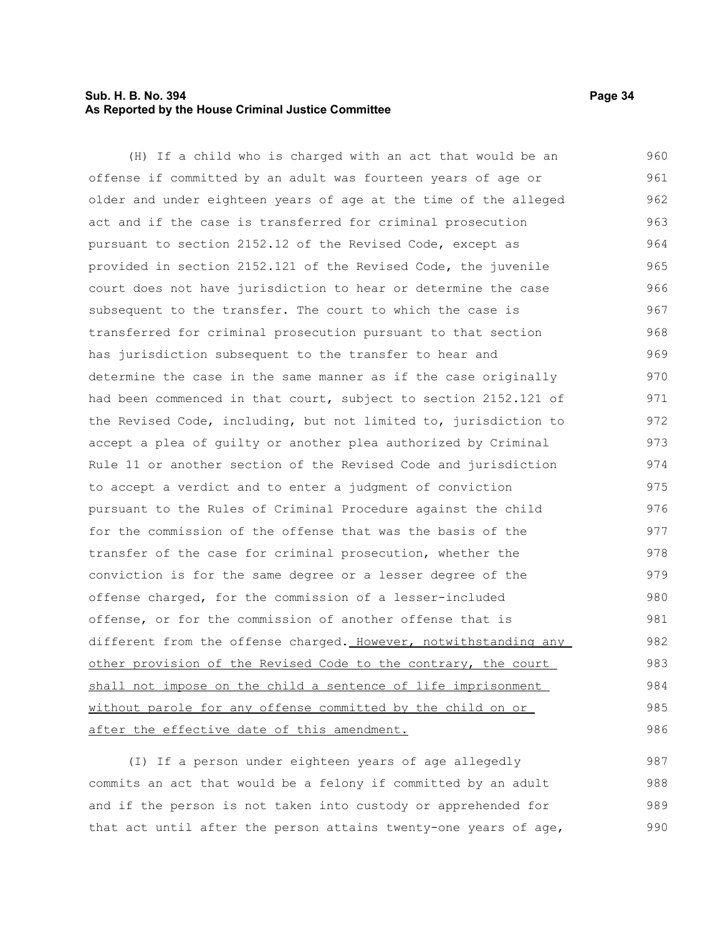#### **Sub. H. B. No. 394 Page 34 As Reported by the House Criminal Justice Committee**

(H) If a child who is charged with an act that would be an offense if committed by an adult was fourteen years of age or older and under eighteen years of age at the time of the alleged act and if the case is transferred for criminal prosecution pursuant to section 2152.12 of the Revised Code, except as provided in section 2152.121 of the Revised Code, the juvenile court does not have jurisdiction to hear or determine the case subsequent to the transfer. The court to which the case is transferred for criminal prosecution pursuant to that section has jurisdiction subsequent to the transfer to hear and determine the case in the same manner as if the case originally had been commenced in that court, subject to section 2152.121 of the Revised Code, including, but not limited to, jurisdiction to accept a plea of guilty or another plea authorized by Criminal Rule 11 or another section of the Revised Code and jurisdiction to accept a verdict and to enter a judgment of conviction pursuant to the Rules of Criminal Procedure against the child for the commission of the offense that was the basis of the transfer of the case for criminal prosecution, whether the conviction is for the same degree or a lesser degree of the offense charged, for the commission of a lesser-included offense, or for the commission of another offense that is different from the offense charged. However, notwithstanding any other provision of the Revised Code to the contrary, the court shall not impose on the child a sentence of life imprisonment without parole for any offense committed by the child on or after the effective date of this amendment. 960 961 962 963 964 965 966 967 968 969 970 971 972 973 974 975 976 977 978 979 980 981 982 983 984 985 986

(I) If a person under eighteen years of age allegedly commits an act that would be a felony if committed by an adult and if the person is not taken into custody or apprehended for that act until after the person attains twenty-one years of age, 987 988 989 990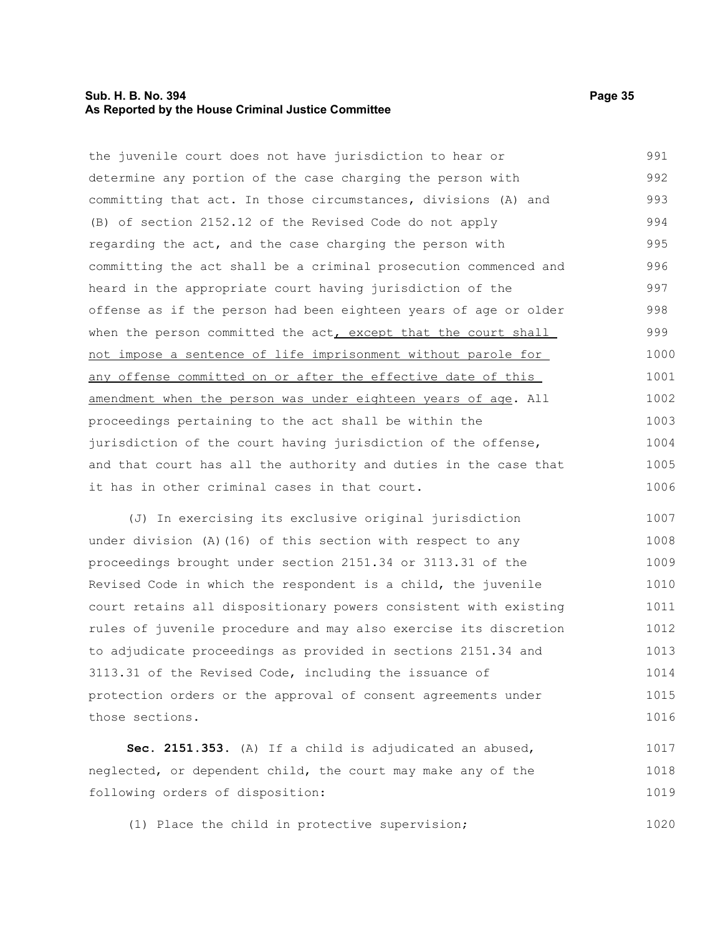#### **Sub. H. B. No. 394 Page 35 As Reported by the House Criminal Justice Committee**

the juvenile court does not have jurisdiction to hear or determine any portion of the case charging the person with committing that act. In those circumstances, divisions (A) and (B) of section 2152.12 of the Revised Code do not apply regarding the act, and the case charging the person with committing the act shall be a criminal prosecution commenced and heard in the appropriate court having jurisdiction of the offense as if the person had been eighteen years of age or older when the person committed the act, except that the court shall not impose a sentence of life imprisonment without parole for any offense committed on or after the effective date of this amendment when the person was under eighteen years of age. All proceedings pertaining to the act shall be within the jurisdiction of the court having jurisdiction of the offense, and that court has all the authority and duties in the case that it has in other criminal cases in that court. 991 992 993 994 995 996 997 998 999 1000 1001 1002 1003 1004 1005 1006

(J) In exercising its exclusive original jurisdiction under division (A)(16) of this section with respect to any proceedings brought under section 2151.34 or 3113.31 of the Revised Code in which the respondent is a child, the juvenile court retains all dispositionary powers consistent with existing rules of juvenile procedure and may also exercise its discretion to adjudicate proceedings as provided in sections 2151.34 and 3113.31 of the Revised Code, including the issuance of protection orders or the approval of consent agreements under those sections. 1007 1008 1009 1010 1011 1012 1013 1014 1015 1016

**Sec. 2151.353.** (A) If a child is adjudicated an abused, neglected, or dependent child, the court may make any of the following orders of disposition: 1017 1018 1019

(1) Place the child in protective supervision;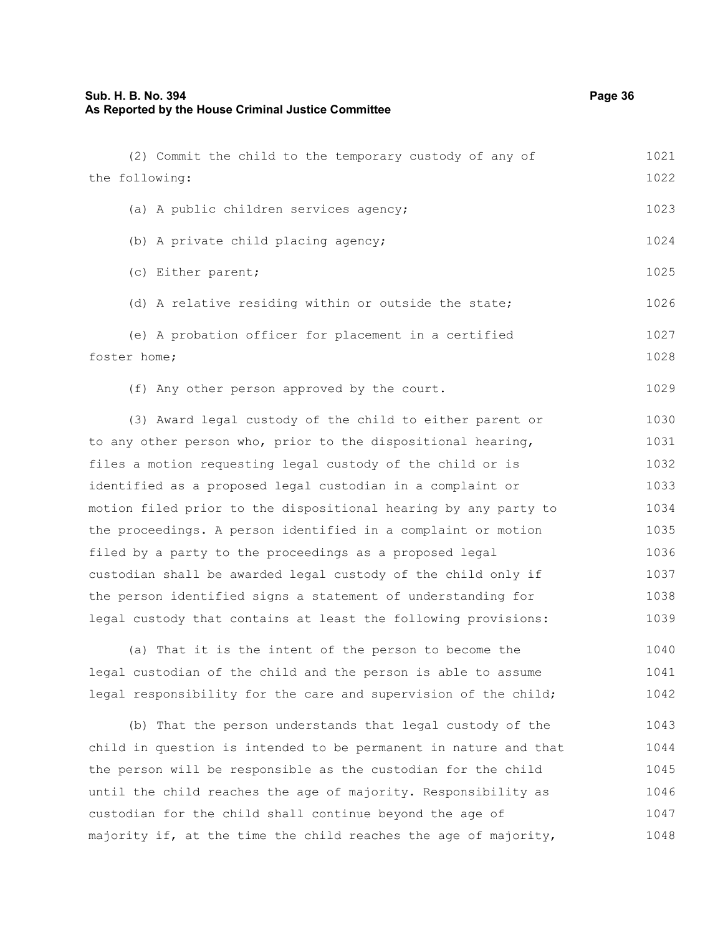#### **Sub. H. B. No. 394 Page 36 As Reported by the House Criminal Justice Committee**

(2) Commit the child to the temporary custody of any of the following: (a) A public children services agency; (b) A private child placing agency; (c) Either parent; (d) A relative residing within or outside the state; (e) A probation officer for placement in a certified foster home; (f) Any other person approved by the court. (3) Award legal custody of the child to either parent or to any other person who, prior to the dispositional hearing, files a motion requesting legal custody of the child or is identified as a proposed legal custodian in a complaint or motion filed prior to the dispositional hearing by any party to the proceedings. A person identified in a complaint or motion filed by a party to the proceedings as a proposed legal custodian shall be awarded legal custody of the child only if 1021 1022 1023 1024 1025 1026 1027 1028 1029 1030 1031 1032 1033 1034 1035 1036 1037

the person identified signs a statement of understanding for legal custody that contains at least the following provisions: 1038 1039

(a) That it is the intent of the person to become the legal custodian of the child and the person is able to assume legal responsibility for the care and supervision of the child; 1040 1041 1042

(b) That the person understands that legal custody of the child in question is intended to be permanent in nature and that the person will be responsible as the custodian for the child until the child reaches the age of majority. Responsibility as custodian for the child shall continue beyond the age of majority if, at the time the child reaches the age of majority, 1043 1044 1045 1046 1047 1048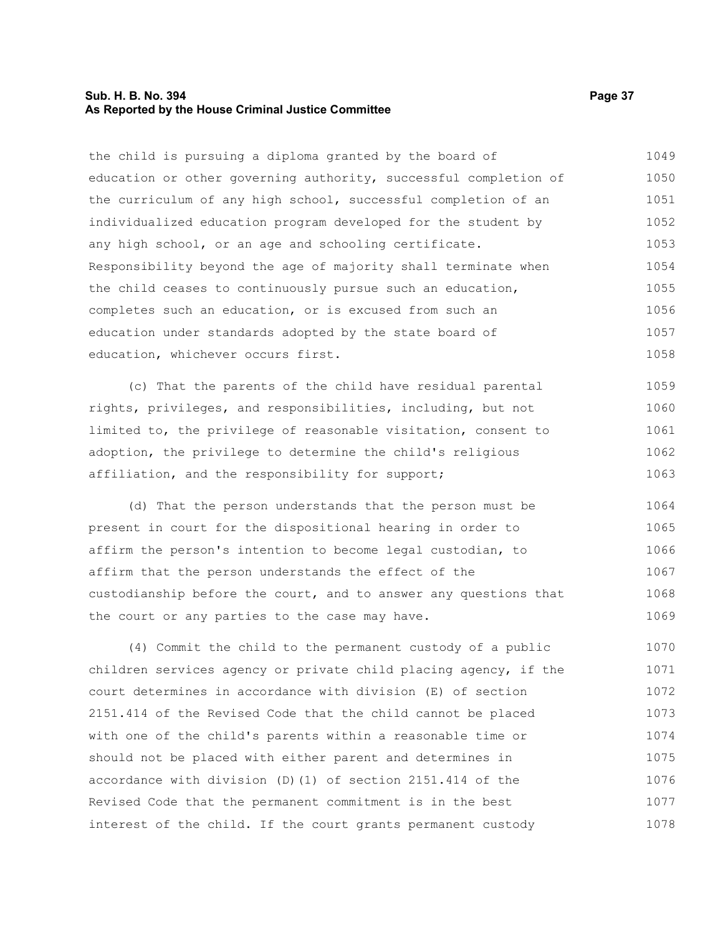### **Sub. H. B. No. 394 Page 37 As Reported by the House Criminal Justice Committee**

the child is pursuing a diploma granted by the board of education or other governing authority, successful completion of the curriculum of any high school, successful completion of an individualized education program developed for the student by any high school, or an age and schooling certificate. Responsibility beyond the age of majority shall terminate when the child ceases to continuously pursue such an education, completes such an education, or is excused from such an education under standards adopted by the state board of education, whichever occurs first. 1049 1050 1051 1052 1053 1054 1055 1056 1057 1058

(c) That the parents of the child have residual parental rights, privileges, and responsibilities, including, but not limited to, the privilege of reasonable visitation, consent to adoption, the privilege to determine the child's religious affiliation, and the responsibility for support; 1059 1060 1061 1062 1063

(d) That the person understands that the person must be present in court for the dispositional hearing in order to affirm the person's intention to become legal custodian, to affirm that the person understands the effect of the custodianship before the court, and to answer any questions that the court or any parties to the case may have. 1064 1065 1066 1067 1068 1069

(4) Commit the child to the permanent custody of a public children services agency or private child placing agency, if the court determines in accordance with division (E) of section 2151.414 of the Revised Code that the child cannot be placed with one of the child's parents within a reasonable time or should not be placed with either parent and determines in accordance with division (D)(1) of section 2151.414 of the Revised Code that the permanent commitment is in the best interest of the child. If the court grants permanent custody 1070 1071 1072 1073 1074 1075 1076 1077 1078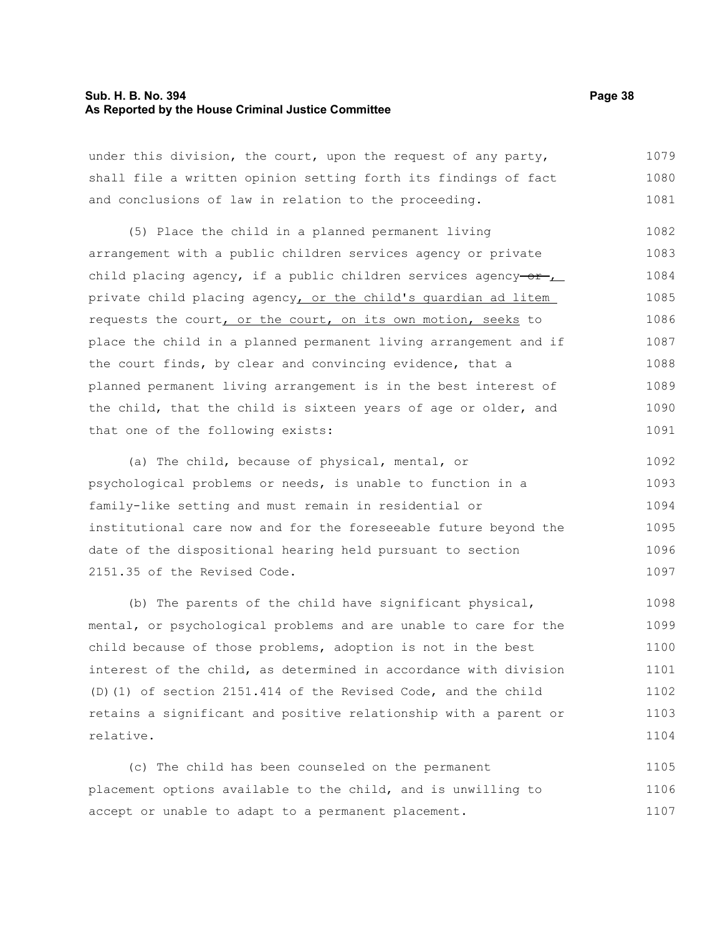### **Sub. H. B. No. 394 Page 38 As Reported by the House Criminal Justice Committee**

under this division, the court, upon the request of any party, shall file a written opinion setting forth its findings of fact and conclusions of law in relation to the proceeding. 1079 1080 1081

(5) Place the child in a planned permanent living arrangement with a public children services agency or private child placing agency, if a public children services agency- $o_{r-1}$ private child placing agency, or the child's quardian ad litem requests the court, or the court, on its own motion, seeks to place the child in a planned permanent living arrangement and if the court finds, by clear and convincing evidence, that a planned permanent living arrangement is in the best interest of the child, that the child is sixteen years of age or older, and that one of the following exists: 1082 1083 1084 1085 1086 1087 1088 1089 1090 1091

(a) The child, because of physical, mental, or psychological problems or needs, is unable to function in a family-like setting and must remain in residential or institutional care now and for the foreseeable future beyond the date of the dispositional hearing held pursuant to section 2151.35 of the Revised Code. 1092 1093 1094 1095 1096 1097

(b) The parents of the child have significant physical, mental, or psychological problems and are unable to care for the child because of those problems, adoption is not in the best interest of the child, as determined in accordance with division (D)(1) of section 2151.414 of the Revised Code, and the child retains a significant and positive relationship with a parent or relative. 1098 1099 1100 1101 1102 1103 1104

(c) The child has been counseled on the permanent placement options available to the child, and is unwilling to accept or unable to adapt to a permanent placement. 1105 1106 1107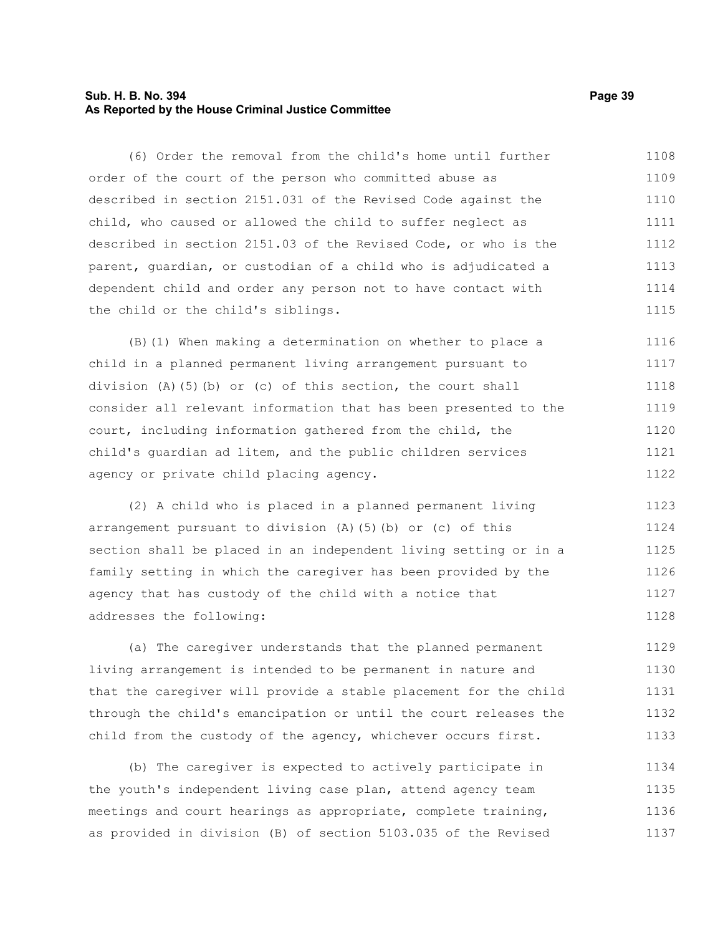### **Sub. H. B. No. 394 Page 39 As Reported by the House Criminal Justice Committee**

(6) Order the removal from the child's home until further order of the court of the person who committed abuse as described in section 2151.031 of the Revised Code against the child, who caused or allowed the child to suffer neglect as described in section 2151.03 of the Revised Code, or who is the parent, guardian, or custodian of a child who is adjudicated a dependent child and order any person not to have contact with the child or the child's siblings. 1108 1109 1110 1111 1112 1113 1114 1115

(B)(1) When making a determination on whether to place a child in a planned permanent living arrangement pursuant to division (A)(5)(b) or (c) of this section, the court shall consider all relevant information that has been presented to the court, including information gathered from the child, the child's guardian ad litem, and the public children services agency or private child placing agency. 1116 1117 1118 1119 1120 1121 1122

(2) A child who is placed in a planned permanent living arrangement pursuant to division  $(A)$  (5)(b) or (c) of this section shall be placed in an independent living setting or in a family setting in which the caregiver has been provided by the agency that has custody of the child with a notice that addresses the following: 1123 1124 1125 1126 1127 1128

(a) The caregiver understands that the planned permanent living arrangement is intended to be permanent in nature and that the caregiver will provide a stable placement for the child through the child's emancipation or until the court releases the child from the custody of the agency, whichever occurs first. 1129 1130 1131 1132 1133

(b) The caregiver is expected to actively participate in the youth's independent living case plan, attend agency team meetings and court hearings as appropriate, complete training, as provided in division (B) of section 5103.035 of the Revised 1134 1135 1136 1137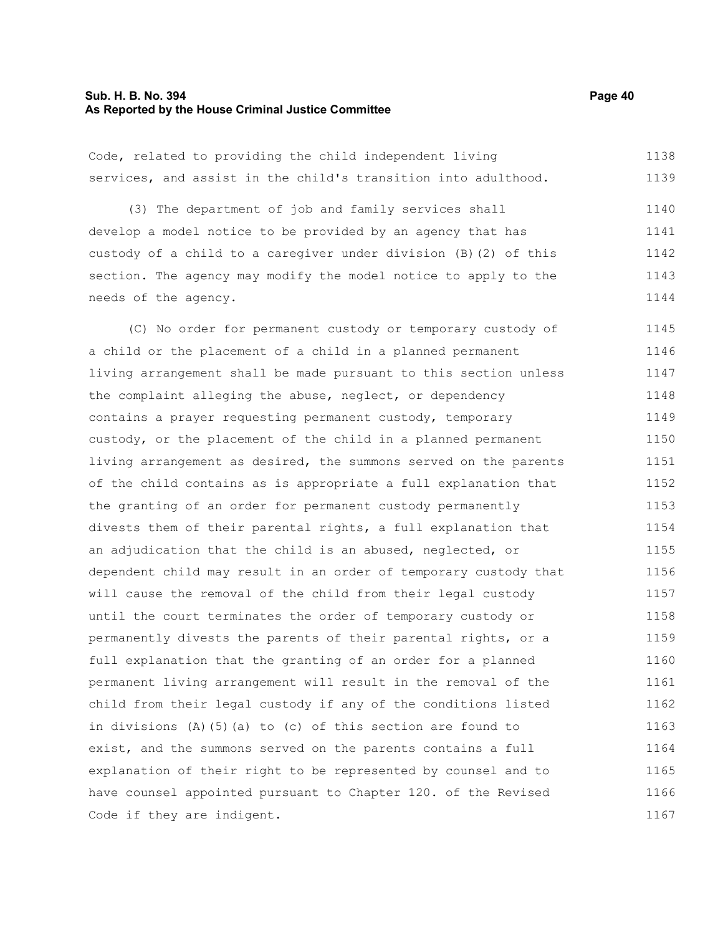#### **Sub. H. B. No. 394 Page 40 As Reported by the House Criminal Justice Committee**

Code, related to providing the child independent living services, and assist in the child's transition into adulthood. 1138 1139

(3) The department of job and family services shall develop a model notice to be provided by an agency that has custody of a child to a caregiver under division (B)(2) of this section. The agency may modify the model notice to apply to the needs of the agency. 1140 1141 1142 1143 1144

(C) No order for permanent custody or temporary custody of a child or the placement of a child in a planned permanent living arrangement shall be made pursuant to this section unless the complaint alleging the abuse, neglect, or dependency contains a prayer requesting permanent custody, temporary custody, or the placement of the child in a planned permanent living arrangement as desired, the summons served on the parents of the child contains as is appropriate a full explanation that the granting of an order for permanent custody permanently divests them of their parental rights, a full explanation that an adjudication that the child is an abused, neglected, or dependent child may result in an order of temporary custody that will cause the removal of the child from their legal custody until the court terminates the order of temporary custody or permanently divests the parents of their parental rights, or a full explanation that the granting of an order for a planned permanent living arrangement will result in the removal of the child from their legal custody if any of the conditions listed in divisions (A)(5)(a) to (c) of this section are found to exist, and the summons served on the parents contains a full explanation of their right to be represented by counsel and to have counsel appointed pursuant to Chapter 120. of the Revised Code if they are indigent. 1145 1146 1147 1148 1149 1150 1151 1152 1153 1154 1155 1156 1157 1158 1159 1160 1161 1162 1163 1164 1165 1166 1167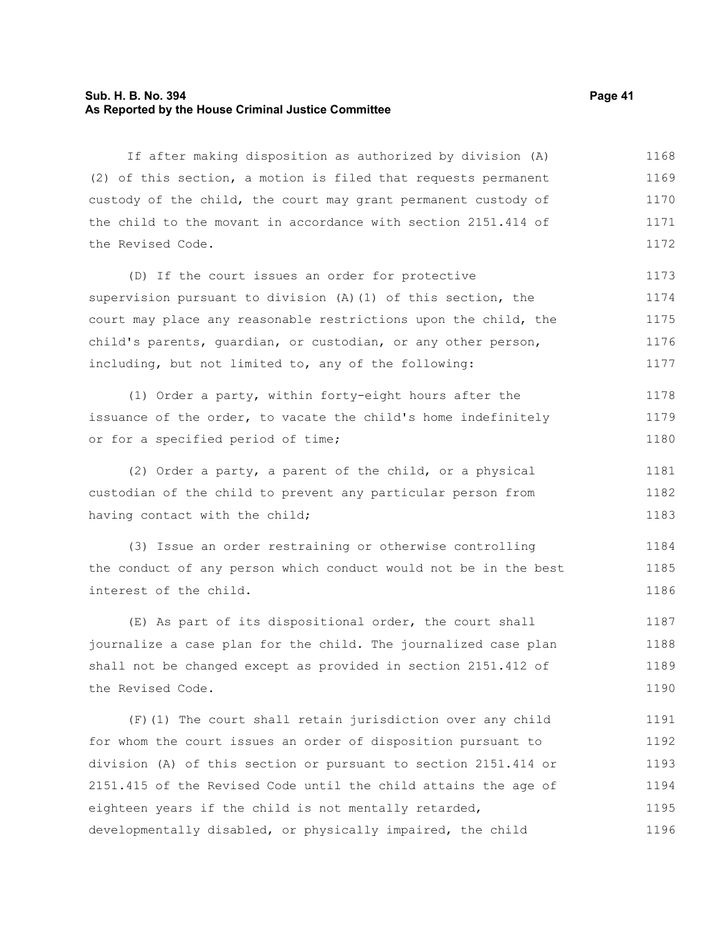### **Sub. H. B. No. 394 Page 41 As Reported by the House Criminal Justice Committee**

If after making disposition as authorized by division (A) (2) of this section, a motion is filed that requests permanent custody of the child, the court may grant permanent custody of the child to the movant in accordance with section 2151.414 of the Revised Code. 1168 1169 1170 1171 1172

(D) If the court issues an order for protective supervision pursuant to division (A)(1) of this section, the court may place any reasonable restrictions upon the child, the child's parents, guardian, or custodian, or any other person, including, but not limited to, any of the following: 1173 1174 1175 1176 1177

(1) Order a party, within forty-eight hours after the issuance of the order, to vacate the child's home indefinitely or for a specified period of time; 1178 1179 1180

(2) Order a party, a parent of the child, or a physical custodian of the child to prevent any particular person from having contact with the child; 1181 1182 1183

(3) Issue an order restraining or otherwise controlling the conduct of any person which conduct would not be in the best interest of the child. 1184 1185 1186

(E) As part of its dispositional order, the court shall journalize a case plan for the child. The journalized case plan shall not be changed except as provided in section 2151.412 of the Revised Code. 1187 1188 1189 1190

(F)(1) The court shall retain jurisdiction over any child for whom the court issues an order of disposition pursuant to division (A) of this section or pursuant to section 2151.414 or 2151.415 of the Revised Code until the child attains the age of eighteen years if the child is not mentally retarded, developmentally disabled, or physically impaired, the child 1191 1192 1193 1194 1195 1196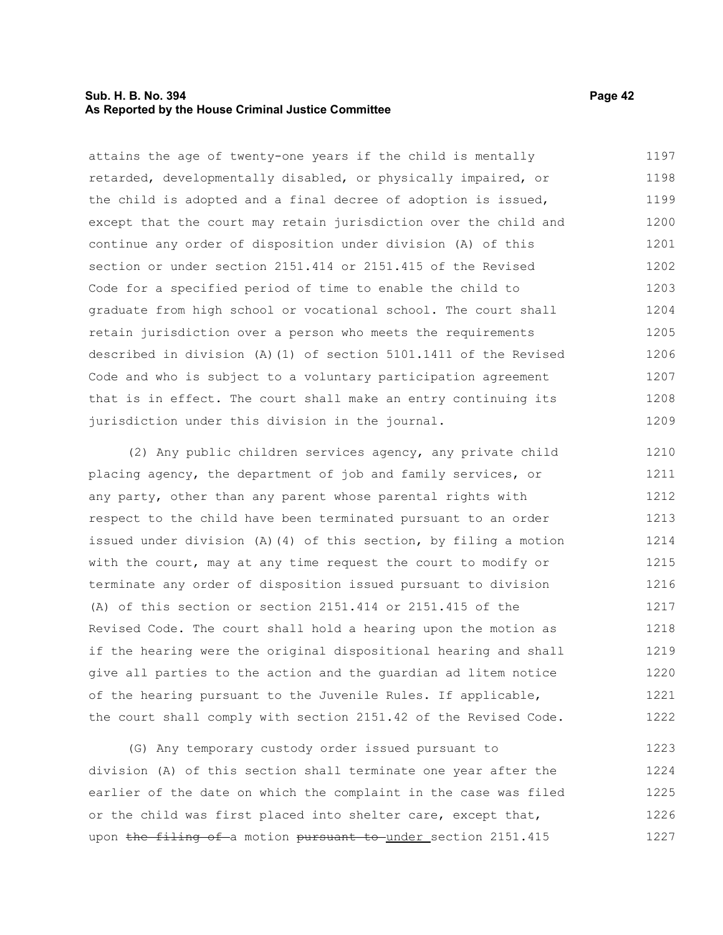### **Sub. H. B. No. 394 Page 42 As Reported by the House Criminal Justice Committee**

attains the age of twenty-one years if the child is mentally retarded, developmentally disabled, or physically impaired, or the child is adopted and a final decree of adoption is issued, except that the court may retain jurisdiction over the child and continue any order of disposition under division (A) of this section or under section 2151.414 or 2151.415 of the Revised Code for a specified period of time to enable the child to graduate from high school or vocational school. The court shall retain jurisdiction over a person who meets the requirements described in division (A)(1) of section 5101.1411 of the Revised Code and who is subject to a voluntary participation agreement that is in effect. The court shall make an entry continuing its jurisdiction under this division in the journal. 1197 1198 1199 1200 1201 1202 1203 1204 1205 1206 1207 1208 1209

(2) Any public children services agency, any private child placing agency, the department of job and family services, or any party, other than any parent whose parental rights with respect to the child have been terminated pursuant to an order issued under division (A)(4) of this section, by filing a motion with the court, may at any time request the court to modify or terminate any order of disposition issued pursuant to division (A) of this section or section 2151.414 or 2151.415 of the Revised Code. The court shall hold a hearing upon the motion as if the hearing were the original dispositional hearing and shall give all parties to the action and the guardian ad litem notice of the hearing pursuant to the Juvenile Rules. If applicable, the court shall comply with section 2151.42 of the Revised Code. 1210 1211 1212 1213 1214 1215 1216 1217 1218 1219 1220 1221 1222

(G) Any temporary custody order issued pursuant to division (A) of this section shall terminate one year after the earlier of the date on which the complaint in the case was filed or the child was first placed into shelter care, except that, upon the filing of a motion pursuant to under section 2151.415 1223 1224 1225 1226 1227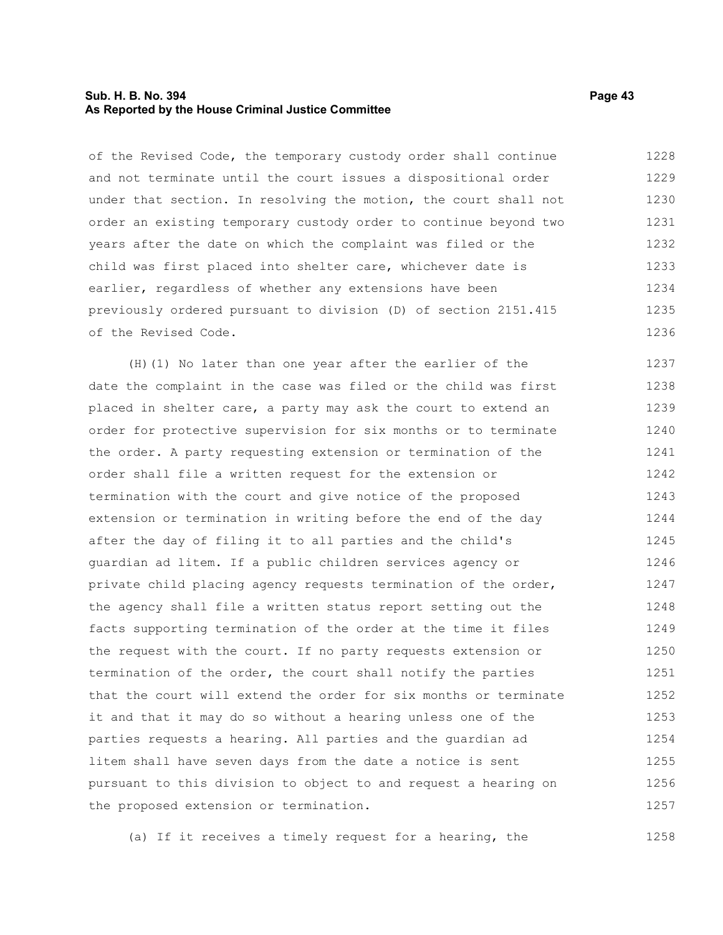### **Sub. H. B. No. 394 Page 43 As Reported by the House Criminal Justice Committee**

of the Revised Code, the temporary custody order shall continue and not terminate until the court issues a dispositional order under that section. In resolving the motion, the court shall not order an existing temporary custody order to continue beyond two years after the date on which the complaint was filed or the child was first placed into shelter care, whichever date is earlier, regardless of whether any extensions have been previously ordered pursuant to division (D) of section 2151.415 of the Revised Code. 1228 1229 1230 1231 1232 1233 1234 1235 1236

(H)(1) No later than one year after the earlier of the date the complaint in the case was filed or the child was first placed in shelter care, a party may ask the court to extend an order for protective supervision for six months or to terminate the order. A party requesting extension or termination of the order shall file a written request for the extension or termination with the court and give notice of the proposed extension or termination in writing before the end of the day after the day of filing it to all parties and the child's guardian ad litem. If a public children services agency or private child placing agency requests termination of the order, the agency shall file a written status report setting out the facts supporting termination of the order at the time it files the request with the court. If no party requests extension or termination of the order, the court shall notify the parties that the court will extend the order for six months or terminate it and that it may do so without a hearing unless one of the parties requests a hearing. All parties and the guardian ad litem shall have seven days from the date a notice is sent pursuant to this division to object to and request a hearing on the proposed extension or termination. 1237 1238 1239 1240 1241 1242 1243 1244 1245 1246 1247 1248 1249 1250 1251 1252 1253 1254 1255 1256 1257

(a) If it receives a timely request for a hearing, the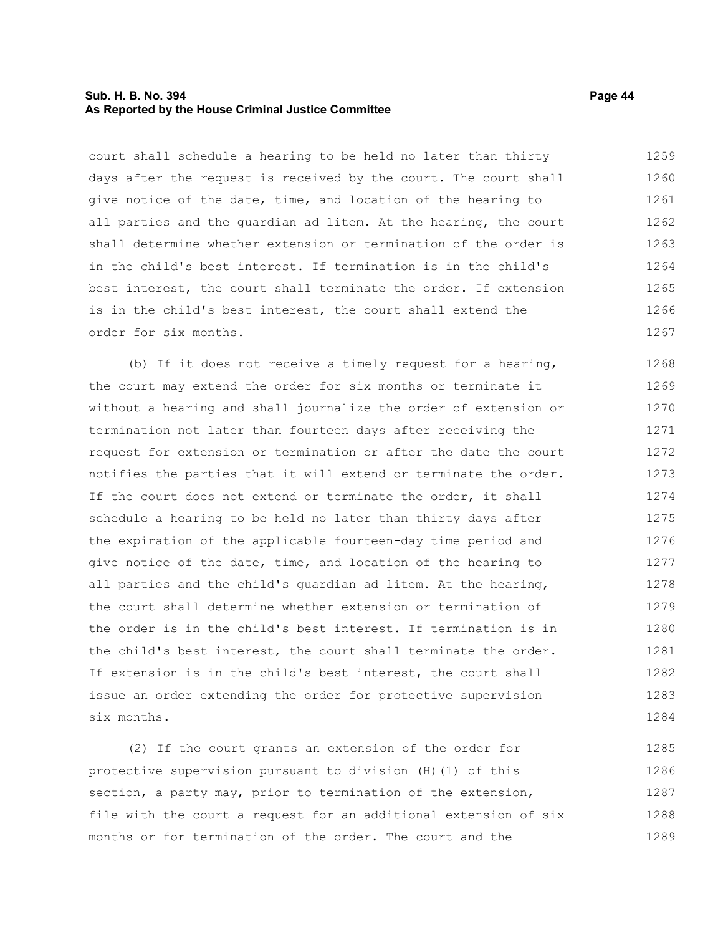### **Sub. H. B. No. 394 Page 44 As Reported by the House Criminal Justice Committee**

court shall schedule a hearing to be held no later than thirty days after the request is received by the court. The court shall give notice of the date, time, and location of the hearing to all parties and the guardian ad litem. At the hearing, the court shall determine whether extension or termination of the order is in the child's best interest. If termination is in the child's best interest, the court shall terminate the order. If extension is in the child's best interest, the court shall extend the order for six months. 1259 1260 1261 1262 1263 1264 1265 1266 1267

(b) If it does not receive a timely request for a hearing, the court may extend the order for six months or terminate it without a hearing and shall journalize the order of extension or termination not later than fourteen days after receiving the request for extension or termination or after the date the court notifies the parties that it will extend or terminate the order. If the court does not extend or terminate the order, it shall schedule a hearing to be held no later than thirty days after the expiration of the applicable fourteen-day time period and give notice of the date, time, and location of the hearing to all parties and the child's guardian ad litem. At the hearing, the court shall determine whether extension or termination of the order is in the child's best interest. If termination is in the child's best interest, the court shall terminate the order. If extension is in the child's best interest, the court shall issue an order extending the order for protective supervision six months. 1268 1269 1270 1271 1272 1273 1274 1275 1276 1277 1278 1279 1280 1281 1282 1283 1284

(2) If the court grants an extension of the order for protective supervision pursuant to division (H)(1) of this section, a party may, prior to termination of the extension, file with the court a request for an additional extension of six months or for termination of the order. The court and the 1285 1286 1287 1288 1289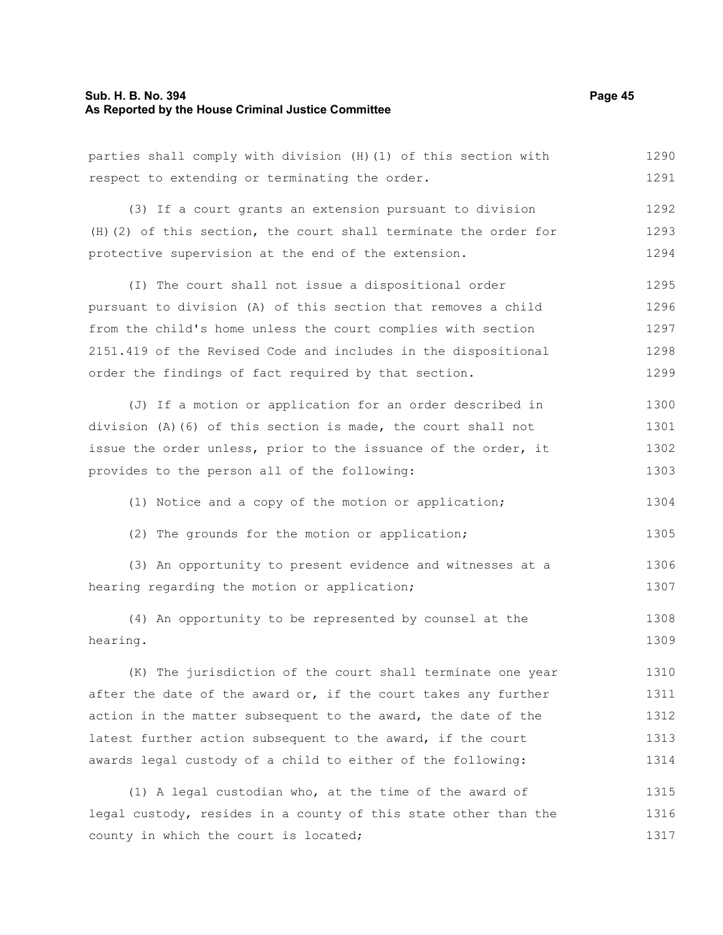#### **Sub. H. B. No. 394 Page 45 As Reported by the House Criminal Justice Committee**

parties shall comply with division (H)(1) of this section with respect to extending or terminating the order. 1290 1291

(3) If a court grants an extension pursuant to division (H)(2) of this section, the court shall terminate the order for protective supervision at the end of the extension. 1292 1293 1294

(I) The court shall not issue a dispositional order pursuant to division (A) of this section that removes a child from the child's home unless the court complies with section 2151.419 of the Revised Code and includes in the dispositional order the findings of fact required by that section. 1295 1296 1297 1298 1299

(J) If a motion or application for an order described in division (A)(6) of this section is made, the court shall not issue the order unless, prior to the issuance of the order, it provides to the person all of the following: 1300 1301 1302 1303

(1) Notice and a copy of the motion or application; 1304

(2) The grounds for the motion or application;

```
(3) An opportunity to present evidence and witnesses at a
hearing regarding the motion or application; 
                                                                           1306
                                                                           1307
```
(4) An opportunity to be represented by counsel at the hearing. 1308 1309

(K) The jurisdiction of the court shall terminate one year after the date of the award  $or$ , if the court takes any further action in the matter subsequent to the award, the date of the latest further action subsequent to the award, if the court awards legal custody of a child to either of the following: 1310 1311 1312 1313 1314

(1) A legal custodian who, at the time of the award of legal custody, resides in a county of this state other than the county in which the court is located; 1315 1316 1317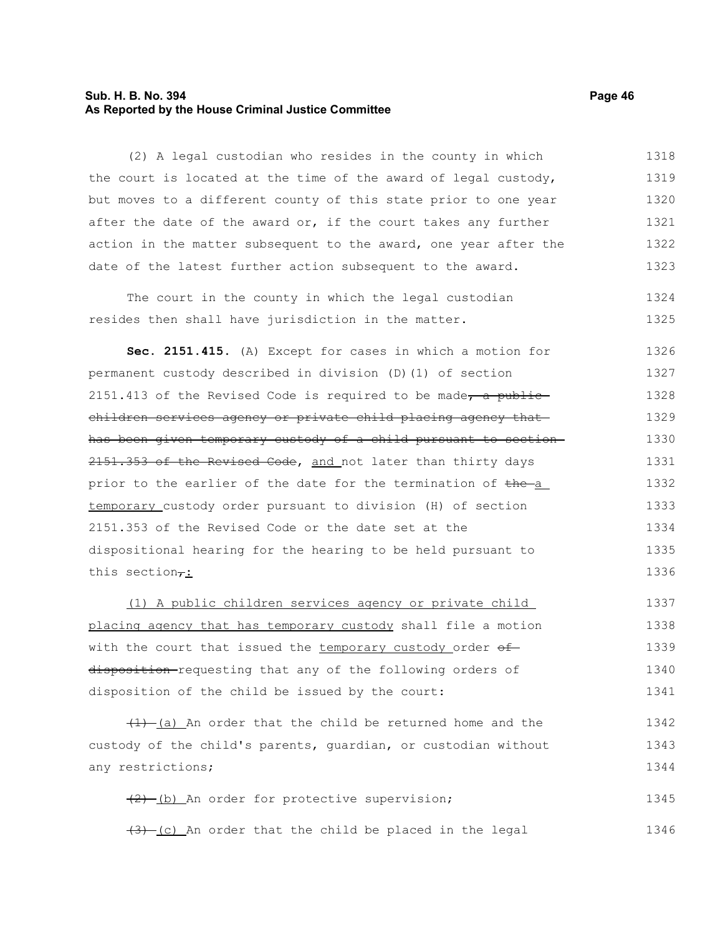### **Sub. H. B. No. 394 Page 46 As Reported by the House Criminal Justice Committee**

(2) A legal custodian who resides in the county in which the court is located at the time of the award of legal custody, but moves to a different county of this state prior to one year after the date of the award or, if the court takes any further action in the matter subsequent to the award, one year after the date of the latest further action subsequent to the award. 1318 1319 1320 1321 1322 1323

The court in the county in which the legal custodian resides then shall have jurisdiction in the matter. 1324 1325

**Sec. 2151.415.** (A) Except for cases in which a motion for permanent custody described in division (D)(1) of section  $2151.413$  of the Revised Code is required to be made, a publicchildren services agency or private child placing agency that has been given temporary custody of a child pursuant to section 2151.353 of the Revised Code, and not later than thirty days prior to the earlier of the date for the termination of the-a temporary custody order pursuant to division (H) of section 2151.353 of the Revised Code or the date set at the dispositional hearing for the hearing to be held pursuant to this section $\tau$ : 1326 1327 1328 1329 1330 1331 1332 1333 1334 1335 1336

(1) A public children services agency or private child placing agency that has temporary custody shall file a motion with the court that issued the temporary custody order  $ef$ disposition-requesting that any of the following orders of disposition of the child be issued by the court: 1337 1338 1339 1340 1341

 $(1)$  (a) An order that the child be returned home and the custody of the child's parents, guardian, or custodian without any restrictions;  $(2)$  (b) An order for protective supervision; 1342 1343 1344 1345

 $(3)$  (c) An order that the child be placed in the legal 1346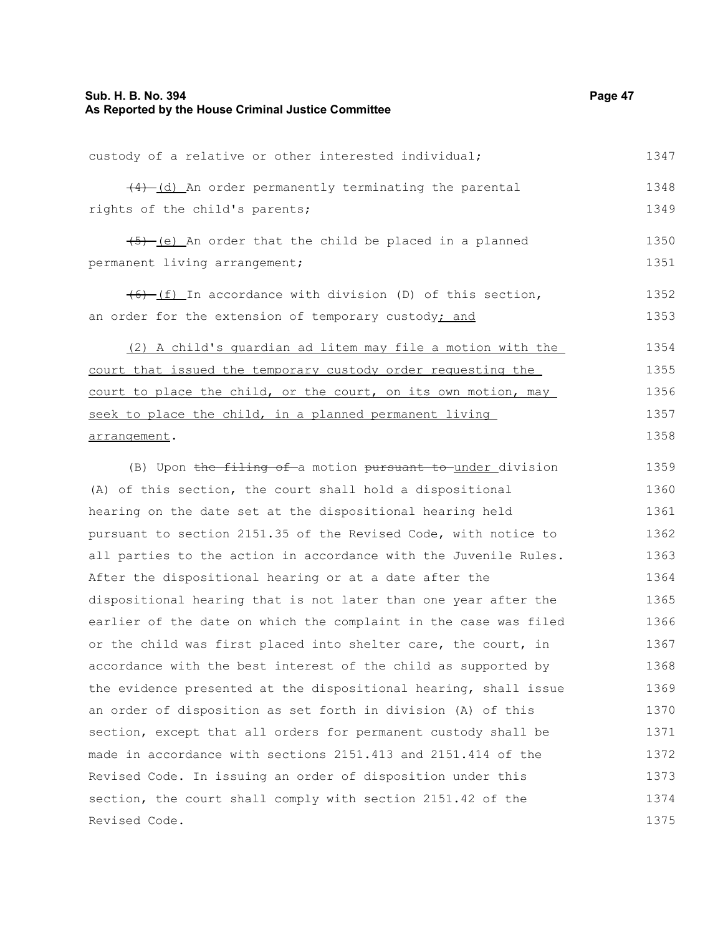Revised Code.

custody of a relative or other interested individual; (4) (d) An order permanently terminating the parental rights of the child's parents;  $(5)$  (e) An order that the child be placed in a planned permanent living arrangement;  $(6)$  (f) In accordance with division (D) of this section, an order for the extension of temporary custody; and (2) A child's guardian ad litem may file a motion with the court that issued the temporary custody order requesting the court to place the child, or the court, on its own motion, may seek to place the child, in a planned permanent living arrangement. (B) Upon the filing of a motion pursuant to under division (A) of this section, the court shall hold a dispositional hearing on the date set at the dispositional hearing held pursuant to section 2151.35 of the Revised Code, with notice to all parties to the action in accordance with the Juvenile Rules. After the dispositional hearing or at a date after the dispositional hearing that is not later than one year after the earlier of the date on which the complaint in the case was filed or the child was first placed into shelter care, the court, in accordance with the best interest of the child as supported by the evidence presented at the dispositional hearing, shall issue an order of disposition as set forth in division (A) of this section, except that all orders for permanent custody shall be made in accordance with sections 2151.413 and 2151.414 of the Revised Code. In issuing an order of disposition under this 1347 1348 1349 1350 1351 1352 1353 1354 1355 1356 1357 1358 1359 1360 1361 1362 1363 1364 1365 1366 1367 1368 1369 1370 1371 1372 1373

section, the court shall comply with section 2151.42 of the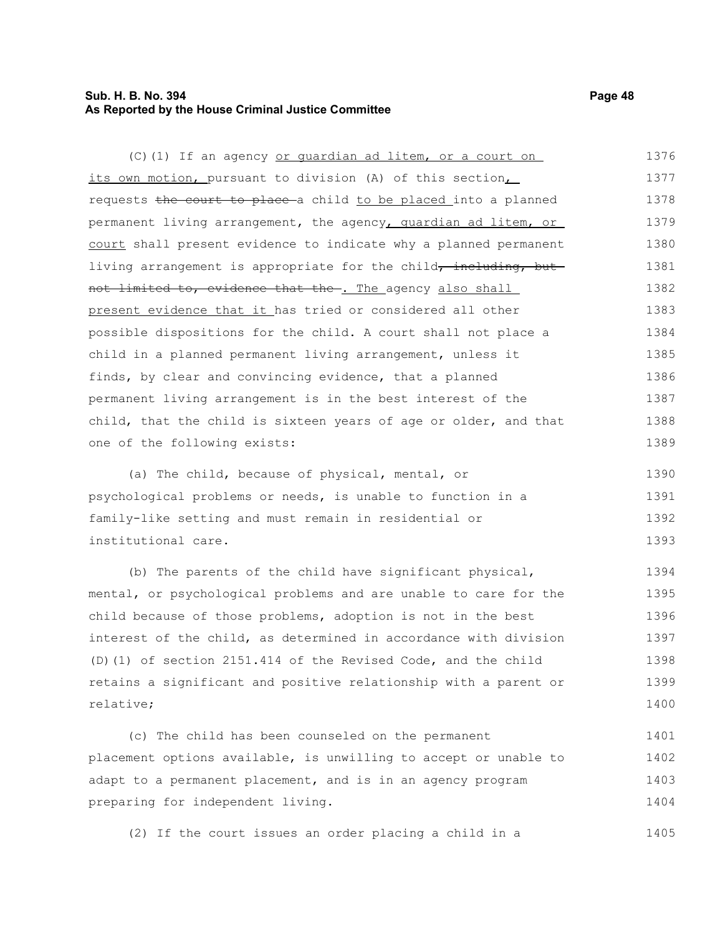## **Sub. H. B. No. 394 Page 48 As Reported by the House Criminal Justice Committee**

one of the following exists:

(C)(1) If an agency or guardian ad litem, or a court on its own motion, pursuant to division (A) of this section, requests the court to place a child to be placed into a planned permanent living arrangement, the agency, guardian ad litem, or court shall present evidence to indicate why a planned permanent living arrangement is appropriate for the child, including, butnot limited to, evidence that the . The agency also shall present evidence that it has tried or considered all other possible dispositions for the child. A court shall not place a child in a planned permanent living arrangement, unless it finds, by clear and convincing evidence, that a planned permanent living arrangement is in the best interest of the 1376 1377 1378 1379 1380 1381 1382 1383 1384 1385 1386 1387

(a) The child, because of physical, mental, or psychological problems or needs, is unable to function in a family-like setting and must remain in residential or institutional care. 1390 1391 1392 1393

child, that the child is sixteen years of age or older, and that

(b) The parents of the child have significant physical, mental, or psychological problems and are unable to care for the child because of those problems, adoption is not in the best interest of the child, as determined in accordance with division (D)(1) of section 2151.414 of the Revised Code, and the child retains a significant and positive relationship with a parent or relative; 1394 1395 1396 1397 1398 1399 1400

(c) The child has been counseled on the permanent placement options available, is unwilling to accept or unable to adapt to a permanent placement, and is in an agency program preparing for independent living. 1401 1402 1403 1404

(2) If the court issues an order placing a child in a 1405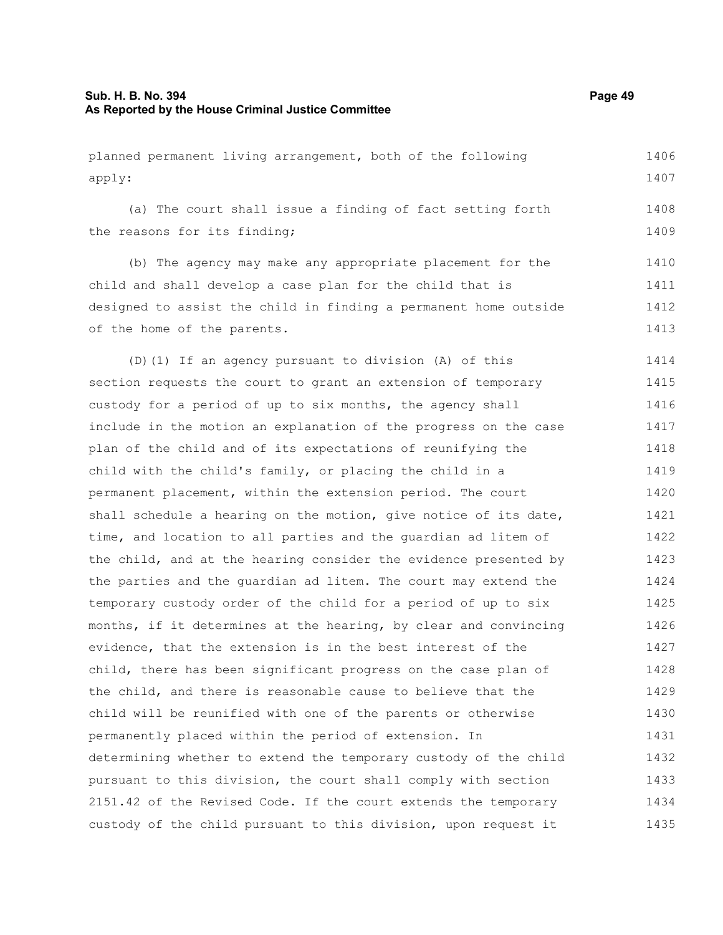## **Sub. H. B. No. 394 Page 49 As Reported by the House Criminal Justice Committee**

planned permanent living arrangement, both of the following

apply: (a) The court shall issue a finding of fact setting forth the reasons for its finding; (b) The agency may make any appropriate placement for the child and shall develop a case plan for the child that is designed to assist the child in finding a permanent home outside of the home of the parents. (D)(1) If an agency pursuant to division (A) of this section requests the court to grant an extension of temporary custody for a period of up to six months, the agency shall include in the motion an explanation of the progress on the case plan of the child and of its expectations of reunifying the child with the child's family, or placing the child in a permanent placement, within the extension period. The court shall schedule a hearing on the motion, give notice of its date, time, and location to all parties and the guardian ad litem of the child, and at the hearing consider the evidence presented by the parties and the guardian ad litem. The court may extend the temporary custody order of the child for a period of up to six months, if it determines at the hearing, by clear and convincing evidence, that the extension is in the best interest of the child, there has been significant progress on the case plan of the child, and there is reasonable cause to believe that the child will be reunified with one of the parents or otherwise permanently placed within the period of extension. In determining whether to extend the temporary custody of the child pursuant to this division, the court shall comply with section 1407 1408 1409 1410 1411 1412 1413 1414 1415 1416 1417 1418 1419 1420 1421 1422 1423 1424 1425 1426 1427 1428 1429 1430 1431 1432 1433

2151.42 of the Revised Code. If the court extends the temporary custody of the child pursuant to this division, upon request it

1406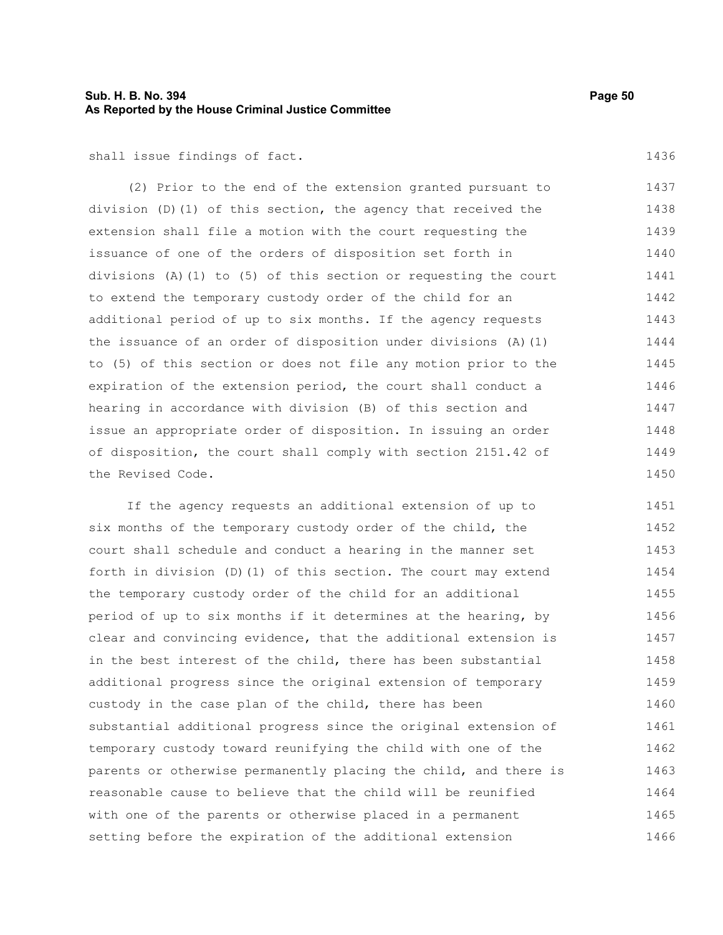### **Sub. H. B. No. 394 Page 50 As Reported by the House Criminal Justice Committee**

shall issue findings of fact.

(2) Prior to the end of the extension granted pursuant to division (D)(1) of this section, the agency that received the extension shall file a motion with the court requesting the issuance of one of the orders of disposition set forth in divisions (A)(1) to (5) of this section or requesting the court to extend the temporary custody order of the child for an additional period of up to six months. If the agency requests the issuance of an order of disposition under divisions (A)(1) to (5) of this section or does not file any motion prior to the expiration of the extension period, the court shall conduct a hearing in accordance with division (B) of this section and issue an appropriate order of disposition. In issuing an order of disposition, the court shall comply with section 2151.42 of the Revised Code. 1437 1438 1439 1440 1441 1442 1443 1444 1445 1446 1447 1448 1449 1450

If the agency requests an additional extension of up to six months of the temporary custody order of the child, the court shall schedule and conduct a hearing in the manner set forth in division (D)(1) of this section. The court may extend the temporary custody order of the child for an additional period of up to six months if it determines at the hearing, by clear and convincing evidence, that the additional extension is in the best interest of the child, there has been substantial additional progress since the original extension of temporary custody in the case plan of the child, there has been substantial additional progress since the original extension of temporary custody toward reunifying the child with one of the parents or otherwise permanently placing the child, and there is reasonable cause to believe that the child will be reunified with one of the parents or otherwise placed in a permanent setting before the expiration of the additional extension 1451 1452 1453 1454 1455 1456 1457 1458 1459 1460 1461 1462 1463 1464 1465 1466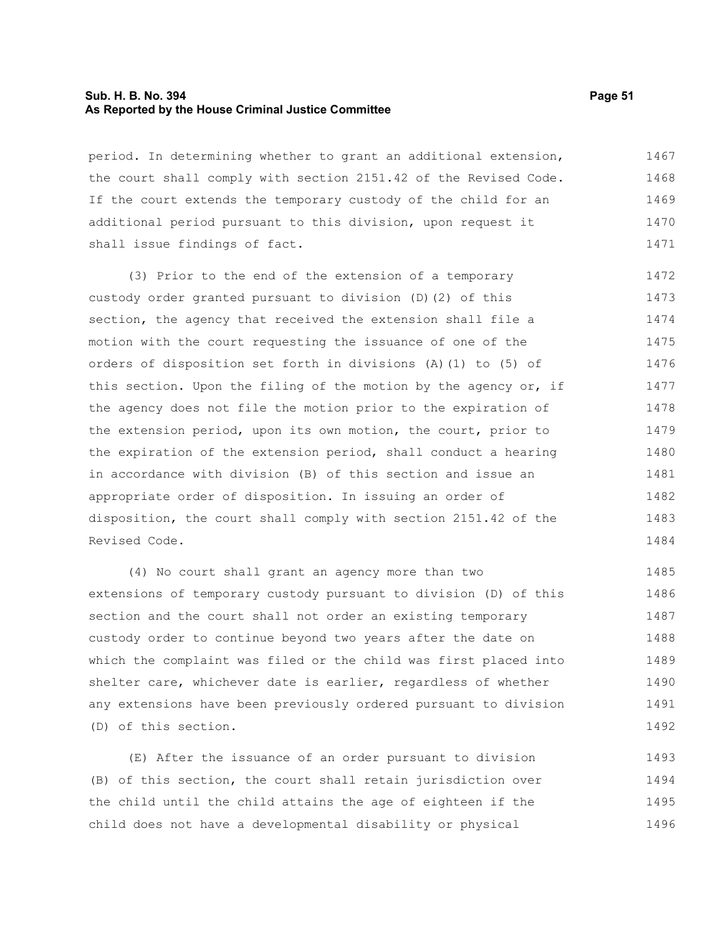#### **Sub. H. B. No. 394 Page 51 As Reported by the House Criminal Justice Committee**

period. In determining whether to grant an additional extension, the court shall comply with section 2151.42 of the Revised Code. If the court extends the temporary custody of the child for an additional period pursuant to this division, upon request it shall issue findings of fact. 1467 1468 1469 1470 1471

(3) Prior to the end of the extension of a temporary custody order granted pursuant to division (D)(2) of this section, the agency that received the extension shall file a motion with the court requesting the issuance of one of the orders of disposition set forth in divisions (A)(1) to (5) of this section. Upon the filing of the motion by the agency or, if the agency does not file the motion prior to the expiration of the extension period, upon its own motion, the court, prior to the expiration of the extension period, shall conduct a hearing in accordance with division (B) of this section and issue an appropriate order of disposition. In issuing an order of disposition, the court shall comply with section 2151.42 of the Revised Code. 1472 1473 1474 1475 1476 1477 1478 1479 1480 1481 1482 1483 1484

(4) No court shall grant an agency more than two extensions of temporary custody pursuant to division (D) of this section and the court shall not order an existing temporary custody order to continue beyond two years after the date on which the complaint was filed or the child was first placed into shelter care, whichever date is earlier, regardless of whether any extensions have been previously ordered pursuant to division (D) of this section. 1485 1486 1487 1488 1489 1490 1491 1492

(E) After the issuance of an order pursuant to division (B) of this section, the court shall retain jurisdiction over the child until the child attains the age of eighteen if the child does not have a developmental disability or physical 1493 1494 1495 1496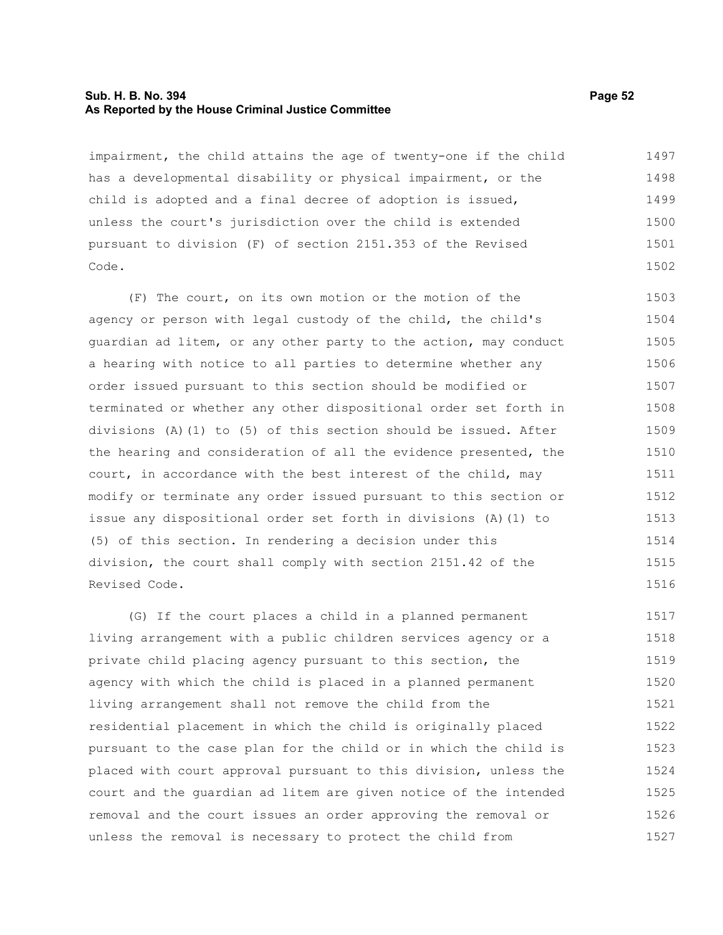### **Sub. H. B. No. 394 Page 52 As Reported by the House Criminal Justice Committee**

impairment, the child attains the age of twenty-one if the child has a developmental disability or physical impairment, or the child is adopted and a final decree of adoption is issued, unless the court's jurisdiction over the child is extended pursuant to division (F) of section 2151.353 of the Revised Code. 1497 1498 1499 1500 1501 1502

(F) The court, on its own motion or the motion of the agency or person with legal custody of the child, the child's guardian ad litem, or any other party to the action, may conduct a hearing with notice to all parties to determine whether any order issued pursuant to this section should be modified or terminated or whether any other dispositional order set forth in divisions (A)(1) to (5) of this section should be issued. After the hearing and consideration of all the evidence presented, the court, in accordance with the best interest of the child, may modify or terminate any order issued pursuant to this section or issue any dispositional order set forth in divisions (A)(1) to (5) of this section. In rendering a decision under this division, the court shall comply with section 2151.42 of the Revised Code. 1503 1504 1505 1506 1507 1508 1509 1510 1511 1512 1513 1514 1515 1516

(G) If the court places a child in a planned permanent living arrangement with a public children services agency or a private child placing agency pursuant to this section, the agency with which the child is placed in a planned permanent living arrangement shall not remove the child from the residential placement in which the child is originally placed pursuant to the case plan for the child or in which the child is placed with court approval pursuant to this division, unless the court and the guardian ad litem are given notice of the intended removal and the court issues an order approving the removal or unless the removal is necessary to protect the child from 1517 1518 1519 1520 1521 1522 1523 1524 1525 1526 1527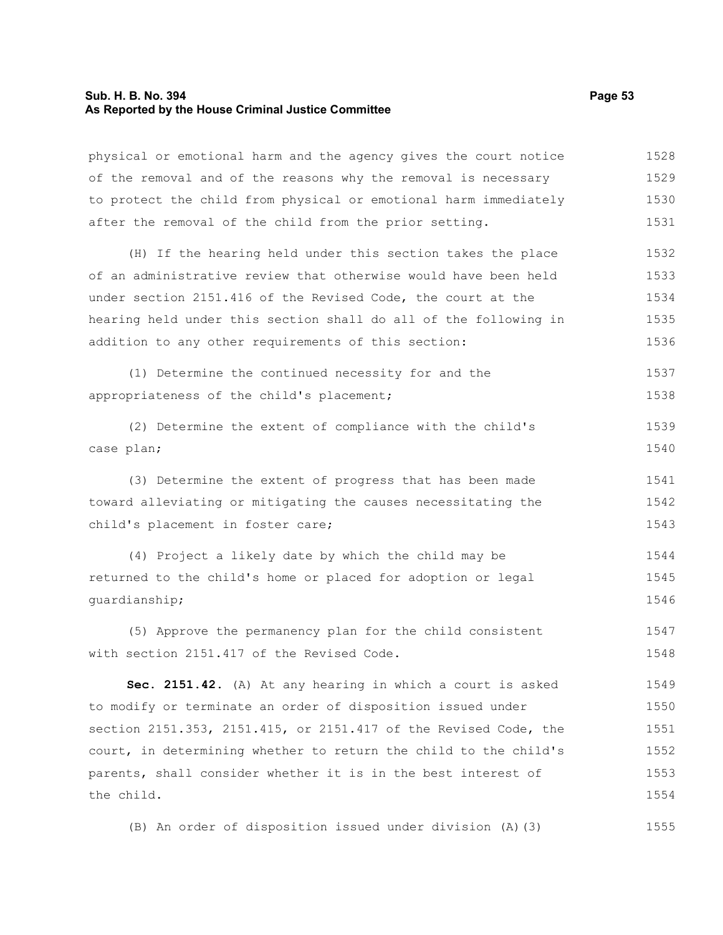#### **Sub. H. B. No. 394 Page 53 As Reported by the House Criminal Justice Committee**

appropriateness of the child's placement;

physical or emotional harm and the agency gives the court notice of the removal and of the reasons why the removal is necessary to protect the child from physical or emotional harm immediately after the removal of the child from the prior setting. (H) If the hearing held under this section takes the place of an administrative review that otherwise would have been held under section 2151.416 of the Revised Code, the court at the hearing held under this section shall do all of the following in addition to any other requirements of this section: (1) Determine the continued necessity for and the 1528 1529 1530 1531 1532 1533 1534 1535 1536 1537

(2) Determine the extent of compliance with the child's case plan; 1539 1540

(3) Determine the extent of progress that has been made toward alleviating or mitigating the causes necessitating the child's placement in foster care; 1541 1542 1543

(4) Project a likely date by which the child may be returned to the child's home or placed for adoption or legal guardianship; 1544 1545 1546

(5) Approve the permanency plan for the child consistent with section 2151.417 of the Revised Code. 1547 1548

**Sec. 2151.42.** (A) At any hearing in which a court is asked to modify or terminate an order of disposition issued under section 2151.353, 2151.415, or 2151.417 of the Revised Code, the court, in determining whether to return the child to the child's parents, shall consider whether it is in the best interest of the child. 1549 1550 1551 1552 1553 1554

(B) An order of disposition issued under division (A)(3) 1555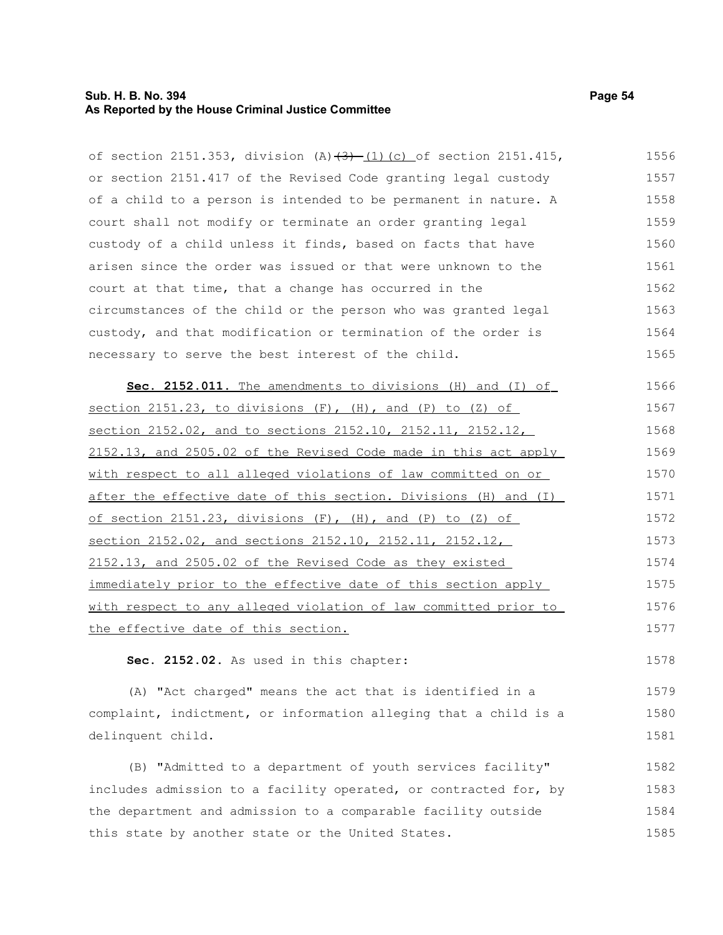### **Sub. H. B. No. 394 Page 54 As Reported by the House Criminal Justice Committee**

of section 2151.353, division (A) $(3)$  (1)(c) of section 2151.415, or section 2151.417 of the Revised Code granting legal custody of a child to a person is intended to be permanent in nature. A court shall not modify or terminate an order granting legal custody of a child unless it finds, based on facts that have arisen since the order was issued or that were unknown to the court at that time, that a change has occurred in the circumstances of the child or the person who was granted legal custody, and that modification or termination of the order is necessary to serve the best interest of the child. 1556 1557 1558 1559 1560 1561 1562 1563 1564 1565

 **Sec. 2152.011.** The amendments to divisions (H) and (I) of section 2151.23, to divisions  $(F)$ ,  $(H)$ , and  $(P)$  to  $(Z)$  of section 2152.02, and to sections 2152.10, 2152.11, 2152.12, 2152.13, and 2505.02 of the Revised Code made in this act apply with respect to all alleged violations of law committed on or after the effective date of this section. Divisions (H) and (I) of section 2151.23, divisions  $(F)$ ,  $(H)$ , and  $(P)$  to  $(Z)$  of section 2152.02, and sections 2152.10, 2152.11, 2152.12, 2152.13, and 2505.02 of the Revised Code as they existed immediately prior to the effective date of this section apply with respect to any alleged violation of law committed prior to the effective date of this section. 1566 1567 1568 1569 1570 1571 1572 1573 1574 1575 1576 1577

**Sec. 2152.02.** As used in this chapter:

(A) "Act charged" means the act that is identified in a complaint, indictment, or information alleging that a child is a delinquent child. 1579 1580 1581

(B) "Admitted to a department of youth services facility" includes admission to a facility operated, or contracted for, by the department and admission to a comparable facility outside this state by another state or the United States. 1582 1583 1584 1585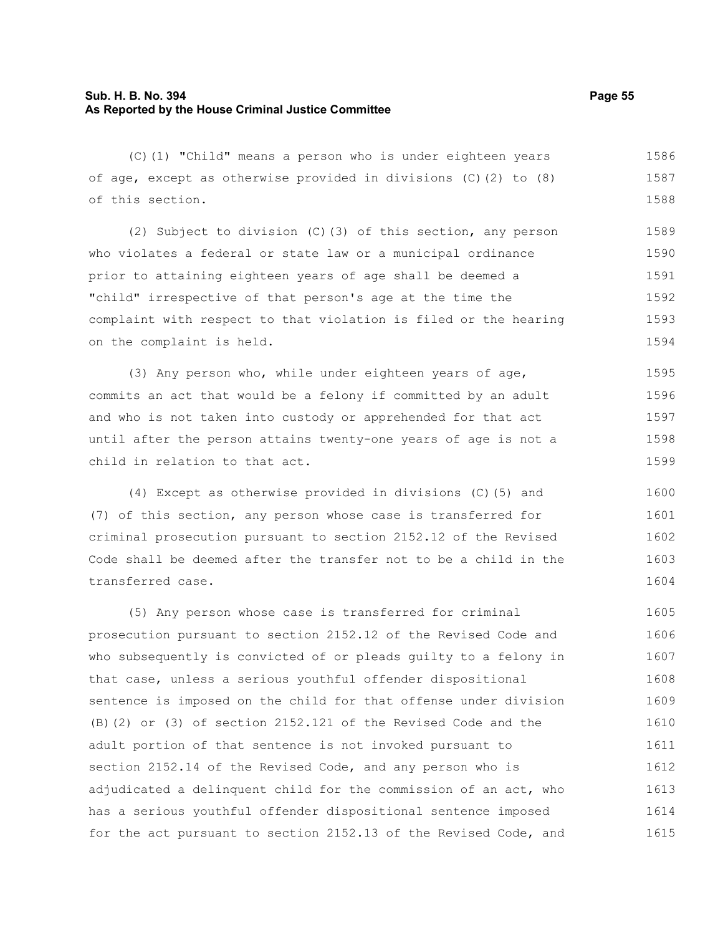### **Sub. H. B. No. 394 Page 55 As Reported by the House Criminal Justice Committee**

(C)(1) "Child" means a person who is under eighteen years of age, except as otherwise provided in divisions (C)(2) to (8) of this section. 1586 1587

(2) Subject to division (C)(3) of this section, any person who violates a federal or state law or a municipal ordinance prior to attaining eighteen years of age shall be deemed a "child" irrespective of that person's age at the time the complaint with respect to that violation is filed or the hearing on the complaint is held. 1589 1590 1591 1592 1593 1594

(3) Any person who, while under eighteen years of age, commits an act that would be a felony if committed by an adult and who is not taken into custody or apprehended for that act until after the person attains twenty-one years of age is not a child in relation to that act. 1595 1596 1597 1598 1599

(4) Except as otherwise provided in divisions (C)(5) and (7) of this section, any person whose case is transferred for criminal prosecution pursuant to section 2152.12 of the Revised Code shall be deemed after the transfer not to be a child in the transferred case. 1600 1601 1602 1603 1604

(5) Any person whose case is transferred for criminal prosecution pursuant to section 2152.12 of the Revised Code and who subsequently is convicted of or pleads guilty to a felony in that case, unless a serious youthful offender dispositional sentence is imposed on the child for that offense under division (B)(2) or (3) of section 2152.121 of the Revised Code and the adult portion of that sentence is not invoked pursuant to section 2152.14 of the Revised Code, and any person who is adjudicated a delinquent child for the commission of an act, who has a serious youthful offender dispositional sentence imposed for the act pursuant to section 2152.13 of the Revised Code, and 1605 1606 1607 1608 1609 1610 1611 1612 1613 1614 1615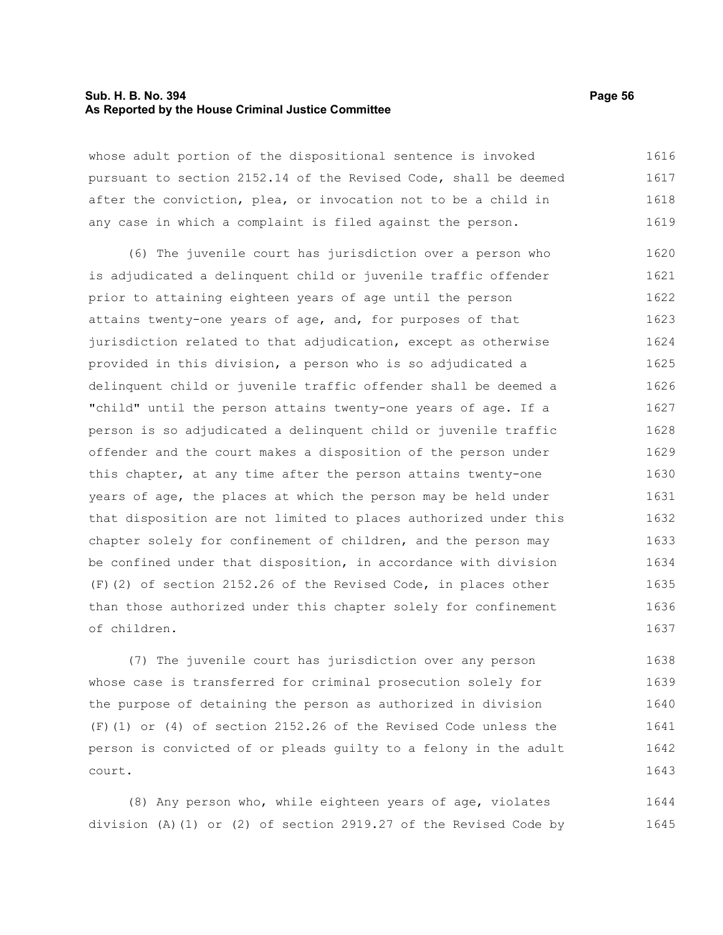#### **Sub. H. B. No. 394 Page 56 As Reported by the House Criminal Justice Committee**

whose adult portion of the dispositional sentence is invoked pursuant to section 2152.14 of the Revised Code, shall be deemed after the conviction, plea, or invocation not to be a child in any case in which a complaint is filed against the person. 1616 1617 1618 1619

(6) The juvenile court has jurisdiction over a person who is adjudicated a delinquent child or juvenile traffic offender prior to attaining eighteen years of age until the person attains twenty-one years of age, and, for purposes of that jurisdiction related to that adjudication, except as otherwise provided in this division, a person who is so adjudicated a delinquent child or juvenile traffic offender shall be deemed a "child" until the person attains twenty-one years of age. If a person is so adjudicated a delinquent child or juvenile traffic offender and the court makes a disposition of the person under this chapter, at any time after the person attains twenty-one years of age, the places at which the person may be held under that disposition are not limited to places authorized under this chapter solely for confinement of children, and the person may be confined under that disposition, in accordance with division (F)(2) of section 2152.26 of the Revised Code, in places other than those authorized under this chapter solely for confinement of children. 1620 1621 1622 1623 1624 1625 1626 1627 1628 1629 1630 1631 1632 1633 1634 1635 1636 1637

(7) The juvenile court has jurisdiction over any person whose case is transferred for criminal prosecution solely for the purpose of detaining the person as authorized in division (F)(1) or (4) of section 2152.26 of the Revised Code unless the person is convicted of or pleads guilty to a felony in the adult court. 1638 1639 1640 1641 1642 1643

(8) Any person who, while eighteen years of age, violates division (A)(1) or (2) of section 2919.27 of the Revised Code by 1644 1645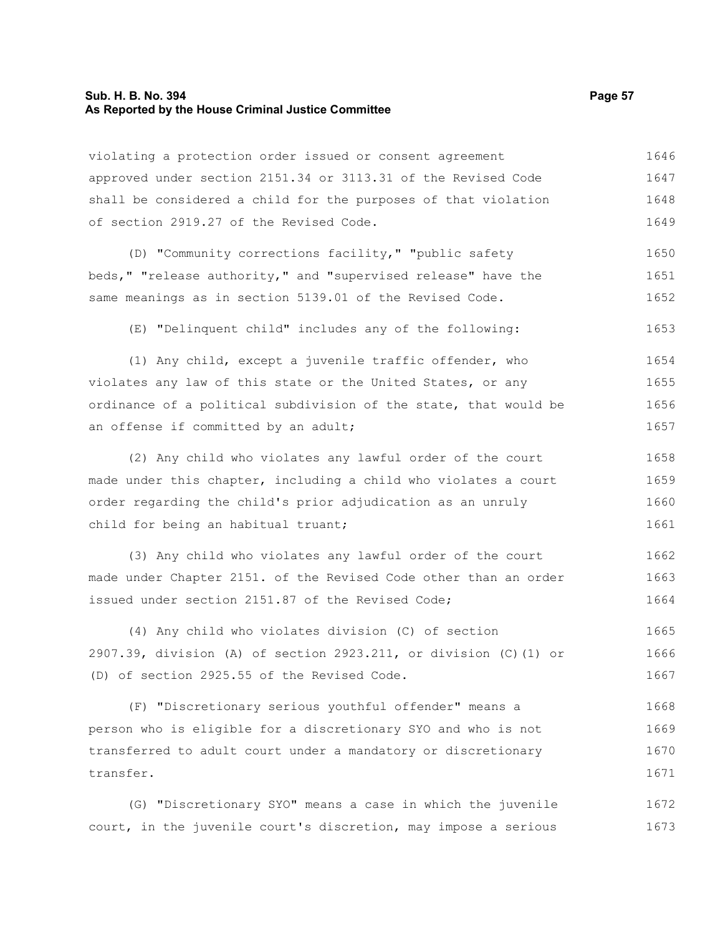### **Sub. H. B. No. 394 Page 57 As Reported by the House Criminal Justice Committee**

violating a protection order issued or consent agreement approved under section 2151.34 or 3113.31 of the Revised Code shall be considered a child for the purposes of that violation of section 2919.27 of the Revised Code. 1646 1647 1648 1649

(D) "Community corrections facility," "public safety beds," "release authority," and "supervised release" have the same meanings as in section 5139.01 of the Revised Code. 1650 1651 1652

(E) "Delinquent child" includes any of the following:

(1) Any child, except a juvenile traffic offender, who violates any law of this state or the United States, or any ordinance of a political subdivision of the state, that would be an offense if committed by an adult; 1654 1655 1656 1657

(2) Any child who violates any lawful order of the court made under this chapter, including a child who violates a court order regarding the child's prior adjudication as an unruly child for being an habitual truant; 1658 1659 1660 1661

(3) Any child who violates any lawful order of the court made under Chapter 2151. of the Revised Code other than an order issued under section 2151.87 of the Revised Code; 1662 1663 1664

(4) Any child who violates division (C) of section 2907.39, division (A) of section 2923.211, or division (C)(1) or (D) of section 2925.55 of the Revised Code. 1665 1666 1667

(F) "Discretionary serious youthful offender" means a person who is eligible for a discretionary SYO and who is not transferred to adult court under a mandatory or discretionary transfer. 1668 1669 1670 1671

(G) "Discretionary SYO" means a case in which the juvenile court, in the juvenile court's discretion, may impose a serious 1672 1673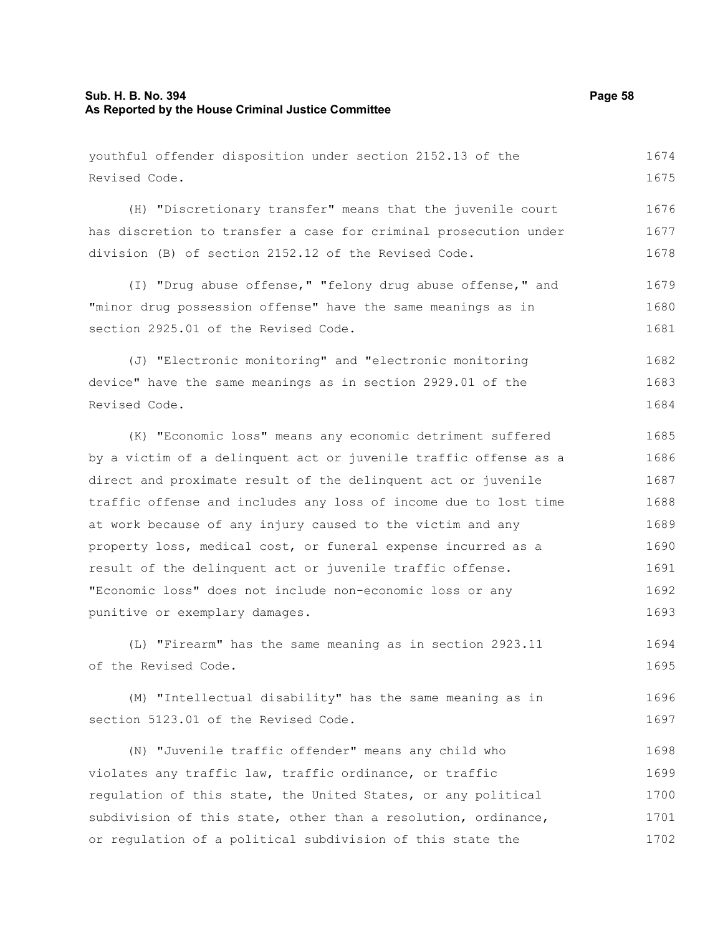youthful offender disposition under section 2152.13 of the

| Revised Code.                                                    | 1675 |
|------------------------------------------------------------------|------|
| (H) "Discretionary transfer" means that the juvenile court       | 1676 |
| has discretion to transfer a case for criminal prosecution under | 1677 |
| division (B) of section 2152.12 of the Revised Code.             | 1678 |
| (I) "Drug abuse offense," "felony drug abuse offense," and       | 1679 |
| "minor drug possession offense" have the same meanings as in     | 1680 |
| section 2925.01 of the Revised Code.                             | 1681 |
| (J) "Electronic monitoring" and "electronic monitoring           | 1682 |
| device" have the same meanings as in section 2929.01 of the      | 1683 |
| Revised Code.                                                    | 1684 |
| (K) "Economic loss" means any economic detriment suffered        | 1685 |
| by a victim of a delinquent act or juvenile traffic offense as a | 1686 |
| direct and proximate result of the delinquent act or juvenile    | 1687 |
| traffic offense and includes any loss of income due to lost time | 1688 |
| at work because of any injury caused to the victim and any       | 1689 |
| property loss, medical cost, or funeral expense incurred as a    | 1690 |
| result of the delinquent act or juvenile traffic offense.        | 1691 |
| "Economic loss" does not include non-economic loss or any        | 1692 |
| punitive or exemplary damages.                                   | 1693 |
| (L) "Firearm" has the same meaning as in section 2923.11         | 1694 |
| of the Revised Code.                                             | 1695 |
| (M) "Intellectual disability" has the same meaning as in         | 1696 |
| section 5123.01 of the Revised Code.                             | 1697 |
| (N) "Juvenile traffic offender" means any child who              | 1698 |
| violates any traffic law, traffic ordinance, or traffic          | 1699 |
| requlation of this state, the United States, or any political    | 1700 |
| subdivision of this state, other than a resolution, ordinance,   | 1701 |
| or regulation of a political subdivision of this state the       | 1702 |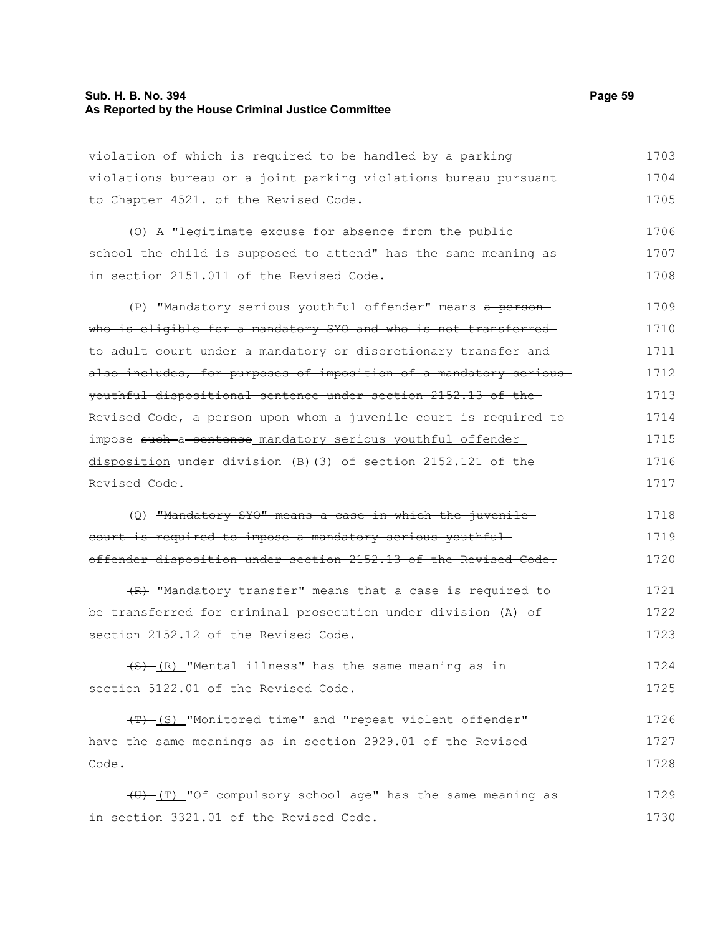violation of which is required to be handled by a parking violations bureau or a joint parking violations bureau pursuant to Chapter 4521. of the Revised Code. 1703 1704 1705

(O) A "legitimate excuse for absence from the public school the child is supposed to attend" has the same meaning as in section 2151.011 of the Revised Code. 1706 1707 1708

(P) "Mandatory serious youthful offender" means a personwho is eligible for a mandatory SYO and who is not transferred to adult court under a mandatory or discretionary transfer and also includes, for purposes of imposition of a mandatory seriousyouthful dispositional sentence under section 2152.13 of the Revised Code, a person upon whom a juvenile court is required to impose such a sentence mandatory serious youthful offender disposition under division (B)(3) of section 2152.121 of the Revised Code. 1709 1710 1711 1712 1713 1714 1715 1716 1717

(Q) "Mandatory SYO" means a case in which the juvenile court is required to impose a mandatory serious youthful offender disposition under section 2152.13 of the Revised Code. 1718 1719 1720

(R) "Mandatory transfer" means that a case is required to be transferred for criminal prosecution under division (A) of section 2152.12 of the Revised Code. 1721 1722 1723

 $(5)$  (R) "Mental illness" has the same meaning as in section 5122.01 of the Revised Code. 1724 1725

(T) (S) "Monitored time" and "repeat violent offender" have the same meanings as in section 2929.01 of the Revised Code. 1726 1727 1728

(U) (T) "Of compulsory school age" has the same meaning as in section 3321.01 of the Revised Code. 1729 1730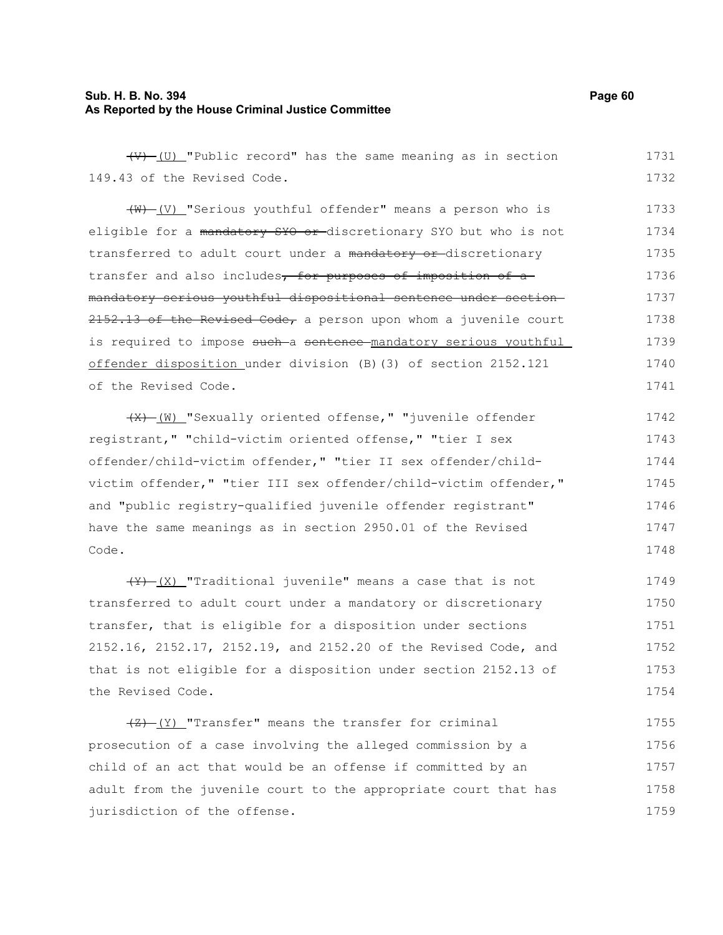## **Sub. H. B. No. 394 Page 60 As Reported by the House Criminal Justice Committee**

| $\overline{(V) - (U)}$ "Public record" has the same meaning as in section | 1731 |
|---------------------------------------------------------------------------|------|
| 149.43 of the Revised Code.                                               | 1732 |
| (W) (V) "Serious youthful offender" means a person who is                 | 1733 |
| eligible for a mandatory SYO or discretionary SYO but who is not          | 1734 |
| transferred to adult court under a mandatory or discretionary             | 1735 |
| transfer and also includes, for purposes of imposition of a               | 1736 |
| mandatory serious youthful dispositional sentence under section           | 1737 |
| $2152.13$ of the Revised Code, a person upon whom a juvenile court        | 1738 |
| is required to impose such a sentence mandatory serious youthful          | 1739 |
| offender disposition under division (B) (3) of section 2152.121           | 1740 |
| of the Revised Code.                                                      | 1741 |
| (X) (W) "Sexually oriented offense," "juvenile offender                   | 1742 |
| registrant," "child-victim oriented offense," "tier I sex                 | 1743 |
| offender/child-victim offender," "tier II sex offender/child-             | 1744 |
| victim offender," "tier III sex offender/child-victim offender,"          | 1745 |
| and "public registry-qualified juvenile offender registrant"              | 1746 |
| have the same meanings as in section 2950.01 of the Revised               | 1747 |
| Code.                                                                     | 1748 |
| $\frac{49}{4}$ (X) "Traditional juvenile" means a case that is not        | 1749 |
| transferred to adult court under a mandatory or discretionary             | 1750 |
| transfer, that is eligible for a disposition under sections               | 1751 |
| 2152.16, 2152.17, 2152.19, and 2152.20 of the Revised Code, and           | 1752 |
| that is not eligible for a disposition under section 2152.13 of           | 1753 |
| the Revised Code.                                                         | 1754 |
| $\overline{2}$ (Y) "Transfer" means the transfer for criminal             | 1755 |
| prosecution of a case involving the alleged commission by a               | 1756 |
| child of an act that would be an offense if committed by an               | 1757 |
| adult from the juvenile court to the appropriate court that has           | 1758 |
| jurisdiction of the offense.                                              | 1759 |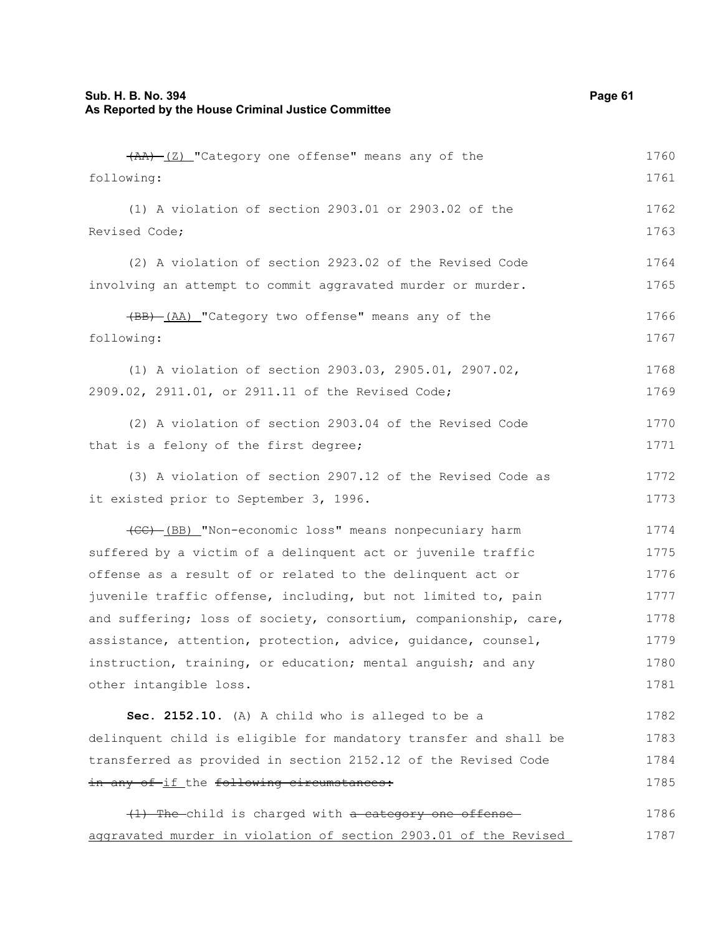## **Sub. H. B. No. 394 Page 61 As Reported by the House Criminal Justice Committee**

 $\overline{(AA)}$  (Z) "Category one offense" means any of the following: (1) A violation of section 2903.01 or 2903.02 of the Revised Code; (2) A violation of section 2923.02 of the Revised Code involving an attempt to commit aggravated murder or murder. (BB) (AA) "Category two offense" means any of the following: (1) A violation of section 2903.03, 2905.01, 2907.02, 2909.02, 2911.01, or 2911.11 of the Revised Code; (2) A violation of section 2903.04 of the Revised Code that is a felony of the first degree; (3) A violation of section 2907.12 of the Revised Code as it existed prior to September 3, 1996. (CC) (BB) "Non-economic loss" means nonpecuniary harm suffered by a victim of a delinquent act or juvenile traffic offense as a result of or related to the delinquent act or juvenile traffic offense, including, but not limited to, pain and suffering; loss of society, consortium, companionship, care, assistance, attention, protection, advice, guidance, counsel, instruction, training, or education; mental anguish; and any other intangible loss. **Sec. 2152.10.** (A) A child who is alleged to be a delinquent child is eligible for mandatory transfer and shall be transferred as provided in section 2152.12 of the Revised Code in any of if the following circumstances:  $(1)$  The-child is charged with a category one offense aggravated murder in violation of section 2903.01 of the Revised 1760 1761 1762 1763 1764 1765 1766 1767 1768 1769 1770 1771 1772 1773 1774 1775 1776 1777 1778 1779 1780 1781 1782 1783 1784 1785 1786 1787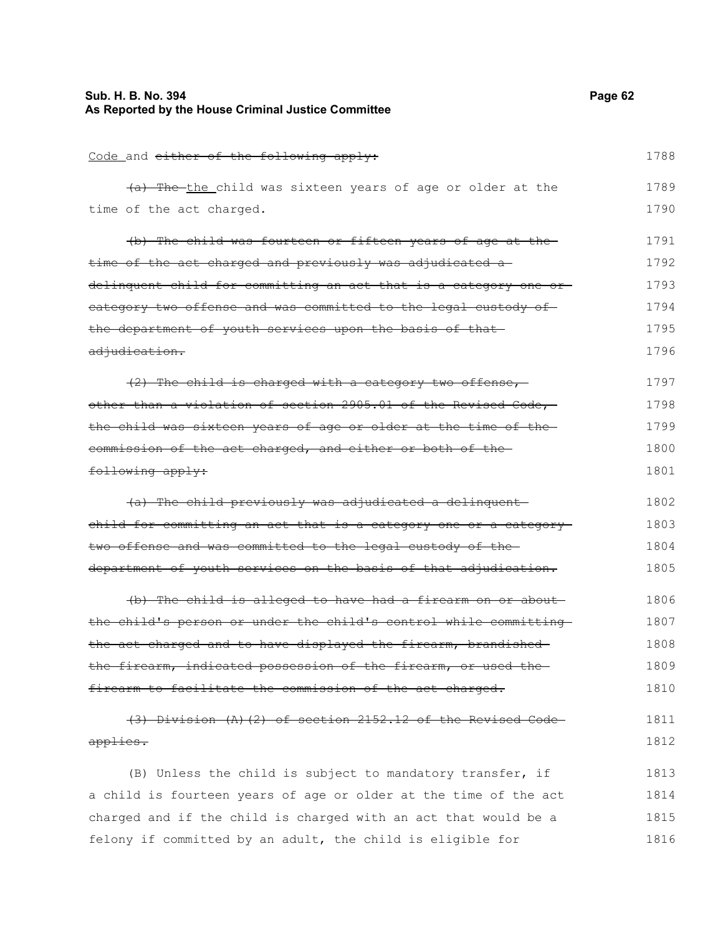## **Sub. H. B. No. 394 Page 62 As Reported by the House Criminal Justice Committee**

| Code and either of the following apply:                                    | 1788 |
|----------------------------------------------------------------------------|------|
| (a) The the child was sixteen years of age or older at the                 | 1789 |
| time of the act charged.                                                   | 1790 |
| (b) The child was fourteen or fifteen years of age at the                  | 1791 |
| <u>time of the act charged and previously was adjudicated a-</u>           | 1792 |
| delinquent child for committing an act that is a category one or-          | 1793 |
| category two offense and was committed to the legal custody of-            | 1794 |
| the department of youth services upon the basis of that-                   | 1795 |
| <del>adjudication.</del>                                                   | 1796 |
| (2) The child is charged with a category two offense,                      | 1797 |
| other than a violation of section 2905.01 of the Revised Code, -           | 1798 |
| the child was sixteen years of age or older at the time of the-            | 1799 |
| commission of the act charged, and either or both of the-                  | 1800 |
| following apply:                                                           | 1801 |
| (a) The child previously was adjudicated a delinquent                      | 1802 |
| child for committing an act that is a category one or a category-          | 1803 |
| <del>two offense and was committed to the legal custody of the-</del>      | 1804 |
| <del>department of youth services on the basis of that adjudication.</del> | 1805 |
| (b) The child is alleged to have had a firearm on or about                 | 1806 |
| the child's person or under the child's control while committing           | 1807 |
| the act charged and to have displayed the firearm, brandished-             | 1808 |
| the firearm, indicated possession of the firearm, or used the-             | 1809 |
| firearm to facilitate the commission of the act charged.                   | 1810 |
| $(3)$ Division $(A)$ $(2)$ of section 2152.12 of the Revised Code-         | 1811 |
| <del>applies.</del>                                                        | 1812 |
| (B) Unless the child is subject to mandatory transfer, if                  | 1813 |
| a child is fourteen years of age or older at the time of the act           | 1814 |
| charged and if the child is charged with an act that would be a            | 1815 |
| felony if committed by an adult, the child is eligible for                 | 1816 |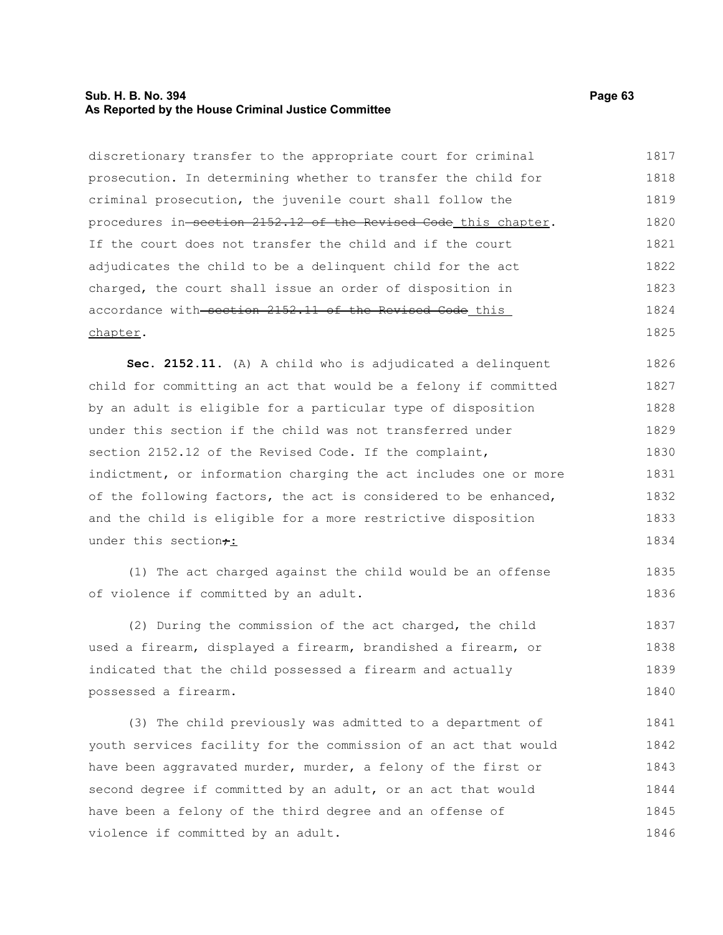### **Sub. H. B. No. 394 Page 63 As Reported by the House Criminal Justice Committee**

discretionary transfer to the appropriate court for criminal prosecution. In determining whether to transfer the child for criminal prosecution, the juvenile court shall follow the procedures in-section 2152.12 of the Revised Code this chapter. If the court does not transfer the child and if the court adjudicates the child to be a delinquent child for the act charged, the court shall issue an order of disposition in accordance with section 2152.11 of the Revised Code this chapter. 1817 1818 1819 1820 1821 1822 1823 1824 1825

**Sec. 2152.11.** (A) A child who is adjudicated a delinquent child for committing an act that would be a felony if committed by an adult is eligible for a particular type of disposition under this section if the child was not transferred under section 2152.12 of the Revised Code. If the complaint, indictment, or information charging the act includes one or more of the following factors, the act is considered to be enhanced, and the child is eligible for a more restrictive disposition under this section: 1826 1827 1828 1829 1830 1831 1832 1833 1834

(1) The act charged against the child would be an offense of violence if committed by an adult.

(2) During the commission of the act charged, the child used a firearm, displayed a firearm, brandished a firearm, or indicated that the child possessed a firearm and actually possessed a firearm. 1837 1838 1839 1840

(3) The child previously was admitted to a department of youth services facility for the commission of an act that would have been aggravated murder, murder, a felony of the first or second degree if committed by an adult, or an act that would have been a felony of the third degree and an offense of violence if committed by an adult. 1841 1842 1843 1844 1845 1846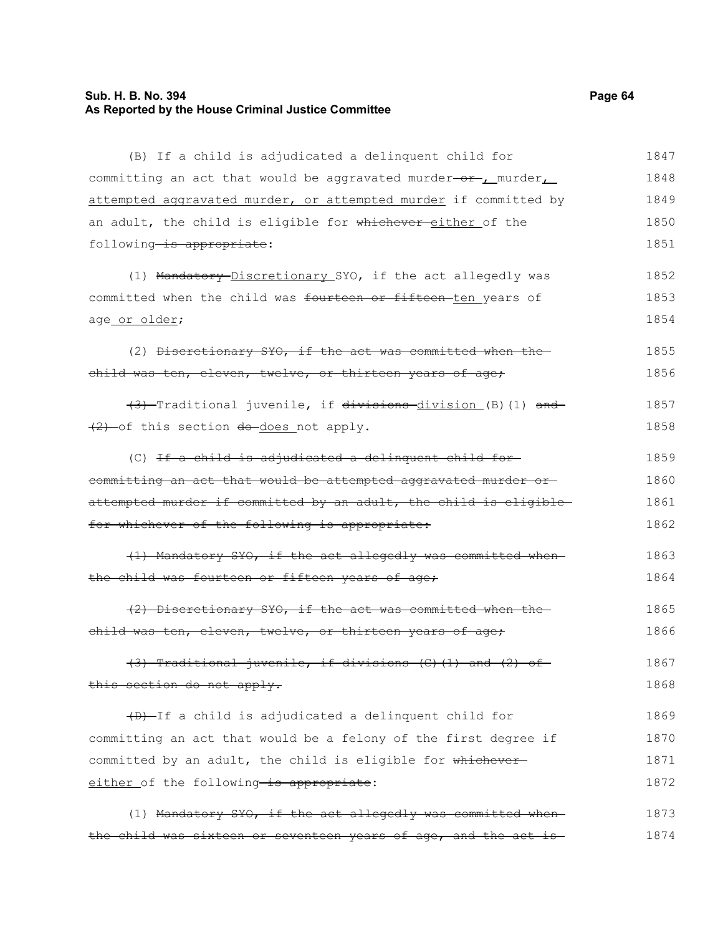### **Sub. H. B. No. 394 Page 64 As Reported by the House Criminal Justice Committee**

(B) If a child is adjudicated a delinquent child for committing an act that would be aggravated murder- $o$ r, murder, attempted aggravated murder, or attempted murder if committed by an adult, the child is eligible for whichever-either of the following-is appropriate: (1) Mandatory Discretionary SYO, if the act allegedly was committed when the child was fourteen or fifteen ten years of age or older; (2) Discretionary SYO, if the act was committed when the child was ten, eleven, twelve, or thirteen years of age; (3) Traditional juvenile, if divisions division (B)(1) and  $(2)$  of this section  $do$  does not apply. (C) If a child is adjudicated a delinquent child for committing an act that would be attempted aggravated murder or attempted murder if committed by an adult, the child is eligible for whichever of the following is appropriate: (1) Mandatory SYO, if the act allegedly was committed when the child was fourteen or fifteen years of age; (2) Discretionary SYO, if the act was committed when the child was ten, eleven, twelve, or thirteen years of age; 1847 1848 1849 1850 1851 1852 1853 1854 1855 1856 1857 1858 1859 1860 1861 1862 1863 1864 1865 1866

(3) Traditional juvenile, if divisions (C)(1) and (2) of this section do not apply. 1867 1868

(D) If a child is adjudicated a delinquent child for committing an act that would be a felony of the first degree if committed by an adult, the child is eligible for whichevereither of the following-is appropriate: 1869 1870 1871 1872

(1) Mandatory SYO, if the act allegedly was committed when the child was sixteen or seventeen years of age, and the act is-1873 1874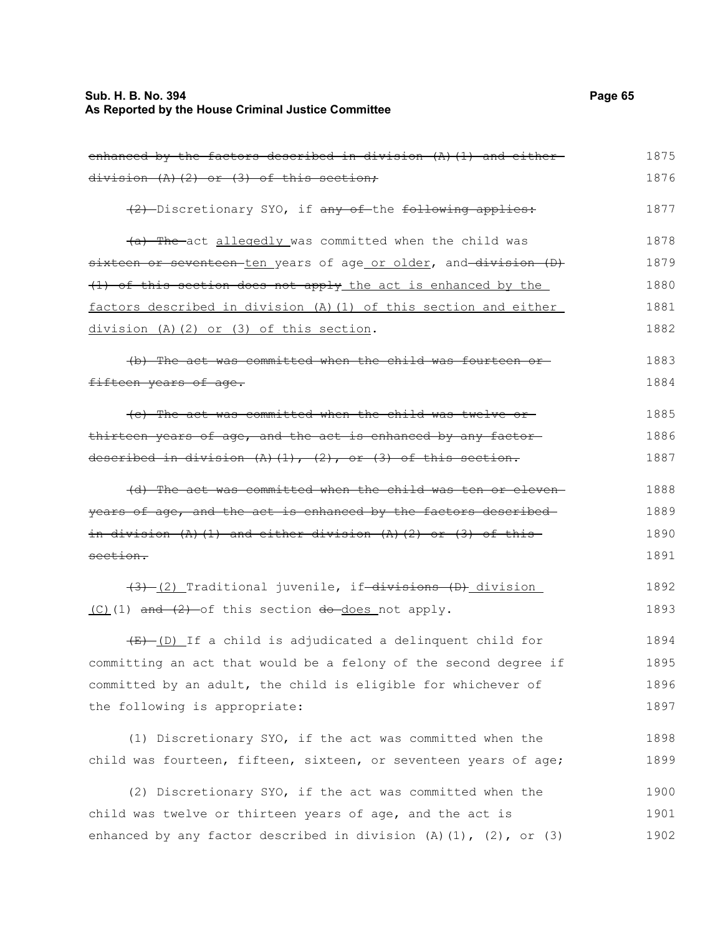## **Sub. H. B. No. 394 Page 65 As Reported by the House Criminal Justice Committee**

| enhanced by the factors described in division (A)(1) and either-            | 1875 |
|-----------------------------------------------------------------------------|------|
| division (A)(2) or (3) of this section;                                     | 1876 |
| (2) Discretionary SYO, if any of the following applies:                     | 1877 |
| (a) The act allegedly was committed when the child was                      | 1878 |
| sixteen or seventeen-ten years of age_or older, and-division (D)            | 1879 |
| (1) of this section does not apply the act is enhanced by the               | 1880 |
| factors described in division (A) (1) of this section and either            | 1881 |
| division (A)(2) or (3) of this section.                                     | 1882 |
| (b) The act was committed when the child was fourteen or                    | 1883 |
| <del>fifteen years of age.</del>                                            | 1884 |
| (e) The act was committed when the child was twelve or-                     | 1885 |
| thirteen years of age, and the act is enhanced by any factor                | 1886 |
| described in division $(A)$ $(1)$ , $(2)$ , or $(3)$ of this section.       | 1887 |
| (d) The act was committed when the child was ten or eleven-                 | 1888 |
| years of age, and the act is enhanced by the factors described-             | 1889 |
| in division (A)(1) and either division (A)(2) or (3) of this-               | 1890 |
| <del>section.</del>                                                         | 1891 |
| (3) (2) Traditional juvenile, if divisions (D) division                     | 1892 |
| (C)(1) and (2) of this section do does not apply.                           | 1893 |
| $\frac{1}{12}$ (D) If a child is adjudicated a delinquent child for         | 1894 |
| committing an act that would be a felony of the second degree if            | 1895 |
| committed by an adult, the child is eligible for whichever of               | 1896 |
| the following is appropriate:                                               | 1897 |
| (1) Discretionary SYO, if the act was committed when the                    | 1898 |
| child was fourteen, fifteen, sixteen, or seventeen years of age;            | 1899 |
| (2) Discretionary SYO, if the act was committed when the                    | 1900 |
| child was twelve or thirteen years of age, and the act is                   | 1901 |
| enhanced by any factor described in division $(A)$ $(1)$ , $(2)$ , or $(3)$ | 1902 |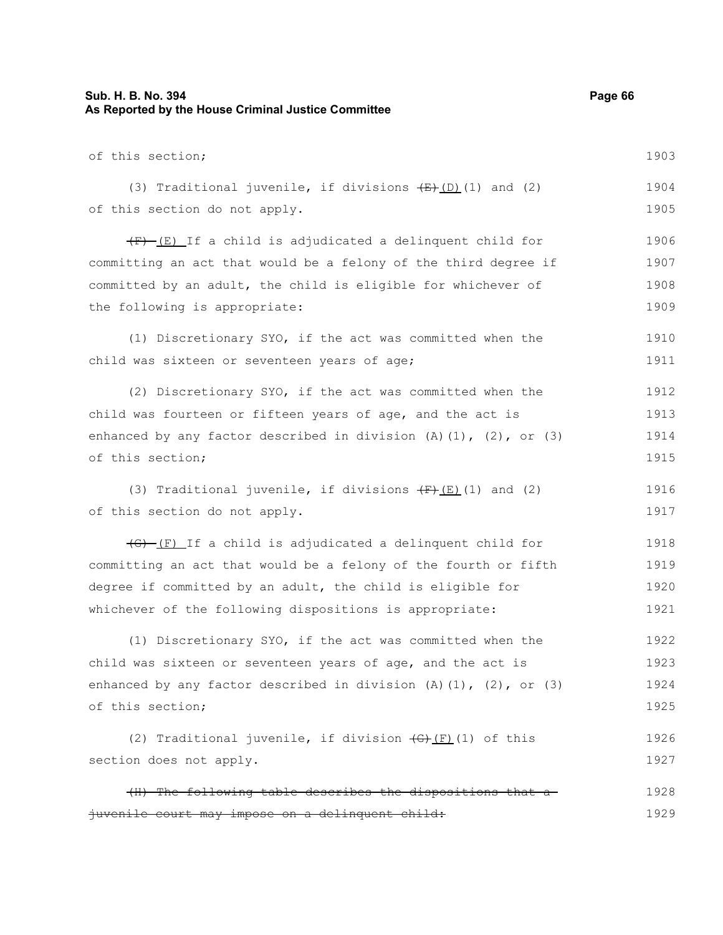#### **Sub. H. B. No. 394 Page 66 As Reported by the House Criminal Justice Committee** of this section; (3) Traditional juvenile, if divisions  $\overline{E}$  (D)(1) and (2) of this section do not apply.  $(F)$  (E) If a child is adjudicated a delinquent child for committing an act that would be a felony of the third degree if committed by an adult, the child is eligible for whichever of the following is appropriate: (1) Discretionary SYO, if the act was committed when the child was sixteen or seventeen years of age; (2) Discretionary SYO, if the act was committed when the child was fourteen or fifteen years of age, and the act is enhanced by any factor described in division  $(A)$   $(1)$ ,  $(2)$ , or  $(3)$ of this section; (3) Traditional juvenile, if divisions  $\overline{F}(E)(1)$  and (2) of this section do not apply.  $\overline{f}$  (F) If a child is adjudicated a delinguent child for committing an act that would be a felony of the fourth or fifth degree if committed by an adult, the child is eligible for whichever of the following dispositions is appropriate: (1) Discretionary SYO, if the act was committed when the child was sixteen or seventeen years of age, and the act is enhanced by any factor described in division  $(A)$   $(1)$ ,  $(2)$ , or  $(3)$ of this section; (2) Traditional juvenile, if division  $\overline{(G)_{\Gamma} (1)}$  of this section does not apply. (H) The following table describes the dispositions that a juvenile court may impose on a delinquent child: 1903 1904 1905 1906 1907 1908 1909 1910 1911 1912 1913 1914 1915 1916 1917 1918 1919 1920 1921 1922 1923 1924 1925 1926 1927 1928 1929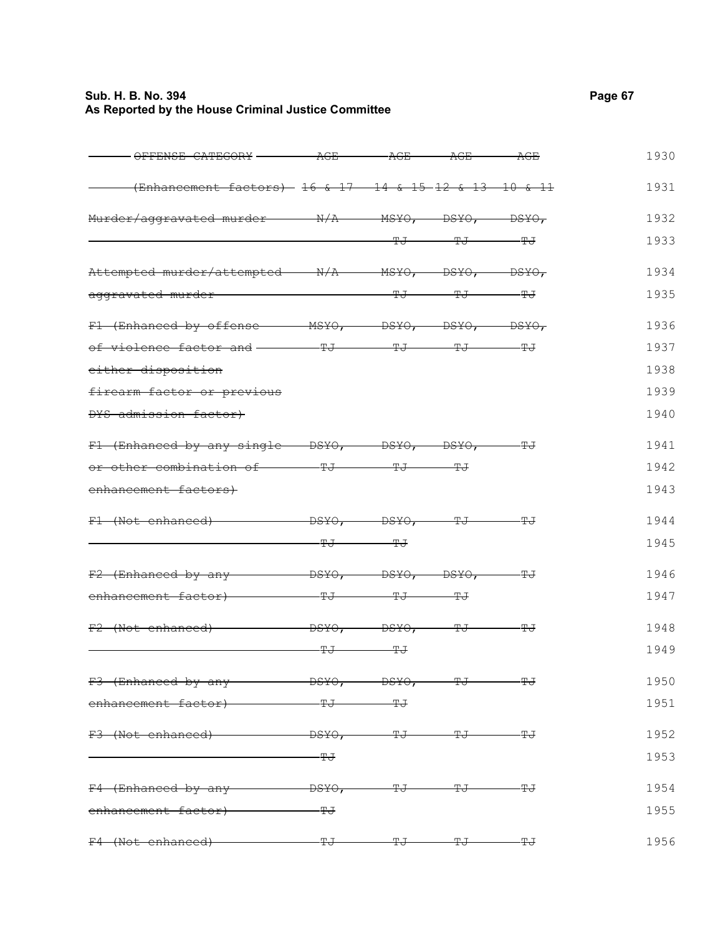# **Sub. H. B. No. 394 Page 67 As Reported by the House Criminal Justice Committee**

| - OFFENSE CATEGORY - AGE AGE                         |                                                           | $-AGE$                    | $-AGE$          | 1930 |
|------------------------------------------------------|-----------------------------------------------------------|---------------------------|-----------------|------|
|                                                      |                                                           |                           |                 | 1931 |
| Murder/aggravated murder - N/A MSYO, DSYO, DSYO,     |                                                           |                           |                 | 1932 |
|                                                      |                                                           | - <del>TJ - TJ - TJ</del> |                 | 1933 |
| Attempted murder/attempted - N/A - MSYO, DSYO, DSYO, |                                                           |                           |                 | 1934 |
| aggravated murder and the TJ TJ TJ TJ                |                                                           |                           |                 | 1935 |
| F1 (Enhanced by offense MSYO, DSYO, DSYO, DSYO,      |                                                           |                           |                 | 1936 |
| of violence factor and TJ TJ TJ TJ TJ                |                                                           |                           | $-\overline{+}$ | 1937 |
| either disposition                                   |                                                           |                           |                 | 1938 |
| firearm factor or previous                           |                                                           |                           |                 | 1939 |
| DYS admission factor)                                |                                                           |                           |                 | 1940 |
| F1 (Enhanced by any single DSYO, DSYO, DSYO, THJ     |                                                           |                           |                 | 1941 |
| or other combination of TJ TJ TJ                     |                                                           | -85                       |                 | 1942 |
| enhancement factors)                                 |                                                           |                           |                 | 1943 |
| F1 (Not enhanced) BSYO, BSYO, TJ T-                  |                                                           |                           |                 | 1944 |
|                                                      | $-\text{--}\text{--}\text{--}\text{--}\text{--}\text{--}$ |                           |                 | 1945 |
| F2 (Enhanced by any Table DSYO, DSYO, DSYO, TJ-      |                                                           |                           |                 | 1946 |
| enhancement factor) TJ TJ TJ TJ                      |                                                           |                           |                 | 1947 |
| F2 (Not enhanced) BSYO, BSYO, TJ                     |                                                           |                           | — <del>TJ</del> | 1948 |
|                                                      |                                                           |                           |                 | 1949 |
| F3 (Enhanced by any The DSYO, DSYO, TJ THE TH        |                                                           |                           |                 | 1950 |
| enhancement factor) TJ TJ                            |                                                           |                           |                 | 1951 |
| F3 (Not enhanced) BSYO, TJ TJ TJ TJ                  |                                                           |                           |                 | 1952 |
|                                                      | $-\frac{1}{1}$                                            |                           |                 | 1953 |
| F4 (Enhanced by any BSYO, TJ TJ TJ TJ                |                                                           |                           |                 | 1954 |
| enhancement factor) TJ                               |                                                           |                           |                 | 1955 |
| F4 (Not enhanced) -                                  | $T - T$                                                   |                           |                 | 1956 |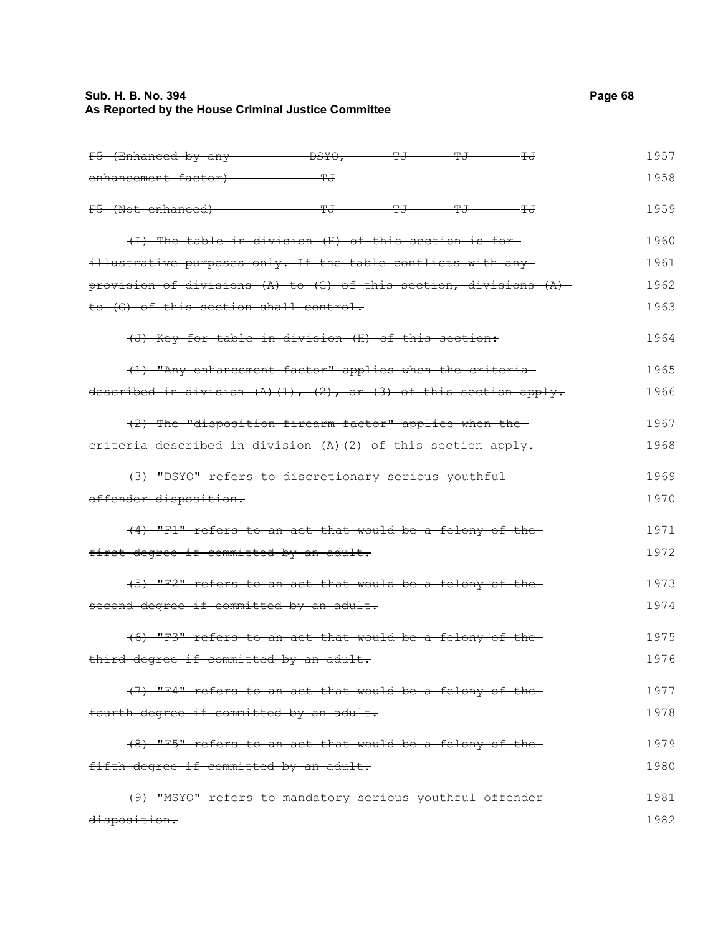## **Sub. H. B. No. 394 Page 68 As Reported by the House Criminal Justice Committee**

| F5 (Enhanced by any Tangle DSYO, TJ TJ TJ TJ                                |  |  | 1957 |
|-----------------------------------------------------------------------------|--|--|------|
| enhancement factor) - TJ                                                    |  |  | 1958 |
| $F5$ (Not enhanced) $TJ$ $TJ$ $TJ$ $TJ$ $TJ$                                |  |  | 1959 |
| (I) The table in division (H) of this section is for-                       |  |  | 1960 |
| illustrative purposes only. If the table conflicts with any                 |  |  | 1961 |
| provision of divisions $(A)$ to $(G)$ of this section, divisions $(A)$      |  |  | 1962 |
| to (G) of this section shall control.                                       |  |  | 1963 |
| (J) Key for table in division (H) of this section:                          |  |  | 1964 |
| (1) "Any enhancement factor" applies when the criteria-                     |  |  | 1965 |
| described in division $(A)$ $(1)$ , $(2)$ , or $(3)$ of this section apply. |  |  | 1966 |
| (2) The "disposition firearm factor" applies when the                       |  |  | 1967 |
| eriteria described in division $(A)$ (2) of this section apply.             |  |  | 1968 |
| (3) "DSYO" refers to discretionary serious youthful-                        |  |  | 1969 |
| offender disposition.                                                       |  |  | 1970 |
| (4) "F1" refers to an act that would be a felony of the                     |  |  | 1971 |
| first degree if committed by an adult.                                      |  |  | 1972 |
| (5) "F2" refers to an act that would be a felony of the                     |  |  | 1973 |
| second degree if committed by an adult.                                     |  |  | 1974 |
| (6) "F3" refers to an act that would be a felony of the-                    |  |  | 1975 |
| third degree if committed by an adult.                                      |  |  | 1976 |
| (7) "F4" refers to an act that would be a felony of the                     |  |  | 1977 |
| fourth degree if committed by an adult.                                     |  |  | 1978 |
| (8) "F5" refers to an act that would be a felony of the-                    |  |  | 1979 |
| fifth degree if committed by an adult.                                      |  |  | 1980 |
| (9) "MSYO" refers to mandatory serious youthful offender-                   |  |  | 1981 |
| disposition.                                                                |  |  | 1982 |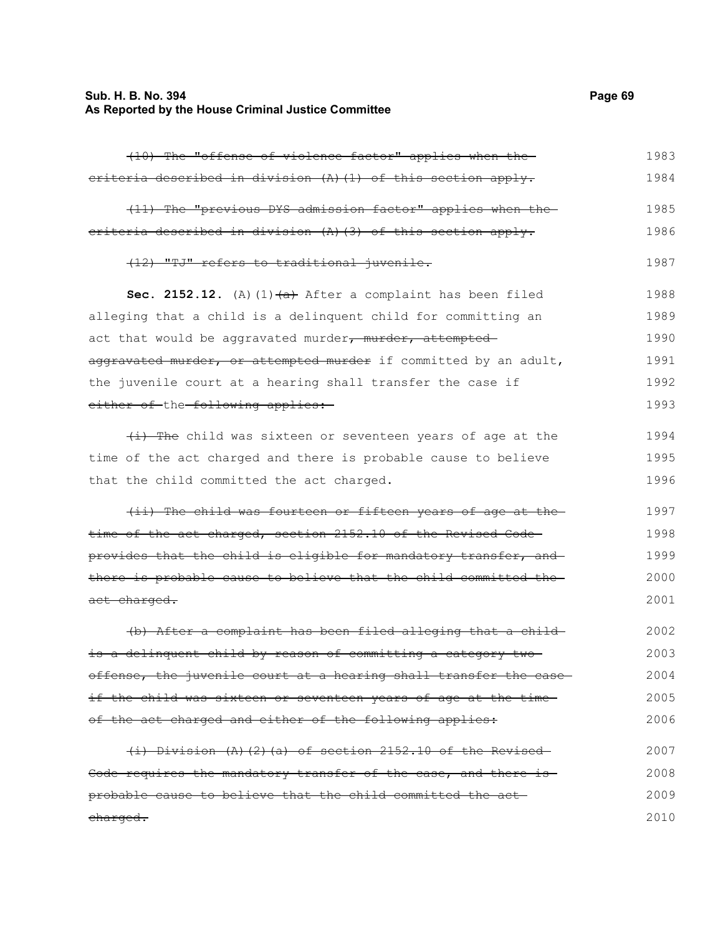## **Sub. H. B. No. 394 Page 69 As Reported by the House Criminal Justice Committee**

| (10) The "offense of violence factor" applies when the             | 1983 |
|--------------------------------------------------------------------|------|
| $criterion$ described in division $(A)$ (1) of this section apply. | 1984 |
| (11) The "previous DYS admission factor" applies when the          | 1985 |
| eriteria described in division (A) (3) of this section apply.      | 1986 |
| (12) "TJ" refers to traditional juvenile.                          | 1987 |
| Sec. 2152.12. (A) $(1)$ $(a)$ After a complaint has been filed     | 1988 |
| alleging that a child is a delinquent child for committing an      | 1989 |
| act that would be aggravated murder, murder, attempted-            | 1990 |
| aggravated murder, or attempted murder if committed by an adult,   | 1991 |
| the juvenile court at a hearing shall transfer the case if         | 1992 |
| either of the following applies:                                   | 1993 |
| (i) The child was sixteen or seventeen years of age at the         | 1994 |
| time of the act charged and there is probable cause to believe     | 1995 |
| that the child committed the act charged.                          | 1996 |
| (ii) The child was fourteen or fifteen years of age at the         | 1997 |
| time of the act charged, section 2152.10 of the Revised Code-      | 1998 |
| provides that the child is eligible for mandatory transfer, and    | 1999 |
| there is probable cause to believe that the child committed the-   | 2000 |
| act charged.                                                       | 2001 |
| (b) After a complaint has been filed alleging that a child-        | 2002 |
| is a delinquent child by reason of committing a category two-      | 2003 |
| offense, the juvenile court at a hearing shall transfer the case   | 2004 |
| if the child was sixteen or seventeen years of age at the time-    | 2005 |
| of the act charged and either of the following applies:            | 2006 |
| $(i)$ Division (A)(2)(a) of section 2152.10 of the Revised         | 2007 |
| Code requires the mandatory transfer of the case, and there is-    | 2008 |
| probable cause to believe that the child committed the act-        | 2009 |
| <del>charged.</del>                                                | 2010 |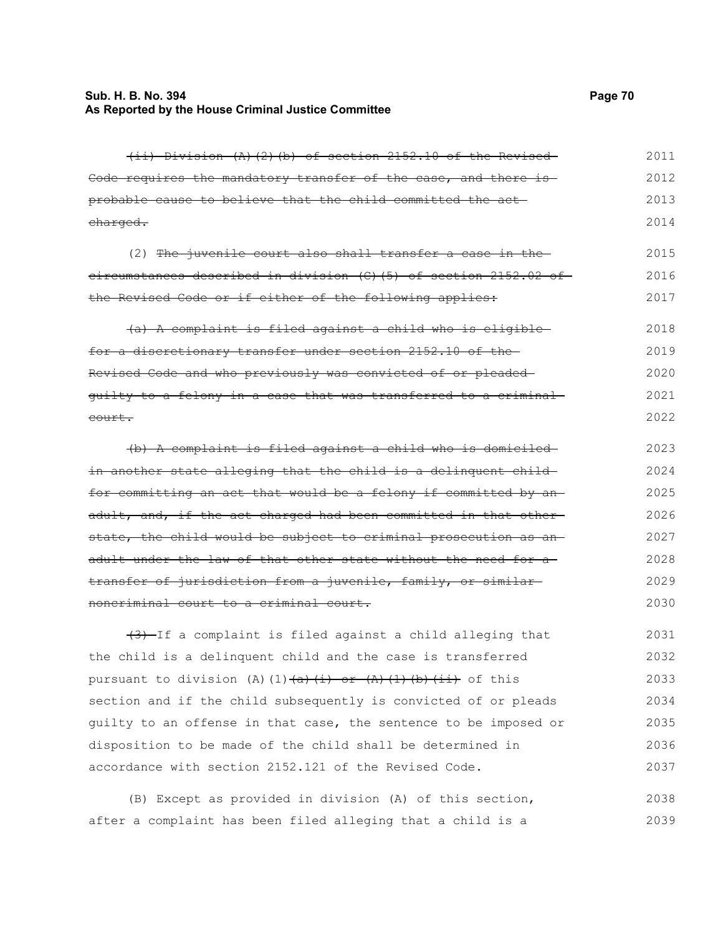### **Sub. H. B. No. 394 Page 70 As Reported by the House Criminal Justice Committee**

(ii) Division (A)(2)(b) of section 2152.10 of the Revised Code requires the mandatory transfer of the case, and there isprobable cause to believe that the child committed the act charged. (2) The juvenile court also shall transfer a case in the circumstances described in division (C)(5) of section 2152.02 of the Revised Code or if either of the following applies: (a) A complaint is filed against a child who is eligible for a discretionary transfer under section 2152.10 of the Revised Code and who previously was convicted of or pleaded guilty to a felony in a case that was transferred to a criminal court. (b) A complaint is filed against a child who is domiciled in another state alleging that the child is a delinguent childfor committing an act that would be a felony if committed by an adult, and, if the act charged had been committed in that otherstate, the child would be subject to criminal prosecution as anadult under the law of that other state without the need for a transfer of jurisdiction from a juvenile, family, or similar noncriminal court to a criminal court.  $(3)$ -If a complaint is filed against a child alleging that the child is a delinquent child and the case is transferred 2011 2012 2013 2014 2015 2016 2017 2018 2019 2020 2021 2022 2023 2024 2025 2026 2027 2028 2029 2030 2031 2032

pursuant to division (A)(1) $\left(\frac{a}{b}\right)\left(\frac{b}{c}\right)\left(\frac{c}{c}\right)$  (A)(1)  $\left(\frac{b}{c}\right)\left(\frac{c}{d}\right)$  of this section and if the child subsequently is convicted of or pleads guilty to an offense in that case, the sentence to be imposed or disposition to be made of the child shall be determined in accordance with section 2152.121 of the Revised Code. 2033 2034 2035 2036 2037

(B) Except as provided in division (A) of this section, after a complaint has been filed alleging that a child is a 2038 2039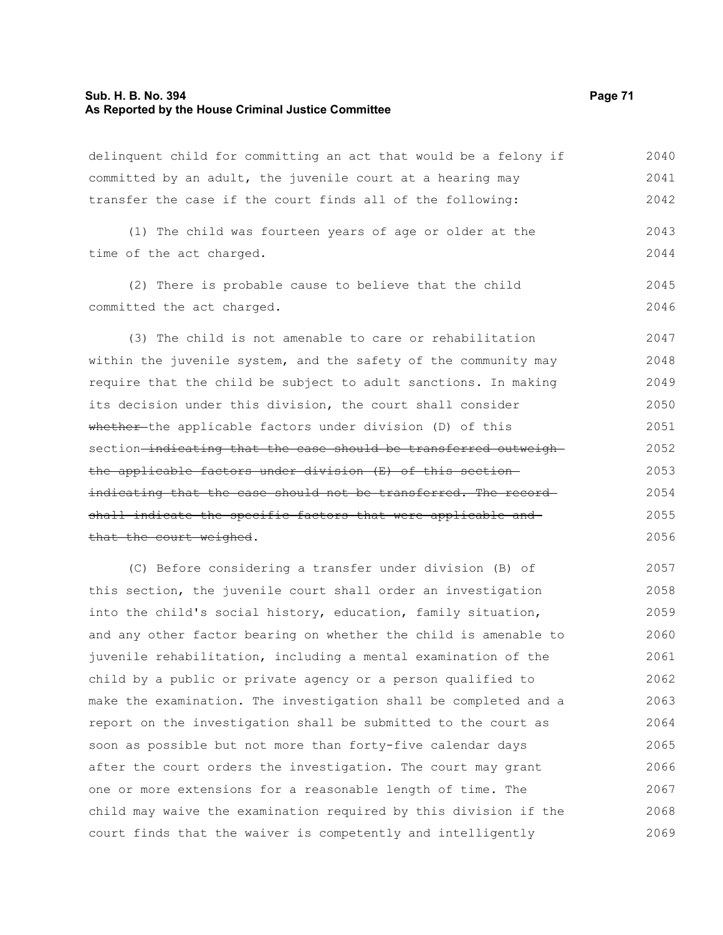#### **Sub. H. B. No. 394 Page 71 As Reported by the House Criminal Justice Committee**

delinquent child for committing an act that would be a felony if committed by an adult, the juvenile court at a hearing may transfer the case if the court finds all of the following: 2040 2041 2042

(1) The child was fourteen years of age or older at the time of the act charged. 2043 2044

(2) There is probable cause to believe that the child committed the act charged. 2045 2046

(3) The child is not amenable to care or rehabilitation within the juvenile system, and the safety of the community may require that the child be subject to adult sanctions. In making its decision under this division, the court shall consider whether the applicable factors under division (D) of this section indicating that the case should be transferred outweigh the applicable factors under division (E) of this section indicating that the case should not be transferred. The recordshall indicate the specific factors that were applicable and that the court weighed. 2047 2048 2049 2050 2051 2052 2053 2054 2055 2056

(C) Before considering a transfer under division (B) of this section, the juvenile court shall order an investigation into the child's social history, education, family situation, and any other factor bearing on whether the child is amenable to juvenile rehabilitation, including a mental examination of the child by a public or private agency or a person qualified to make the examination. The investigation shall be completed and a report on the investigation shall be submitted to the court as soon as possible but not more than forty-five calendar days after the court orders the investigation. The court may grant one or more extensions for a reasonable length of time. The child may waive the examination required by this division if the court finds that the waiver is competently and intelligently 2057 2058 2059 2060 2061 2062 2063 2064 2065 2066 2067 2068 2069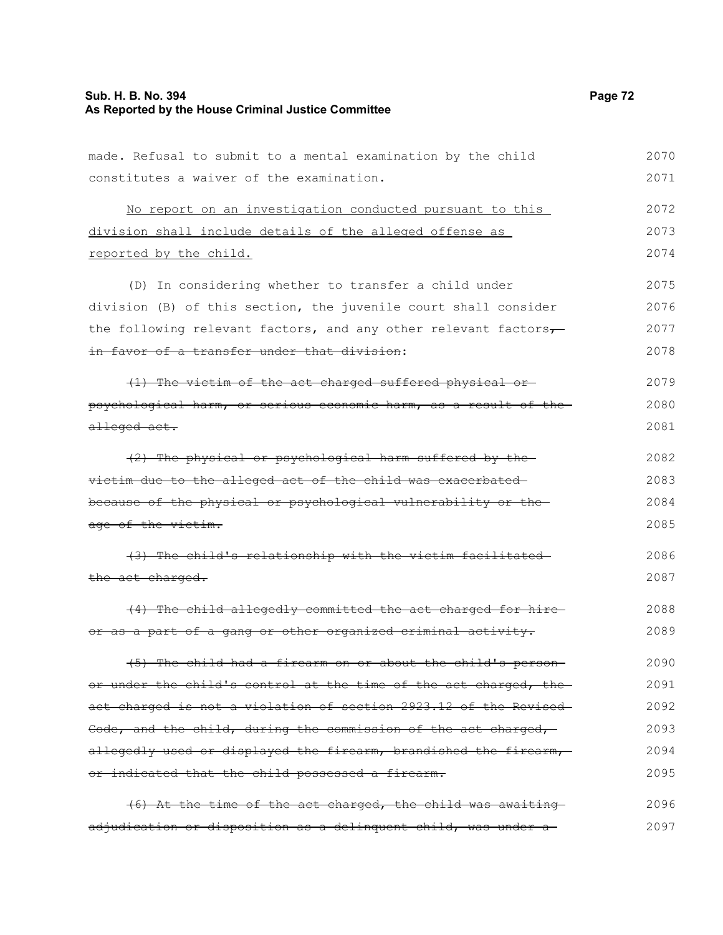## **Sub. H. B. No. 394 Page 72 As Reported by the House Criminal Justice Committee**

| made. Refusal to submit to a mental examination by the child      | 2070 |
|-------------------------------------------------------------------|------|
| constitutes a waiver of the examination.                          | 2071 |
| No report on an investigation conducted pursuant to this          | 2072 |
| division shall include details of the alleged offense as          | 2073 |
|                                                                   |      |
| reported by the child.                                            | 2074 |
| (D) In considering whether to transfer a child under              | 2075 |
| division (B) of this section, the juvenile court shall consider   | 2076 |
| the following relevant factors, and any other relevant factors,   | 2077 |
| in favor of a transfer under that division:                       | 2078 |
| (1) The victim of the act charged suffered physical or-           | 2079 |
| psychological harm, or serious economic harm, as a result of the- | 2080 |
| <del>alleged act.</del>                                           | 2081 |
| (2) The physical or psychological harm suffered by the-           | 2082 |
| victim due to the alleged act of the child was exacerbated-       | 2083 |
| because of the physical or psychological vulnerability or the-    | 2084 |
| age of the victim.                                                | 2085 |
| (3) The child's relationship with the victim facilitated          | 2086 |
| the act charged.                                                  | 2087 |
| (4) The child allegedly committed the act charged for hire-       | 2088 |
| or as a part of a gang or other organized criminal activity.      | 2089 |
| (5) The child had a firearm on or about the child's person-       | 2090 |
| or under the child's control at the time of the act charged, the  | 2091 |
| act charged is not a violation of section 2923.12 of the Revised- | 2092 |
| Code, and the child, during the commission of the act charged,    | 2093 |
| allegedly used or displayed the firearm, brandished the firearm,  | 2094 |
| or indicated that the child possessed a firearm.                  | 2095 |
| (6) At the time of the act charged, the child was awaiting        | 2096 |
|                                                                   |      |

adjudication or disposition as a delinquent child, was under a 2097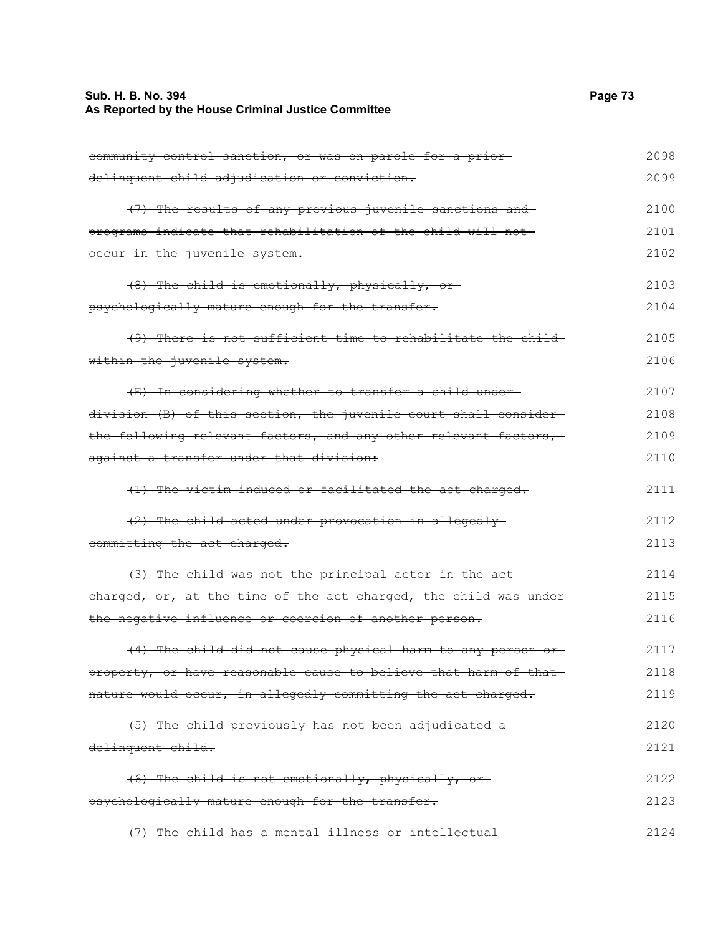# **Sub. H. B. No. 394 Page 73 As Reported by the House Criminal Justice Committee**

| community control sanction, or was on parole for a prior-         | 2098 |
|-------------------------------------------------------------------|------|
| delinquent child adjudication or conviction.                      | 2099 |
| (7) The results of any previous juvenile sanctions and            | 2100 |
| programs indicate that rehabilitation of the child will not-      | 2101 |
| occur in the juvenile system.                                     | 2102 |
| (8) The child is emotionally, physically, or-                     | 2103 |
| psychologically mature enough for the transfer.                   | 2104 |
| (9) There is not sufficient time to rehabilitate the child-       | 2105 |
| within the juvenile system.                                       | 2106 |
| (E) In considering whether to transfer a child under-             | 2107 |
| division (B) of this section, the juvenile court shall consider   | 2108 |
| the following relevant factors, and any other relevant factors,   | 2109 |
| against a transfer under that division:                           | 2110 |
| (1) The victim induced or facilitated the act charged.            | 2111 |
| (2) The child acted under provocation in allegedly-               | 2112 |
| committing the act charged.                                       | 2113 |
| (3) The child was not the principal actor in the act              | 2114 |
| charged, or, at the time of the act charged, the child was under- | 2115 |
| the negative influence or coercion of another person.             | 2116 |
| (4) The child did not cause physical harm to any person or        | 2117 |
| property, or have reasonable cause to believe that harm of that   | 2118 |
| nature would occur, in allegedly committing the act charged.      | 2119 |
| (5) The child previously has not been adjudicated a-              | 2120 |
| delinquent child.                                                 | 2121 |
| (6) The child is not emotionally, physically, or-                 | 2122 |
| psychologically mature enough for the transfer.                   | 2123 |
| (7) The child has a mental illness or intellectual-               | 2124 |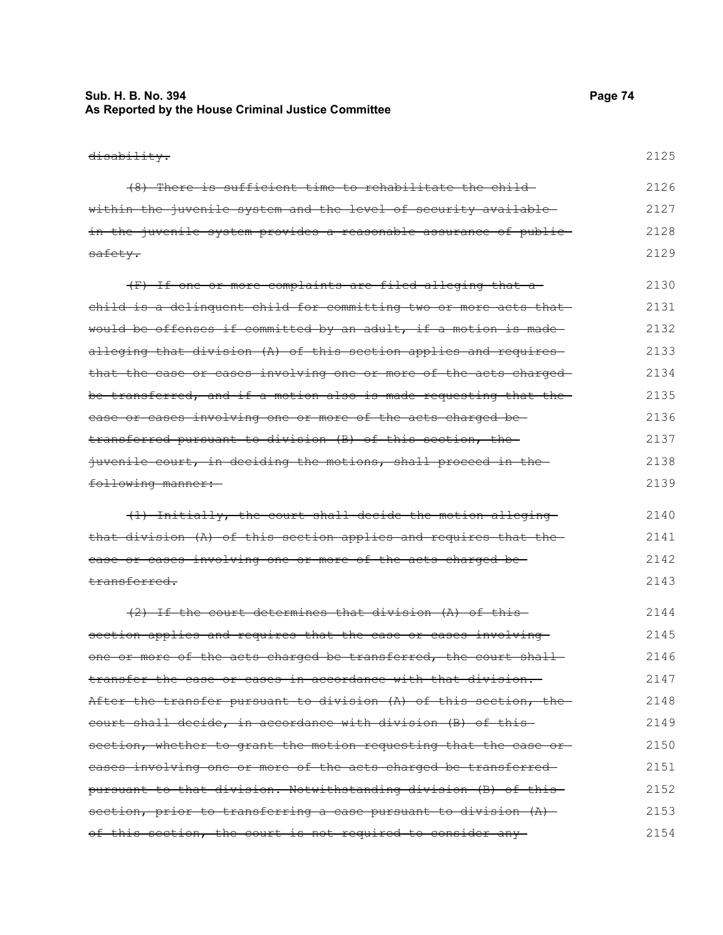# **Sub. H. B. No. 394 Page 74 As Reported by the House Criminal Justice Committee**

| disability.                                                       | 2125 |
|-------------------------------------------------------------------|------|
| (8) There is sufficient time to rehabilitate the child-           | 2126 |
| within the juvenile system and the level of security available-   | 2127 |
| in the juvenile system provides a reasonable assurance of public- | 2128 |
| safety.                                                           | 2129 |
|                                                                   |      |
| (F) If one or more complaints are filed alleging that a           | 2130 |
| child is a delinguent child for committing two or more acts that  | 2131 |
| would be offenses if committed by an adult, if a motion is made-  | 2132 |
| alleging that division (A) of this section applies and requires-  | 2133 |
| that the case or cases involving one or more of the acts charged  | 2134 |
| be transferred, and if a motion also is made requesting that the- | 2135 |
| ease or cases involving one or more of the acts charged be        | 2136 |
| transferred pursuant to division (B) of this section, the         | 2137 |
| juvenile court, in deciding the motions, shall proceed in the-    | 2138 |
| following manner:                                                 | 2139 |
|                                                                   | 2140 |
| (1) Initially, the court shall decide the motion alleging-        |      |
| that division (A) of this section applies and requires that the   | 2141 |
| ease or cases involving one or more of the acts charged be        | 2142 |
| transferred.                                                      | 2143 |
| (2) If the court determines that division (A) of this-            | 2144 |
| section applies and requires that the case or cases involving     | 2145 |
| one or more of the acts charged be transferred, the court shall-  | 2146 |
| transfer the case or cases in accordance with that division.      | 2147 |
| After the transfer pursuant to division (A) of this section, the  | 2148 |
| eourt shall decide, in accordance with division (B) of this-      | 2149 |
| section, whether to grant the motion requesting that the case or  | 2150 |
| eases involving one or more of the acts charged be transferred-   | 2151 |
| pursuant to that division. Notwithstanding division (B) of this-  | 2152 |
| section, prior to transferring a case pursuant to division (A)    | 2153 |
| of this section, the court is not required to consider any        | 2154 |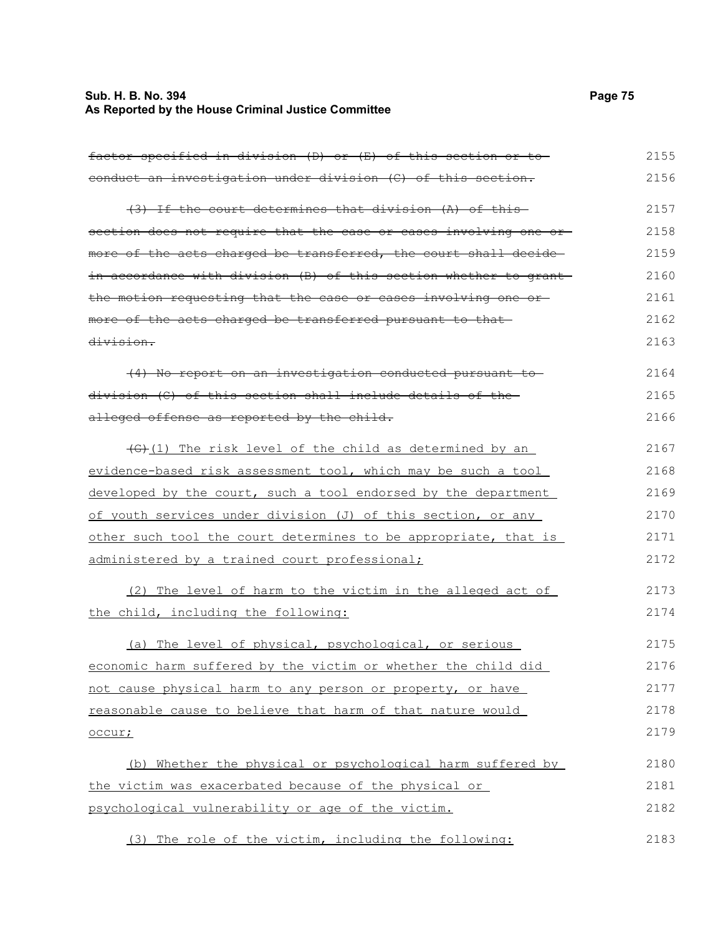# **Sub. H. B. No. 394 Page 75 As Reported by the House Criminal Justice Committee**

| factor specified in division (D) or (E) of this section or to-    | 2155 |
|-------------------------------------------------------------------|------|
| eonduct an investigation under division (C) of this section.      | 2156 |
| (3) If the court determines that division (A) of this-            | 2157 |
| section does not require that the case or cases involving one or- | 2158 |
| more of the acts charged be transferred, the court shall decide-  | 2159 |
| in accordance with division (B) of this section whether to grant  | 2160 |
| the motion requesting that the case or cases involving one or-    | 2161 |
| more of the acts charged be transferred pursuant to that-         | 2162 |
| division.                                                         | 2163 |
| (4) No report on an investigation conducted pursuant to           | 2164 |
| division (C) of this section shall include details of the-        | 2165 |
| alleged offense as reported by the child.                         | 2166 |
| (G) (1) The risk level of the child as determined by an           | 2167 |
| evidence-based risk assessment tool, which may be such a tool     | 2168 |
| developed by the court, such a tool endorsed by the department    | 2169 |
| of youth services under division (J) of this section, or any      | 2170 |
| other such tool the court determines to be appropriate, that is   | 2171 |
| administered by a trained court professional;                     | 2172 |
| (2) The level of harm to the victim in the alleged act of         | 2173 |
| the child, including the following:                               | 2174 |
| (a) The level of physical, psychological, or serious              | 2175 |
| economic harm suffered by the victim or whether the child did     | 2176 |
| not cause physical harm to any person or property, or have        | 2177 |
| reasonable cause to believe that harm of that nature would        | 2178 |
| occur;                                                            | 2179 |
| (b) Whether the physical or psychological harm suffered by        | 2180 |
| the victim was exacerbated because of the physical or             | 2181 |
| psychological vulnerability or age of the victim.                 | 2182 |
| (3) The role of the victim, including the following:              | 2183 |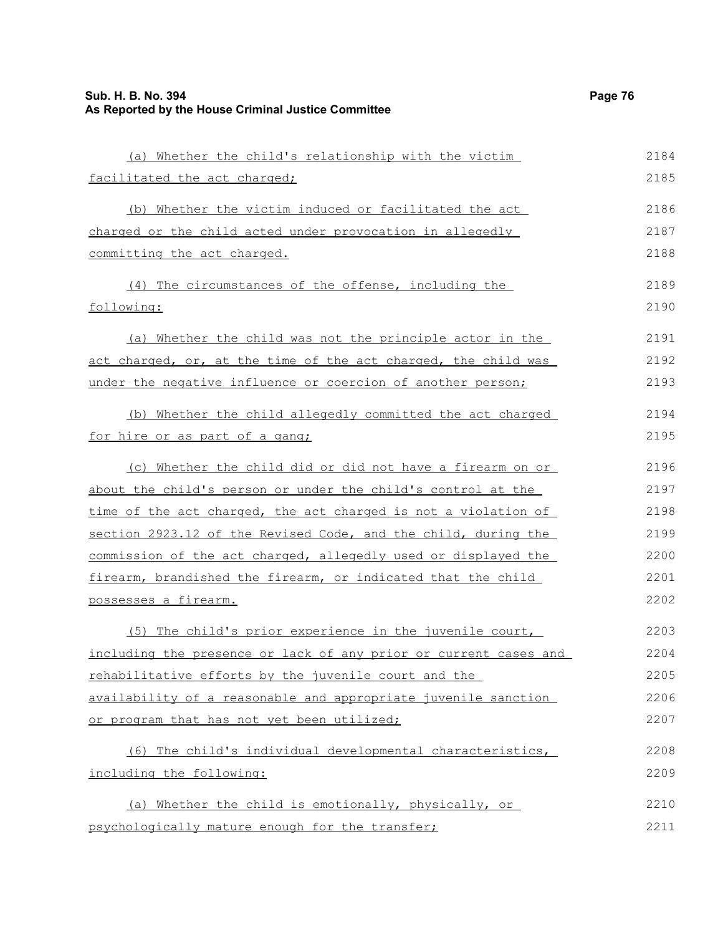| (a) Whether the child's relationship with the victim             | 2184 |
|------------------------------------------------------------------|------|
| facilitated the act charged;                                     | 2185 |
| (b) Whether the victim induced or facilitated the act            | 2186 |
| charged or the child acted under provocation in allegedly        | 2187 |
| committing the act charged.                                      | 2188 |
| (4) The circumstances of the offense, including the              | 2189 |
| following:                                                       | 2190 |
| (a) Whether the child was not the principle actor in the         | 2191 |
| act charged, or, at the time of the act charged, the child was   | 2192 |
| under the negative influence or coercion of another person;      | 2193 |
| (b) Whether the child allegedly committed the act charged        | 2194 |
| for hire or as part of a gang;                                   | 2195 |
| (c) Whether the child did or did not have a firearm on or        | 2196 |
| about the child's person or under the child's control at the     | 2197 |
| time of the act charged, the act charged is not a violation of   | 2198 |
| section 2923.12 of the Revised Code, and the child, during the   | 2199 |
| commission of the act charged, allegedly used or displayed the   | 2200 |
| firearm, brandished the firearm, or indicated that the child     | 2201 |
| possesses a firearm.                                             | 2202 |
| (5) The child's prior experience in the juvenile court,          | 2203 |
| including the presence or lack of any prior or current cases and | 2204 |
| rehabilitative efforts by the juvenile court and the             | 2205 |
| availability of a reasonable and appropriate juvenile sanction   | 2206 |
| or program that has not yet been utilized;                       | 2207 |
| (6) The child's individual developmental characteristics,        | 2208 |
| including the following:                                         | 2209 |
| (a) Whether the child is emotionally, physically, or             | 2210 |
| psychologically mature enough for the transfer;                  | 2211 |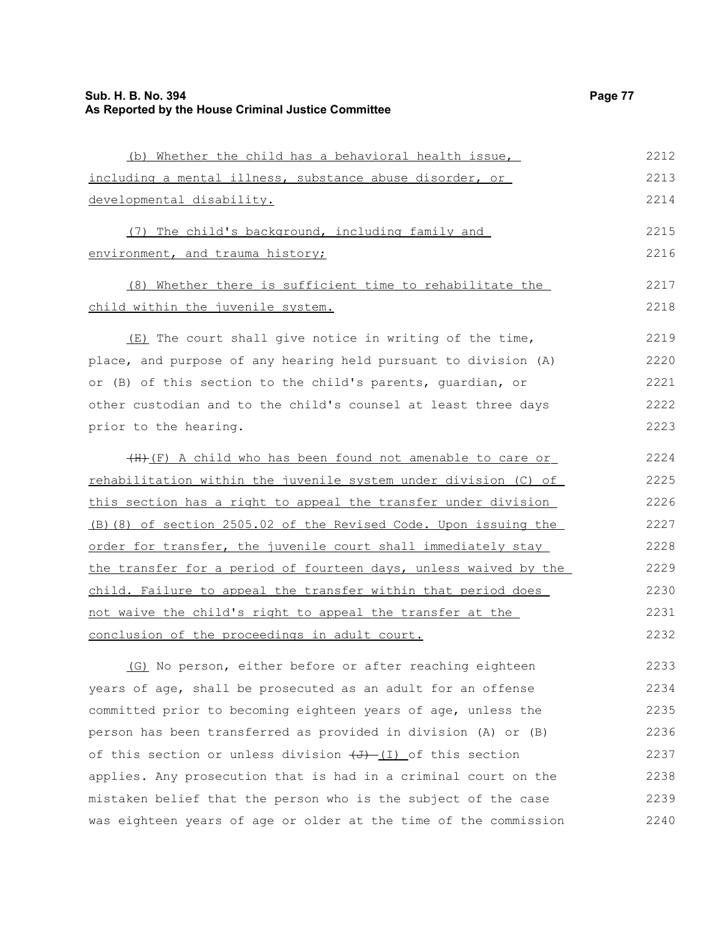# **Sub. H. B. No. 394 Page 77 As Reported by the House Criminal Justice Committee**

(b) Whether the child has a behavioral health issue, including a mental illness, substance abuse disorder, or developmental disability. (7) The child's background, including family and environment, and trauma history; (8) Whether there is sufficient time to rehabilitate the child within the juvenile system. (E) The court shall give notice in writing of the time, place, and purpose of any hearing held pursuant to division (A) or (B) of this section to the child's parents, guardian, or other custodian and to the child's counsel at least three days prior to the hearing. (H) (F) A child who has been found not amenable to care or rehabilitation within the juvenile system under division (C) of this section has a right to appeal the transfer under division (B)(8) of section 2505.02 of the Revised Code. Upon issuing the order for transfer, the juvenile court shall immediately stay the transfer for a period of fourteen days, unless waived by the child. Failure to appeal the transfer within that period does not waive the child's right to appeal the transfer at the conclusion of the proceedings in adult court. 2212 2213 2214 2215 2216 2217 2218 2219 2220 2221 2222 2223 2224 2225 2226 2227 2228 2229 2230 2231 2232

(G) No person, either before or after reaching eighteen years of age, shall be prosecuted as an adult for an offense committed prior to becoming eighteen years of age, unless the person has been transferred as provided in division (A) or (B) of this section or unless division  $(J)$  (I) of this section applies. Any prosecution that is had in a criminal court on the mistaken belief that the person who is the subject of the case was eighteen years of age or older at the time of the commission 2233 2234 2235 2236 2237 2238 2239 2240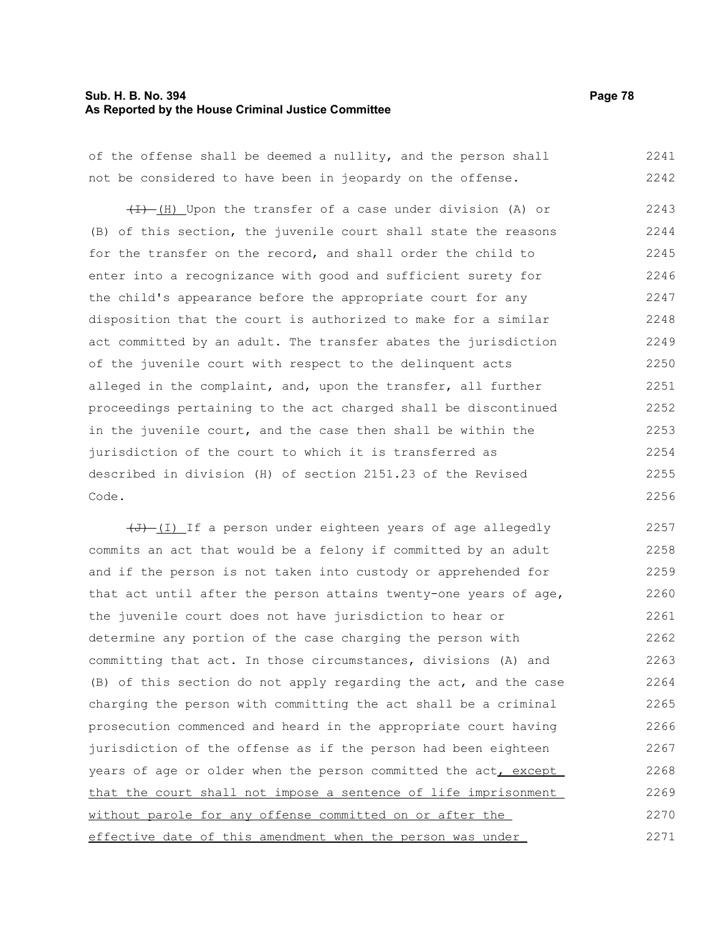# **Sub. H. B. No. 394 Page 78 As Reported by the House Criminal Justice Committee**

of the offense shall be deemed a nullity, and the person shall not be considered to have been in jeopardy on the offense. 2241 2242

 $(1)$  (H) Upon the transfer of a case under division (A) or (B) of this section, the juvenile court shall state the reasons for the transfer on the record, and shall order the child to enter into a recognizance with good and sufficient surety for the child's appearance before the appropriate court for any disposition that the court is authorized to make for a similar act committed by an adult. The transfer abates the jurisdiction of the juvenile court with respect to the delinquent acts alleged in the complaint, and, upon the transfer, all further proceedings pertaining to the act charged shall be discontinued in the juvenile court, and the case then shall be within the jurisdiction of the court to which it is transferred as described in division (H) of section 2151.23 of the Revised Code. 2243 2244 2245 2246 2247 2248 2249 2250 2251 2252 2253 2254 2255 2256

 $(\overline{J} + \overline{I})$  If a person under eighteen years of age allegedly commits an act that would be a felony if committed by an adult and if the person is not taken into custody or apprehended for that act until after the person attains twenty-one years of age, the juvenile court does not have jurisdiction to hear or determine any portion of the case charging the person with committing that act. In those circumstances, divisions (A) and (B) of this section do not apply regarding the act, and the case charging the person with committing the act shall be a criminal prosecution commenced and heard in the appropriate court having jurisdiction of the offense as if the person had been eighteen years of age or older when the person committed the act, except that the court shall not impose a sentence of life imprisonment without parole for any offense committed on or after the effective date of this amendment when the person was under 2257 2258 2259 2260 2261 2262 2263 2264 2265 2266 2267 2268 2269 2270 2271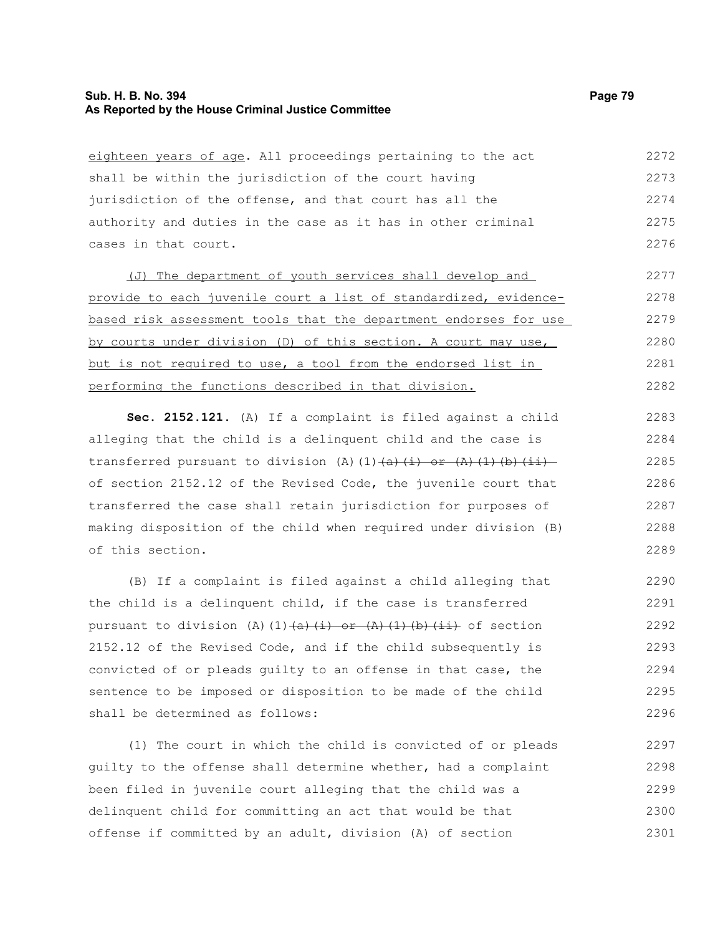eighteen years of age. All proceedings pertaining to the act shall be within the jurisdiction of the court having jurisdiction of the offense, and that court has all the authority and duties in the case as it has in other criminal cases in that court. 2272 2273 2274 2275 2276

 (J) The department of youth services shall develop and provide to each juvenile court a list of standardized, evidencebased risk assessment tools that the department endorses for use by courts under division (D) of this section. A court may use, but is not required to use, a tool from the endorsed list in performing the functions described in that division. 2277 2278 2279 2280 2281 2282

**Sec. 2152.121.** (A) If a complaint is filed against a child alleging that the child is a delinquent child and the case is transferred pursuant to division (A)(1)(a)(i) or (A)(1)(b)(ii) of section 2152.12 of the Revised Code, the juvenile court that transferred the case shall retain jurisdiction for purposes of making disposition of the child when required under division (B) of this section. 2283 2284 2285 2286 2287 2288 2289

(B) If a complaint is filed against a child alleging that the child is a delinquent child, if the case is transferred pursuant to division (A)(1) $\left(\frac{a}{b}\right)\left(\frac{b}{b}\right)\left(\frac{b}{c}\right)\left(\frac{c}{c}\right)$  of section 2152.12 of the Revised Code, and if the child subsequently is convicted of or pleads guilty to an offense in that case, the sentence to be imposed or disposition to be made of the child shall be determined as follows: 2290 2291 2292 2293 2294 2295 2296

(1) The court in which the child is convicted of or pleads guilty to the offense shall determine whether, had a complaint been filed in juvenile court alleging that the child was a delinquent child for committing an act that would be that offense if committed by an adult, division (A) of section 2297 2298 2299 2300 2301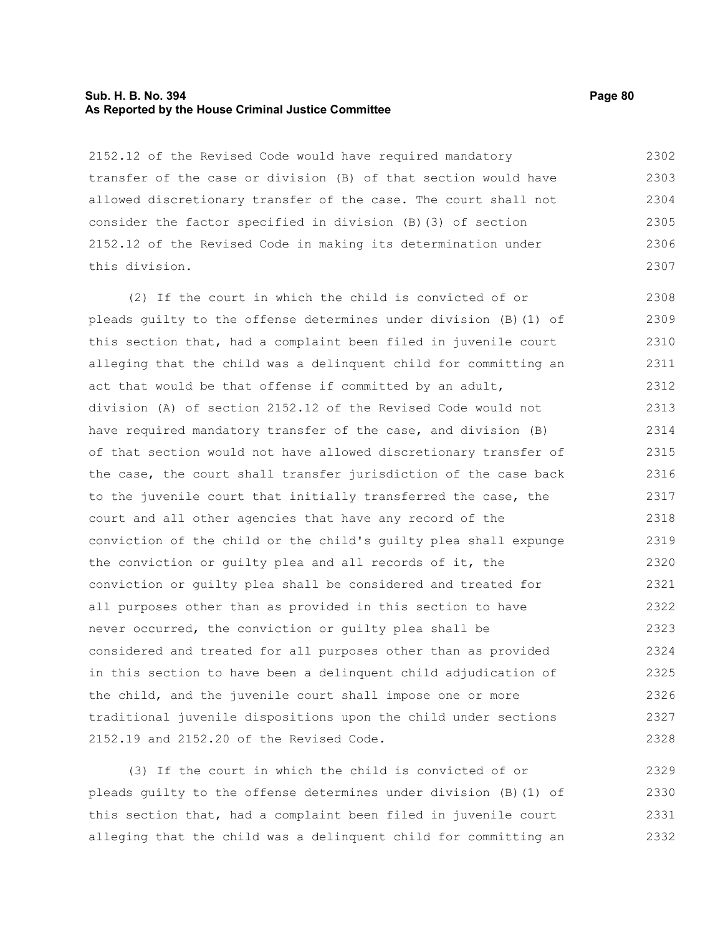#### **Sub. H. B. No. 394 Page 80 As Reported by the House Criminal Justice Committee**

2152.12 of the Revised Code would have required mandatory transfer of the case or division (B) of that section would have allowed discretionary transfer of the case. The court shall not consider the factor specified in division (B)(3) of section 2152.12 of the Revised Code in making its determination under this division. 2302 2303 2304 2305 2306 2307

(2) If the court in which the child is convicted of or pleads guilty to the offense determines under division (B)(1) of this section that, had a complaint been filed in juvenile court alleging that the child was a delinquent child for committing an act that would be that offense if committed by an adult, division (A) of section 2152.12 of the Revised Code would not have required mandatory transfer of the case, and division (B) of that section would not have allowed discretionary transfer of the case, the court shall transfer jurisdiction of the case back to the juvenile court that initially transferred the case, the court and all other agencies that have any record of the conviction of the child or the child's guilty plea shall expunge the conviction or guilty plea and all records of it, the conviction or guilty plea shall be considered and treated for all purposes other than as provided in this section to have never occurred, the conviction or guilty plea shall be considered and treated for all purposes other than as provided in this section to have been a delinquent child adjudication of the child, and the juvenile court shall impose one or more traditional juvenile dispositions upon the child under sections 2152.19 and 2152.20 of the Revised Code. 2308 2309 2310 2311 2312 2313 2314 2315 2316 2317 2318 2319 2320 2321 2322 2323 2324 2325 2326 2327 2328

(3) If the court in which the child is convicted of or pleads guilty to the offense determines under division (B)(1) of this section that, had a complaint been filed in juvenile court alleging that the child was a delinquent child for committing an 2329 2330 2331 2332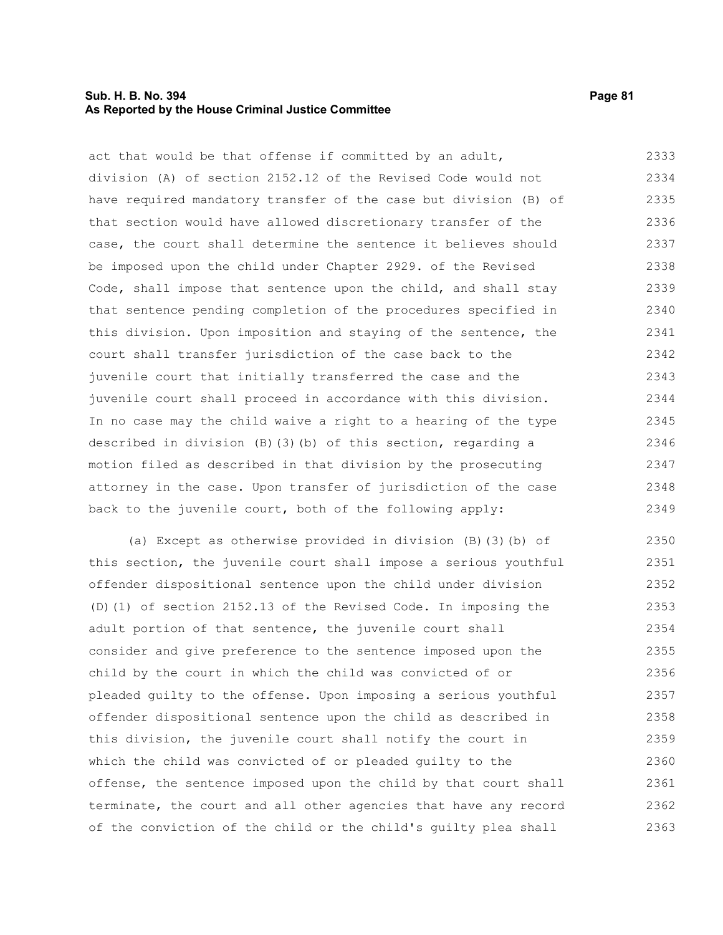# **Sub. H. B. No. 394 Page 81 As Reported by the House Criminal Justice Committee**

act that would be that offense if committed by an adult, division (A) of section 2152.12 of the Revised Code would not have required mandatory transfer of the case but division (B) of that section would have allowed discretionary transfer of the case, the court shall determine the sentence it believes should be imposed upon the child under Chapter 2929. of the Revised Code, shall impose that sentence upon the child, and shall stay that sentence pending completion of the procedures specified in this division. Upon imposition and staying of the sentence, the court shall transfer jurisdiction of the case back to the juvenile court that initially transferred the case and the juvenile court shall proceed in accordance with this division. In no case may the child waive a right to a hearing of the type described in division (B)(3)(b) of this section, regarding a motion filed as described in that division by the prosecuting attorney in the case. Upon transfer of jurisdiction of the case back to the juvenile court, both of the following apply: 2333 2334 2335 2336 2337 2338 2339 2340 2341 2342 2343 2344 2345 2346 2347 2348 2349

(a) Except as otherwise provided in division (B)(3)(b) of this section, the juvenile court shall impose a serious youthful offender dispositional sentence upon the child under division (D)(1) of section 2152.13 of the Revised Code. In imposing the adult portion of that sentence, the juvenile court shall consider and give preference to the sentence imposed upon the child by the court in which the child was convicted of or pleaded guilty to the offense. Upon imposing a serious youthful offender dispositional sentence upon the child as described in this division, the juvenile court shall notify the court in which the child was convicted of or pleaded guilty to the offense, the sentence imposed upon the child by that court shall terminate, the court and all other agencies that have any record of the conviction of the child or the child's guilty plea shall 2350 2351 2352 2353 2354 2355 2356 2357 2358 2359 2360 2361 2362 2363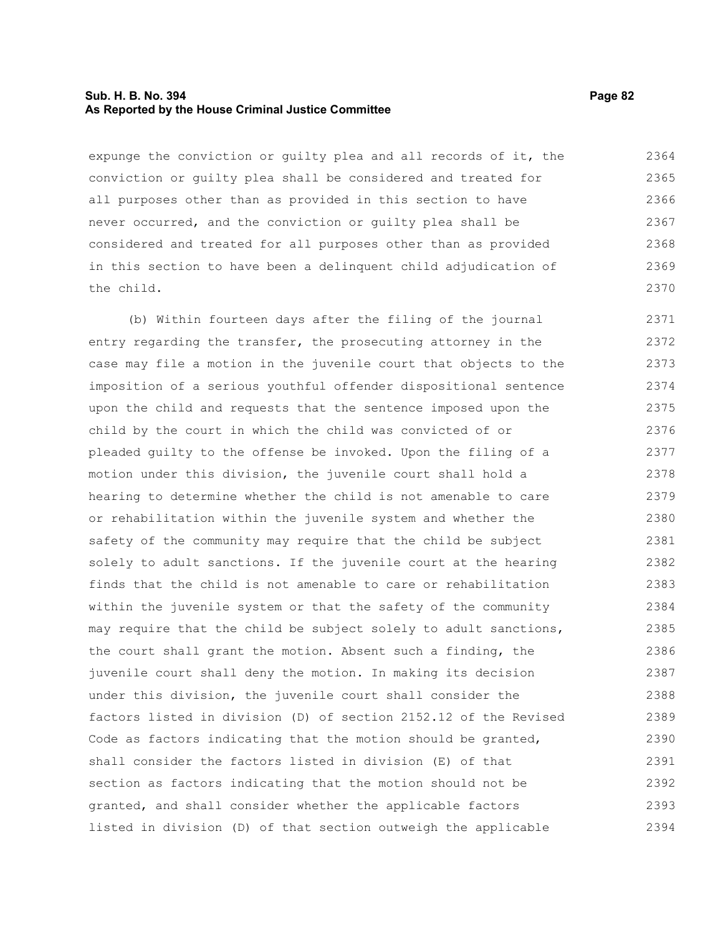## **Sub. H. B. No. 394 Page 82 As Reported by the House Criminal Justice Committee**

expunge the conviction or guilty plea and all records of it, the conviction or guilty plea shall be considered and treated for all purposes other than as provided in this section to have never occurred, and the conviction or guilty plea shall be considered and treated for all purposes other than as provided in this section to have been a delinquent child adjudication of the child. 2364 2365 2366 2367 2368 2369 2370

(b) Within fourteen days after the filing of the journal entry regarding the transfer, the prosecuting attorney in the case may file a motion in the juvenile court that objects to the imposition of a serious youthful offender dispositional sentence upon the child and requests that the sentence imposed upon the child by the court in which the child was convicted of or pleaded guilty to the offense be invoked. Upon the filing of a motion under this division, the juvenile court shall hold a hearing to determine whether the child is not amenable to care or rehabilitation within the juvenile system and whether the safety of the community may require that the child be subject solely to adult sanctions. If the juvenile court at the hearing finds that the child is not amenable to care or rehabilitation within the juvenile system or that the safety of the community may require that the child be subject solely to adult sanctions, the court shall grant the motion. Absent such a finding, the juvenile court shall deny the motion. In making its decision under this division, the juvenile court shall consider the factors listed in division (D) of section 2152.12 of the Revised Code as factors indicating that the motion should be granted, shall consider the factors listed in division (E) of that section as factors indicating that the motion should not be granted, and shall consider whether the applicable factors listed in division (D) of that section outweigh the applicable 2371 2372 2373 2374 2375 2376 2377 2378 2379 2380 2381 2382 2383 2384 2385 2386 2387 2388 2389 2390 2391 2392 2393 2394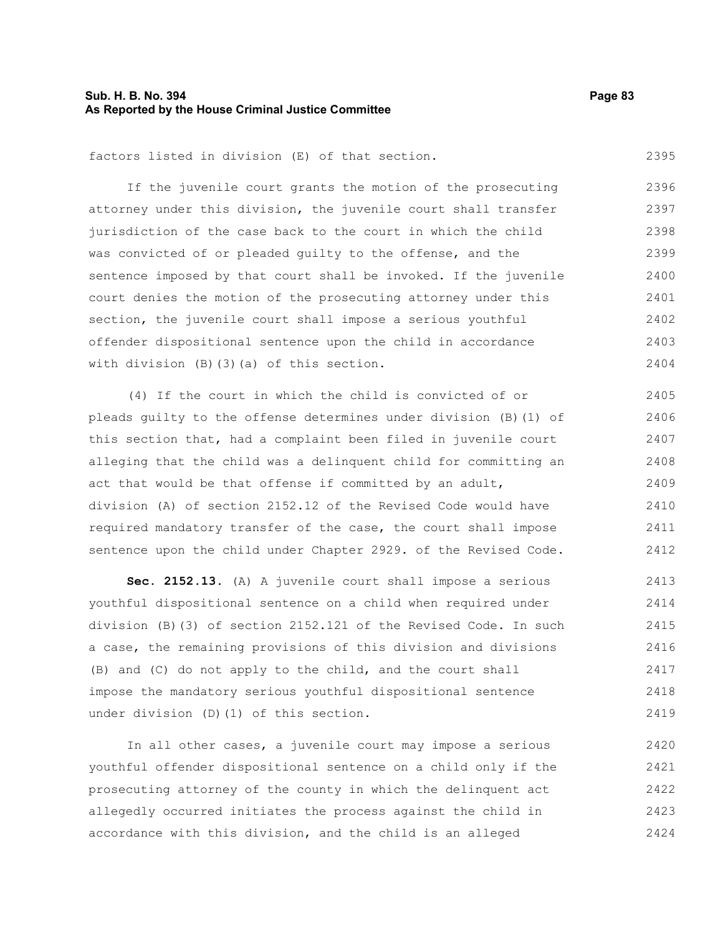# **Sub. H. B. No. 394 Page 83 As Reported by the House Criminal Justice Committee**

If the juvenile court grants the motion of the prosecuting attorney under this division, the juvenile court shall transfer jurisdiction of the case back to the court in which the child was convicted of or pleaded guilty to the offense, and the sentence imposed by that court shall be invoked. If the juvenile court denies the motion of the prosecuting attorney under this section, the juvenile court shall impose a serious youthful offender dispositional sentence upon the child in accordance with division (B)(3)(a) of this section. 2396 2397 2398 2399 2400 2401 2402 2403 2404

(4) If the court in which the child is convicted of or pleads guilty to the offense determines under division (B)(1) of this section that, had a complaint been filed in juvenile court alleging that the child was a delinquent child for committing an act that would be that offense if committed by an adult, division (A) of section 2152.12 of the Revised Code would have required mandatory transfer of the case, the court shall impose sentence upon the child under Chapter 2929. of the Revised Code. 2405 2406 2407 2408 2409 2410 2411 2412

**Sec. 2152.13.** (A) A juvenile court shall impose a serious youthful dispositional sentence on a child when required under division (B)(3) of section 2152.121 of the Revised Code. In such a case, the remaining provisions of this division and divisions (B) and (C) do not apply to the child, and the court shall impose the mandatory serious youthful dispositional sentence under division (D)(1) of this section. 2413 2414 2415 2416 2417 2418 2419

In all other cases, a juvenile court may impose a serious youthful offender dispositional sentence on a child only if the prosecuting attorney of the county in which the delinquent act allegedly occurred initiates the process against the child in accordance with this division, and the child is an alleged 2420 2421 2422 2423 2424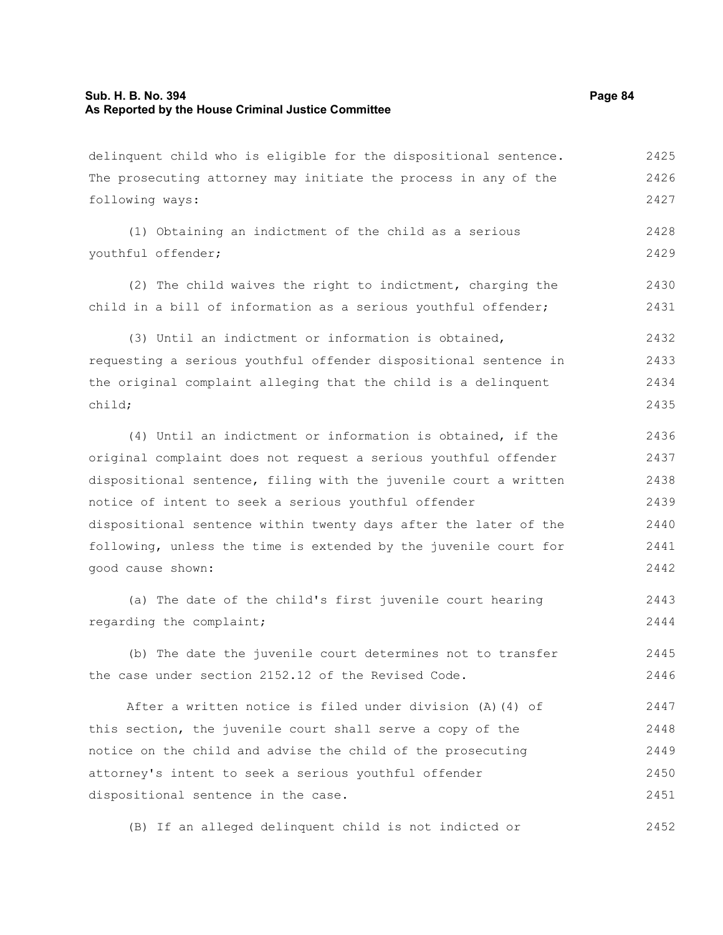# **Sub. H. B. No. 394 Page 84 As Reported by the House Criminal Justice Committee**

following ways:

youthful offender;

delinquent child who is eligible for the dispositional sentence. The prosecuting attorney may initiate the process in any of the (1) Obtaining an indictment of the child as a serious

(2) The child waives the right to indictment, charging the child in a bill of information as a serious youthful offender; 2430 2431

(3) Until an indictment or information is obtained, requesting a serious youthful offender dispositional sentence in the original complaint alleging that the child is a delinquent child; 2432 2433 2434 2435

(4) Until an indictment or information is obtained, if the original complaint does not request a serious youthful offender dispositional sentence, filing with the juvenile court a written notice of intent to seek a serious youthful offender dispositional sentence within twenty days after the later of the following, unless the time is extended by the juvenile court for good cause shown: 2436 2437 2438 2439 2440 2441 2442

(a) The date of the child's first juvenile court hearing regarding the complaint; 2443 2444

(b) The date the juvenile court determines not to transfer the case under section 2152.12 of the Revised Code. 2445 2446

After a written notice is filed under division (A)(4) of this section, the juvenile court shall serve a copy of the notice on the child and advise the child of the prosecuting attorney's intent to seek a serious youthful offender dispositional sentence in the case. 2447 2448 2449 2450 2451

(B) If an alleged delinquent child is not indicted or 2452

2425 2426 2427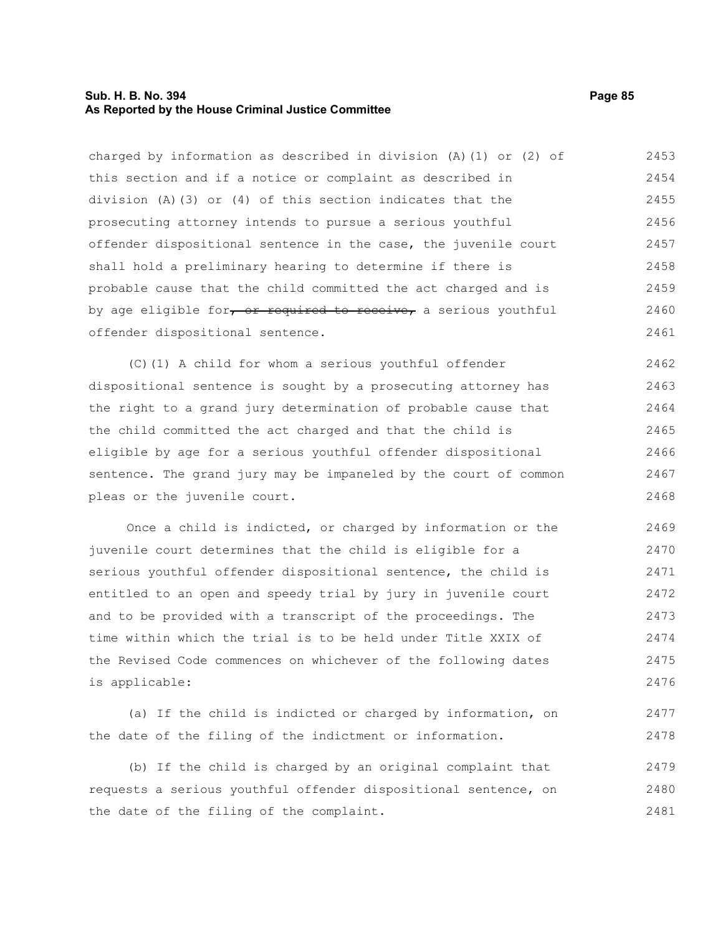# **Sub. H. B. No. 394 Page 85 As Reported by the House Criminal Justice Committee**

charged by information as described in division (A)(1) or (2) of this section and if a notice or complaint as described in division (A)(3) or (4) of this section indicates that the prosecuting attorney intends to pursue a serious youthful offender dispositional sentence in the case, the juvenile court shall hold a preliminary hearing to determine if there is probable cause that the child committed the act charged and is by age eligible for, or required to receive, a serious youthful offender dispositional sentence. 2453 2454 2455 2456 2457 2458 2459 2460 2461

(C)(1) A child for whom a serious youthful offender dispositional sentence is sought by a prosecuting attorney has the right to a grand jury determination of probable cause that the child committed the act charged and that the child is eligible by age for a serious youthful offender dispositional sentence. The grand jury may be impaneled by the court of common pleas or the juvenile court. 2462 2463 2464 2465 2466 2467 2468

Once a child is indicted, or charged by information or the juvenile court determines that the child is eligible for a serious youthful offender dispositional sentence, the child is entitled to an open and speedy trial by jury in juvenile court and to be provided with a transcript of the proceedings. The time within which the trial is to be held under Title XXIX of the Revised Code commences on whichever of the following dates is applicable: 2469 2470 2471 2472 2473 2474 2475 2476

(a) If the child is indicted or charged by information, on the date of the filing of the indictment or information. 2477 2478

(b) If the child is charged by an original complaint that requests a serious youthful offender dispositional sentence, on the date of the filing of the complaint. 2479 2480 2481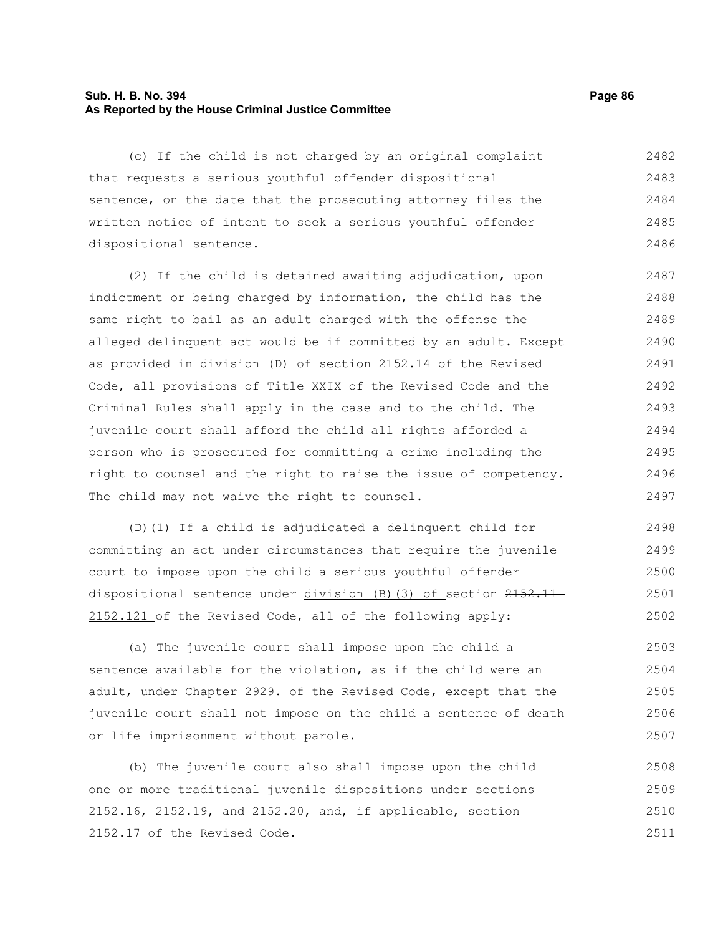## **Sub. H. B. No. 394 Page 86 As Reported by the House Criminal Justice Committee**

(c) If the child is not charged by an original complaint that requests a serious youthful offender dispositional sentence, on the date that the prosecuting attorney files the written notice of intent to seek a serious youthful offender dispositional sentence. 2482 2483 2484 2485 2486

(2) If the child is detained awaiting adjudication, upon indictment or being charged by information, the child has the same right to bail as an adult charged with the offense the alleged delinquent act would be if committed by an adult. Except as provided in division (D) of section 2152.14 of the Revised Code, all provisions of Title XXIX of the Revised Code and the Criminal Rules shall apply in the case and to the child. The juvenile court shall afford the child all rights afforded a person who is prosecuted for committing a crime including the right to counsel and the right to raise the issue of competency. The child may not waive the right to counsel. 2487 2488 2489 2490 2491 2492 2493 2494 2495 2496 2497

(D)(1) If a child is adjudicated a delinquent child for committing an act under circumstances that require the juvenile court to impose upon the child a serious youthful offender dispositional sentence under division (B)(3) of section 2152.11- 2152.121 of the Revised Code, all of the following apply: 2498 2499 2500 2501 2502

(a) The juvenile court shall impose upon the child a sentence available for the violation, as if the child were an adult, under Chapter 2929. of the Revised Code, except that the juvenile court shall not impose on the child a sentence of death or life imprisonment without parole. 2503 2504 2505 2506 2507

(b) The juvenile court also shall impose upon the child one or more traditional juvenile dispositions under sections 2152.16, 2152.19, and 2152.20, and, if applicable, section 2152.17 of the Revised Code. 2508 2509 2510 2511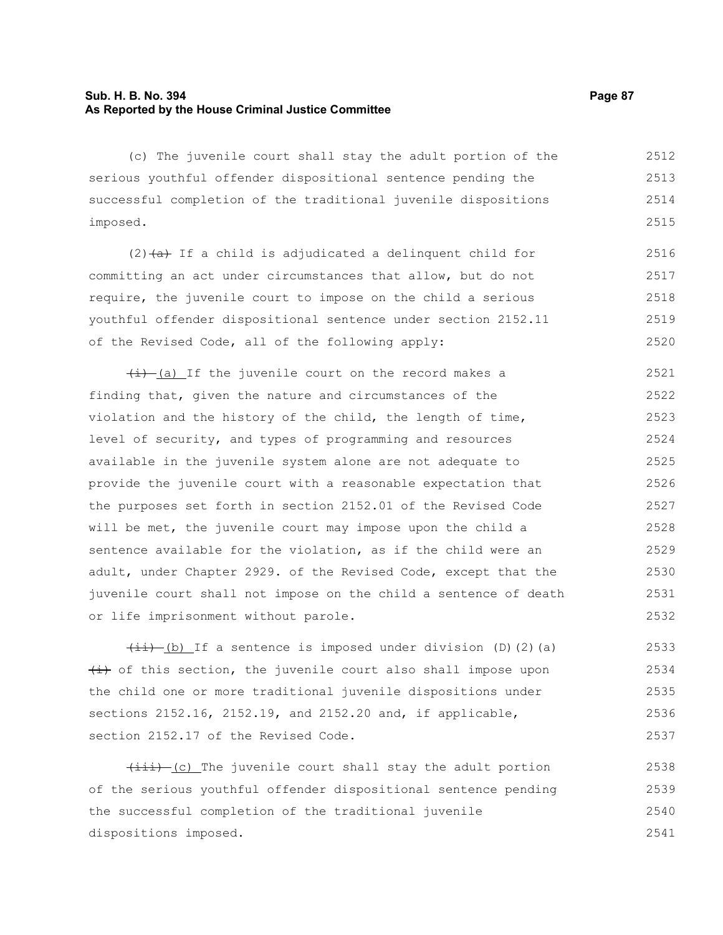# **Sub. H. B. No. 394 Page 87 As Reported by the House Criminal Justice Committee**

(c) The juvenile court shall stay the adult portion of the serious youthful offender dispositional sentence pending the successful completion of the traditional juvenile dispositions imposed. 2512 2513 2514 2515

(2) $\leftrightarrow$  If a child is adjudicated a delinquent child for committing an act under circumstances that allow, but do not require, the juvenile court to impose on the child a serious youthful offender dispositional sentence under section 2152.11 of the Revised Code, all of the following apply: 2516 2517 2518 2519 2520

 $\frac{1}{i}$  (a) If the juvenile court on the record makes a finding that, given the nature and circumstances of the violation and the history of the child, the length of time, level of security, and types of programming and resources available in the juvenile system alone are not adequate to provide the juvenile court with a reasonable expectation that the purposes set forth in section 2152.01 of the Revised Code will be met, the juvenile court may impose upon the child a sentence available for the violation, as if the child were an adult, under Chapter 2929. of the Revised Code, except that the juvenile court shall not impose on the child a sentence of death or life imprisonment without parole. 2521 2522 2523 2524 2525 2526 2527 2528 2529 2530 2531 2532

 $\overline{(i)}$  (b) If a sentence is imposed under division (D)(2)(a)  $\leftrightarrow$  of this section, the juvenile court also shall impose upon the child one or more traditional juvenile dispositions under sections 2152.16, 2152.19, and 2152.20 and, if applicable, section 2152.17 of the Revised Code. 2533 2534 2535 2536 2537

 $\overrightarrow{1}$  (c) The juvenile court shall stay the adult portion of the serious youthful offender dispositional sentence pending the successful completion of the traditional juvenile dispositions imposed. 2538 2539 2540 2541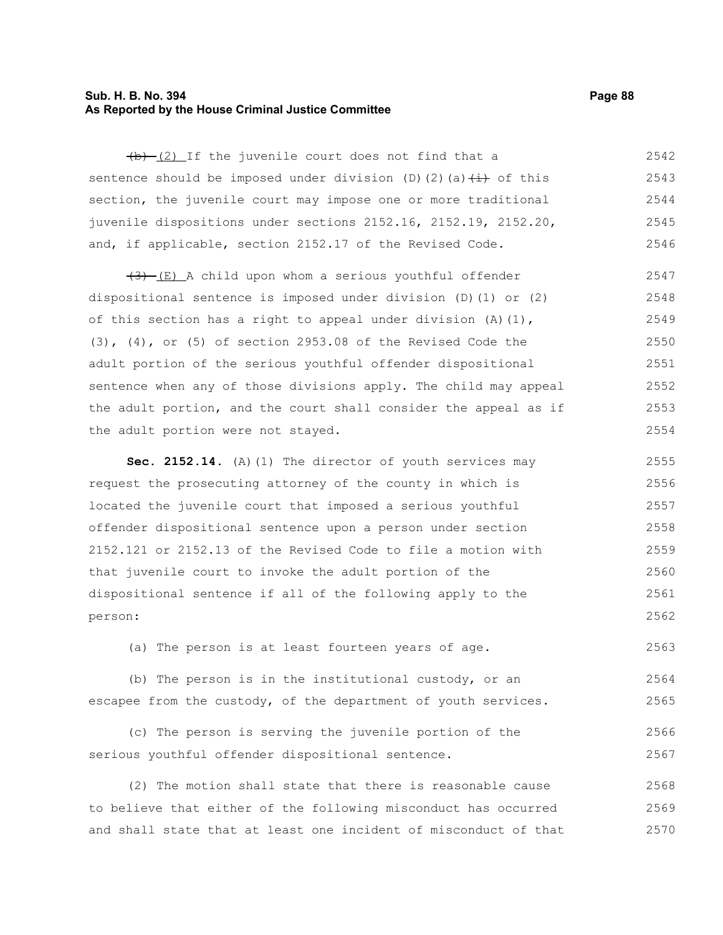# **Sub. H. B. No. 394 Page 88 As Reported by the House Criminal Justice Committee**

 $(b)$  (2) If the juvenile court does not find that a sentence should be imposed under division (D)(2)(a) $\leftrightarrow$  of this section, the juvenile court may impose one or more traditional juvenile dispositions under sections 2152.16, 2152.19, 2152.20, and, if applicable, section 2152.17 of the Revised Code. 2542 2543 2544 2545 2546

 $(3)$  (E) A child upon whom a serious youthful offender dispositional sentence is imposed under division (D)(1) or (2) of this section has a right to appeal under division  $(A)$   $(1)$ , (3), (4), or (5) of section 2953.08 of the Revised Code the adult portion of the serious youthful offender dispositional sentence when any of those divisions apply. The child may appeal the adult portion, and the court shall consider the appeal as if the adult portion were not stayed. 2547 2548 2549 2550 2551 2552 2553 2554

Sec. 2152.14. (A)(1) The director of youth services may request the prosecuting attorney of the county in which is located the juvenile court that imposed a serious youthful offender dispositional sentence upon a person under section 2152.121 or 2152.13 of the Revised Code to file a motion with that juvenile court to invoke the adult portion of the dispositional sentence if all of the following apply to the person: 2555 2556 2557 2558 2559 2560 2561 2562

(a) The person is at least fourteen years of age.

(b) The person is in the institutional custody, or an escapee from the custody, of the department of youth services. 2564 2565

(c) The person is serving the juvenile portion of the serious youthful offender dispositional sentence. 2566 2567

(2) The motion shall state that there is reasonable cause to believe that either of the following misconduct has occurred and shall state that at least one incident of misconduct of that 2568 2569 2570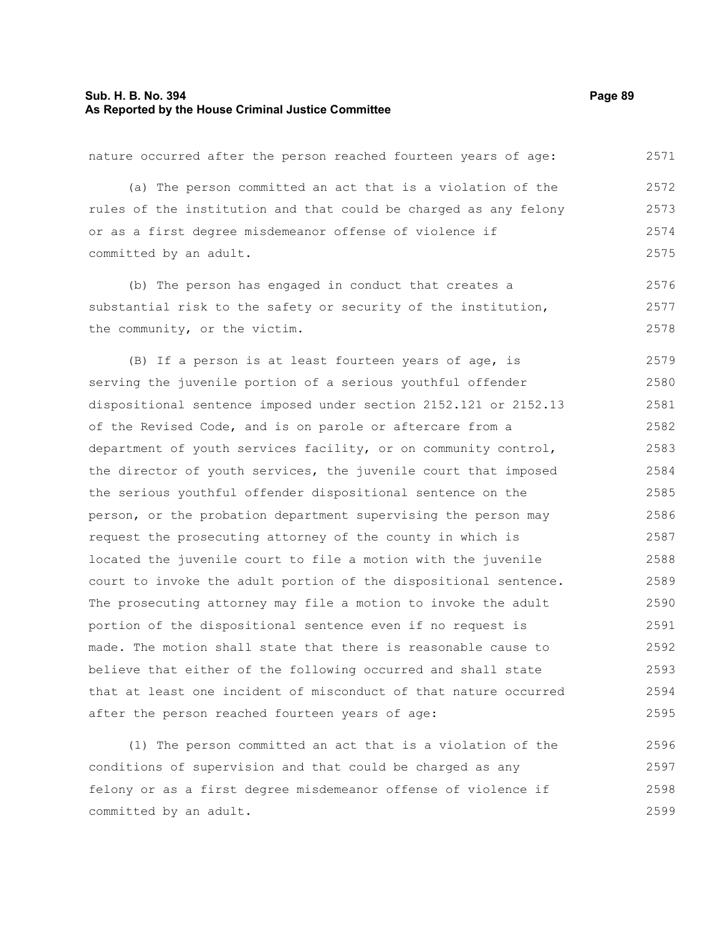# **Sub. H. B. No. 394 Page 89 As Reported by the House Criminal Justice Committee**

nature occurred after the person reached fourteen years of age:

(a) The person committed an act that is a violation of the rules of the institution and that could be charged as any felony or as a first degree misdemeanor offense of violence if committed by an adult. 2572 2573 2574 2575

(b) The person has engaged in conduct that creates a substantial risk to the safety or security of the institution, the community, or the victim. 2576 2577 2578

(B) If a person is at least fourteen years of age, is serving the juvenile portion of a serious youthful offender dispositional sentence imposed under section 2152.121 or 2152.13 of the Revised Code, and is on parole or aftercare from a department of youth services facility, or on community control, the director of youth services, the juvenile court that imposed the serious youthful offender dispositional sentence on the person, or the probation department supervising the person may request the prosecuting attorney of the county in which is located the juvenile court to file a motion with the juvenile court to invoke the adult portion of the dispositional sentence. The prosecuting attorney may file a motion to invoke the adult portion of the dispositional sentence even if no request is made. The motion shall state that there is reasonable cause to believe that either of the following occurred and shall state that at least one incident of misconduct of that nature occurred after the person reached fourteen years of age: 2579 2580 2581 2582 2583 2584 2585 2586 2587 2588 2589 2590 2591 2592 2593 2594 2595

(1) The person committed an act that is a violation of the conditions of supervision and that could be charged as any felony or as a first degree misdemeanor offense of violence if committed by an adult. 2596 2597 2598 2599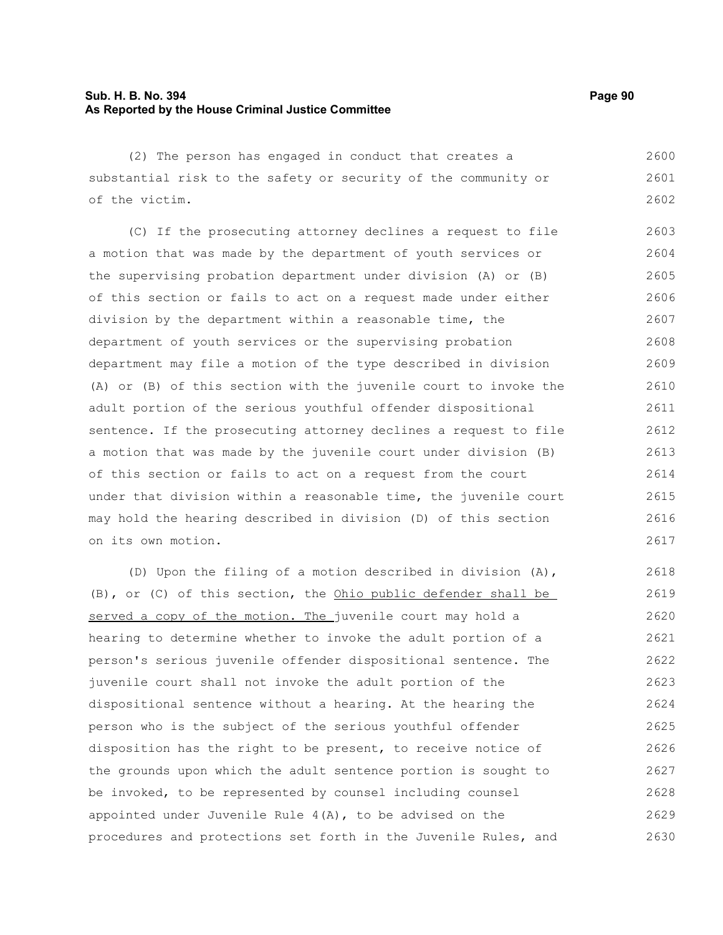# **Sub. H. B. No. 394 Page 90 As Reported by the House Criminal Justice Committee**

(2) The person has engaged in conduct that creates a substantial risk to the safety or security of the community or of the victim. 2600 2601 2602

(C) If the prosecuting attorney declines a request to file a motion that was made by the department of youth services or the supervising probation department under division (A) or (B) of this section or fails to act on a request made under either division by the department within a reasonable time, the department of youth services or the supervising probation department may file a motion of the type described in division (A) or (B) of this section with the juvenile court to invoke the adult portion of the serious youthful offender dispositional sentence. If the prosecuting attorney declines a request to file a motion that was made by the juvenile court under division (B) of this section or fails to act on a request from the court under that division within a reasonable time, the juvenile court may hold the hearing described in division (D) of this section on its own motion. 2603 2604 2605 2606 2607 2608 2609 2610 2611 2612 2613 2614 2615 2616 2617

(D) Upon the filing of a motion described in division (A), (B), or (C) of this section, the Ohio public defender shall be served a copy of the motion. The juvenile court may hold a hearing to determine whether to invoke the adult portion of a person's serious juvenile offender dispositional sentence. The juvenile court shall not invoke the adult portion of the dispositional sentence without a hearing. At the hearing the person who is the subject of the serious youthful offender disposition has the right to be present, to receive notice of the grounds upon which the adult sentence portion is sought to be invoked, to be represented by counsel including counsel appointed under Juvenile Rule  $4(A)$ , to be advised on the procedures and protections set forth in the Juvenile Rules, and 2618 2619 2620 2621 2622 2623 2624 2625 2626 2627 2628 2629 2630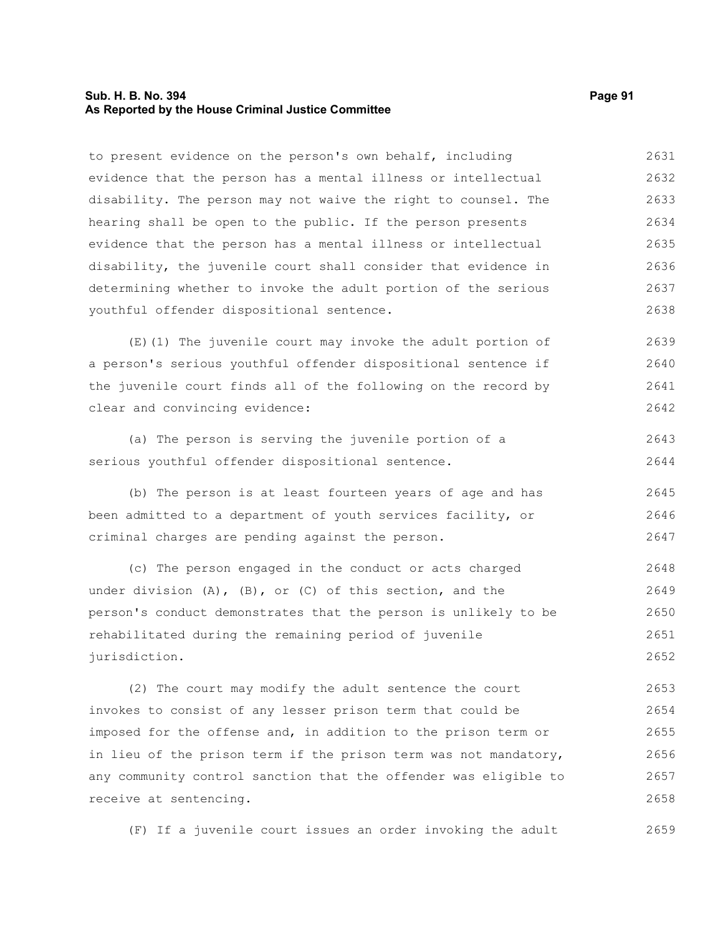## **Sub. H. B. No. 394 Page 91 As Reported by the House Criminal Justice Committee**

receive at sentencing.

to present evidence on the person's own behalf, including

evidence that the person has a mental illness or intellectual disability. The person may not waive the right to counsel. The hearing shall be open to the public. If the person presents evidence that the person has a mental illness or intellectual disability, the juvenile court shall consider that evidence in determining whether to invoke the adult portion of the serious youthful offender dispositional sentence. (E)(1) The juvenile court may invoke the adult portion of a person's serious youthful offender dispositional sentence if the juvenile court finds all of the following on the record by clear and convincing evidence: (a) The person is serving the juvenile portion of a serious youthful offender dispositional sentence. (b) The person is at least fourteen years of age and has been admitted to a department of youth services facility, or criminal charges are pending against the person. (c) The person engaged in the conduct or acts charged under division (A), (B), or (C) of this section, and the person's conduct demonstrates that the person is unlikely to be rehabilitated during the remaining period of juvenile jurisdiction. (2) The court may modify the adult sentence the court invokes to consist of any lesser prison term that could be imposed for the offense and, in addition to the prison term or in lieu of the prison term if the prison term was not mandatory, any community control sanction that the offender was eligible to 2632 2633 2634 2635 2636 2637 2638 2639 2640 2641 2642 2643 2644 2645 2646 2647 2648 2649 2650 2651 2652 2653 2654 2655 2656 2657

(F) If a juvenile court issues an order invoking the adult 2659

2631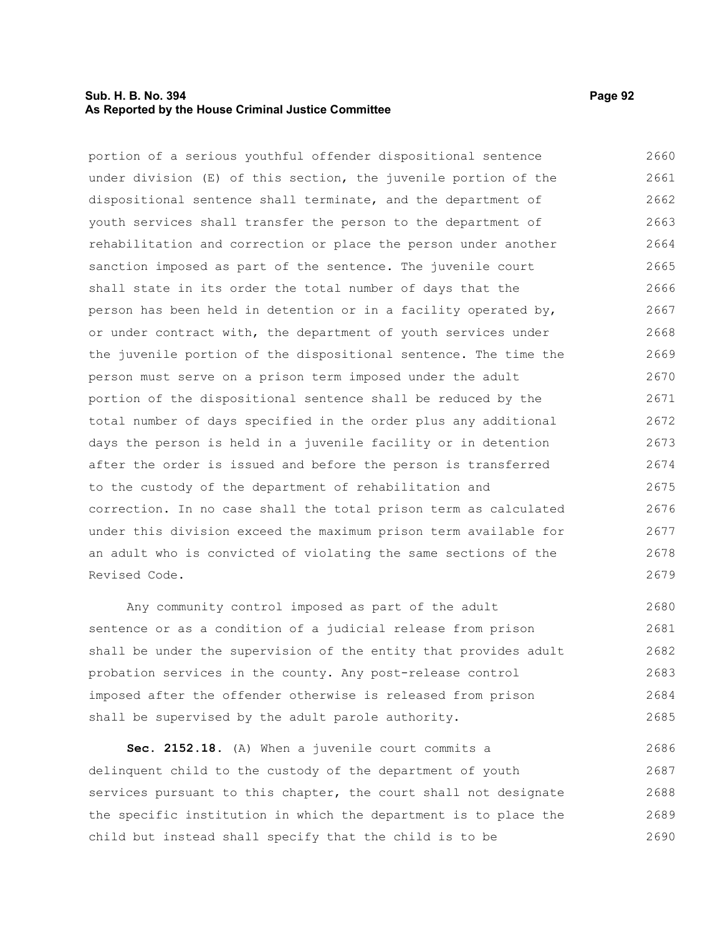# **Sub. H. B. No. 394 Page 92 As Reported by the House Criminal Justice Committee**

Revised Code.

portion of a serious youthful offender dispositional sentence under division (E) of this section, the juvenile portion of the dispositional sentence shall terminate, and the department of youth services shall transfer the person to the department of rehabilitation and correction or place the person under another sanction imposed as part of the sentence. The juvenile court shall state in its order the total number of days that the person has been held in detention or in a facility operated by, or under contract with, the department of youth services under the juvenile portion of the dispositional sentence. The time the person must serve on a prison term imposed under the adult portion of the dispositional sentence shall be reduced by the total number of days specified in the order plus any additional days the person is held in a juvenile facility or in detention after the order is issued and before the person is transferred to the custody of the department of rehabilitation and correction. In no case shall the total prison term as calculated under this division exceed the maximum prison term available for an adult who is convicted of violating the same sections of the 2660 2661 2662 2663 2664 2665 2666 2667 2668 2669 2670 2671 2672 2673 2674 2675 2676 2677 2678

Any community control imposed as part of the adult sentence or as a condition of a judicial release from prison shall be under the supervision of the entity that provides adult probation services in the county. Any post-release control imposed after the offender otherwise is released from prison shall be supervised by the adult parole authority. 2680 2681 2682 2683 2684 2685

**Sec. 2152.18.** (A) When a juvenile court commits a delinquent child to the custody of the department of youth services pursuant to this chapter, the court shall not designate the specific institution in which the department is to place the child but instead shall specify that the child is to be 2686 2687 2688 2689 2690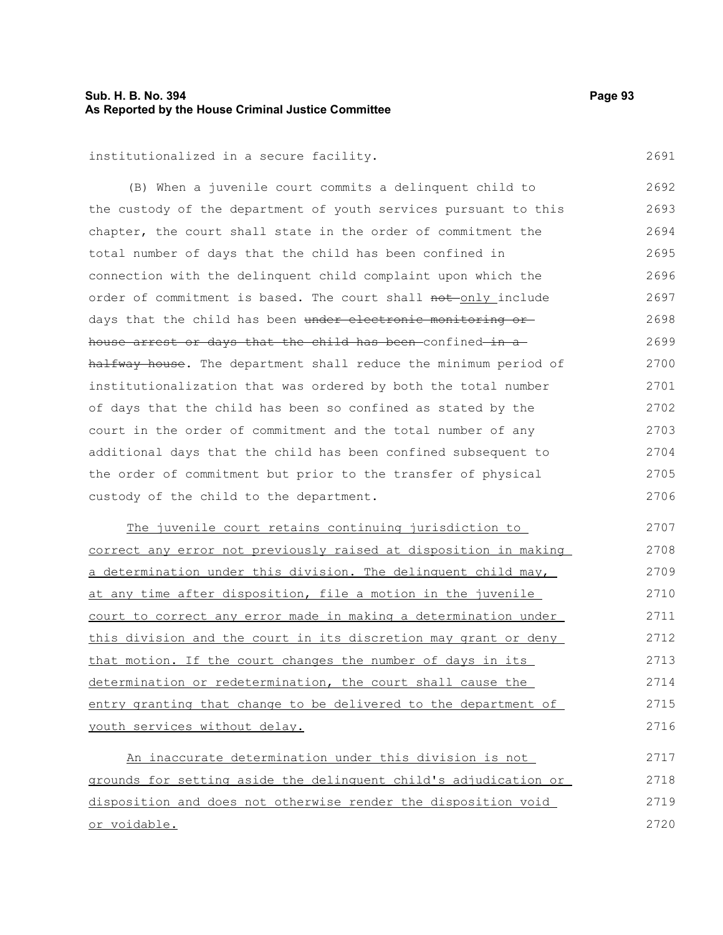# **Sub. H. B. No. 394 Page 93 As Reported by the House Criminal Justice Committee**

2691

(B) When a juvenile court commits a delinquent child to the custody of the department of youth services pursuant to this chapter, the court shall state in the order of commitment the total number of days that the child has been confined in connection with the delinquent child complaint upon which the order of commitment is based. The court shall not only include days that the child has been under electronic monitoring or house arrest or days that the child has been-confined in a halfway house. The department shall reduce the minimum period of institutionalization that was ordered by both the total number of days that the child has been so confined as stated by the court in the order of commitment and the total number of any additional days that the child has been confined subsequent to the order of commitment but prior to the transfer of physical custody of the child to the department. 2692 2693 2694 2695 2696 2697 2698 2699 2700 2701 2702 2703 2704 2705 2706

The juvenile court retains continuing jurisdiction to correct any error not previously raised at disposition in making a determination under this division. The delinquent child may, at any time after disposition, file a motion in the juvenile court to correct any error made in making a determination under this division and the court in its discretion may grant or deny that motion. If the court changes the number of days in its determination or redetermination, the court shall cause the entry granting that change to be delivered to the department of youth services without delay. 2707 2708 2709 2710 2711 2712 2713 2714 2715 2716

An inaccurate determination under this division is not grounds for setting aside the delinquent child's adjudication or disposition and does not otherwise render the disposition void or voidable. 2717 2718 2719 2720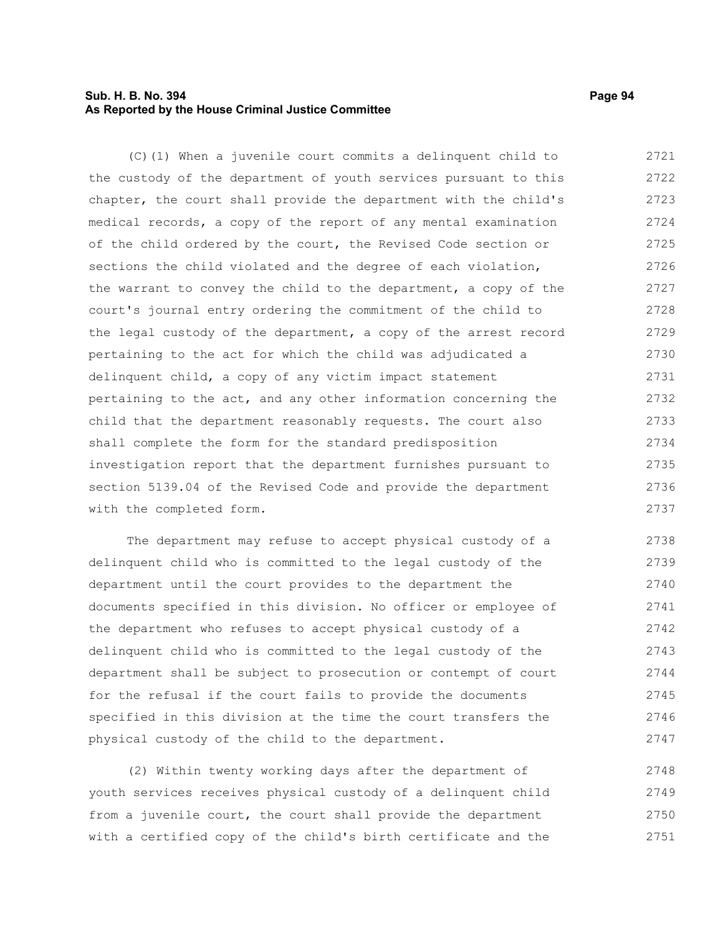# **Sub. H. B. No. 394 Page 94 As Reported by the House Criminal Justice Committee**

(C)(1) When a juvenile court commits a delinquent child to the custody of the department of youth services pursuant to this chapter, the court shall provide the department with the child's medical records, a copy of the report of any mental examination of the child ordered by the court, the Revised Code section or sections the child violated and the degree of each violation, the warrant to convey the child to the department, a copy of the court's journal entry ordering the commitment of the child to the legal custody of the department, a copy of the arrest record pertaining to the act for which the child was adjudicated a delinquent child, a copy of any victim impact statement pertaining to the act, and any other information concerning the child that the department reasonably requests. The court also shall complete the form for the standard predisposition investigation report that the department furnishes pursuant to section 5139.04 of the Revised Code and provide the department with the completed form. 2721 2722 2723 2724 2725 2726 2727 2728 2729 2730 2731 2732 2733 2734 2735 2736 2737

The department may refuse to accept physical custody of a delinquent child who is committed to the legal custody of the department until the court provides to the department the documents specified in this division. No officer or employee of the department who refuses to accept physical custody of a delinquent child who is committed to the legal custody of the department shall be subject to prosecution or contempt of court for the refusal if the court fails to provide the documents specified in this division at the time the court transfers the physical custody of the child to the department. 2738 2739 2740 2741 2742 2743 2744 2745 2746 2747

(2) Within twenty working days after the department of youth services receives physical custody of a delinquent child from a juvenile court, the court shall provide the department with a certified copy of the child's birth certificate and the 2748 2749 2750 2751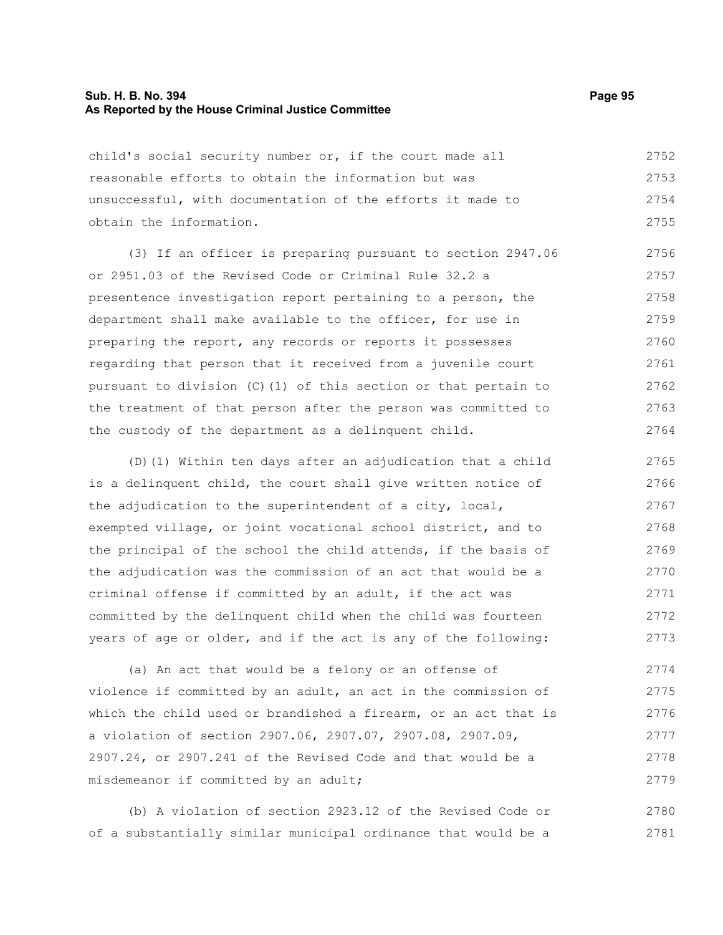# **Sub. H. B. No. 394 Page 95 As Reported by the House Criminal Justice Committee**

child's social security number or, if the court made all reasonable efforts to obtain the information but was unsuccessful, with documentation of the efforts it made to obtain the information. (3) If an officer is preparing pursuant to section 2947.06 or 2951.03 of the Revised Code or Criminal Rule 32.2 a presentence investigation report pertaining to a person, the department shall make available to the officer, for use in preparing the report, any records or reports it possesses regarding that person that it received from a juvenile court pursuant to division (C)(1) of this section or that pertain to the treatment of that person after the person was committed to the custody of the department as a delinquent child. (D)(1) Within ten days after an adjudication that a child is a delinquent child, the court shall give written notice of the adjudication to the superintendent of a city, local, exempted village, or joint vocational school district, and to the principal of the school the child attends, if the basis of 2752 2753 2754 2755 2756 2757 2758 2759 2760 2761 2762 2763 2764 2765 2766 2767 2768 2769

the adjudication was the commission of an act that would be a criminal offense if committed by an adult, if the act was committed by the delinquent child when the child was fourteen years of age or older, and if the act is any of the following: 2770 2771 2772 2773

(a) An act that would be a felony or an offense of violence if committed by an adult, an act in the commission of which the child used or brandished a firearm, or an act that is a violation of section 2907.06, 2907.07, 2907.08, 2907.09, 2907.24, or 2907.241 of the Revised Code and that would be a misdemeanor if committed by an adult; 2774 2775 2776 2777 2778 2779

(b) A violation of section 2923.12 of the Revised Code or of a substantially similar municipal ordinance that would be a 2780 2781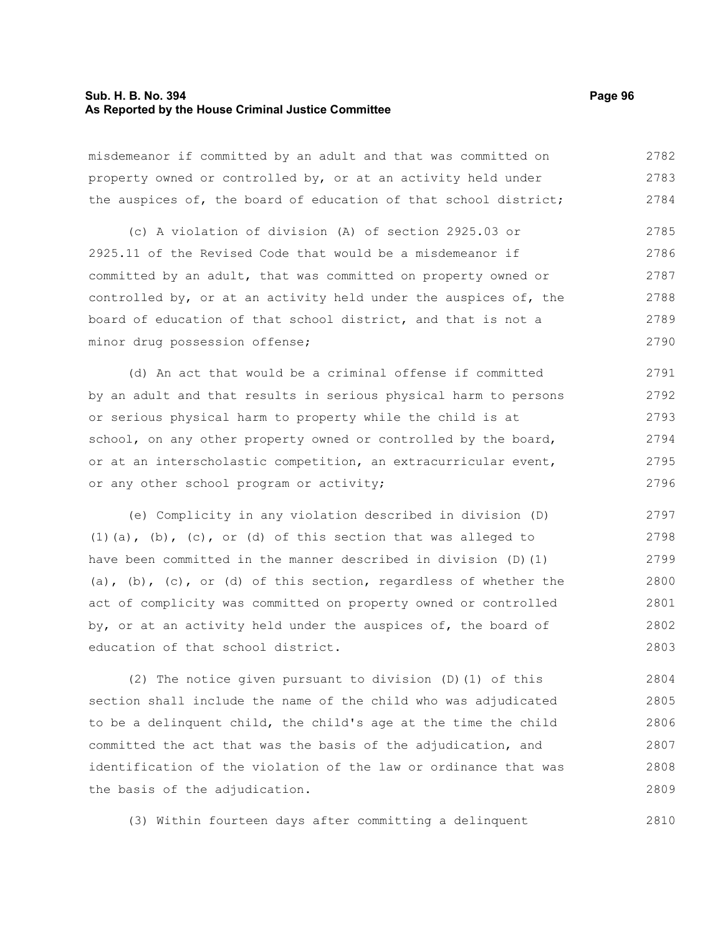## **Sub. H. B. No. 394 Page 96 As Reported by the House Criminal Justice Committee**

misdemeanor if committed by an adult and that was committed on property owned or controlled by, or at an activity held under the auspices of, the board of education of that school district; 2782 2783 2784

(c) A violation of division (A) of section 2925.03 or 2925.11 of the Revised Code that would be a misdemeanor if committed by an adult, that was committed on property owned or controlled by, or at an activity held under the auspices of, the board of education of that school district, and that is not a minor drug possession offense; 2785 2786 2787 2788 2789 2790

(d) An act that would be a criminal offense if committed by an adult and that results in serious physical harm to persons or serious physical harm to property while the child is at school, on any other property owned or controlled by the board, or at an interscholastic competition, an extracurricular event, or any other school program or activity; 2791 2792 2793 2794 2795 2796

(e) Complicity in any violation described in division (D)  $(1)(a)$ ,  $(b)$ ,  $(c)$ , or  $(d)$  of this section that was alleged to have been committed in the manner described in division (D)(1) (a), (b), (c), or (d) of this section, regardless of whether the act of complicity was committed on property owned or controlled by, or at an activity held under the auspices of, the board of education of that school district. 2797 2798 2799 2800 2801 2802 2803

(2) The notice given pursuant to division (D)(1) of this section shall include the name of the child who was adjudicated to be a delinquent child, the child's age at the time the child committed the act that was the basis of the adjudication, and identification of the violation of the law or ordinance that was the basis of the adjudication. 2804 2805 2806 2807 2808 2809

(3) Within fourteen days after committing a delinquent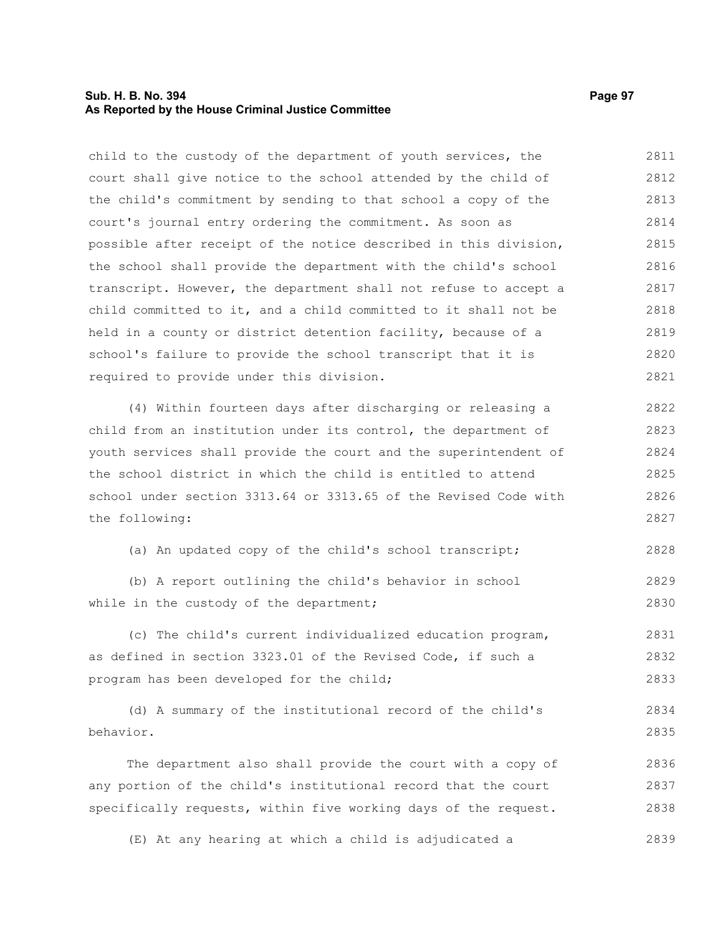## **Sub. H. B. No. 394 Page 97 As Reported by the House Criminal Justice Committee**

child to the custody of the department of youth services, the court shall give notice to the school attended by the child of the child's commitment by sending to that school a copy of the court's journal entry ordering the commitment. As soon as possible after receipt of the notice described in this division, the school shall provide the department with the child's school transcript. However, the department shall not refuse to accept a child committed to it, and a child committed to it shall not be held in a county or district detention facility, because of a school's failure to provide the school transcript that it is required to provide under this division. (4) Within fourteen days after discharging or releasing a child from an institution under its control, the department of youth services shall provide the court and the superintendent of the school district in which the child is entitled to attend school under section 3313.64 or 3313.65 of the Revised Code with the following: (a) An updated copy of the child's school transcript; (b) A report outlining the child's behavior in school while in the custody of the department; (c) The child's current individualized education program, as defined in section 3323.01 of the Revised Code, if such a program has been developed for the child; (d) A summary of the institutional record of the child's behavior. The department also shall provide the court with a copy of 2811 2812 2813 2814 2815 2816 2817 2818 2819 2820 2821 2822 2823 2824 2825 2826 2827 2828 2829 2830 2831 2832 2833 2834 2835 2836

any portion of the child's institutional record that the court specifically requests, within five working days of the request. 2838

(E) At any hearing at which a child is adjudicated a 2839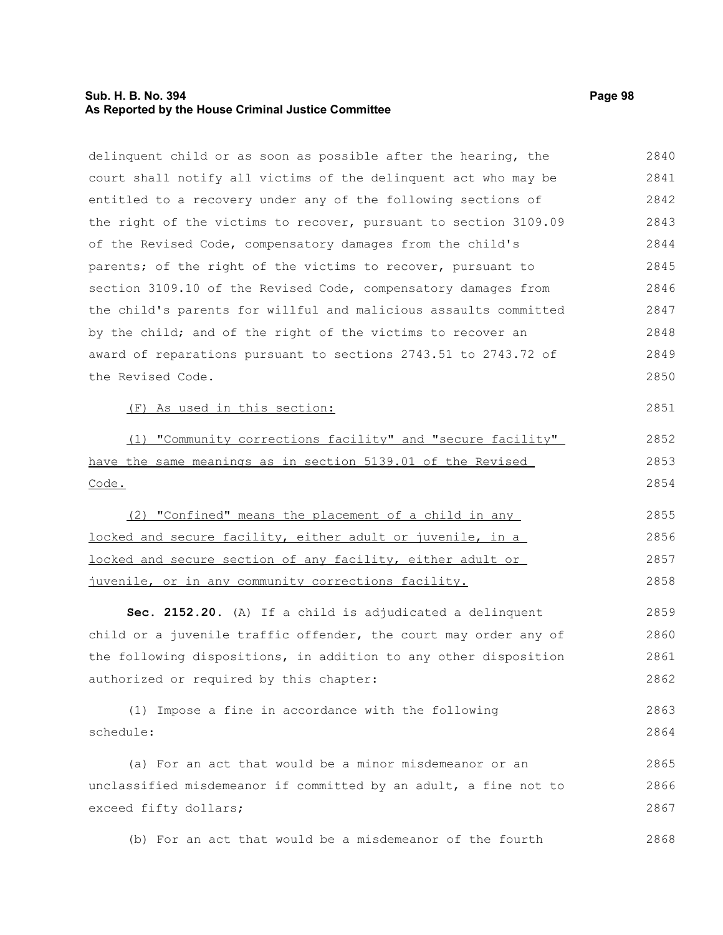# **Sub. H. B. No. 394 Page 98 As Reported by the House Criminal Justice Committee**

delinquent child or as soon as possible after the hearing, the

court shall notify all victims of the delinquent act who may be entitled to a recovery under any of the following sections of the right of the victims to recover, pursuant to section 3109.09 of the Revised Code, compensatory damages from the child's parents; of the right of the victims to recover, pursuant to section 3109.10 of the Revised Code, compensatory damages from the child's parents for willful and malicious assaults committed by the child; and of the right of the victims to recover an award of reparations pursuant to sections 2743.51 to 2743.72 of the Revised Code. (F) As used in this section: (1) "Community corrections facility" and "secure facility" have the same meanings as in section 5139.01 of the Revised Code. (2) "Confined" means the placement of a child in any locked and secure facility, either adult or juvenile, in a locked and secure section of any facility, either adult or juvenile, or in any community corrections facility. **Sec. 2152.20.** (A) If a child is adjudicated a delinquent child or a juvenile traffic offender, the court may order any of the following dispositions, in addition to any other disposition authorized or required by this chapter: (1) Impose a fine in accordance with the following schedule: (a) For an act that would be a minor misdemeanor or an 2841 2842 2843 2844 2845 2846 2847 2848 2849 2850 2851 2852 2853 2854 2855 2856 2857 2858 2859 2860 2861 2862 2863 2864 2865

2840

unclassified misdemeanor if committed by an adult, a fine not to exceed fifty dollars; 2866 2867

(b) For an act that would be a misdemeanor of the fourth 2868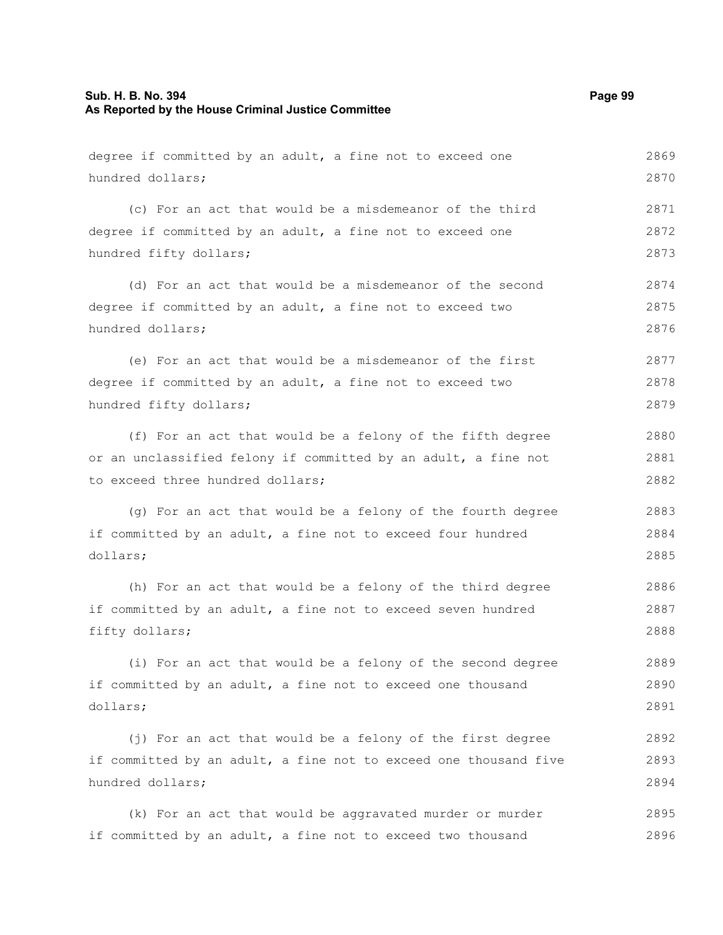# **Sub. H. B. No. 394 Page 99 As Reported by the House Criminal Justice Committee**

degree if committed by an adult, a fine not to exceed one hundred dollars; (c) For an act that would be a misdemeanor of the third degree if committed by an adult, a fine not to exceed one hundred fifty dollars; (d) For an act that would be a misdemeanor of the second degree if committed by an adult, a fine not to exceed two hundred dollars; (e) For an act that would be a misdemeanor of the first degree if committed by an adult, a fine not to exceed two hundred fifty dollars; (f) For an act that would be a felony of the fifth degree or an unclassified felony if committed by an adult, a fine not to exceed three hundred dollars; (g) For an act that would be a felony of the fourth degree if committed by an adult, a fine not to exceed four hundred dollars; (h) For an act that would be a felony of the third degree if committed by an adult, a fine not to exceed seven hundred fifty dollars; (i) For an act that would be a felony of the second degree if committed by an adult, a fine not to exceed one thousand dollars; (j) For an act that would be a felony of the first degree if committed by an adult, a fine not to exceed one thousand five hundred dollars; (k) For an act that would be aggravated murder or murder if committed by an adult, a fine not to exceed two thousand 2869 2870 2871 2872 2873 2874 2875 2876 2877 2878 2879 2880 2881 2882 2883 2884 2885 2886 2887 2888 2889 2890 2891 2892 2893 2894 2895 2896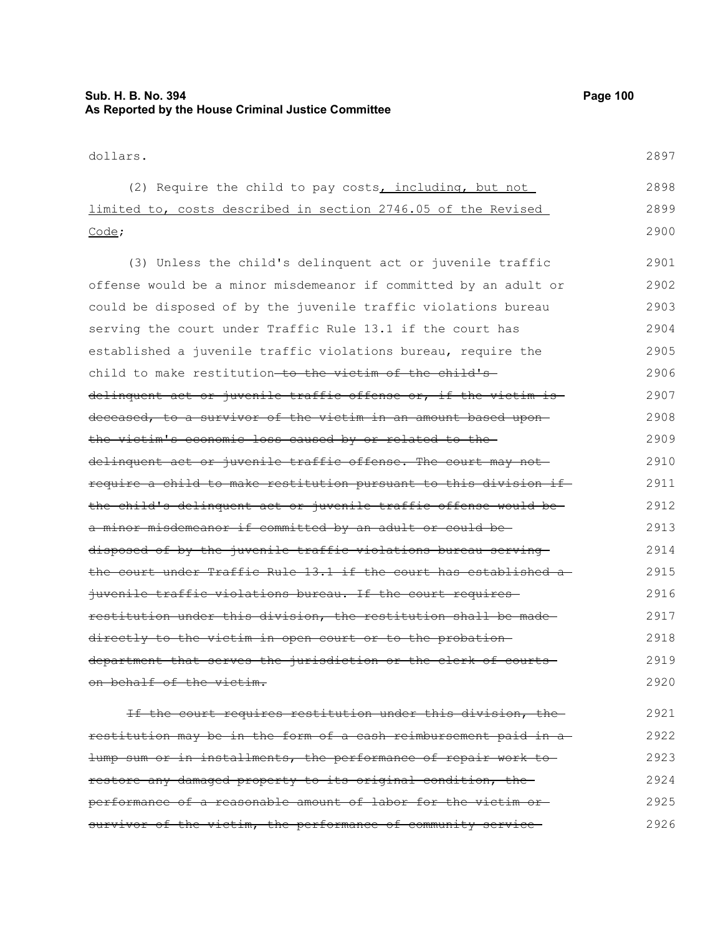# **Sub. H. B. No. 394 Page 100 As Reported by the House Criminal Justice Committee**

| dollars.                                                          | 2897 |
|-------------------------------------------------------------------|------|
| (2) Require the child to pay costs, including, but not            | 2898 |
| limited to, costs described in section 2746.05 of the Revised     | 2899 |
| Code;                                                             | 2900 |
| (3) Unless the child's delinquent act or juvenile traffic         | 2901 |
| offense would be a minor misdemeanor if committed by an adult or  | 2902 |
| could be disposed of by the juvenile traffic violations bureau    | 2903 |
| serving the court under Traffic Rule 13.1 if the court has        | 2904 |
| established a juvenile traffic violations bureau, require the     | 2905 |
| child to make restitution to the victim of the child's            | 2906 |
| delinquent act or juvenile traffic offense or, if the victim is   | 2907 |
| deceased, to a survivor of the victim in an amount based upon-    | 2908 |
| the victim's economic loss caused by or related to the-           | 2909 |
| delinquent act or juvenile traffic offense. The court may not     | 2910 |
| require a child to make restitution pursuant to this division if  | 2911 |
| the child's delinquent act or juvenile traffic offense would be-  | 2912 |
| a minor misdemeanor if committed by an adult or could be-         | 2913 |
| disposed of by the juvenile traffic violations bureau serving     | 2914 |
| the court under Traffic Rule 13.1 if the court has established a  | 2915 |
| juvenile traffic violations bureau. If the court requires-        | 2916 |
| restitution under this division, the restitution shall be made-   | 2917 |
| directly to the victim in open court or to the probation-         | 2918 |
| department that serves the jurisdiction or the clerk of courts-   | 2919 |
| on behalf of the victim.                                          | 2920 |
| If the court requires restitution under this division, the        | 2921 |
| restitution may be in the form of a cash reimbursement paid in a- | 2922 |
| lump sum or in installments, the performance of repair work to    | 2923 |
| restore any damaged property to its original condition, the-      | 2924 |
| performance of a reasonable amount of labor for the victim or     | 2925 |
| survivor of the victim, the performance of community service-     | 2926 |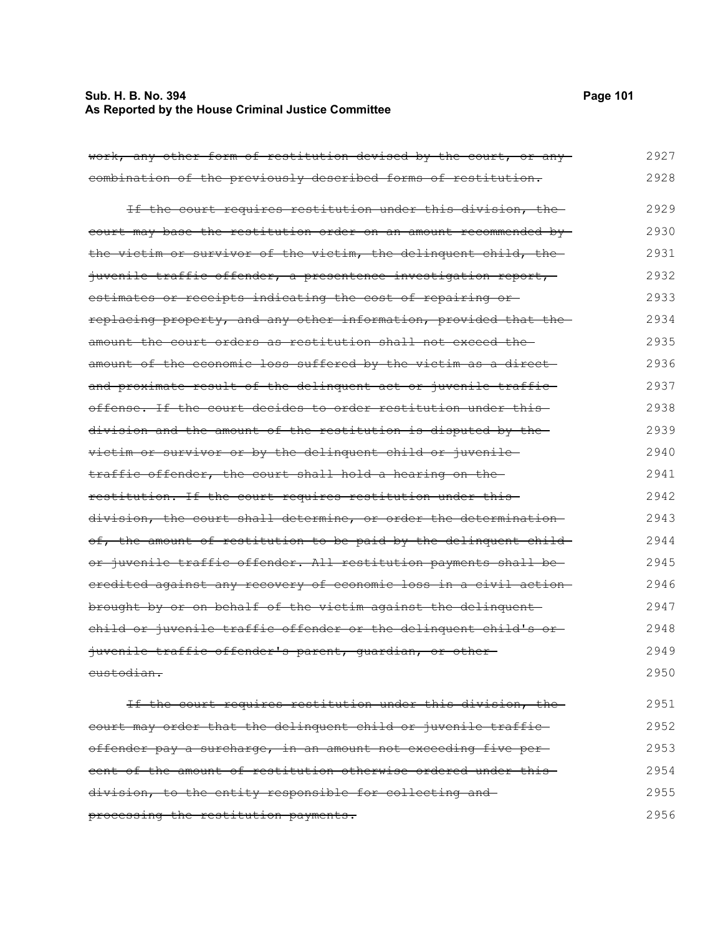# **Sub. H. B. No. 394 Page 101 As Reported by the House Criminal Justice Committee**

| work, any other form of restitution devised by the court, or any  | 2927 |
|-------------------------------------------------------------------|------|
| combination of the previously described forms of restitution.     | 2928 |
| If the court requires restitution under this division, the        | 2929 |
| court may base the restitution order on an amount recommended by- | 2930 |
| the victim or survivor of the victim, the delinquent child, the   | 2931 |
| juvenile traffic offender, a presentence investigation report,    | 2932 |
| estimates or receipts indicating the cost of repairing or         | 2933 |
| replacing property, and any other information, provided that the  | 2934 |
| amount the court orders as restitution shall not exceed the       | 2935 |
| amount of the economic loss suffered by the victim as a direct-   | 2936 |
| and proximate result of the delinquent act or juvenile traffic-   | 2937 |
| offense. If the court decides to order restitution under this-    | 2938 |
| division and the amount of the restitution is disputed by the-    | 2939 |
| victim or survivor or by the delinquent child or juvenile         | 2940 |
| traffic offender, the court shall hold a hearing on the           | 2941 |
| restitution. If the court requires restitution under this         | 2942 |
| division, the court shall determine, or order the determination   | 2943 |
| of, the amount of restitution to be paid by the delinquent child  | 2944 |
| or juvenile traffic offender. All restitution payments shall be-  | 2945 |
| eredited against any recovery of economic loss in a civil action- | 2946 |
| brought by or on behalf of the victim against the delinguent      | 2947 |
| child or juvenile traffic offender or the delinquent child's or-  | 2948 |
| juvenile traffic offender's parent, quardian, or other-           | 2949 |
| <del>custodian.</del>                                             | 2950 |
| If the court requires restitution under this division, the        | 2951 |
| eourt may order that the delinquent child or juvenile traffic-    | 2952 |
| offender pay a surcharge, in an amount not exceeding five per-    | 2953 |
| eent of the amount of restitution otherwise ordered under this-   | 2954 |
| division, to the entity responsible for collecting and            | 2955 |
| processing the restitution payments.                              | 2956 |
|                                                                   |      |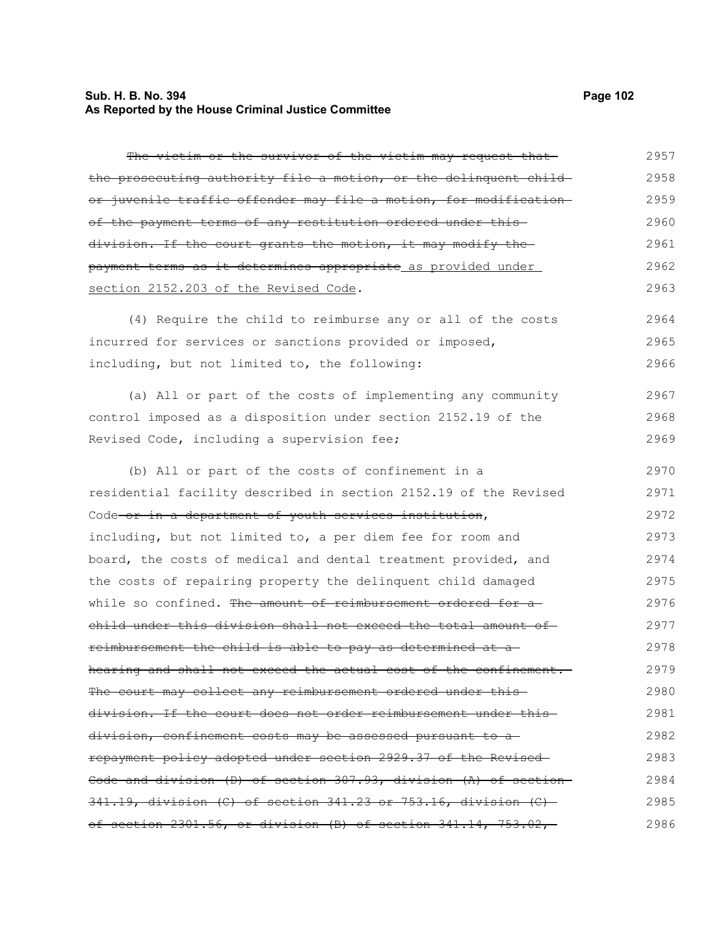# **Sub. H. B. No. 394 Page 102 As Reported by the House Criminal Justice Committee**

| The victim or the survivor of the victim may request that              | 2957 |
|------------------------------------------------------------------------|------|
| the prosecuting authority file a motion, or the delinquent child       | 2958 |
| or juvenile traffic offender may file a motion, for modification       | 2959 |
| of the payment terms of any restitution ordered under this-            | 2960 |
| division. If the court grants the motion, it may modify the            | 2961 |
| payment terms as it determines appropriate as provided under           | 2962 |
| section 2152.203 of the Revised Code.                                  | 2963 |
| (4) Require the child to reimburse any or all of the costs             | 2964 |
| incurred for services or sanctions provided or imposed,                | 2965 |
| including, but not limited to, the following:                          | 2966 |
| (a) All or part of the costs of implementing any community             | 2967 |
| control imposed as a disposition under section 2152.19 of the          | 2968 |
| Revised Code, including a supervision fee;                             | 2969 |
| (b) All or part of the costs of confinement in a                       | 2970 |
| residential facility described in section 2152.19 of the Revised       | 2971 |
| Code or in a department of youth services institution,                 | 2972 |
| including, but not limited to, a per diem fee for room and             | 2973 |
| board, the costs of medical and dental treatment provided, and         | 2974 |
| the costs of repairing property the delinquent child damaged           | 2975 |
| while so confined. The amount of reimbursement ordered for a           | 2976 |
| child under this division shall not exceed the total amount of         | 2977 |
| reimbursement the child is able to pay as determined at a              | 2978 |
| hearing and shall not exceed the actual cost of the confinement.       | 2979 |
| The court may collect any reimbursement ordered under this             | 2980 |
| division. If the court does not order reimbursement under this         | 2981 |
| division, confinement costs may be assessed pursuant to a              | 2982 |
| repayment policy adopted under section 2929.37 of the Revised-         | 2983 |
| Code and division (D) of section 307.93, division (A) of section       | 2984 |
| $341.19$ , division (C) of section $341.23$ or $753.16$ , division (C) | 2985 |
| of section 2301.56, or division (B) of section 341.14, 753.02,         | 2986 |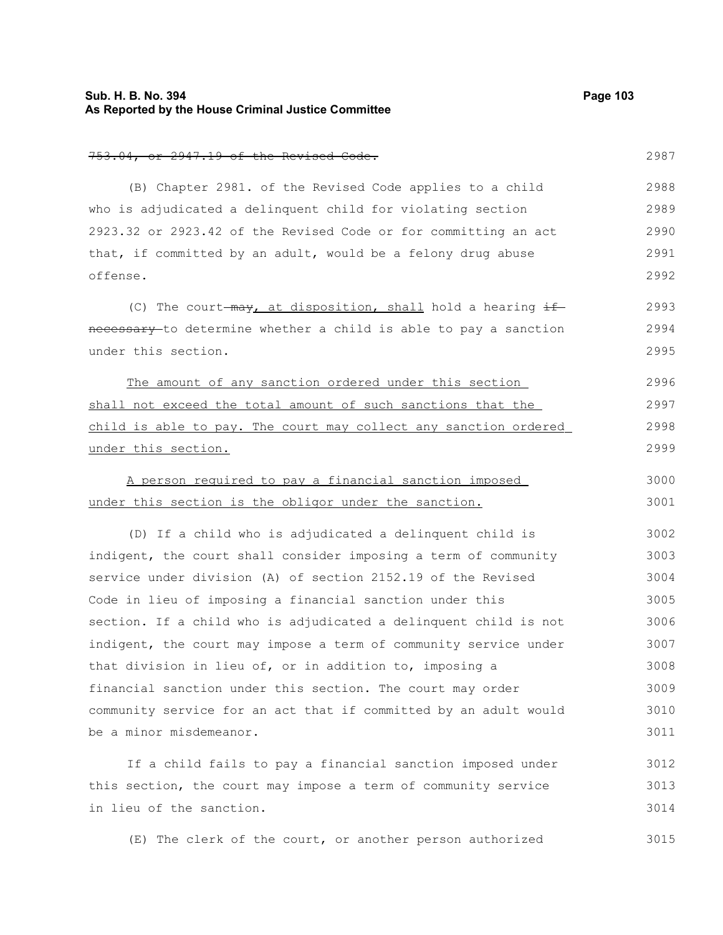# **Sub. H. B. No. 394 Page 103 As Reported by the House Criminal Justice Committee**

753.04, or 2947.19 of the Revised Code.

(B) Chapter 2981. of the Revised Code applies to a child who is adjudicated a delinquent child for violating section 2923.32 or 2923.42 of the Revised Code or for committing an act that, if committed by an adult, would be a felony drug abuse offense. 2988 2989 2990 2991 2992

(C) The court- $\frac{my}{may}$  at disposition, shall hold a hearing ifnecessary to determine whether a child is able to pay a sanction under this section. 2993 2994 2995

The amount of any sanction ordered under this section shall not exceed the total amount of such sanctions that the child is able to pay. The court may collect any sanction ordered under this section. 2996 2997 2998 2999

#### A person required to pay a financial sanction imposed under this section is the obligor under the sanction. 3000 3001

(D) If a child who is adjudicated a delinquent child is indigent, the court shall consider imposing a term of community service under division (A) of section 2152.19 of the Revised Code in lieu of imposing a financial sanction under this section. If a child who is adjudicated a delinquent child is not indigent, the court may impose a term of community service under that division in lieu of, or in addition to, imposing a financial sanction under this section. The court may order community service for an act that if committed by an adult would be a minor misdemeanor. 3002 3003 3004 3005 3006 3007 3008 3009 3010 3011

If a child fails to pay a financial sanction imposed under this section, the court may impose a term of community service in lieu of the sanction. 3012 3013 3014

(E) The clerk of the court, or another person authorized 3015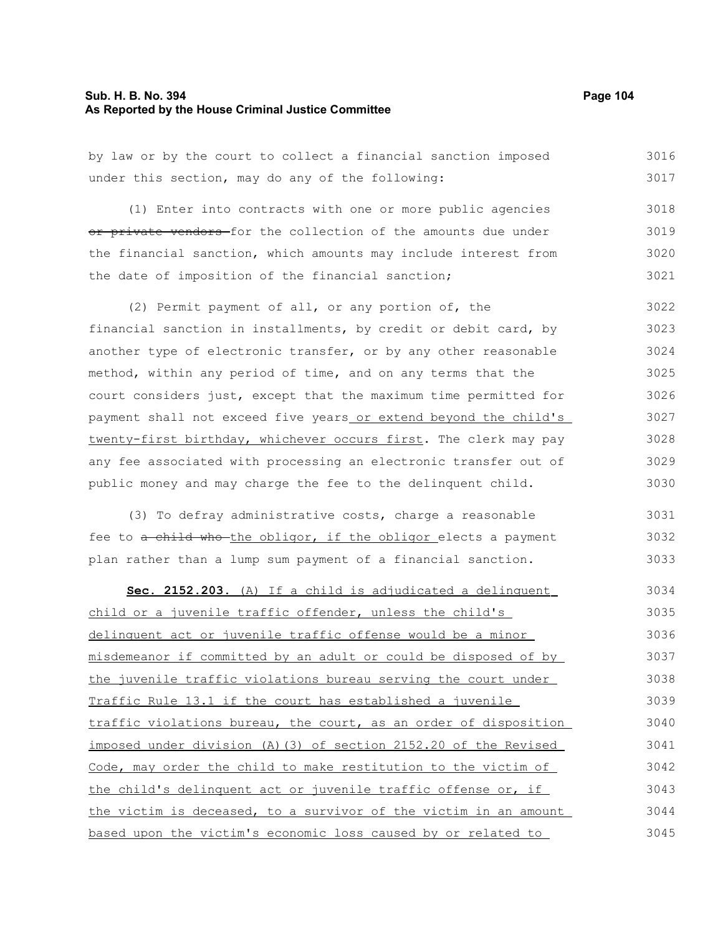# **Sub. H. B. No. 394 Page 104 As Reported by the House Criminal Justice Committee**

by law or by the court to collect a financial sanction imposed under this section, may do any of the following: (1) Enter into contracts with one or more public agencies or private vendors for the collection of the amounts due under the financial sanction, which amounts may include interest from the date of imposition of the financial sanction; (2) Permit payment of all, or any portion of, the financial sanction in installments, by credit or debit card, by another type of electronic transfer, or by any other reasonable method, within any period of time, and on any terms that the court considers just, except that the maximum time permitted for payment shall not exceed five years or extend beyond the child's 3016 3017 3018 3019 3020 3021 3022 3023 3024 3025 3026 3027

twenty-first birthday, whichever occurs first. The clerk may pay any fee associated with processing an electronic transfer out of public money and may charge the fee to the delinquent child. 3028 3029 3030

(3) To defray administrative costs, charge a reasonable fee to a child who the obligor, if the obligor elects a payment plan rather than a lump sum payment of a financial sanction. 3031 3032 3033

 **Sec. 2152.203.** (A) If a child is adjudicated a delinquent child or a juvenile traffic offender, unless the child's delinquent act or juvenile traffic offense would be a minor misdemeanor if committed by an adult or could be disposed of by the juvenile traffic violations bureau serving the court under Traffic Rule 13.1 if the court has established a juvenile traffic violations bureau, the court, as an order of disposition imposed under division (A)(3) of section 2152.20 of the Revised Code, may order the child to make restitution to the victim of the child's delinquent act or juvenile traffic offense or, if the victim is deceased, to a survivor of the victim in an amount based upon the victim's economic loss caused by or related to 3034 3035 3036 3037 3038 3039 3040 3041 3042 3043 3044 3045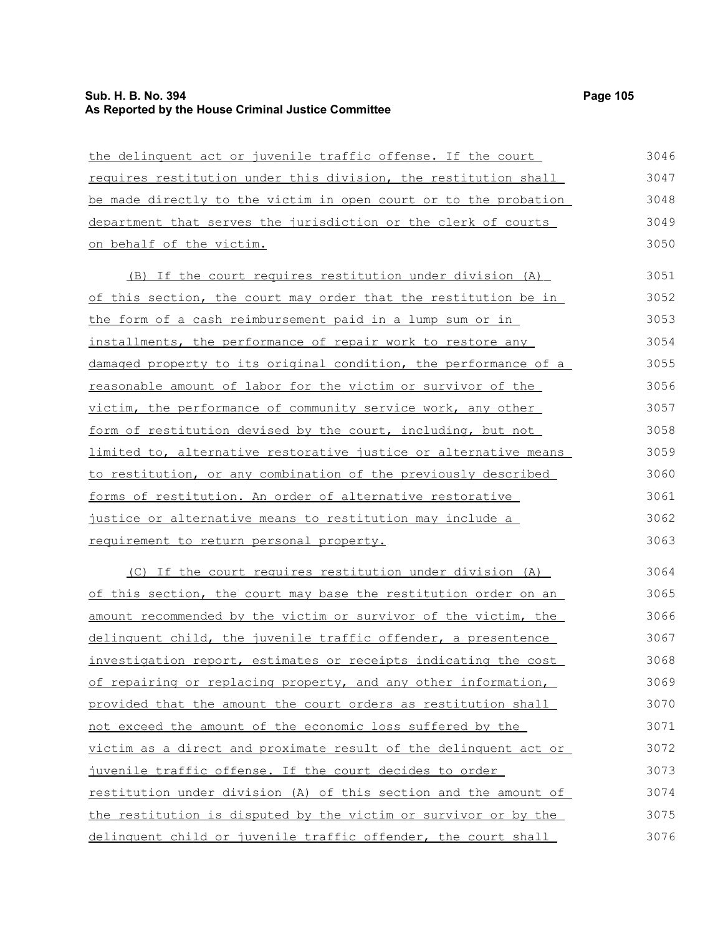# **Sub. H. B. No. 394 Page 105 As Reported by the House Criminal Justice Committee**

| the delinquent act or juvenile traffic offense. If the court           | 3046 |
|------------------------------------------------------------------------|------|
| requires restitution under this division, the restitution shall        | 3047 |
| be made directly to the victim in open court or to the probation       | 3048 |
| department that serves the jurisdiction or the clerk of courts         | 3049 |
| on behalf of the victim.                                               | 3050 |
| (B) If the court requires restitution under division (A)               | 3051 |
| of this section, the court may order that the restitution be in        | 3052 |
| the form of a cash reimbursement paid in a lump sum or in              | 3053 |
| installments, the performance of repair work to restore any            | 3054 |
| damaged property to its original condition, the performance of a       | 3055 |
| reasonable amount of labor for the victim or survivor of the           | 3056 |
| victim, the performance of community service work, any other           | 3057 |
| form of restitution devised by the court, including, but not           | 3058 |
| limited to, alternative restorative justice or alternative means       | 3059 |
| to restitution, or any combination of the previously described         | 3060 |
| forms of restitution. An order of alternative restorative              | 3061 |
| justice or alternative means to restitution may include a              | 3062 |
| requirement to return personal property.                               | 3063 |
| (C) If the court requires restitution under division (A)               | 3064 |
| of this section, the court may base the restitution order on an        | 3065 |
| amount recommended by the victim or survivor of the victim, the        | 3066 |
| delinquent child, the juvenile traffic offender, a presentence         | 3067 |
| <u>investigation report, estimates or receipts indicating the cost</u> | 3068 |
| of repairing or replacing property, and any other information,         | 3069 |
| provided that the amount the court orders as restitution shall         | 3070 |
| not exceed the amount of the economic loss suffered by the             | 3071 |
| victim as a direct and proximate result of the delinquent act or       | 3072 |
| juvenile traffic offense. If the court decides to order                | 3073 |
| restitution under division (A) of this section and the amount of       | 3074 |
| the restitution is disputed by the victim or survivor or by the        | 3075 |
| delinquent child or juvenile traffic offender, the court shall         | 3076 |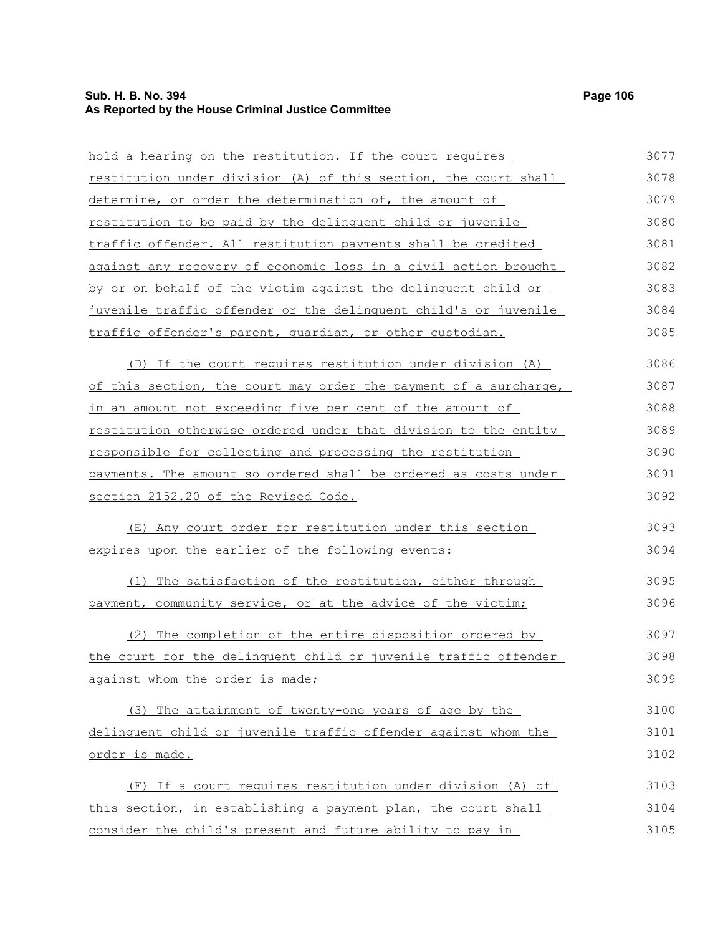# **Sub. H. B. No. 394 Page 106 As Reported by the House Criminal Justice Committee**

| hold a hearing on the restitution. If the court requires         | 3077 |
|------------------------------------------------------------------|------|
| restitution under division (A) of this section, the court shall  | 3078 |
| determine, or order the determination of, the amount of          | 3079 |
| restitution to be paid by the delinquent child or juvenile       | 3080 |
| traffic offender. All restitution payments shall be credited     | 3081 |
| against any recovery of economic loss in a civil action brought  | 3082 |
| by or on behalf of the victim against the delinquent child or    | 3083 |
| juvenile traffic offender or the delinquent child's or juvenile  | 3084 |
| traffic offender's parent, quardian, or other custodian.         | 3085 |
| (D) If the court requires restitution under division (A)         | 3086 |
| of this section, the court may order the payment of a surcharge, | 3087 |
| in an amount not exceeding five per cent of the amount of        | 3088 |
| restitution otherwise ordered under that division to the entity  | 3089 |
| responsible for collecting and processing the restitution        | 3090 |
| payments. The amount so ordered shall be ordered as costs under  | 3091 |
| section 2152.20 of the Revised Code.                             | 3092 |
| (E) Any court order for restitution under this section           | 3093 |
| expires upon the earlier of the following events:                | 3094 |
| (1) The satisfaction of the restitution, either through          | 3095 |
| payment, community service, or at the advice of the victim;      | 3096 |
| (2) The completion of the entire disposition ordered by          | 3097 |
| the court for the delinquent child or juvenile traffic offender  | 3098 |
| against whom the order is made;                                  | 3099 |
| (3) The attainment of twenty-one years of age by the             | 3100 |
| delinquent child or juvenile traffic offender against whom the   | 3101 |
| order is made.                                                   | 3102 |
| (F) If a court requires restitution under division (A) of        | 3103 |
| this section, in establishing a payment plan, the court shall    | 3104 |
| consider the child's present and future ability to pay in        | 3105 |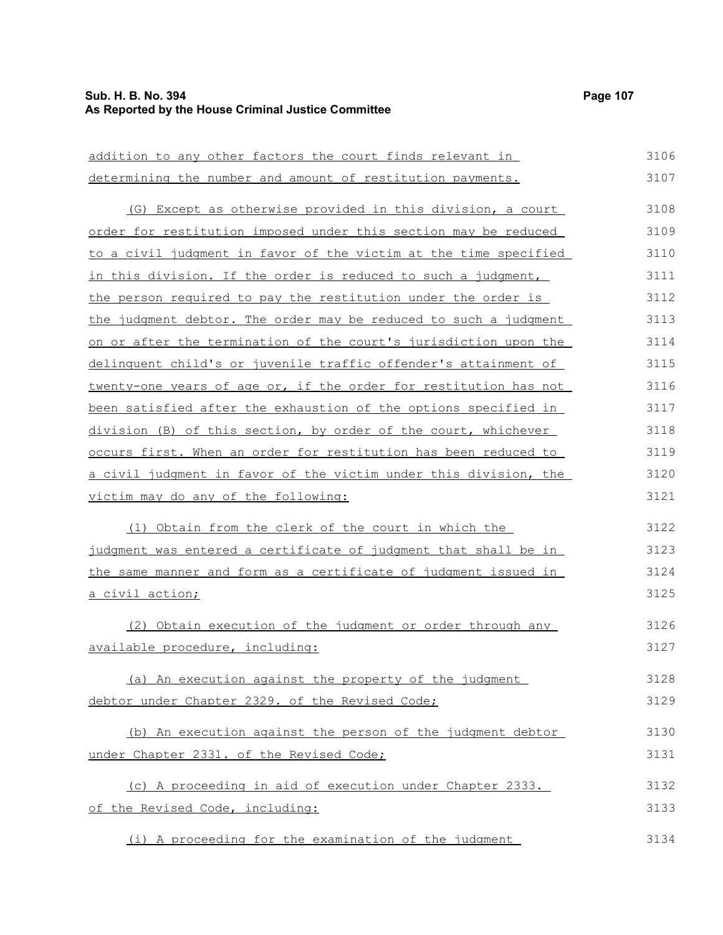| addition to any other factors the court finds relevant in        | 3106 |
|------------------------------------------------------------------|------|
| determining the number and amount of restitution payments.       | 3107 |
| (G) Except as otherwise provided in this division, a court       | 3108 |
| order for restitution imposed under this section may be reduced  | 3109 |
| to a civil judgment in favor of the victim at the time specified | 3110 |
| in this division. If the order is reduced to such a judgment,    | 3111 |
| the person required to pay the restitution under the order is    | 3112 |
| the judgment debtor. The order may be reduced to such a judgment | 3113 |
| on or after the termination of the court's jurisdiction upon the | 3114 |
| delinquent child's or juvenile traffic offender's attainment of  | 3115 |
| twenty-one years of age or, if the order for restitution has not | 3116 |
| been satisfied after the exhaustion of the options specified in  | 3117 |
| division (B) of this section, by order of the court, whichever   | 3118 |
| occurs first. When an order for restitution has been reduced to  | 3119 |
| a civil judgment in favor of the victim under this division, the | 3120 |
| victim may do any of the following:                              | 3121 |
| (1) Obtain from the clerk of the court in which the              | 3122 |
| judgment was entered a certificate of judgment that shall be in  | 3123 |
| the same manner and form as a certificate of judgment issued in  | 3124 |
| a civil action;                                                  | 3125 |
| (2) Obtain execution of the judgment or order through any        | 3126 |
| available procedure, including:                                  | 3127 |
|                                                                  |      |
| (a) An execution against the property of the judgment            | 3128 |
| debtor under Chapter 2329. of the Revised Code;                  | 3129 |
| (b) An execution against the person of the judgment debtor       | 3130 |
| under Chapter 2331. of the Revised Code;                         | 3131 |
| (c) A proceeding in aid of execution under Chapter 2333.         | 3132 |
| of the Revised Code, including:                                  | 3133 |
| (i) A proceeding for the examination of the judgment             | 3134 |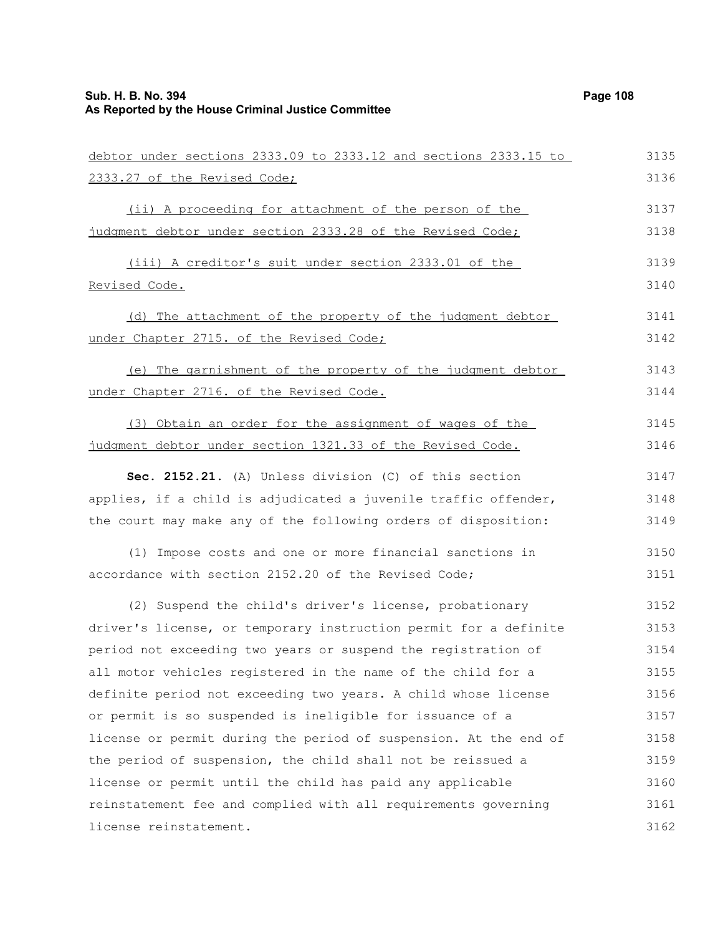| debtor under sections 2333.09 to 2333.12 and sections 2333.15 to | 3135 |
|------------------------------------------------------------------|------|
| 2333.27 of the Revised Code;                                     | 3136 |
| (ii) A proceeding for attachment of the person of the            | 3137 |
| judgment debtor under section 2333.28 of the Revised Code;       | 3138 |
| (iii) A creditor's suit under section 2333.01 of the             | 3139 |
| Revised Code.                                                    | 3140 |
| (d) The attachment of the property of the judgment debtor        | 3141 |
| under Chapter 2715. of the Revised Code;                         | 3142 |
| (e) The garnishment of the property of the judgment debtor       | 3143 |
| under Chapter 2716. of the Revised Code.                         | 3144 |
| (3) Obtain an order for the assignment of wages of the           | 3145 |
| judgment debtor under section 1321.33 of the Revised Code.       | 3146 |
| Sec. 2152.21. (A) Unless division (C) of this section            | 3147 |
| applies, if a child is adjudicated a juvenile traffic offender,  | 3148 |
| the court may make any of the following orders of disposition:   | 3149 |
| (1) Impose costs and one or more financial sanctions in          | 3150 |
| accordance with section 2152.20 of the Revised Code;             | 3151 |
| (2) Suspend the child's driver's license, probationary           | 3152 |
| driver's license, or temporary instruction permit for a definite | 3153 |
| period not exceeding two years or suspend the registration of    | 3154 |
| all motor vehicles registered in the name of the child for a     | 3155 |
| definite period not exceeding two years. A child whose license   | 3156 |
| or permit is so suspended is ineligible for issuance of a        | 3157 |
| license or permit during the period of suspension. At the end of | 3158 |
| the period of suspension, the child shall not be reissued a      | 3159 |
| license or permit until the child has paid any applicable        | 3160 |
| reinstatement fee and complied with all requirements governing   | 3161 |
| license reinstatement.                                           | 3162 |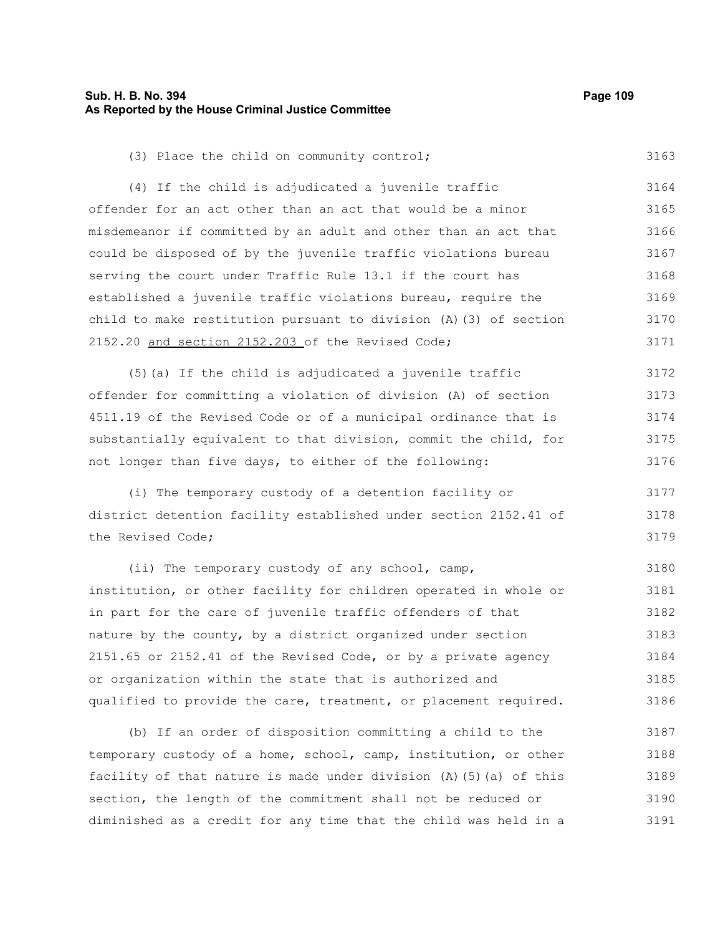| (3) Place the child on community control;                         | 3163 |
|-------------------------------------------------------------------|------|
| (4) If the child is adjudicated a juvenile traffic                | 3164 |
| offender for an act other than an act that would be a minor       | 3165 |
| misdemeanor if committed by an adult and other than an act that   | 3166 |
| could be disposed of by the juvenile traffic violations bureau    | 3167 |
| serving the court under Traffic Rule 13.1 if the court has        | 3168 |
| established a juvenile traffic violations bureau, require the     | 3169 |
| child to make restitution pursuant to division (A) (3) of section | 3170 |
| 2152.20 and section 2152.203 of the Revised Code;                 | 3171 |
| $(5)$ (a) If the child is adjudicated a juvenile traffic          | 3172 |
| offender for committing a violation of division (A) of section    | 3173 |
| 4511.19 of the Revised Code or of a municipal ordinance that is   | 3174 |
| substantially equivalent to that division, commit the child, for  | 3175 |
| not longer than five days, to either of the following:            | 3176 |
| (i) The temporary custody of a detention facility or              | 3177 |
| district detention facility established under section 2152.41 of  | 3178 |
| the Revised Code;                                                 | 3179 |

(ii) The temporary custody of any school, camp, institution, or other facility for children operated in whole or in part for the care of juvenile traffic offenders of that nature by the county, by a district organized under section 2151.65 or 2152.41 of the Revised Code, or by a private agency or organization within the state that is authorized and qualified to provide the care, treatment, or placement required. 3180 3181 3182 3183 3184 3185 3186

(b) If an order of disposition committing a child to the temporary custody of a home, school, camp, institution, or other facility of that nature is made under division (A)(5)(a) of this section, the length of the commitment shall not be reduced or diminished as a credit for any time that the child was held in a 3187 3188 3189 3190 3191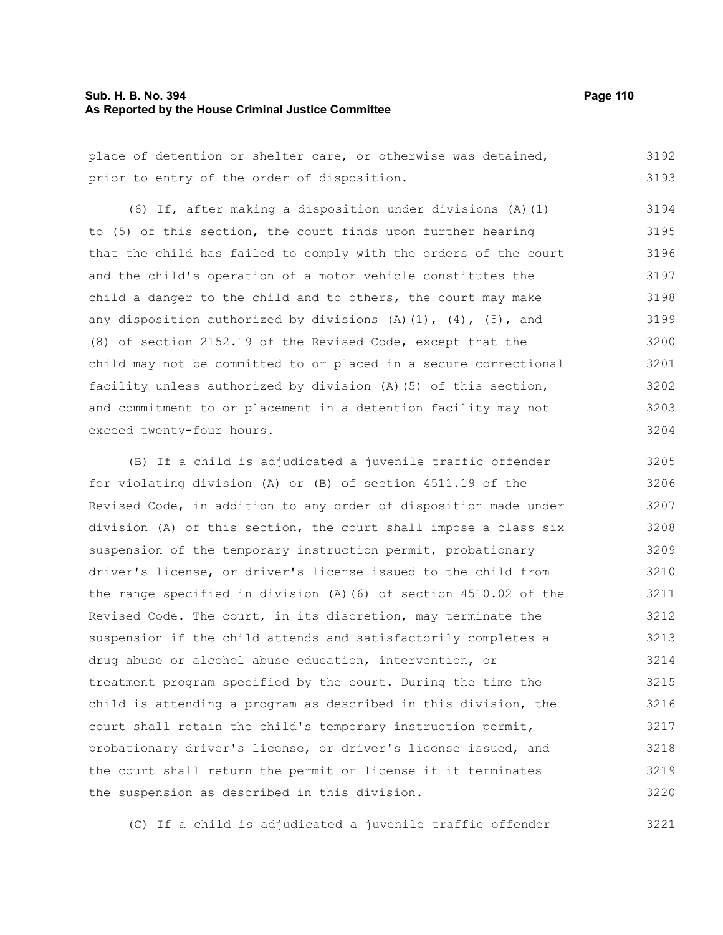#### **Sub. H. B. No. 394 Page 110 As Reported by the House Criminal Justice Committee**

3221

place of detention or shelter care, or otherwise was detained, prior to entry of the order of disposition. 3192 3193

(6) If, after making a disposition under divisions (A)(1) to (5) of this section, the court finds upon further hearing that the child has failed to comply with the orders of the court and the child's operation of a motor vehicle constitutes the child a danger to the child and to others, the court may make any disposition authorized by divisions  $(A)$   $(1)$ ,  $(4)$ ,  $(5)$ , and (8) of section 2152.19 of the Revised Code, except that the child may not be committed to or placed in a secure correctional facility unless authorized by division (A)(5) of this section, and commitment to or placement in a detention facility may not exceed twenty-four hours. 3194 3195 3196 3197 3198 3199 3200 3201 3202 3203 3204

(B) If a child is adjudicated a juvenile traffic offender for violating division (A) or (B) of section 4511.19 of the Revised Code, in addition to any order of disposition made under division (A) of this section, the court shall impose a class six suspension of the temporary instruction permit, probationary driver's license, or driver's license issued to the child from the range specified in division (A)(6) of section 4510.02 of the Revised Code. The court, in its discretion, may terminate the suspension if the child attends and satisfactorily completes a drug abuse or alcohol abuse education, intervention, or treatment program specified by the court. During the time the child is attending a program as described in this division, the court shall retain the child's temporary instruction permit, probationary driver's license, or driver's license issued, and the court shall return the permit or license if it terminates the suspension as described in this division. 3205 3206 3207 3208 3209 3210 3211 3212 3213 3214 3215 3216 3217 3218 3219 3220

(C) If a child is adjudicated a juvenile traffic offender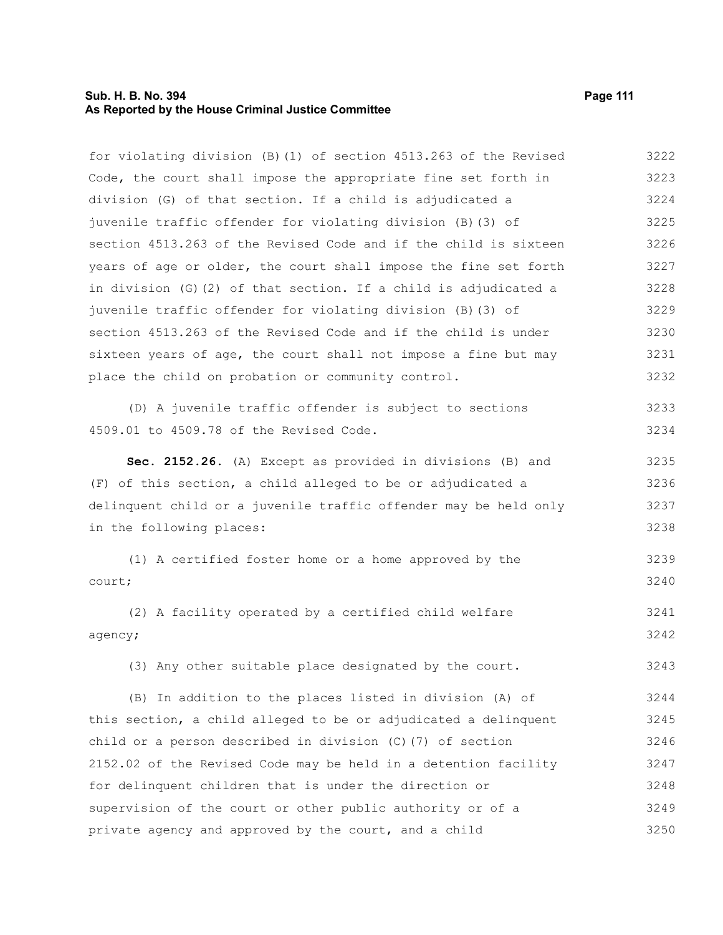#### **Sub. H. B. No. 394 Page 111 As Reported by the House Criminal Justice Committee**

for violating division (B)(1) of section 4513.263 of the Revised Code, the court shall impose the appropriate fine set forth in division (G) of that section. If a child is adjudicated a juvenile traffic offender for violating division (B)(3) of section 4513.263 of the Revised Code and if the child is sixteen years of age or older, the court shall impose the fine set forth in division (G)(2) of that section. If a child is adjudicated a juvenile traffic offender for violating division (B)(3) of section 4513.263 of the Revised Code and if the child is under sixteen years of age, the court shall not impose a fine but may place the child on probation or community control. (D) A juvenile traffic offender is subject to sections 4509.01 to 4509.78 of the Revised Code. **Sec. 2152.26.** (A) Except as provided in divisions (B) and (F) of this section, a child alleged to be or adjudicated a delinquent child or a juvenile traffic offender may be held only in the following places: (1) A certified foster home or a home approved by the court; (2) A facility operated by a certified child welfare agency; (3) Any other suitable place designated by the court. (B) In addition to the places listed in division (A) of this section, a child alleged to be or adjudicated a delinquent child or a person described in division (C)(7) of section 3222 3223 3224 3225 3226 3227 3228 3229 3230 3231 3232 3233 3234 3235 3236 3237 3238 3239 3240 3241 3242 3243 3244 3245 3246

2152.02 of the Revised Code may be held in a detention facility for delinquent children that is under the direction or supervision of the court or other public authority or of a private agency and approved by the court, and a child 3247 3248 3249 3250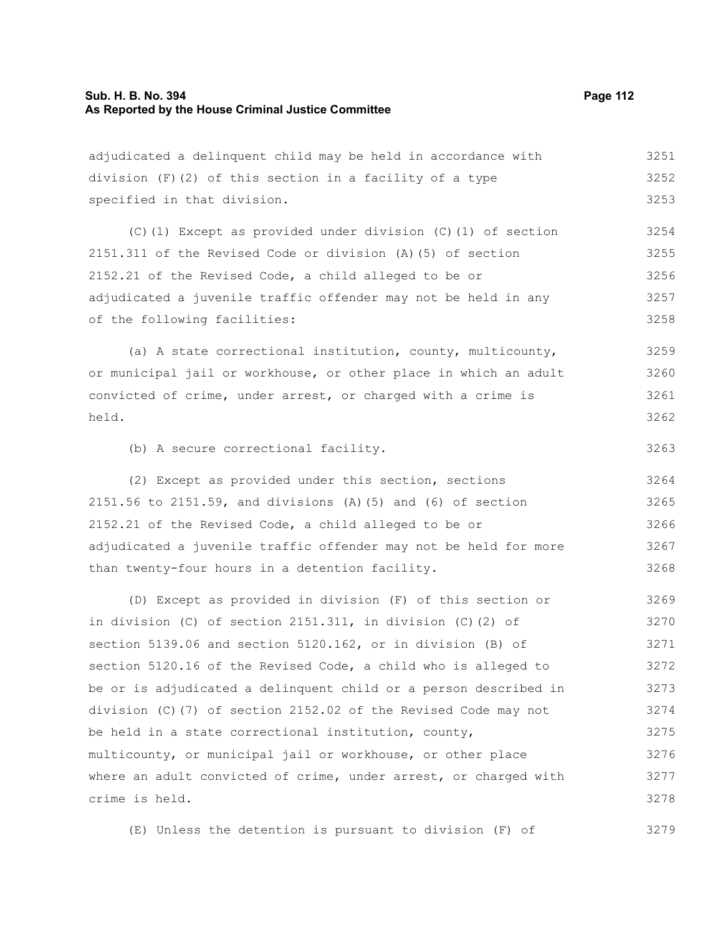division (F)(2) of this section in a facility of a type specified in that division. (C)(1) Except as provided under division (C)(1) of section 2151.311 of the Revised Code or division (A)(5) of section 2152.21 of the Revised Code, a child alleged to be or adjudicated a juvenile traffic offender may not be held in any of the following facilities: (a) A state correctional institution, county, multicounty,

or municipal jail or workhouse, or other place in which an adult convicted of crime, under arrest, or charged with a crime is held. 3259 3260 3261 3262

(b) A secure correctional facility.

adjudicated a delinquent child may be held in accordance with

(2) Except as provided under this section, sections 2151.56 to 2151.59, and divisions (A)(5) and (6) of section 2152.21 of the Revised Code, a child alleged to be or adjudicated a juvenile traffic offender may not be held for more than twenty-four hours in a detention facility. 3264 3265 3266 3267 3268

(D) Except as provided in division (F) of this section or in division (C) of section 2151.311, in division (C)(2) of section 5139.06 and section 5120.162, or in division (B) of section 5120.16 of the Revised Code, a child who is alleged to be or is adjudicated a delinquent child or a person described in division (C)(7) of section 2152.02 of the Revised Code may not be held in a state correctional institution, county, multicounty, or municipal jail or workhouse, or other place where an adult convicted of crime, under arrest, or charged with crime is held. 3269 3270 3271 3272 3273 3274 3275 3276 3277 3278

(E) Unless the detention is pursuant to division (F) of 3279

3251 3252 3253

3263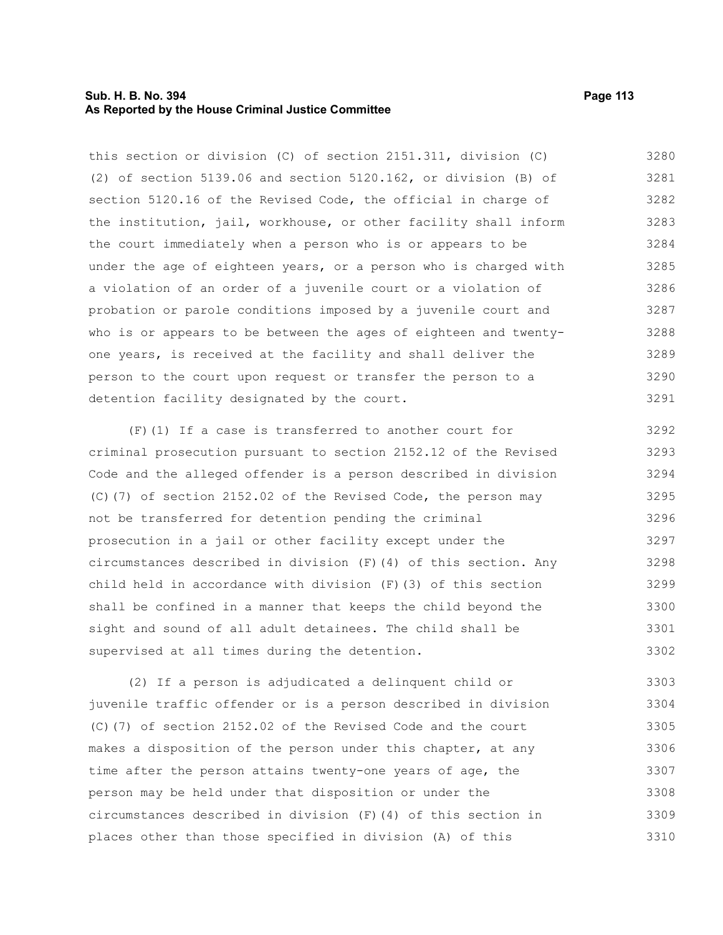#### **Sub. H. B. No. 394 Page 113 As Reported by the House Criminal Justice Committee**

this section or division (C) of section 2151.311, division (C) (2) of section 5139.06 and section 5120.162, or division (B) of section 5120.16 of the Revised Code, the official in charge of the institution, jail, workhouse, or other facility shall inform the court immediately when a person who is or appears to be under the age of eighteen years, or a person who is charged with a violation of an order of a juvenile court or a violation of probation or parole conditions imposed by a juvenile court and who is or appears to be between the ages of eighteen and twentyone years, is received at the facility and shall deliver the person to the court upon request or transfer the person to a detention facility designated by the court. 3280 3281 3282 3283 3284 3285 3286 3287 3288 3289 3290 3291

(F)(1) If a case is transferred to another court for criminal prosecution pursuant to section 2152.12 of the Revised Code and the alleged offender is a person described in division (C)(7) of section 2152.02 of the Revised Code, the person may not be transferred for detention pending the criminal prosecution in a jail or other facility except under the circumstances described in division (F)(4) of this section. Any child held in accordance with division (F)(3) of this section shall be confined in a manner that keeps the child beyond the sight and sound of all adult detainees. The child shall be supervised at all times during the detention. 3292 3293 3294 3295 3296 3297 3298 3299 3300 3301 3302

(2) If a person is adjudicated a delinquent child or juvenile traffic offender or is a person described in division (C)(7) of section 2152.02 of the Revised Code and the court makes a disposition of the person under this chapter, at any time after the person attains twenty-one years of age, the person may be held under that disposition or under the circumstances described in division (F)(4) of this section in places other than those specified in division (A) of this 3303 3304 3305 3306 3307 3308 3309 3310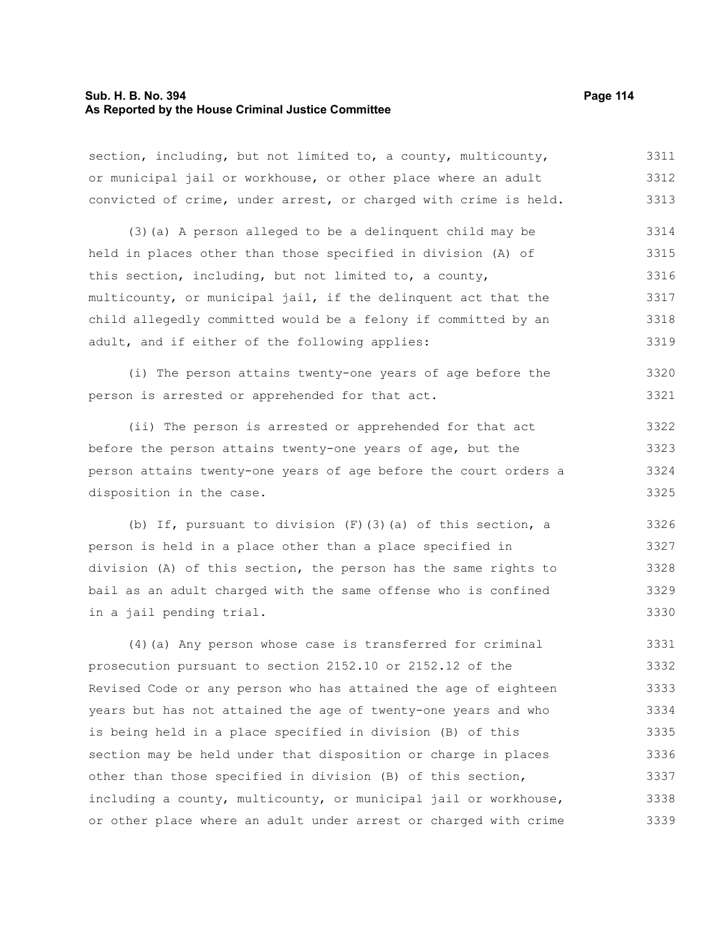#### **Sub. H. B. No. 394 Page 114 As Reported by the House Criminal Justice Committee**

section, including, but not limited to, a county, multicounty, or municipal jail or workhouse, or other place where an adult convicted of crime, under arrest, or charged with crime is held. 3311 3312 3313

(3)(a) A person alleged to be a delinquent child may be held in places other than those specified in division (A) of this section, including, but not limited to, a county, multicounty, or municipal jail, if the delinquent act that the child allegedly committed would be a felony if committed by an adult, and if either of the following applies: 3314 3315 3316 3317 3318 3319

(i) The person attains twenty-one years of age before the person is arrested or apprehended for that act. 3320 3321

(ii) The person is arrested or apprehended for that act before the person attains twenty-one years of age, but the person attains twenty-one years of age before the court orders a disposition in the case. 3322 3323 3324 3325

(b) If, pursuant to division  $(F)$  (3)(a) of this section, a person is held in a place other than a place specified in division (A) of this section, the person has the same rights to bail as an adult charged with the same offense who is confined in a jail pending trial. 3326 3327 3328 3329 3330

(4)(a) Any person whose case is transferred for criminal prosecution pursuant to section 2152.10 or 2152.12 of the Revised Code or any person who has attained the age of eighteen years but has not attained the age of twenty-one years and who is being held in a place specified in division (B) of this section may be held under that disposition or charge in places other than those specified in division (B) of this section, including a county, multicounty, or municipal jail or workhouse, or other place where an adult under arrest or charged with crime 3331 3332 3333 3334 3335 3336 3337 3338 3339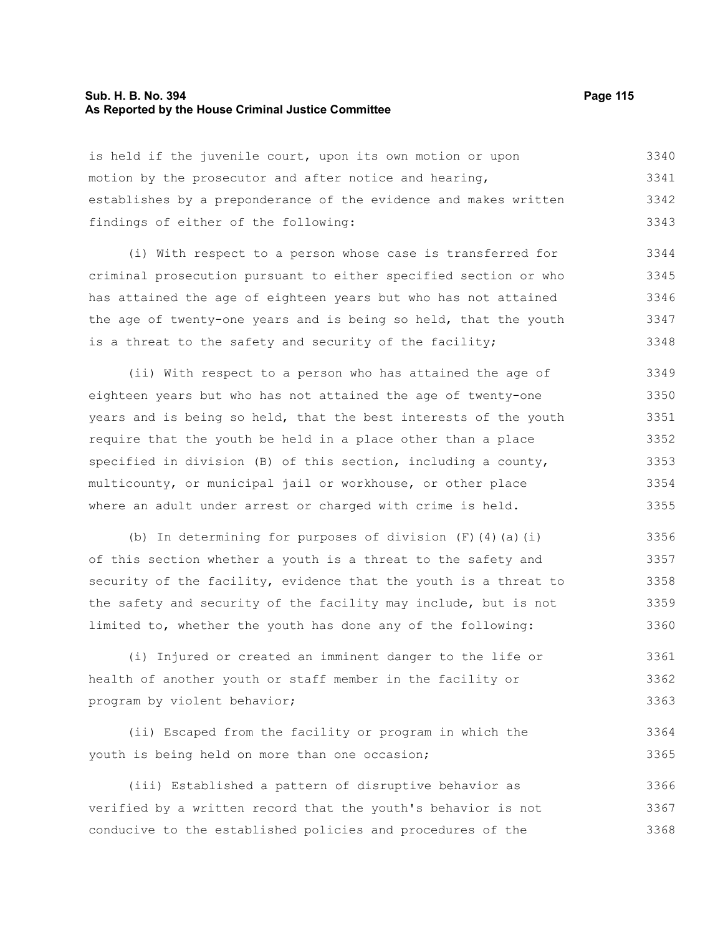#### **Sub. H. B. No. 394 Page 115 As Reported by the House Criminal Justice Committee**

is held if the juvenile court, upon its own motion or upon motion by the prosecutor and after notice and hearing, establishes by a preponderance of the evidence and makes written findings of either of the following: 3340 3341 3342 3343

(i) With respect to a person whose case is transferred for criminal prosecution pursuant to either specified section or who has attained the age of eighteen years but who has not attained the age of twenty-one years and is being so held, that the youth is a threat to the safety and security of the facility; 3344 3345 3346 3347 3348

(ii) With respect to a person who has attained the age of eighteen years but who has not attained the age of twenty-one years and is being so held, that the best interests of the youth require that the youth be held in a place other than a place specified in division (B) of this section, including a county, multicounty, or municipal jail or workhouse, or other place where an adult under arrest or charged with crime is held. 3349 3350 3351 3352 3353 3354 3355

(b) In determining for purposes of division (F)(4)(a)(i) of this section whether a youth is a threat to the safety and security of the facility, evidence that the youth is a threat to the safety and security of the facility may include, but is not limited to, whether the youth has done any of the following: 3356 3357 3358 3359 3360

(i) Injured or created an imminent danger to the life or health of another youth or staff member in the facility or program by violent behavior; 3361 3362 3363

(ii) Escaped from the facility or program in which the youth is being held on more than one occasion; 3364 3365

(iii) Established a pattern of disruptive behavior as verified by a written record that the youth's behavior is not conducive to the established policies and procedures of the 3366 3367 3368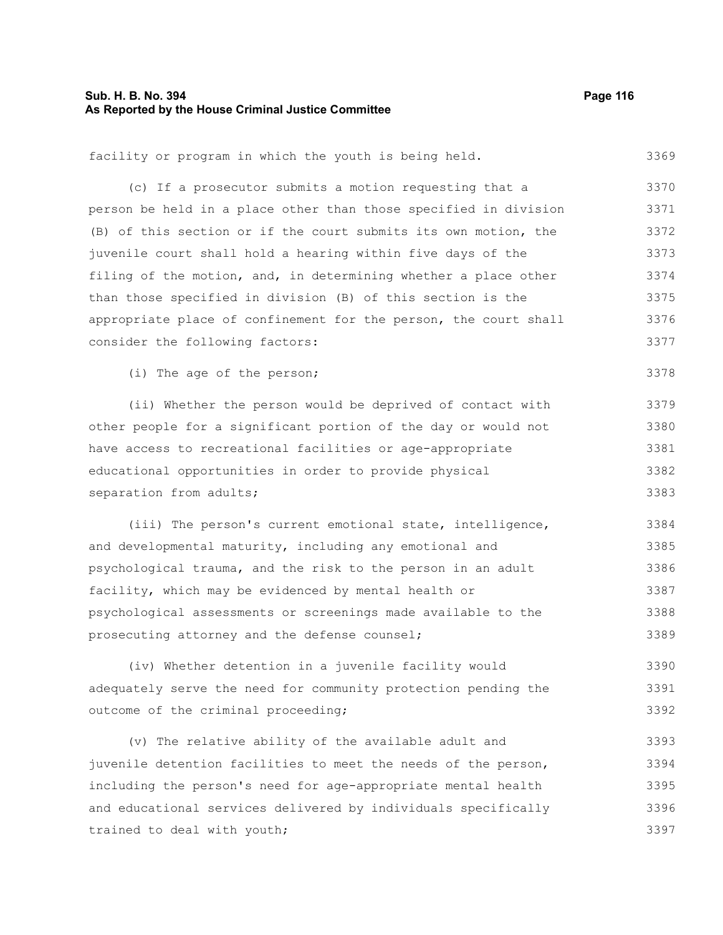## **Sub. H. B. No. 394 Page 116 As Reported by the House Criminal Justice Committee**

facility or program in which the youth is being held. (c) If a prosecutor submits a motion requesting that a person be held in a place other than those specified in division (B) of this section or if the court submits its own motion, the juvenile court shall hold a hearing within five days of the filing of the motion, and, in determining whether a place other than those specified in division (B) of this section is the appropriate place of confinement for the person, the court shall consider the following factors: (i) The age of the person; (ii) Whether the person would be deprived of contact with other people for a significant portion of the day or would not have access to recreational facilities or age-appropriate educational opportunities in order to provide physical separation from adults; (iii) The person's current emotional state, intelligence, and developmental maturity, including any emotional and psychological trauma, and the risk to the person in an adult facility, which may be evidenced by mental health or psychological assessments or screenings made available to the prosecuting attorney and the defense counsel; (iv) Whether detention in a juvenile facility would adequately serve the need for community protection pending the outcome of the criminal proceeding; (v) The relative ability of the available adult and juvenile detention facilities to meet the needs of the person, including the person's need for age-appropriate mental health and educational services delivered by individuals specifically trained to deal with youth; 3369 3370 3371 3372 3373 3374 3375 3376 3377 3378 3379 3380 3381 3382 3383 3384 3385 3386 3387 3388 3389 3390 3391 3392 3393 3394 3395 3396 3397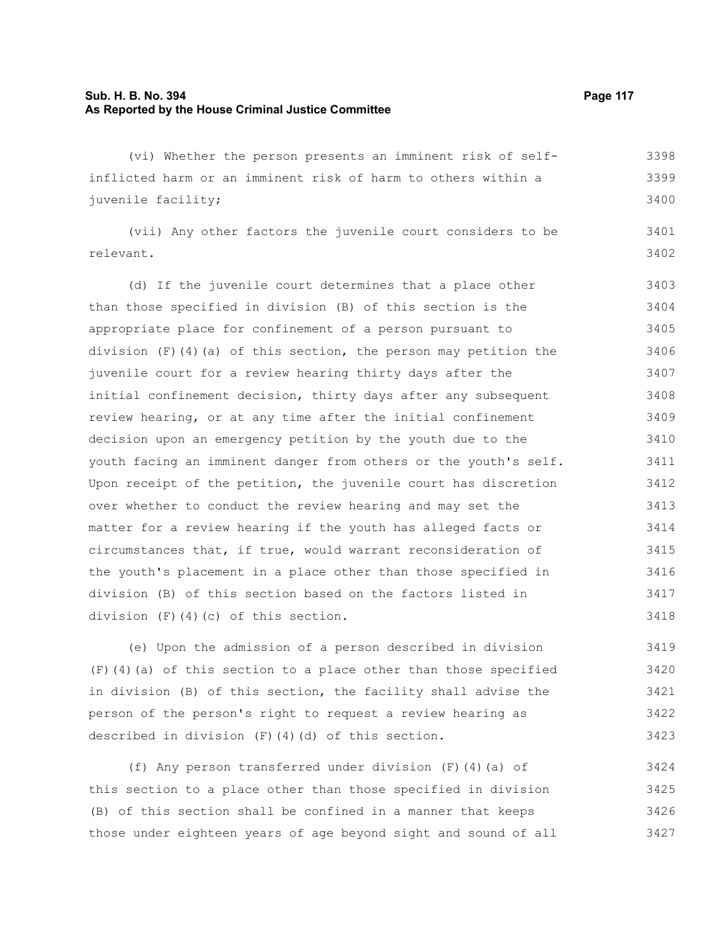## **Sub. H. B. No. 394 Page 117 As Reported by the House Criminal Justice Committee**

(vi) Whether the person presents an imminent risk of selfinflicted harm or an imminent risk of harm to others within a juvenile facility; 3398 3399 3400

(vii) Any other factors the juvenile court considers to be relevant. 3401 3402

(d) If the juvenile court determines that a place other than those specified in division (B) of this section is the appropriate place for confinement of a person pursuant to division (F)(4)(a) of this section, the person may petition the juvenile court for a review hearing thirty days after the initial confinement decision, thirty days after any subsequent review hearing, or at any time after the initial confinement decision upon an emergency petition by the youth due to the youth facing an imminent danger from others or the youth's self. Upon receipt of the petition, the juvenile court has discretion over whether to conduct the review hearing and may set the matter for a review hearing if the youth has alleged facts or circumstances that, if true, would warrant reconsideration of the youth's placement in a place other than those specified in division (B) of this section based on the factors listed in division (F)(4)(c) of this section. 3403 3404 3405 3406 3407 3408 3409 3410 3411 3412 3413 3414 3415 3416 3417 3418

(e) Upon the admission of a person described in division  $(F)$  (4)(a) of this section to a place other than those specified in division (B) of this section, the facility shall advise the person of the person's right to request a review hearing as described in division (F)(4)(d) of this section. 3419 3420 3421 3422 3423

(f) Any person transferred under division (F)(4)(a) of this section to a place other than those specified in division (B) of this section shall be confined in a manner that keeps those under eighteen years of age beyond sight and sound of all 3424 3425 3426 3427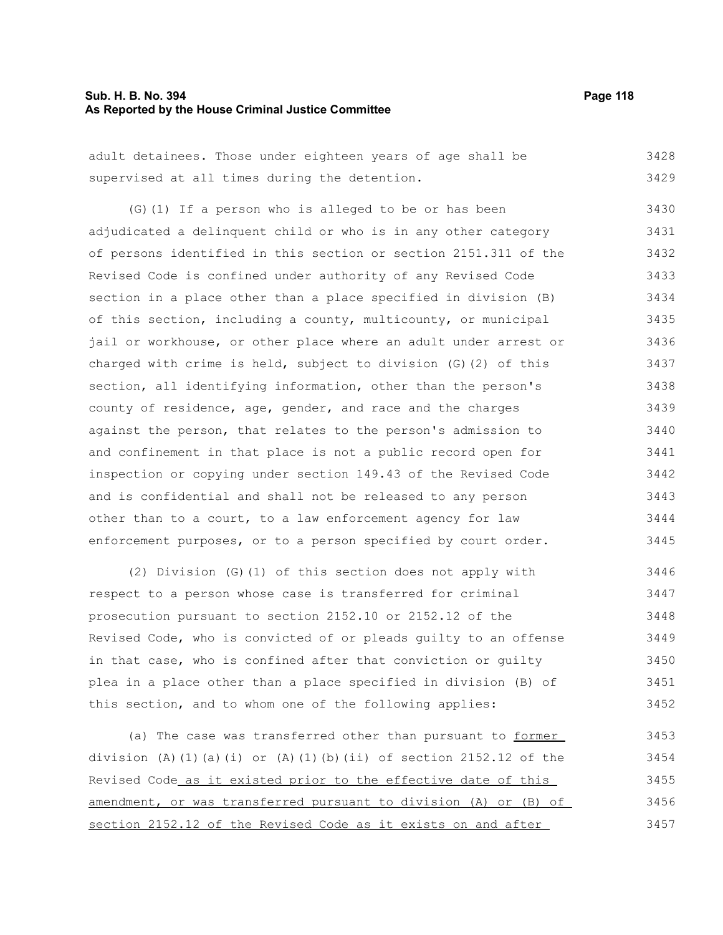#### **Sub. H. B. No. 394 Page 118 As Reported by the House Criminal Justice Committee**

adult detainees. Those under eighteen years of age shall be supervised at all times during the detention. 3428 3429

(G)(1) If a person who is alleged to be or has been adjudicated a delinquent child or who is in any other category of persons identified in this section or section 2151.311 of the Revised Code is confined under authority of any Revised Code section in a place other than a place specified in division (B) of this section, including a county, multicounty, or municipal jail or workhouse, or other place where an adult under arrest or charged with crime is held, subject to division (G)(2) of this section, all identifying information, other than the person's county of residence, age, gender, and race and the charges against the person, that relates to the person's admission to and confinement in that place is not a public record open for inspection or copying under section 149.43 of the Revised Code and is confidential and shall not be released to any person other than to a court, to a law enforcement agency for law enforcement purposes, or to a person specified by court order. 3430 3431 3432 3433 3434 3435 3436 3437 3438 3439 3440 3441 3442 3443 3444 3445

(2) Division (G)(1) of this section does not apply with respect to a person whose case is transferred for criminal prosecution pursuant to section 2152.10 or 2152.12 of the Revised Code, who is convicted of or pleads guilty to an offense in that case, who is confined after that conviction or guilty plea in a place other than a place specified in division (B) of this section, and to whom one of the following applies: 3446 3447 3448 3449 3450 3451 3452

(a) The case was transferred other than pursuant to former division (A)(1)(a)(i) or (A)(1)(b)(ii) of section  $2152.12$  of the Revised Code as it existed prior to the effective date of this amendment, or was transferred pursuant to division (A) or (B) of section 2152.12 of the Revised Code as it exists on and after 3453 3454 3455 3456 3457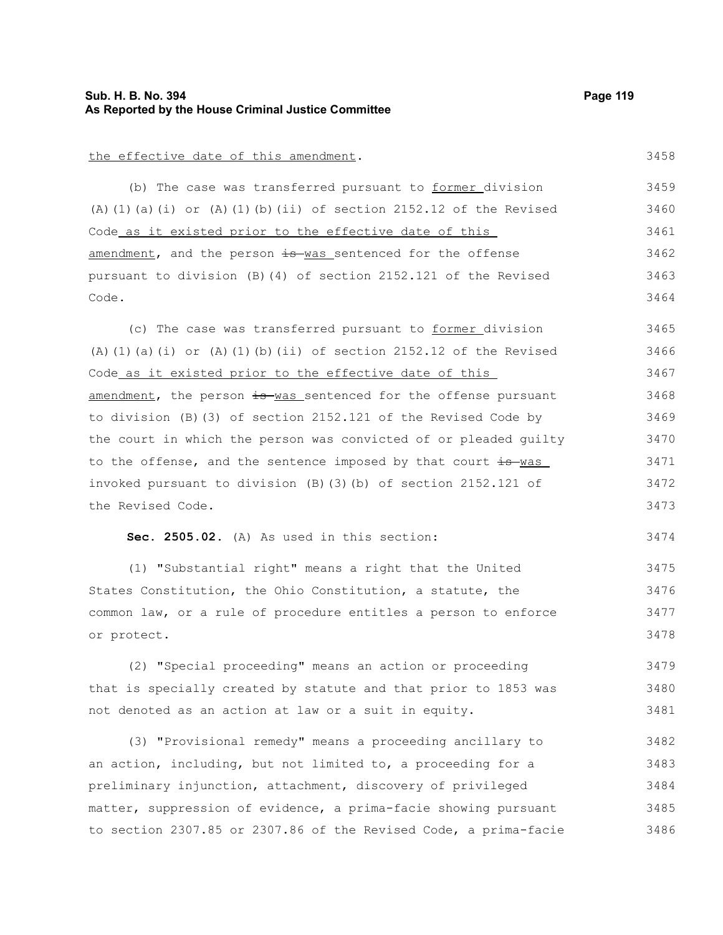## **Sub. H. B. No. 394 Page 119 As Reported by the House Criminal Justice Committee**

#### the effective date of this amendment.

(b) The case was transferred pursuant to former division (A)(1)(a)(i) or (A)(1)(b)(ii) of section  $2152.12$  of the Revised Code as it existed prior to the effective date of this amendment, and the person is was sentenced for the offense pursuant to division (B)(4) of section 2152.121 of the Revised Code. 3459 3460 3461 3462 3463 3464

(c) The case was transferred pursuant to former division (A)(1)(a)(i) or (A)(1)(b)(ii) of section 2152.12 of the Revised Code as it existed prior to the effective date of this amendment, the person is was sentenced for the offense pursuant to division (B)(3) of section 2152.121 of the Revised Code by the court in which the person was convicted of or pleaded guilty to the offense, and the sentence imposed by that court is was invoked pursuant to division (B)(3)(b) of section 2152.121 of the Revised Code. 3465 3466 3467 3468 3469 3470 3471 3472 3473

#### **Sec. 2505.02.** (A) As used in this section:

(1) "Substantial right" means a right that the United States Constitution, the Ohio Constitution, a statute, the common law, or a rule of procedure entitles a person to enforce or protect. 3475 3476 3477 3478

(2) "Special proceeding" means an action or proceeding that is specially created by statute and that prior to 1853 was not denoted as an action at law or a suit in equity. 3479 3480 3481

(3) "Provisional remedy" means a proceeding ancillary to an action, including, but not limited to, a proceeding for a preliminary injunction, attachment, discovery of privileged matter, suppression of evidence, a prima-facie showing pursuant to section 2307.85 or 2307.86 of the Revised Code, a prima-facie 3482 3483 3484 3485 3486

3458

3474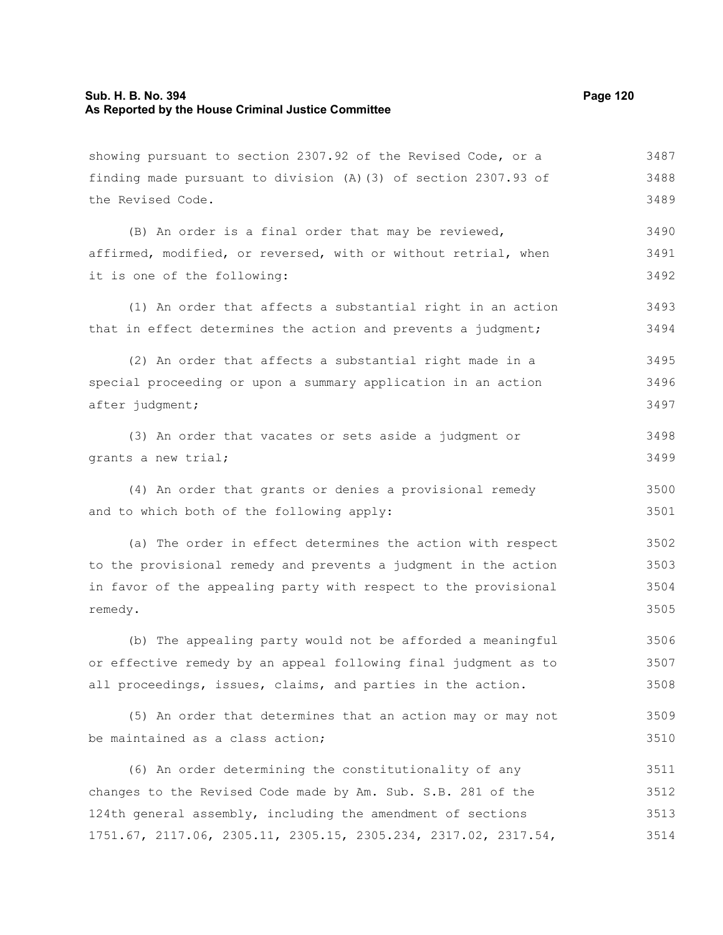# **Sub. H. B. No. 394 Page 120 As Reported by the House Criminal Justice Committee**

| showing pursuant to section 2307.92 of the Revised Code, or a   | 3487 |
|-----------------------------------------------------------------|------|
| finding made pursuant to division (A) (3) of section 2307.93 of | 3488 |
| the Revised Code.                                               | 3489 |
| (B) An order is a final order that may be reviewed,             | 3490 |
| affirmed, modified, or reversed, with or without retrial, when  | 3491 |
| it is one of the following:                                     | 3492 |
| (1) An order that affects a substantial right in an action      | 3493 |
| that in effect determines the action and prevents a judgment;   | 3494 |
| (2) An order that affects a substantial right made in a         | 3495 |
| special proceeding or upon a summary application in an action   | 3496 |
| after judgment;                                                 | 3497 |
| (3) An order that vacates or sets aside a judgment or           | 3498 |
| grants a new trial;                                             | 3499 |
| (4) An order that grants or denies a provisional remedy         | 3500 |
| and to which both of the following apply:                       | 3501 |
| (a) The order in effect determines the action with respect      | 3502 |
| to the provisional remedy and prevents a judgment in the action | 3503 |
| in favor of the appealing party with respect to the provisional | 3504 |
| remedy.                                                         | 3505 |
| (b) The appealing party would not be afforded a meaningful      | 3506 |
| or effective remedy by an appeal following final judgment as to | 3507 |
| all proceedings, issues, claims, and parties in the action.     | 3508 |
| (5) An order that determines that an action may or may not      | 3509 |
| be maintained as a class action;                                | 3510 |
| (6) An order determining the constitutionality of any           | 3511 |
| changes to the Revised Code made by Am. Sub. S.B. 281 of the    | 3512 |
| 124th general assembly, including the amendment of sections     | 3513 |
| 1751.67, 2117.06, 2305.11, 2305.15, 2305.234, 2317.02, 2317.54, | 3514 |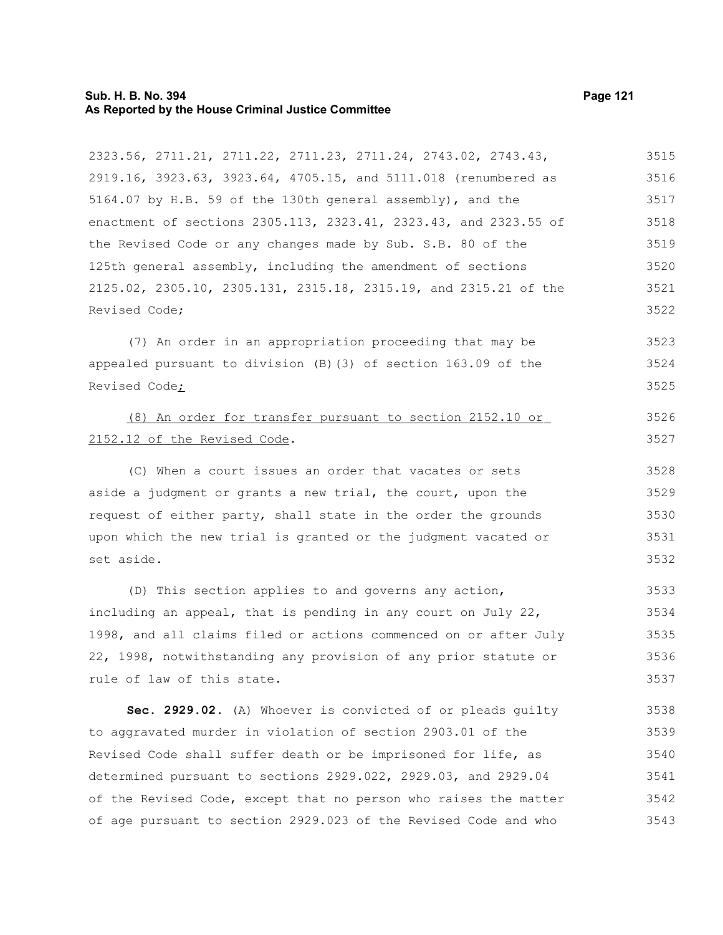#### **Sub. H. B. No. 394 Page 121 As Reported by the House Criminal Justice Committee**

2323.56, 2711.21, 2711.22, 2711.23, 2711.24, 2743.02, 2743.43, 2919.16, 3923.63, 3923.64, 4705.15, and 5111.018 (renumbered as

5164.07 by H.B. 59 of the 130th general assembly), and the enactment of sections 2305.113, 2323.41, 2323.43, and 2323.55 of the Revised Code or any changes made by Sub. S.B. 80 of the 125th general assembly, including the amendment of sections 2125.02, 2305.10, 2305.131, 2315.18, 2315.19, and 2315.21 of the Revised Code; 3516 3517 3518 3519 3520 3521 3522

(7) An order in an appropriation proceeding that may be appealed pursuant to division (B)(3) of section 163.09 of the Revised Code; 3523 3524 3525

#### (8) An order for trans fer pursuant to section 2152.10 or 2152.12 of the Revised Code. 3526 3527

(C) When a court issues an order that vacates or sets aside a judgment or grants a new trial, the court, upon the request of either party, shall state in the order the grounds upon which the new trial is granted or the judgment vacated or set aside. 3528 3529 3530 3531 3532

(D) This section applies to and governs any action, including an appeal, that is pending in any court on July 22, 1998, and all claims filed or actions commenced on or after July 22, 1998, notwithstanding any provision of any prior statute or rule of law of this state. 3533 3534 3535 3536 3537

**Sec. 2929.02.** (A) Whoever is convicted of or pleads guilty to aggravated murder in violation of section 2903.01 of the Revised Code shall suffer death or be imprisoned for life, as determined pursuant to sections 2929.022, 2929.03, and 2929.04 of the Revised Code, except that no person who raises the matter of age pursuant to section 2929.023 of the Revised Code and who 3538 3539 3540 3541 3542 3543

3515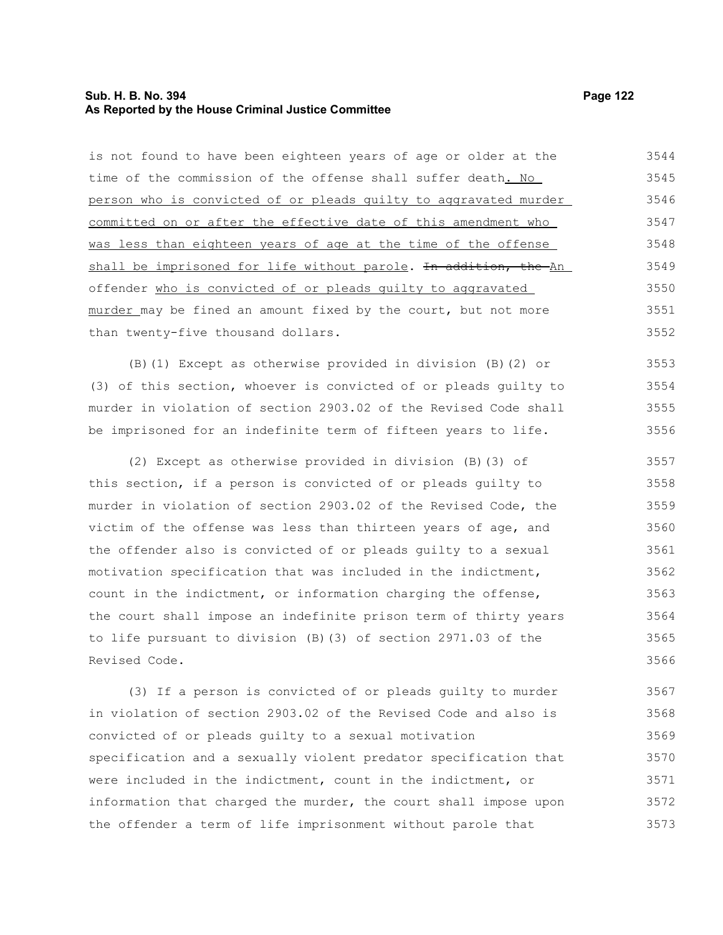#### **Sub. H. B. No. 394 Page 122 As Reported by the House Criminal Justice Committee**

is not found to have been eighteen years of age or older at the time of the commission of the offense shall suffer death. No person who is convicted of or pleads guilty to aggravated murder committed on or after the effective date of this amendment who was less than eighteen years of age at the time of the offense shall be imprisoned for life without parole. <del>In addition, the An</del> offender who is convicted of or pleads guilty to aggravated

murder may be fined an amount fixed by the court, but not more than twenty-five thousand dollars. 3551 3552

(B)(1) Except as otherwise provided in division (B)(2) or (3) of this section, whoever is convicted of or pleads guilty to murder in violation of section 2903.02 of the Revised Code shall be imprisoned for an indefinite term of fifteen years to life. 3553 3554 3555 3556

(2) Except as otherwise provided in division (B)(3) of this section, if a person is convicted of or pleads guilty to murder in violation of section 2903.02 of the Revised Code, the victim of the offense was less than thirteen years of age, and the offender also is convicted of or pleads guilty to a sexual motivation specification that was included in the indictment, count in the indictment, or information charging the offense, the court shall impose an indefinite prison term of thirty years to life pursuant to division (B)(3) of section 2971.03 of the Revised Code. 3557 3558 3559 3560 3561 3562 3563 3564 3565 3566

(3) If a person is convicted of or pleads guilty to murder in violation of section 2903.02 of the Revised Code and also is convicted of or pleads guilty to a sexual motivation specification and a sexually violent predator specification that were included in the indictment, count in the indictment, or information that charged the murder, the court shall impose upon the offender a term of life imprisonment without parole that 3567 3568 3569 3570 3571 3572 3573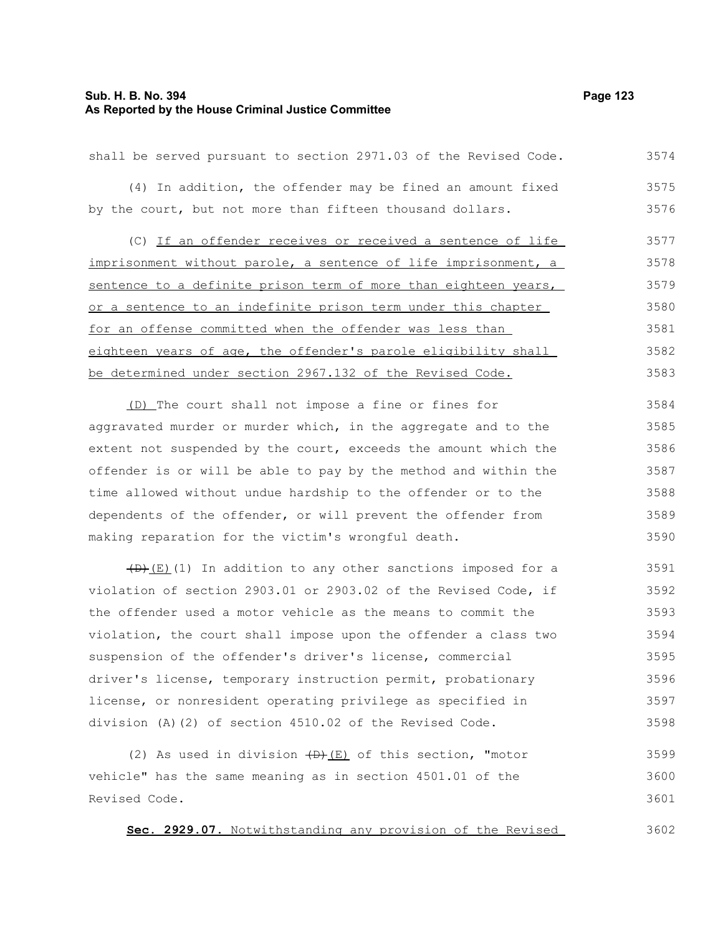| shall be served pursuant to section 2971.03 of the Revised Code. | 3574 |
|------------------------------------------------------------------|------|
| (4) In addition, the offender may be fined an amount fixed       | 3575 |
| by the court, but not more than fifteen thousand dollars.        | 3576 |
| (C) If an offender receives or received a sentence of life       | 3577 |
| imprisonment without parole, a sentence of life imprisonment, a  | 3578 |
| sentence to a definite prison term of more than eighteen years,  | 3579 |
| or a sentence to an indefinite prison term under this chapter    | 3580 |
| for an offense committed when the offender was less than         | 3581 |
| eighteen years of age, the offender's parole eligibility shall   | 3582 |
| be determined under section 2967.132 of the Revised Code.        | 3583 |
| (D) The court shall not impose a fine or fines for               | 3584 |
| aggravated murder or murder which, in the aggregate and to the   | 3585 |
| extent not suspended by the court, exceeds the amount which the  | 3586 |
| offender is or will be able to pay by the method and within the  | 3587 |
| time allowed without undue hardship to the offender or to the    | 3588 |
| dependents of the offender, or will prevent the offender from    | 3589 |
| making reparation for the victim's wrongful death.               | 3590 |
| $(D+(E)$ (1) In addition to any other sanctions imposed for a    | 3591 |
| violation of section 2903.01 or 2903.02 of the Revised Code, if  | 3592 |
| the offender used a motor vehicle as the means to commit the     | 3593 |
| violation, the court shall impose upon the offender a class two  | 3594 |
| suspension of the offender's driver's license, commercial        | 3595 |
| driver's license, temporary instruction permit, probationary     | 3596 |
| license, or nonresident operating privilege as specified in      | 3597 |
| division (A)(2) of section 4510.02 of the Revised Code.          | 3598 |
| (2) As used in division $(D)$ (E) of this section, "motor        | 3599 |
| vehicle" has the same meaning as in section 4501.01 of the       | 3600 |
| Revised Code.                                                    | 3601 |

 **Sec. 2929.07.** Notwithstanding any provision of the Revised 3602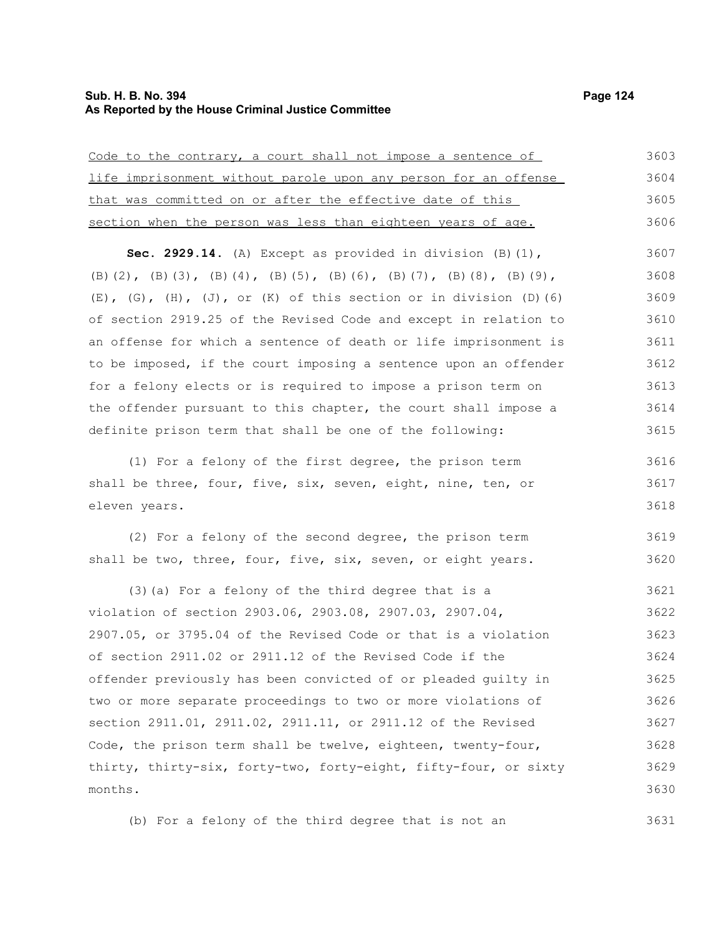# **Sub. H. B. No. 394 Page 124 As Reported by the House Criminal Justice Committee**

| Code to the contrary, a court shall not impose a sentence of            | 3603 |
|-------------------------------------------------------------------------|------|
| life imprisonment without parole upon any person for an offense         | 3604 |
| that was committed on or after the effective date of this               | 3605 |
| section when the person was less than eighteen years of age.            | 3606 |
| Sec. 2929.14. (A) Except as provided in division (B)(1),                | 3607 |
| (B) (2), (B) (3), (B) (4), (B) (5), (B) (6), (B) (7), (B) (8), (B) (9), | 3608 |
| $(E)$ , (G), (H), (J), or (K) of this section or in division (D)(6)     | 3609 |
| of section 2919.25 of the Revised Code and except in relation to        | 3610 |
| an offense for which a sentence of death or life imprisonment is        | 3611 |
| to be imposed, if the court imposing a sentence upon an offender        | 3612 |
| for a felony elects or is required to impose a prison term on           | 3613 |
| the offender pursuant to this chapter, the court shall impose a         | 3614 |
| definite prison term that shall be one of the following:                | 3615 |
| (1) For a felony of the first degree, the prison term                   | 3616 |
| shall be three, four, five, six, seven, eight, nine, ten, or            | 3617 |
| eleven years.                                                           | 3618 |
| (2) For a felony of the second degree, the prison term                  | 3619 |
| shall be two, three, four, five, six, seven, or eight years.            | 3620 |
| (3) (a) For a felony of the third degree that is a                      | 3621 |
| violation of section 2903.06, 2903.08, 2907.03, 2907.04,                | 3622 |
| 2907.05, or 3795.04 of the Revised Code or that is a violation          | 3623 |
| of section 2911.02 or 2911.12 of the Revised Code if the                | 3624 |
| offender previously has been convicted of or pleaded quilty in          | 3625 |
| two or more separate proceedings to two or more violations of           | 3626 |
| section 2911.01, 2911.02, 2911.11, or 2911.12 of the Revised            | 3627 |
| Code, the prison term shall be twelve, eighteen, twenty-four,           | 3628 |
| thirty, thirty-six, forty-two, forty-eight, fifty-four, or sixty        | 3629 |
| months.                                                                 | 3630 |
| (b) For a felony of the third degree that is not an                     | 3631 |

(b) For a felony of the third degree that is not an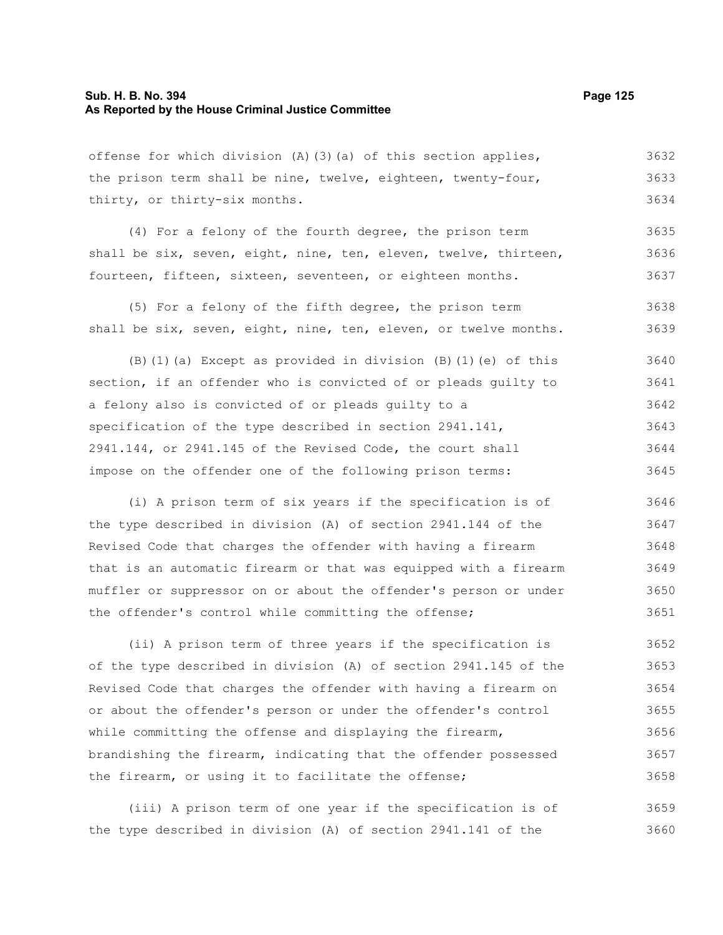offense for which division  $(A)$   $(3)$   $(a)$  of this section applies, the prison term shall be nine, twelve, eighteen, twenty-four, thirty, or thirty-six months. 3632 3633 3634

(4) For a felony of the fourth degree, the prison term shall be six, seven, eight, nine, ten, eleven, twelve, thirteen, fourteen, fifteen, sixteen, seventeen, or eighteen months. 3635 3636 3637

(5) For a felony of the fifth degree, the prison term shall be six, seven, eight, nine, ten, eleven, or twelve months. 3638 3639

(B)(1)(a) Except as provided in division (B)(1)(e) of this section, if an offender who is convicted of or pleads guilty to a felony also is convicted of or pleads guilty to a specification of the type described in section 2941.141, 2941.144, or 2941.145 of the Revised Code, the court shall impose on the offender one of the following prison terms: 3640 3641 3642 3643 3644 3645

(i) A prison term of six years if the specification is of the type described in division (A) of section 2941.144 of the Revised Code that charges the offender with having a firearm that is an automatic firearm or that was equipped with a firearm muffler or suppressor on or about the offender's person or under the offender's control while committing the offense; 3646 3647 3648 3649 3650 3651

(ii) A prison term of three years if the specification is of the type described in division (A) of section 2941.145 of the Revised Code that charges the offender with having a firearm on or about the offender's person or under the offender's control while committing the offense and displaying the firearm, brandishing the firearm, indicating that the offender possessed the firearm, or using it to facilitate the offense; 3652 3653 3654 3655 3656 3657 3658

(iii) A prison term of one year if the specification is of the type described in division (A) of section 2941.141 of the 3659 3660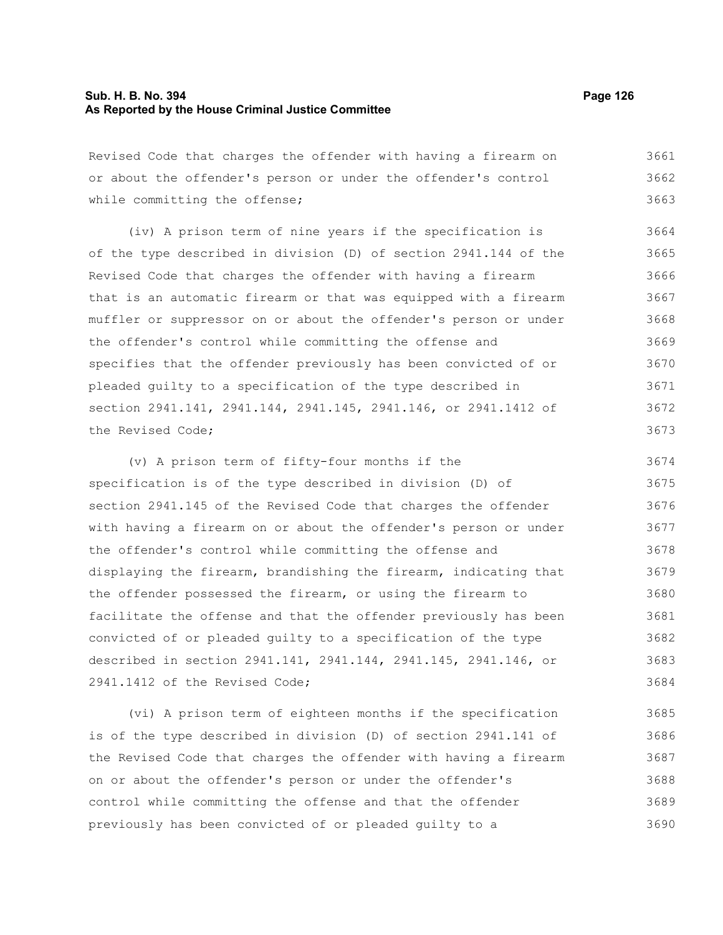#### **Sub. H. B. No. 394 Page 126 As Reported by the House Criminal Justice Committee**

Revised Code that charges the offender with having a firearm on or about the offender's person or under the offender's control while committing the offense; 3661 3662 3663

(iv) A prison term of nine years if the specification is of the type described in division (D) of section 2941.144 of the Revised Code that charges the offender with having a firearm that is an automatic firearm or that was equipped with a firearm muffler or suppressor on or about the offender's person or under the offender's control while committing the offense and specifies that the offender previously has been convicted of or pleaded guilty to a specification of the type described in section 2941.141, 2941.144, 2941.145, 2941.146, or 2941.1412 of the Revised Code; 3664 3665 3666 3667 3668 3669 3670 3671 3672 3673

(v) A prison term of fifty-four months if the specification is of the type described in division (D) of section 2941.145 of the Revised Code that charges the offender with having a firearm on or about the offender's person or under the offender's control while committing the offense and displaying the firearm, brandishing the firearm, indicating that the offender possessed the firearm, or using the firearm to facilitate the offense and that the offender previously has been convicted of or pleaded guilty to a specification of the type described in section 2941.141, 2941.144, 2941.145, 2941.146, or 2941.1412 of the Revised Code; 3674 3675 3676 3677 3678 3679 3680 3681 3682 3683 3684

(vi) A prison term of eighteen months if the specification is of the type described in division (D) of section 2941.141 of the Revised Code that charges the offender with having a firearm on or about the offender's person or under the offender's control while committing the offense and that the offender previously has been convicted of or pleaded guilty to a 3685 3686 3687 3688 3689 3690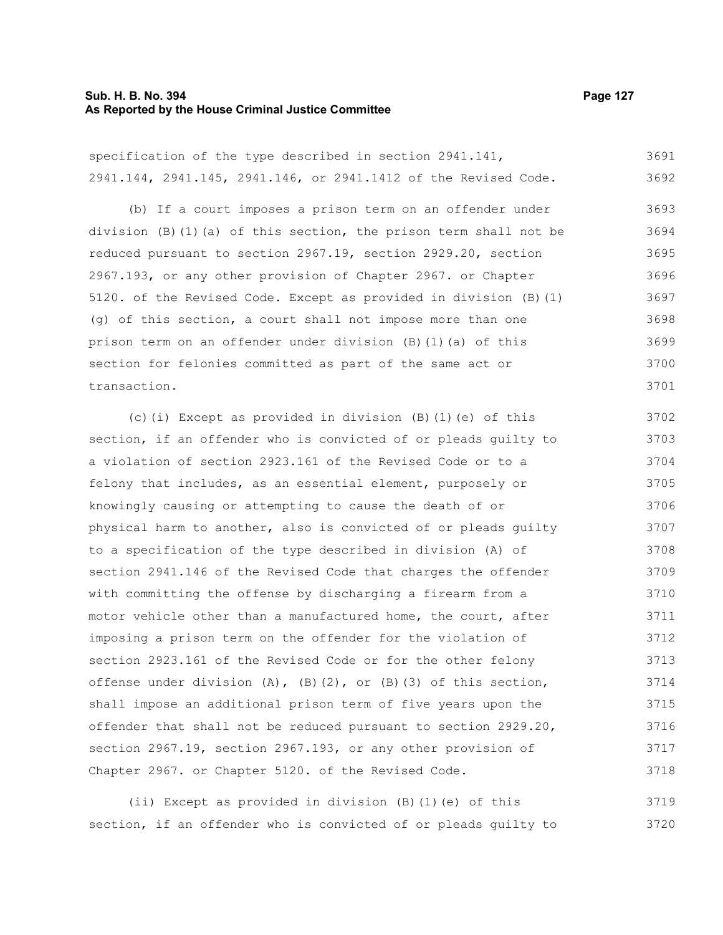# **Sub. H. B. No. 394 Page 127 As Reported by the House Criminal Justice Committee**

| specification of the type described in section 2941.141,                     | 3691 |
|------------------------------------------------------------------------------|------|
| 2941.144, 2941.145, 2941.146, or 2941.1412 of the Revised Code.              | 3692 |
| (b) If a court imposes a prison term on an offender under                    | 3693 |
| division (B)(1)(a) of this section, the prison term shall not be             | 3694 |
| reduced pursuant to section 2967.19, section 2929.20, section                | 3695 |
| 2967.193, or any other provision of Chapter 2967. or Chapter                 | 3696 |
| 5120. of the Revised Code. Except as provided in division (B) (1)            | 3697 |
| (g) of this section, a court shall not impose more than one                  | 3698 |
| prison term on an offender under division (B) (1) (a) of this                | 3699 |
| section for felonies committed as part of the same act or                    | 3700 |
| transaction.                                                                 | 3701 |
| (c) (i) Except as provided in division $(B)$ (1) (e) of this                 | 3702 |
| section, if an offender who is convicted of or pleads guilty to              | 3703 |
| a violation of section 2923.161 of the Revised Code or to a                  | 3704 |
| felony that includes, as an essential element, purposely or                  | 3705 |
| knowingly causing or attempting to cause the death of or                     | 3706 |
| physical harm to another, also is convicted of or pleads quilty              | 3707 |
| to a specification of the type described in division (A) of                  | 3708 |
| section 2941.146 of the Revised Code that charges the offender               | 3709 |
| with committing the offense by discharging a firearm from a                  | 3710 |
| motor vehicle other than a manufactured home, the court, after               | 3711 |
| imposing a prison term on the offender for the violation of                  | 3712 |
| section 2923.161 of the Revised Code or for the other felony                 | 3713 |
| offense under division $(A)$ , $(B)$ $(2)$ , or $(B)$ $(3)$ of this section, | 3714 |
| shall impose an additional prison term of five years upon the                | 3715 |
| offender that shall not be reduced pursuant to section 2929.20,              | 3716 |
| section 2967.19, section 2967.193, or any other provision of                 | 3717 |
| Chapter 2967. or Chapter 5120. of the Revised Code.                          | 3718 |
| (ii) Except as provided in division (B) (1) (e) of this                      | 3719 |

section, if an offender who is convicted of or pleads guilty to 3720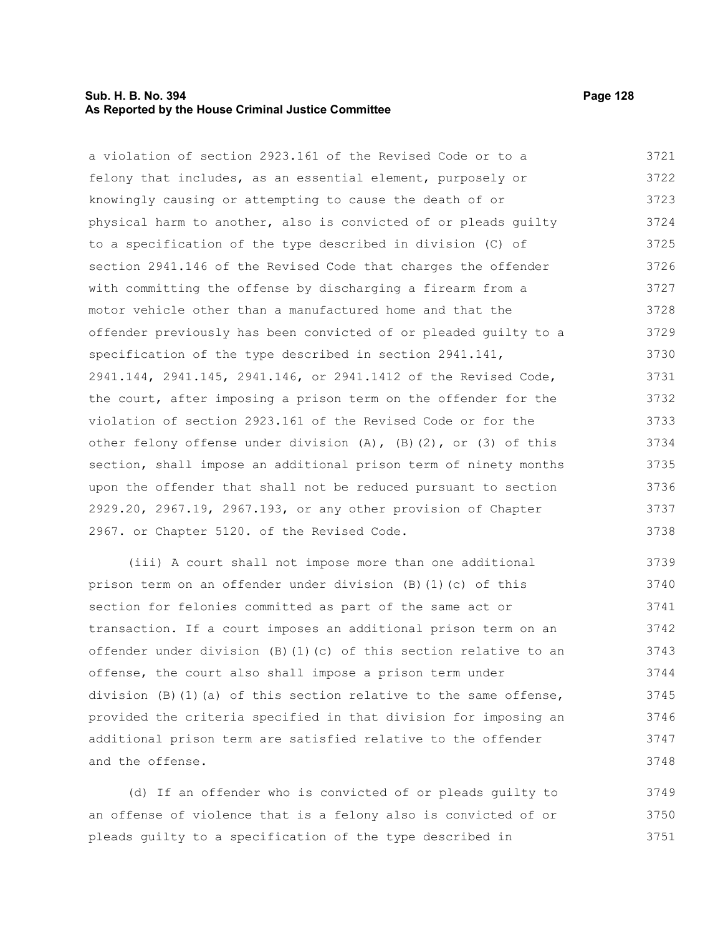#### **Sub. H. B. No. 394 Page 128 As Reported by the House Criminal Justice Committee**

a violation of section 2923.161 of the Revised Code or to a felony that includes, as an essential element, purposely or knowingly causing or attempting to cause the death of or physical harm to another, also is convicted of or pleads guilty to a specification of the type described in division (C) of section 2941.146 of the Revised Code that charges the offender with committing the offense by discharging a firearm from a motor vehicle other than a manufactured home and that the offender previously has been convicted of or pleaded guilty to a specification of the type described in section 2941.141, 2941.144, 2941.145, 2941.146, or 2941.1412 of the Revised Code, the court, after imposing a prison term on the offender for the violation of section 2923.161 of the Revised Code or for the other felony offense under division  $(A)$ ,  $(B)$   $(2)$ , or  $(3)$  of this section, shall impose an additional prison term of ninety months upon the offender that shall not be reduced pursuant to section 2929.20, 2967.19, 2967.193, or any other provision of Chapter 2967. or Chapter 5120. of the Revised Code. 3721 3722 3723 3724 3725 3726 3727 3728 3729 3730 3731 3732 3733 3734 3735 3736 3737 3738

(iii) A court shall not impose more than one additional prison term on an offender under division (B)(1)(c) of this section for felonies committed as part of the same act or transaction. If a court imposes an additional prison term on an offender under division (B)(1)(c) of this section relative to an offense, the court also shall impose a prison term under division (B)(1)(a) of this section relative to the same offense, provided the criteria specified in that division for imposing an additional prison term are satisfied relative to the offender and the offense. 3739 3740 3741 3742 3743 3744 3745 3746 3747 3748

(d) If an offender who is convicted of or pleads guilty to an offense of violence that is a felony also is convicted of or pleads guilty to a specification of the type described in 3749 3750 3751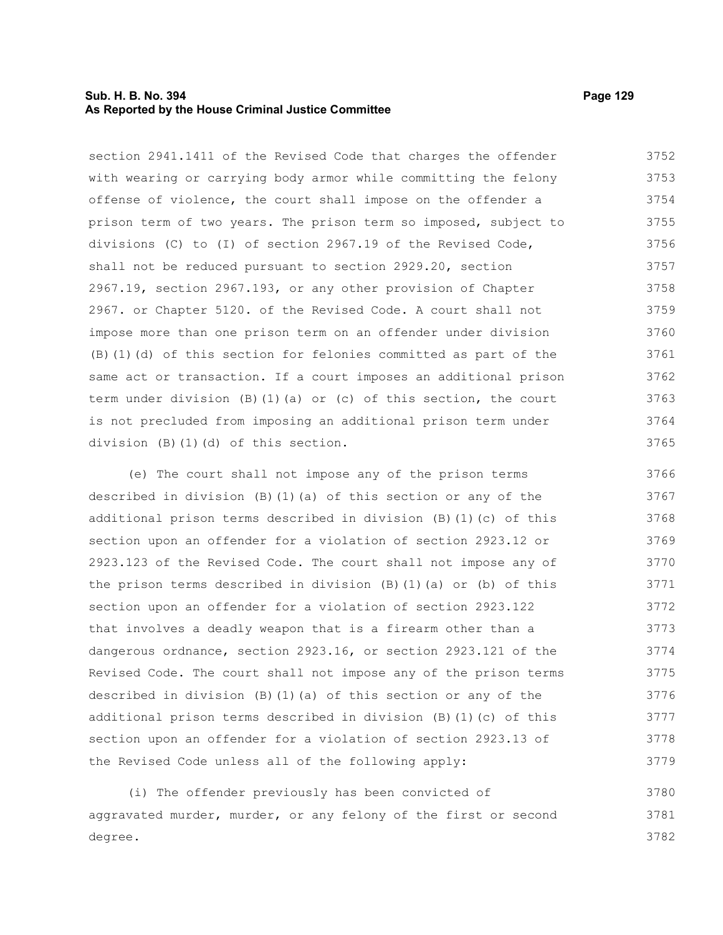#### **Sub. H. B. No. 394 Page 129 As Reported by the House Criminal Justice Committee**

section 2941.1411 of the Revised Code that charges the offender with wearing or carrying body armor while committing the felony offense of violence, the court shall impose on the offender a prison term of two years. The prison term so imposed, subject to divisions (C) to (I) of section 2967.19 of the Revised Code, shall not be reduced pursuant to section 2929.20, section 2967.19, section 2967.193, or any other provision of Chapter 2967. or Chapter 5120. of the Revised Code. A court shall not impose more than one prison term on an offender under division (B)(1)(d) of this section for felonies committed as part of the same act or transaction. If a court imposes an additional prison term under division (B)(1)(a) or (c) of this section, the court is not precluded from imposing an additional prison term under division (B)(1)(d) of this section. 3752 3753 3754 3755 3756 3757 3758 3759 3760 3761 3762 3763 3764 3765

(e) The court shall not impose any of the prison terms described in division  $(B)$  (1)(a) of this section or any of the additional prison terms described in division (B)(1)(c) of this section upon an offender for a violation of section 2923.12 or 2923.123 of the Revised Code. The court shall not impose any of the prison terms described in division (B)(1)(a) or (b) of this section upon an offender for a violation of section 2923.122 that involves a deadly weapon that is a firearm other than a dangerous ordnance, section 2923.16, or section 2923.121 of the Revised Code. The court shall not impose any of the prison terms described in division  $(B)$  (1)(a) of this section or any of the additional prison terms described in division (B)(1)(c) of this section upon an offender for a violation of section 2923.13 of the Revised Code unless all of the following apply: 3766 3767 3768 3769 3770 3771 3772 3773 3774 3775 3776 3777 3778 3779

(i) The offender previously has been convicted of aggravated murder, murder, or any felony of the first or second degree. 3780 3781 3782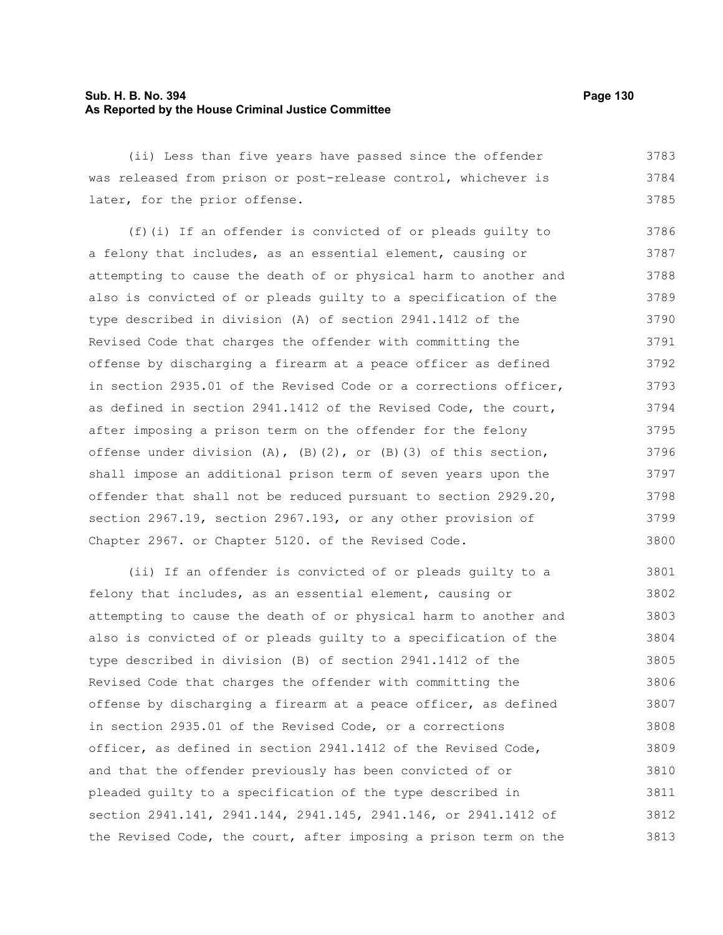#### **Sub. H. B. No. 394 Page 130 As Reported by the House Criminal Justice Committee**

(ii) Less than five years have passed since the offender was released from prison or post-release control, whichever is later, for the prior offense. 3783 3784 3785

(f)(i) If an offender is convicted of or pleads guilty to a felony that includes, as an essential element, causing or attempting to cause the death of or physical harm to another and also is convicted of or pleads guilty to a specification of the type described in division (A) of section 2941.1412 of the Revised Code that charges the offender with committing the offense by discharging a firearm at a peace officer as defined in section 2935.01 of the Revised Code or a corrections officer, as defined in section 2941.1412 of the Revised Code, the court, after imposing a prison term on the offender for the felony offense under division  $(A)$ ,  $(B)$ (2), or  $(B)$ (3) of this section, shall impose an additional prison term of seven years upon the offender that shall not be reduced pursuant to section 2929.20, section 2967.19, section 2967.193, or any other provision of Chapter 2967. or Chapter 5120. of the Revised Code. 3786 3787 3788 3789 3790 3791 3792 3793 3794 3795 3796 3797 3798 3799 3800

(ii) If an offender is convicted of or pleads guilty to a felony that includes, as an essential element, causing or attempting to cause the death of or physical harm to another and also is convicted of or pleads guilty to a specification of the type described in division (B) of section 2941.1412 of the Revised Code that charges the offender with committing the offense by discharging a firearm at a peace officer, as defined in section 2935.01 of the Revised Code, or a corrections officer, as defined in section 2941.1412 of the Revised Code, and that the offender previously has been convicted of or pleaded guilty to a specification of the type described in section 2941.141, 2941.144, 2941.145, 2941.146, or 2941.1412 of the Revised Code, the court, after imposing a prison term on the 3801 3802 3803 3804 3805 3806 3807 3808 3809 3810 3811 3812 3813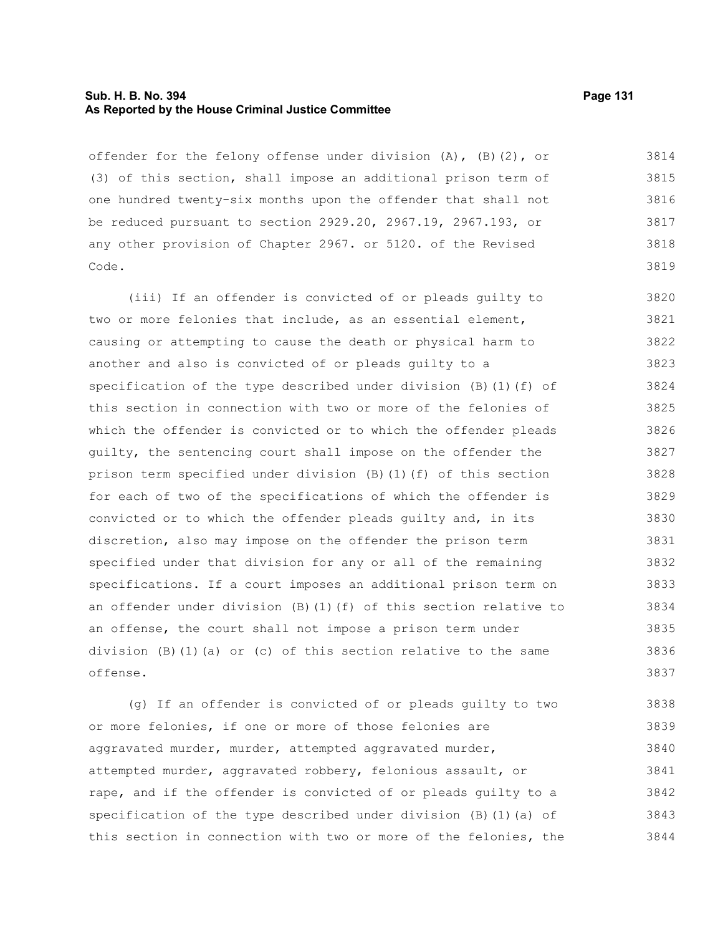#### **Sub. H. B. No. 394 Page 131 As Reported by the House Criminal Justice Committee**

offender for the felony offense under division  $(A)$ ,  $(B)$   $(2)$ , or (3) of this section, shall impose an additional prison term of one hundred twenty-six months upon the offender that shall not be reduced pursuant to section 2929.20, 2967.19, 2967.193, or any other provision of Chapter 2967. or 5120. of the Revised Code. 3814 3815 3816 3817 3818 3819

(iii) If an offender is convicted of or pleads guilty to two or more felonies that include, as an essential element, causing or attempting to cause the death or physical harm to another and also is convicted of or pleads guilty to a specification of the type described under division  $(B)$  (1)(f) of this section in connection with two or more of the felonies of which the offender is convicted or to which the offender pleads guilty, the sentencing court shall impose on the offender the prison term specified under division (B)(1)(f) of this section for each of two of the specifications of which the offender is convicted or to which the offender pleads guilty and, in its discretion, also may impose on the offender the prison term specified under that division for any or all of the remaining specifications. If a court imposes an additional prison term on an offender under division (B)(1)(f) of this section relative to an offense, the court shall not impose a prison term under division (B)(1)(a) or (c) of this section relative to the same offense. 3820 3821 3822 3823 3824 3825 3826 3827 3828 3829 3830 3831 3832 3833 3834 3835 3836 3837

(g) If an offender is convicted of or pleads guilty to two or more felonies, if one or more of those felonies are aggravated murder, murder, attempted aggravated murder, attempted murder, aggravated robbery, felonious assault, or rape, and if the offender is convicted of or pleads guilty to a specification of the type described under division (B)(1)(a) of this section in connection with two or more of the felonies, the 3838 3839 3840 3841 3842 3843 3844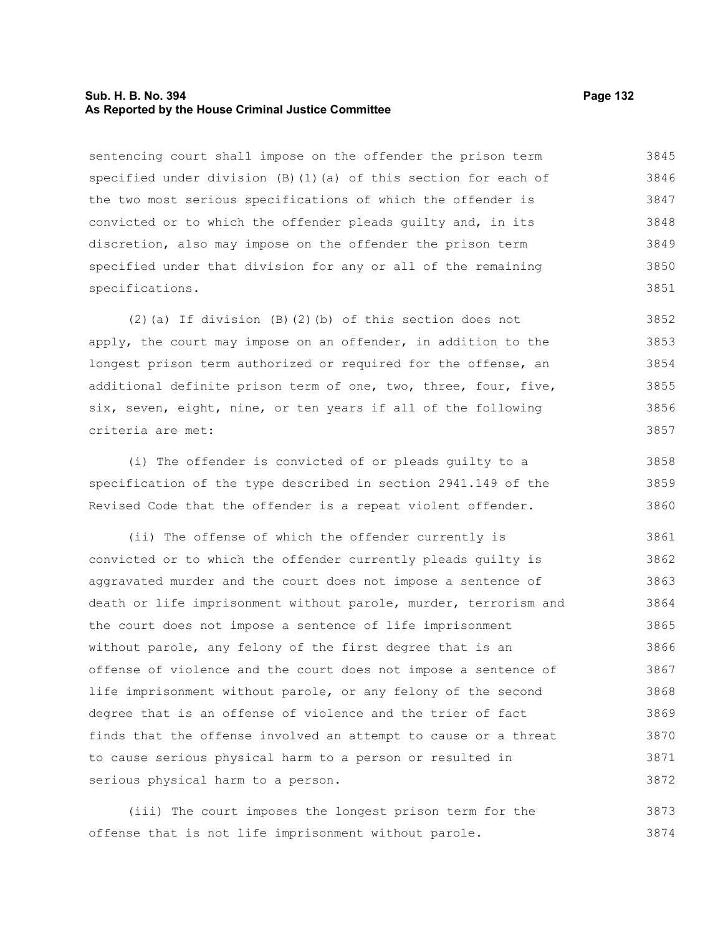#### **Sub. H. B. No. 394 Page 132 As Reported by the House Criminal Justice Committee**

sentencing court shall impose on the offender the prison term specified under division (B)(1)(a) of this section for each of the two most serious specifications of which the offender is convicted or to which the offender pleads guilty and, in its discretion, also may impose on the offender the prison term specified under that division for any or all of the remaining specifications. 3845 3846 3847 3848 3849 3850 3851

(2)(a) If division (B)(2)(b) of this section does not apply, the court may impose on an offender, in addition to the longest prison term authorized or required for the offense, an additional definite prison term of one, two, three, four, five, six, seven, eight, nine, or ten years if all of the following criteria are met: 3852 3853 3854 3855 3856 3857

(i) The offender is convicted of or pleads guilty to a specification of the type described in section 2941.149 of the Revised Code that the offender is a repeat violent offender. 3858 3859 3860

(ii) The offense of which the offender currently is convicted or to which the offender currently pleads guilty is aggravated murder and the court does not impose a sentence of death or life imprisonment without parole, murder, terrorism and the court does not impose a sentence of life imprisonment without parole, any felony of the first degree that is an offense of violence and the court does not impose a sentence of life imprisonment without parole, or any felony of the second degree that is an offense of violence and the trier of fact finds that the offense involved an attempt to cause or a threat to cause serious physical harm to a person or resulted in serious physical harm to a person. 3861 3862 3863 3864 3865 3866 3867 3868 3869 3870 3871 3872

(iii) The court imposes the longest prison term for the offense that is not life imprisonment without parole. 3873 3874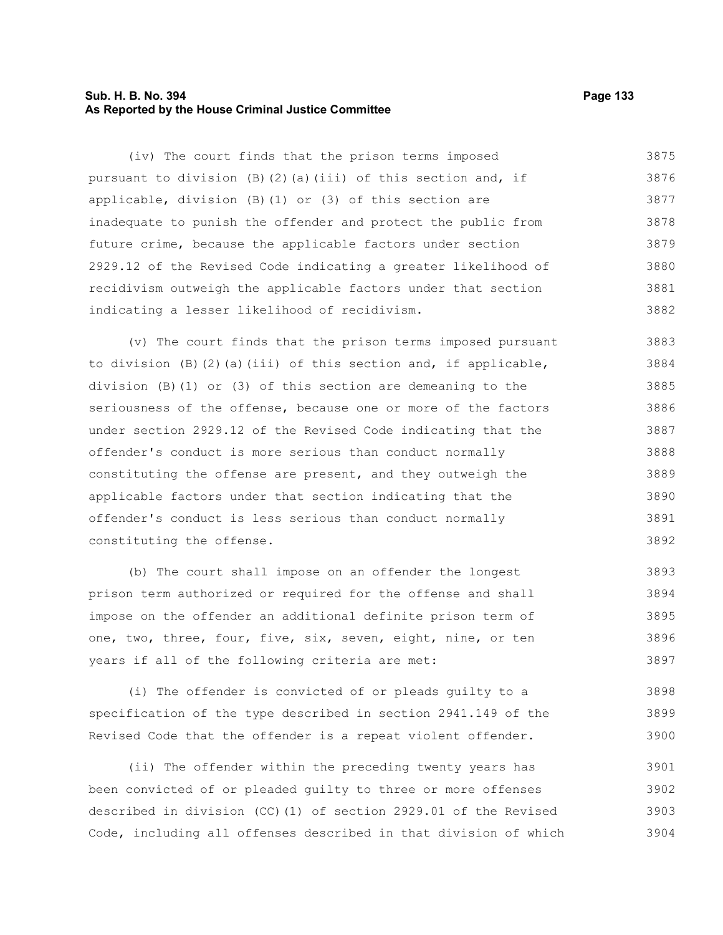#### **Sub. H. B. No. 394 Page 133 As Reported by the House Criminal Justice Committee**

(iv) The court finds that the prison terms imposed pursuant to division (B)(2)(a)(iii) of this section and, if applicable, division (B)(1) or (3) of this section are inadequate to punish the offender and protect the public from future crime, because the applicable factors under section 2929.12 of the Revised Code indicating a greater likelihood of recidivism outweigh the applicable factors under that section indicating a lesser likelihood of recidivism. 3875 3876 3877 3878 3879 3880 3881 3882

(v) The court finds that the prison terms imposed pursuant to division (B)(2)(a)(iii) of this section and, if applicable, division (B)(1) or (3) of this section are demeaning to the seriousness of the offense, because one or more of the factors under section 2929.12 of the Revised Code indicating that the offender's conduct is more serious than conduct normally constituting the offense are present, and they outweigh the applicable factors under that section indicating that the offender's conduct is less serious than conduct normally constituting the offense. 3883 3884 3885 3886 3887 3888 3889 3890 3891 3892

(b) The court shall impose on an offender the longest prison term authorized or required for the offense and shall impose on the offender an additional definite prison term of one, two, three, four, five, six, seven, eight, nine, or ten years if all of the following criteria are met: 3893 3894 3895 3896 3897

(i) The offender is convicted of or pleads guilty to a specification of the type described in section 2941.149 of the Revised Code that the offender is a repeat violent offender. 3898 3899 3900

(ii) The offender within the preceding twenty years has been convicted of or pleaded guilty to three or more offenses described in division (CC)(1) of section 2929.01 of the Revised Code, including all offenses described in that division of which 3901 3902 3903 3904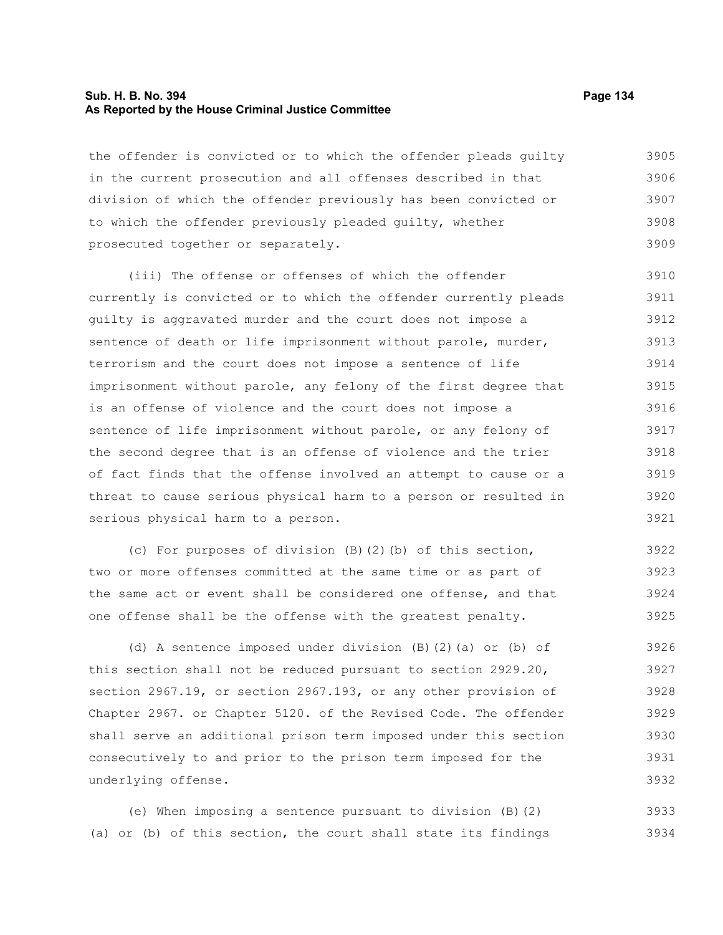#### **Sub. H. B. No. 394 Page 134 As Reported by the House Criminal Justice Committee**

the offender is convicted or to which the offender pleads guilty in the current prosecution and all offenses described in that division of which the offender previously has been convicted or to which the offender previously pleaded guilty, whether prosecuted together or separately. 3905 3906 3907 3908 3909

(iii) The offense or offenses of which the offender currently is convicted or to which the offender currently pleads guilty is aggravated murder and the court does not impose a sentence of death or life imprisonment without parole, murder, terrorism and the court does not impose a sentence of life imprisonment without parole, any felony of the first degree that is an offense of violence and the court does not impose a sentence of life imprisonment without parole, or any felony of the second degree that is an offense of violence and the trier of fact finds that the offense involved an attempt to cause or a threat to cause serious physical harm to a person or resulted in serious physical harm to a person. 3910 3911 3912 3913 3914 3915 3916 3917 3918 3919 3920 3921

(c) For purposes of division (B)(2)(b) of this section, two or more offenses committed at the same time or as part of the same act or event shall be considered one offense, and that one offense shall be the offense with the greatest penalty. 3922 3923 3924 3925

(d) A sentence imposed under division (B)(2)(a) or (b) of this section shall not be reduced pursuant to section 2929.20, section 2967.19, or section 2967.193, or any other provision of Chapter 2967. or Chapter 5120. of the Revised Code. The offender shall serve an additional prison term imposed under this section consecutively to and prior to the prison term imposed for the underlying offense. 3926 3927 3928 3929 3930 3931 3932

(e) When imposing a sentence pursuant to division (B)(2) (a) or (b) of this section, the court shall state its findings 3933 3934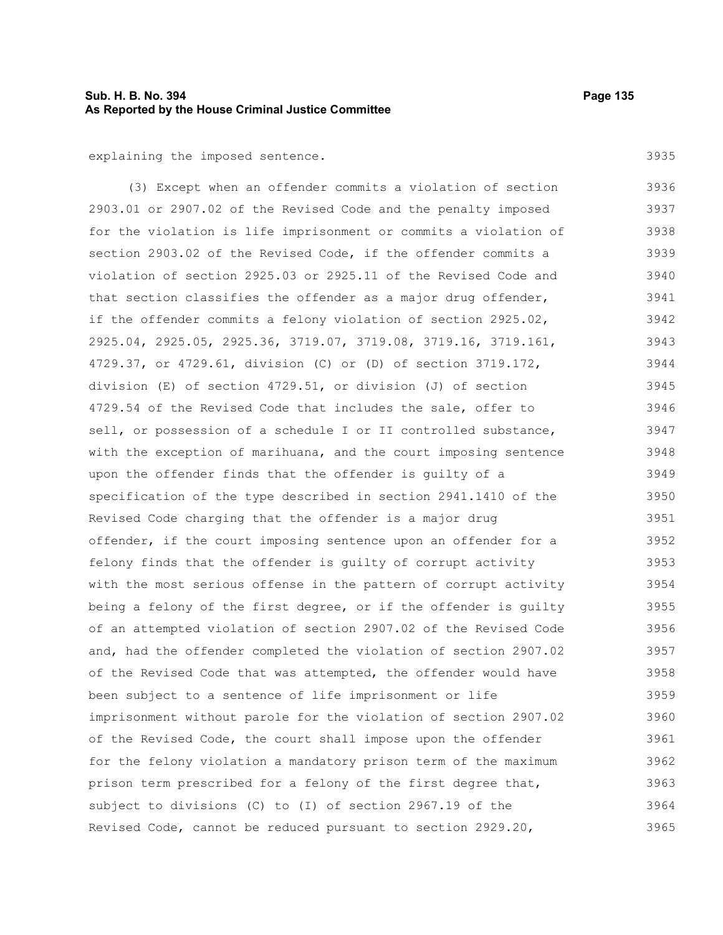## **Sub. H. B. No. 394 Page 135 As Reported by the House Criminal Justice Committee**

explaining the imposed sentence.

(3) Except when an offender commits a violation of section 2903.01 or 2907.02 of the Revised Code and the penalty imposed for the violation is life imprisonment or commits a violation of section 2903.02 of the Revised Code, if the offender commits a violation of section 2925.03 or 2925.11 of the Revised Code and that section classifies the offender as a major drug offender, if the offender commits a felony violation of section 2925.02, 2925.04, 2925.05, 2925.36, 3719.07, 3719.08, 3719.16, 3719.161, 4729.37, or 4729.61, division (C) or (D) of section 3719.172, division (E) of section 4729.51, or division (J) of section 4729.54 of the Revised Code that includes the sale, offer to sell, or possession of a schedule I or II controlled substance, with the exception of marihuana, and the court imposing sentence upon the offender finds that the offender is guilty of a specification of the type described in section 2941.1410 of the Revised Code charging that the offender is a major drug offender, if the court imposing sentence upon an offender for a felony finds that the offender is guilty of corrupt activity with the most serious offense in the pattern of corrupt activity being a felony of the first degree, or if the offender is guilty of an attempted violation of section 2907.02 of the Revised Code and, had the offender completed the violation of section 2907.02 of the Revised Code that was attempted, the offender would have been subject to a sentence of life imprisonment or life imprisonment without parole for the violation of section 2907.02 of the Revised Code, the court shall impose upon the offender for the felony violation a mandatory prison term of the maximum prison term prescribed for a felony of the first degree that, subject to divisions (C) to (I) of section 2967.19 of the Revised Code, cannot be reduced pursuant to section 2929.20, 3936 3937 3938 3939 3940 3941 3942 3943 3944 3945 3946 3947 3948 3949 3950 3951 3952 3953 3954 3955 3956 3957 3958 3959 3960 3961 3962 3963 3964 3965

3935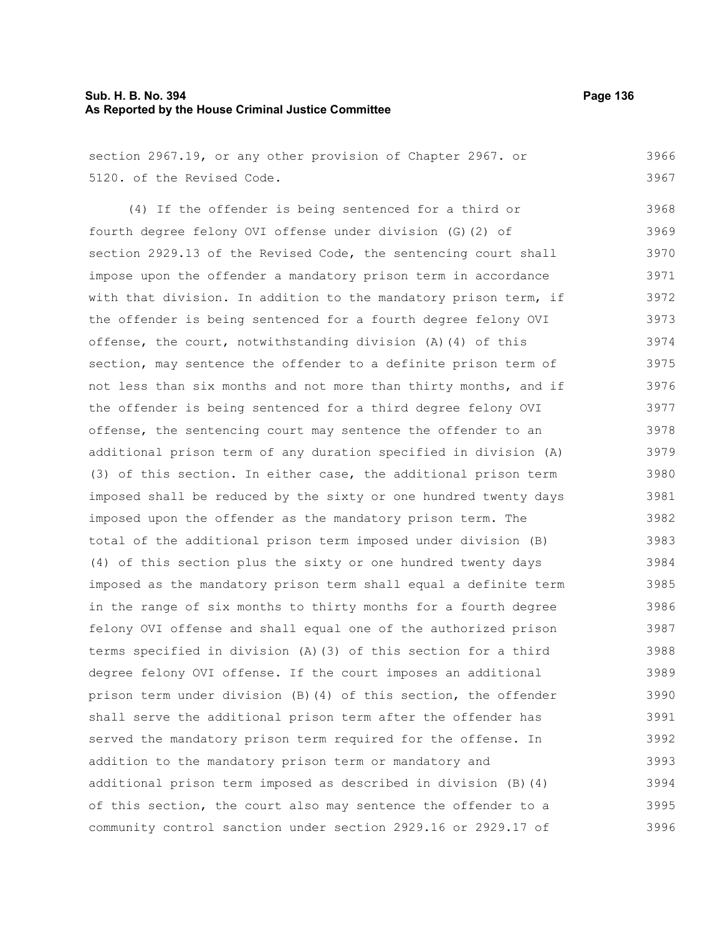# **Sub. H. B. No. 394 Page 136 As Reported by the House Criminal Justice Committee**

| section 2967.19, or any other provision of Chapter 2967. or      | 3966 |
|------------------------------------------------------------------|------|
| 5120. of the Revised Code.                                       | 3967 |
| (4) If the offender is being sentenced for a third or            | 3968 |
| fourth degree felony OVI offense under division (G) (2) of       | 3969 |
| section 2929.13 of the Revised Code, the sentencing court shall  | 3970 |
| impose upon the offender a mandatory prison term in accordance   | 3971 |
| with that division. In addition to the mandatory prison term, if | 3972 |
| the offender is being sentenced for a fourth degree felony OVI   | 3973 |
| offense, the court, notwithstanding division (A) (4) of this     | 3974 |
| section, may sentence the offender to a definite prison term of  | 3975 |
| not less than six months and not more than thirty months, and if | 3976 |
| the offender is being sentenced for a third degree felony OVI    | 3977 |
| offense, the sentencing court may sentence the offender to an    | 3978 |
| additional prison term of any duration specified in division (A) | 3979 |
| (3) of this section. In either case, the additional prison term  | 3980 |
| imposed shall be reduced by the sixty or one hundred twenty days | 3981 |
| imposed upon the offender as the mandatory prison term. The      | 3982 |
| total of the additional prison term imposed under division (B)   | 3983 |
| (4) of this section plus the sixty or one hundred twenty days    | 3984 |
| imposed as the mandatory prison term shall equal a definite term | 3985 |
| in the range of six months to thirty months for a fourth degree  | 3986 |
| felony OVI offense and shall equal one of the authorized prison  | 3987 |
| terms specified in division (A)(3) of this section for a third   | 3988 |
| degree felony OVI offense. If the court imposes an additional    | 3989 |
| prison term under division (B) (4) of this section, the offender | 3990 |
| shall serve the additional prison term after the offender has    | 3991 |
| served the mandatory prison term required for the offense. In    | 3992 |
| addition to the mandatory prison term or mandatory and           | 3993 |
| additional prison term imposed as described in division (B) (4)  | 3994 |
| of this section, the court also may sentence the offender to a   | 3995 |
| community control sanction under section 2929.16 or 2929.17 of   | 3996 |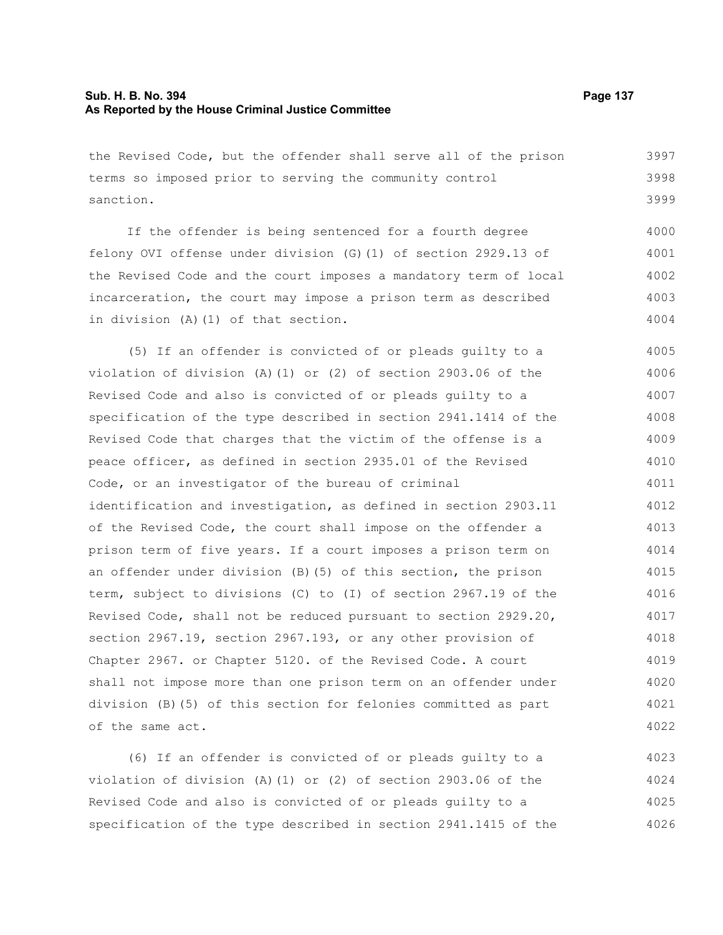## **Sub. H. B. No. 394 Page 137 As Reported by the House Criminal Justice Committee**

the Revised Code, but the offender shall serve all of the prison terms so imposed prior to serving the community control sanction. If the offender is being sentenced for a fourth degree felony OVI offense under division (G)(1) of section 2929.13 of the Revised Code and the court imposes a mandatory term of local incarceration, the court may impose a prison term as described in division (A)(1) of that section. (5) If an offender is convicted of or pleads guilty to a violation of division (A)(1) or (2) of section 2903.06 of the Revised Code and also is convicted of or pleads guilty to a specification of the type described in section 2941.1414 of the Revised Code that charges that the victim of the offense is a peace officer, as defined in section 2935.01 of the Revised Code, or an investigator of the bureau of criminal identification and investigation, as defined in section 2903.11 of the Revised Code, the court shall impose on the offender a prison term of five years. If a court imposes a prison term on an offender under division (B)(5) of this section, the prison term, subject to divisions (C) to (I) of section 2967.19 of the Revised Code, shall not be reduced pursuant to section 2929.20, section 2967.19, section 2967.193, or any other provision of Chapter 2967. or Chapter 5120. of the Revised Code. A court shall not impose more than one prison term on an offender under division (B)(5) of this section for felonies committed as part of the same act. 3997 3998 3999 4000 4001 4002 4003 4004 4005 4006 4007 4008 4009 4010 4011 4012 4013 4014 4015 4016 4017 4018 4019 4020 4021 4022

(6) If an offender is convicted of or pleads guilty to a violation of division (A)(1) or (2) of section 2903.06 of the Revised Code and also is convicted of or pleads guilty to a specification of the type described in section 2941.1415 of the 4023 4024 4025 4026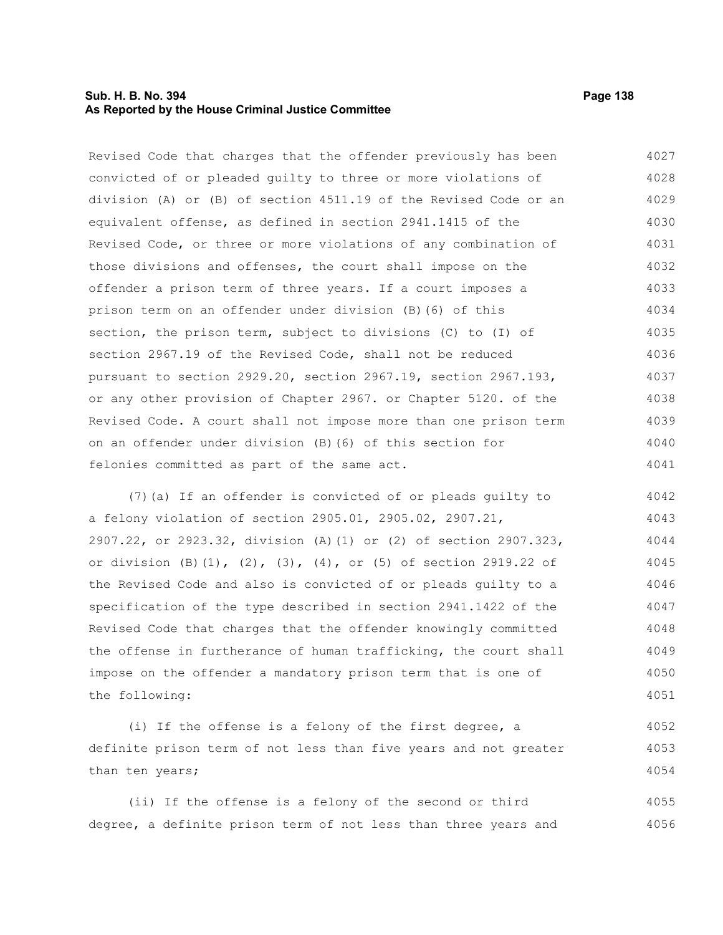#### **Sub. H. B. No. 394 Page 138 As Reported by the House Criminal Justice Committee**

Revised Code that charges that the offender previously has been convicted of or pleaded guilty to three or more violations of division (A) or (B) of section 4511.19 of the Revised Code or an equivalent offense, as defined in section 2941.1415 of the Revised Code, or three or more violations of any combination of those divisions and offenses, the court shall impose on the offender a prison term of three years. If a court imposes a prison term on an offender under division (B)(6) of this section, the prison term, subject to divisions (C) to (I) of section 2967.19 of the Revised Code, shall not be reduced pursuant to section 2929.20, section 2967.19, section 2967.193, or any other provision of Chapter 2967. or Chapter 5120. of the Revised Code. A court shall not impose more than one prison term on an offender under division (B)(6) of this section for felonies committed as part of the same act. 4027 4028 4029 4030 4031 4032 4033 4034 4035 4036 4037 4038 4039 4040 4041

(7)(a) If an offender is convicted of or pleads guilty to a felony violation of section 2905.01, 2905.02, 2907.21, 2907.22, or 2923.32, division (A)(1) or (2) of section 2907.323, or division (B)(1), (2), (3), (4), or (5) of section 2919.22 of the Revised Code and also is convicted of or pleads guilty to a specification of the type described in section 2941.1422 of the Revised Code that charges that the offender knowingly committed the offense in furtherance of human trafficking, the court shall impose on the offender a mandatory prison term that is one of the following: 4042 4043 4044 4045 4046 4047 4048 4049 4050 4051

(i) If the offense is a felony of the first degree, a definite prison term of not less than five years and not greater than ten years; 4052 4053 4054

(ii) If the offense is a felony of the second or third degree, a definite prison term of not less than three years and 4055 4056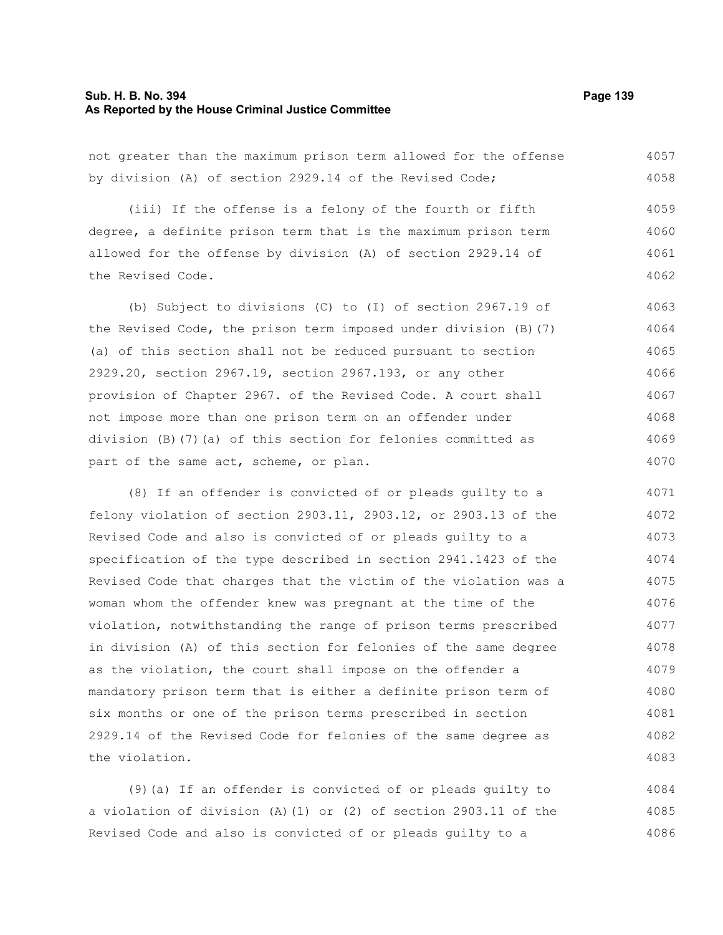#### **Sub. H. B. No. 394 Page 139 As Reported by the House Criminal Justice Committee**

not greater than the maximum prison term allowed for the offense by division (A) of section 2929.14 of the Revised Code;

(iii) If the offense is a felony of the fourth or fifth degree, a definite prison term that is the maximum prison term allowed for the offense by division (A) of section 2929.14 of the Revised Code. 4059 4060 4061 4062

(b) Subject to divisions (C) to (I) of section 2967.19 of the Revised Code, the prison term imposed under division (B)(7) (a) of this section shall not be reduced pursuant to section 2929.20, section 2967.19, section 2967.193, or any other provision of Chapter 2967. of the Revised Code. A court shall not impose more than one prison term on an offender under division (B)(7)(a) of this section for felonies committed as part of the same act, scheme, or plan. 4063 4064 4065 4066 4067 4068 4069 4070

(8) If an offender is convicted of or pleads guilty to a felony violation of section 2903.11, 2903.12, or 2903.13 of the Revised Code and also is convicted of or pleads guilty to a specification of the type described in section 2941.1423 of the Revised Code that charges that the victim of the violation was a woman whom the offender knew was pregnant at the time of the violation, notwithstanding the range of prison terms prescribed in division (A) of this section for felonies of the same degree as the violation, the court shall impose on the offender a mandatory prison term that is either a definite prison term of six months or one of the prison terms prescribed in section 2929.14 of the Revised Code for felonies of the same degree as the violation. 4071 4072 4073 4074 4075 4076 4077 4078 4079 4080 4081 4082 4083

(9)(a) If an offender is convicted of or pleads guilty to a violation of division (A)(1) or (2) of section 2903.11 of the Revised Code and also is convicted of or pleads guilty to a 4084 4085 4086

4057 4058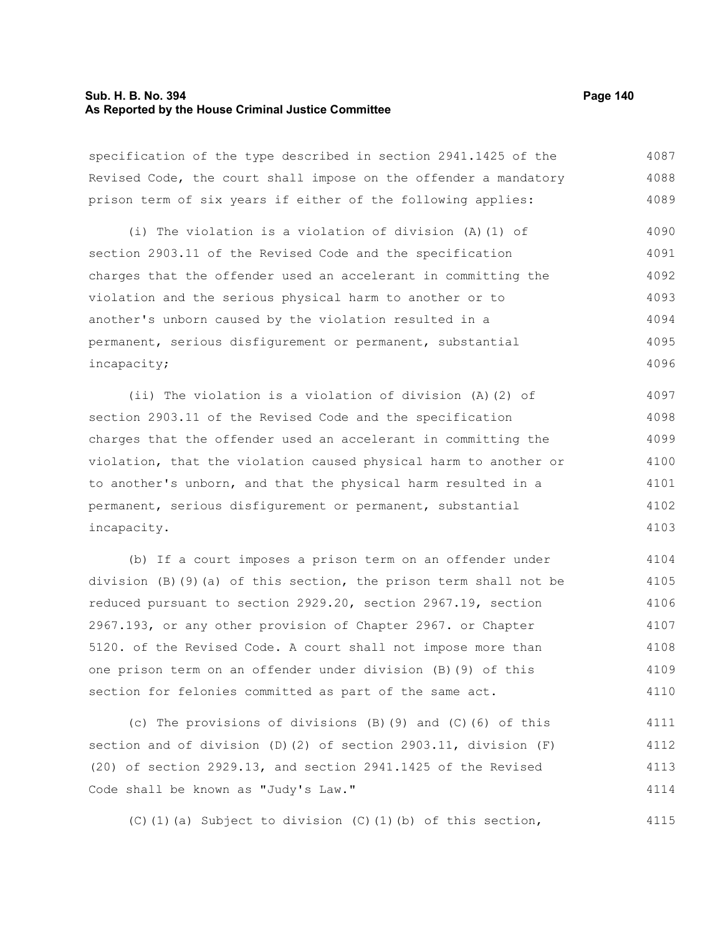#### **Sub. H. B. No. 394 Page 140 As Reported by the House Criminal Justice Committee**

specification of the type described in section 2941.1425 of the Revised Code, the court shall impose on the offender a mandatory prison term of six years if either of the following applies: 4087 4088 4089

(i) The violation is a violation of division (A)(1) of section 2903.11 of the Revised Code and the specification charges that the offender used an accelerant in committing the violation and the serious physical harm to another or to another's unborn caused by the violation resulted in a permanent, serious disfigurement or permanent, substantial incapacity; 4090 4091 4092 4093 4094 4095 4096

(ii) The violation is a violation of division (A)(2) of section 2903.11 of the Revised Code and the specification charges that the offender used an accelerant in committing the violation, that the violation caused physical harm to another or to another's unborn, and that the physical harm resulted in a permanent, serious disfigurement or permanent, substantial incapacity. 4097 4098 4099 4100 4101 4102 4103

(b) If a court imposes a prison term on an offender under division (B)(9)(a) of this section, the prison term shall not be reduced pursuant to section 2929.20, section 2967.19, section 2967.193, or any other provision of Chapter 2967. or Chapter 5120. of the Revised Code. A court shall not impose more than one prison term on an offender under division (B)(9) of this section for felonies committed as part of the same act. 4104 4105 4106 4107 4108 4109 4110

(c) The provisions of divisions (B)(9) and (C)(6) of this section and of division (D)(2) of section 2903.11, division (F) (20) of section 2929.13, and section 2941.1425 of the Revised Code shall be known as "Judy's Law." 4111 4112 4113 4114

(C)(1)(a) Subject to division (C)(1)(b) of this section,

4115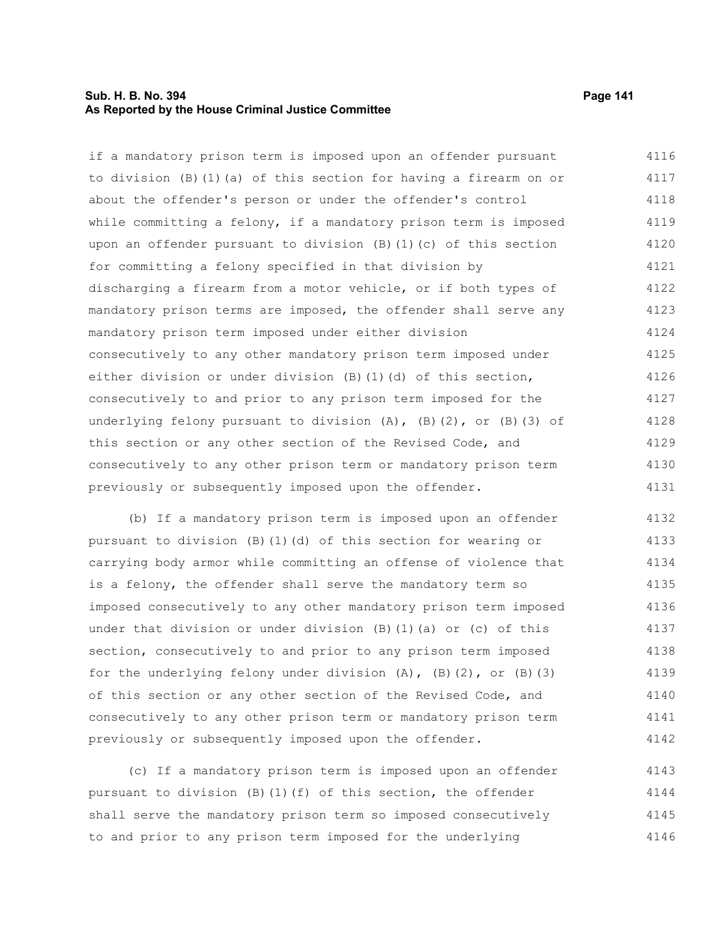#### **Sub. H. B. No. 394 Page 141 As Reported by the House Criminal Justice Committee**

if a mandatory prison term is imposed upon an offender pursuant

4116

to division (B)(1)(a) of this section for having a firearm on or about the offender's person or under the offender's control while committing a felony, if a mandatory prison term is imposed upon an offender pursuant to division (B)(1)(c) of this section for committing a felony specified in that division by discharging a firearm from a motor vehicle, or if both types of mandatory prison terms are imposed, the offender shall serve any mandatory prison term imposed under either division consecutively to any other mandatory prison term imposed under either division or under division (B)(1)(d) of this section, consecutively to and prior to any prison term imposed for the underlying felony pursuant to division  $(A)$ ,  $(B)$   $(2)$ , or  $(B)$   $(3)$  of this section or any other section of the Revised Code, and consecutively to any other prison term or mandatory prison term previously or subsequently imposed upon the offender. 4117 4118 4119 4120 4121 4122 4123 4124 4125 4126 4127 4128 4129 4130 4131

(b) If a mandatory prison term is imposed upon an offender pursuant to division (B)(1)(d) of this section for wearing or carrying body armor while committing an offense of violence that is a felony, the offender shall serve the mandatory term so imposed consecutively to any other mandatory prison term imposed under that division or under division (B)(1)(a) or (c) of this section, consecutively to and prior to any prison term imposed for the underlying felony under division  $(A)$ ,  $(B)$   $(2)$ , or  $(B)$   $(3)$ of this section or any other section of the Revised Code, and consecutively to any other prison term or mandatory prison term previously or subsequently imposed upon the offender. 4132 4133 4134 4135 4136 4137 4138 4139 4140 4141 4142

(c) If a mandatory prison term is imposed upon an offender pursuant to division  $(B)(1)(f)$  of this section, the offender shall serve the mandatory prison term so imposed consecutively to and prior to any prison term imposed for the underlying 4143 4144 4145 4146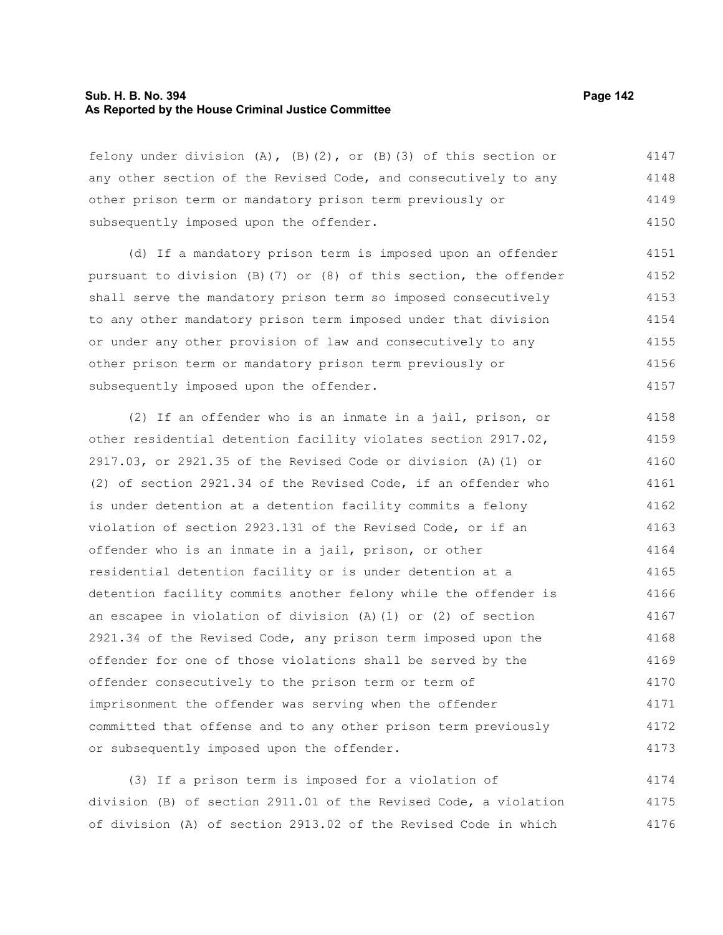#### **Sub. H. B. No. 394 Page 142 As Reported by the House Criminal Justice Committee**

felony under division  $(A)$ ,  $(B)$  $(2)$ , or  $(B)$  $(3)$  of this section or any other section of the Revised Code, and consecutively to any other prison term or mandatory prison term previously or subsequently imposed upon the offender. 4147 4148 4149 4150

(d) If a mandatory prison term is imposed upon an offender pursuant to division (B)(7) or (8) of this section, the offender shall serve the mandatory prison term so imposed consecutively to any other mandatory prison term imposed under that division or under any other provision of law and consecutively to any other prison term or mandatory prison term previously or subsequently imposed upon the offender. 4151 4152 4153 4154 4155 4156 4157

(2) If an offender who is an inmate in a jail, prison, or other residential detention facility violates section 2917.02, 2917.03, or 2921.35 of the Revised Code or division (A)(1) or (2) of section 2921.34 of the Revised Code, if an offender who is under detention at a detention facility commits a felony violation of section 2923.131 of the Revised Code, or if an offender who is an inmate in a jail, prison, or other residential detention facility or is under detention at a detention facility commits another felony while the offender is an escapee in violation of division (A)(1) or (2) of section 2921.34 of the Revised Code, any prison term imposed upon the offender for one of those violations shall be served by the offender consecutively to the prison term or term of imprisonment the offender was serving when the offender committed that offense and to any other prison term previously or subsequently imposed upon the offender. 4158 4159 4160 4161 4162 4163 4164 4165 4166 4167 4168 4169 4170 4171 4172 4173

(3) If a prison term is imposed for a violation of division (B) of section 2911.01 of the Revised Code, a violation of division (A) of section 2913.02 of the Revised Code in which 4174 4175 4176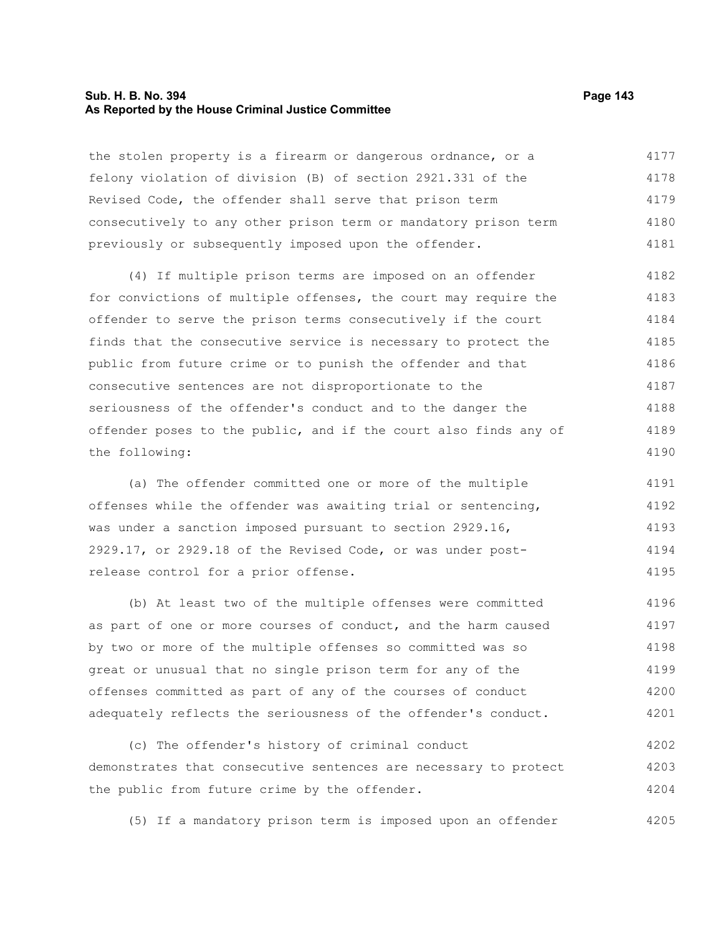#### **Sub. H. B. No. 394 Page 143 As Reported by the House Criminal Justice Committee**

the stolen property is a firearm or dangerous ordnance, or a felony violation of division (B) of section 2921.331 of the Revised Code, the offender shall serve that prison term consecutively to any other prison term or mandatory prison term previously or subsequently imposed upon the offender. 4177 4178 4179 4180 4181

(4) If multiple prison terms are imposed on an offender for convictions of multiple offenses, the court may require the offender to serve the prison terms consecutively if the court finds that the consecutive service is necessary to protect the public from future crime or to punish the offender and that consecutive sentences are not disproportionate to the seriousness of the offender's conduct and to the danger the offender poses to the public, and if the court also finds any of the following: 4182 4183 4184 4185 4186 4187 4188 4189 4190

(a) The offender committed one or more of the multiple offenses while the offender was awaiting trial or sentencing, was under a sanction imposed pursuant to section 2929.16, 2929.17, or 2929.18 of the Revised Code, or was under postrelease control for a prior offense. 4191 4192 4193 4194 4195

(b) At least two of the multiple offenses were committed as part of one or more courses of conduct, and the harm caused by two or more of the multiple offenses so committed was so great or unusual that no single prison term for any of the offenses committed as part of any of the courses of conduct adequately reflects the seriousness of the offender's conduct. 4196 4197 4198 4199 4200 4201

(c) The offender's history of criminal conduct demonstrates that consecutive sentences are necessary to protect the public from future crime by the offender. 4202 4203 4204

(5) If a mandatory prison term is imposed upon an offender 4205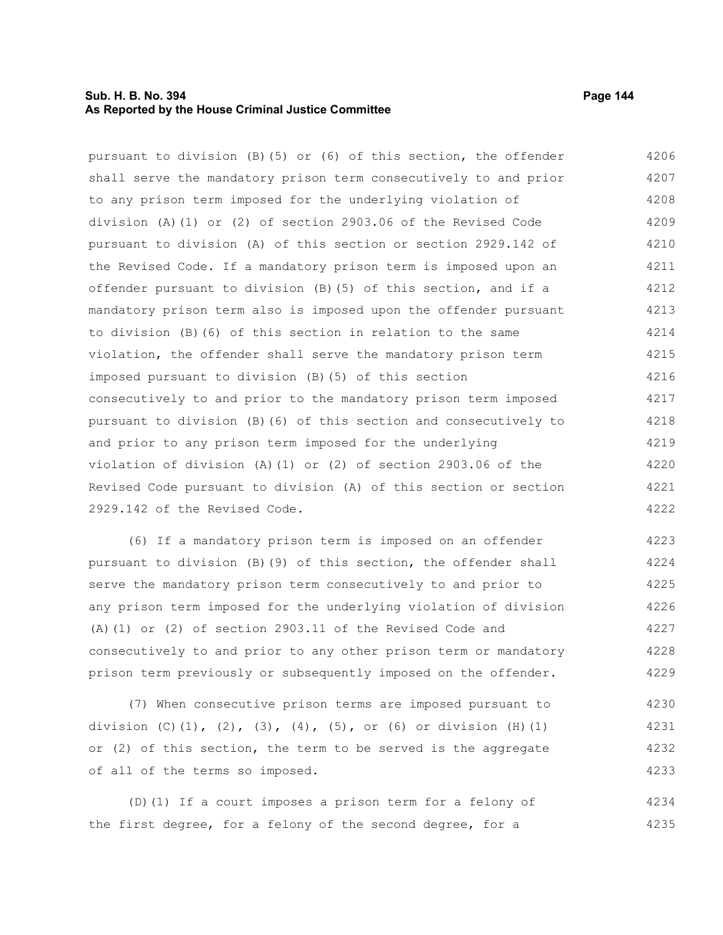#### **Sub. H. B. No. 394 Page 144 As Reported by the House Criminal Justice Committee**

pursuant to division (B)(5) or (6) of this section, the offender shall serve the mandatory prison term consecutively to and prior to any prison term imposed for the underlying violation of division (A)(1) or (2) of section 2903.06 of the Revised Code pursuant to division (A) of this section or section 2929.142 of the Revised Code. If a mandatory prison term is imposed upon an offender pursuant to division (B)(5) of this section, and if a mandatory prison term also is imposed upon the offender pursuant to division (B)(6) of this section in relation to the same violation, the offender shall serve the mandatory prison term imposed pursuant to division (B)(5) of this section consecutively to and prior to the mandatory prison term imposed pursuant to division (B)(6) of this section and consecutively to and prior to any prison term imposed for the underlying violation of division (A)(1) or (2) of section 2903.06 of the Revised Code pursuant to division (A) of this section or section 2929.142 of the Revised Code. 4206 4207 4208 4209 4210 4211 4212 4213 4214 4215 4216 4217 4218 4219 4220 4221 4222

(6) If a mandatory prison term is imposed on an offender pursuant to division (B)(9) of this section, the offender shall serve the mandatory prison term consecutively to and prior to any prison term imposed for the underlying violation of division (A)(1) or (2) of section 2903.11 of the Revised Code and consecutively to and prior to any other prison term or mandatory prison term previously or subsequently imposed on the offender. 4223 4224 4225 4226 4227 4228 4229

(7) When consecutive prison terms are imposed pursuant to division  $(C)$ (1),  $(2)$ ,  $(3)$ ,  $(4)$ ,  $(5)$ , or  $(6)$  or division  $(H)$  (1) or (2) of this section, the term to be served is the aggregate of all of the terms so imposed. 4230 4231 4232 4233

(D)(1) If a court imposes a prison term for a felony of the first degree, for a felony of the second degree, for a 4234 4235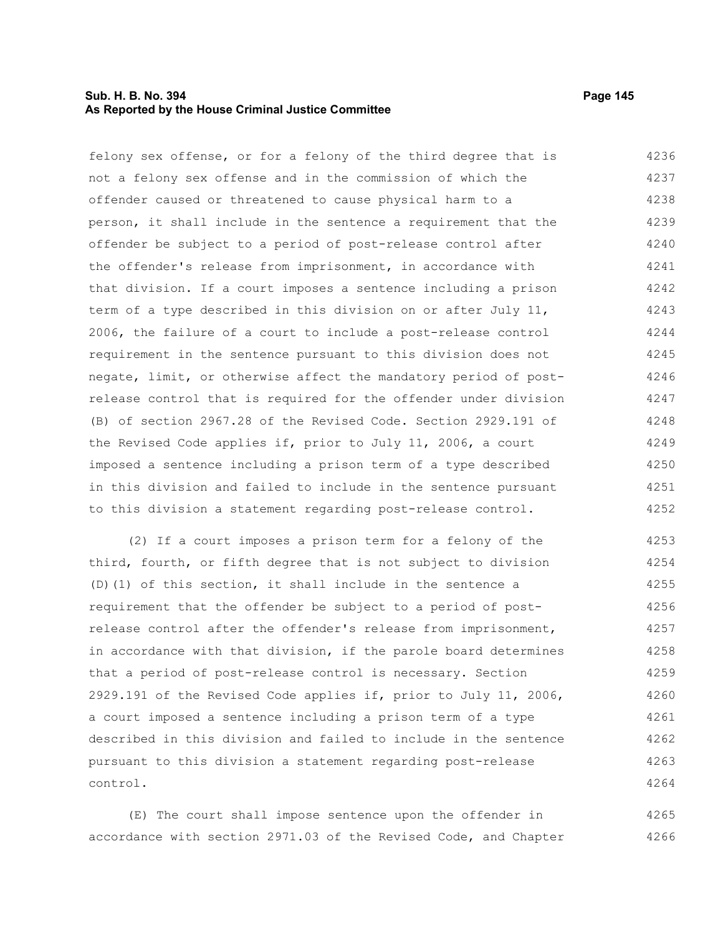# **Sub. H. B. No. 394 Page 145 As Reported by the House Criminal Justice Committee**

felony sex offense, or for a felony of the third degree that is not a felony sex offense and in the commission of which the offender caused or threatened to cause physical harm to a person, it shall include in the sentence a requirement that the offender be subject to a period of post-release control after the offender's release from imprisonment, in accordance with that division. If a court imposes a sentence including a prison term of a type described in this division on or after July 11, 2006, the failure of a court to include a post-release control requirement in the sentence pursuant to this division does not negate, limit, or otherwise affect the mandatory period of postrelease control that is required for the offender under division (B) of section 2967.28 of the Revised Code. Section 2929.191 of the Revised Code applies if, prior to July 11, 2006, a court imposed a sentence including a prison term of a type described in this division and failed to include in the sentence pursuant to this division a statement regarding post-release control. 4236 4237 4238 4239 4240 4241 4242 4243 4244 4245 4246 4247 4248 4249 4250 4251 4252

(2) If a court imposes a prison term for a felony of the third, fourth, or fifth degree that is not subject to division (D)(1) of this section, it shall include in the sentence a requirement that the offender be subject to a period of postrelease control after the offender's release from imprisonment, in accordance with that division, if the parole board determines that a period of post-release control is necessary. Section 2929.191 of the Revised Code applies if, prior to July 11, 2006, a court imposed a sentence including a prison term of a type described in this division and failed to include in the sentence pursuant to this division a statement regarding post-release control. 4253 4254 4255 4256 4257 4258 4259 4260 4261 4262 4263 4264

(E) The court shall impose sentence upon the offender in accordance with section 2971.03 of the Revised Code, and Chapter 4265 4266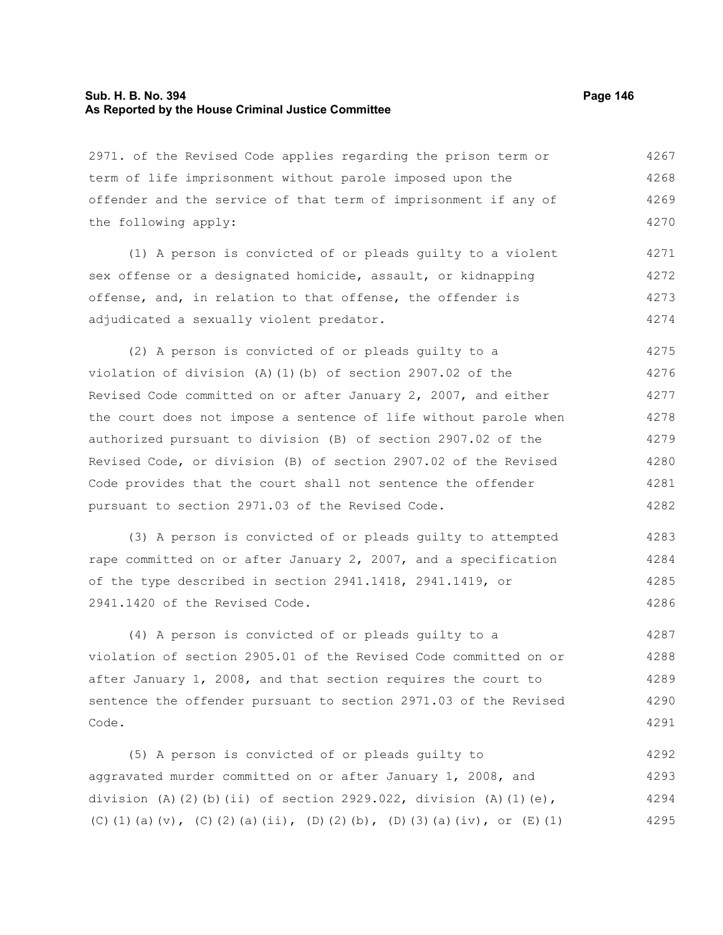## **Sub. H. B. No. 394 Page 146 As Reported by the House Criminal Justice Committee**

2971. of the Revised Code applies regarding the prison term or term of life imprisonment without parole imposed upon the offender and the service of that term of imprisonment if any of the following apply: 4267 4268 4269 4270

(1) A person is convicted of or pleads guilty to a violent sex offense or a designated homicide, assault, or kidnapping offense, and, in relation to that offense, the offender is adjudicated a sexually violent predator. 4271 4272 4273 4274

(2) A person is convicted of or pleads guilty to a violation of division (A)(1)(b) of section 2907.02 of the Revised Code committed on or after January 2, 2007, and either the court does not impose a sentence of life without parole when authorized pursuant to division (B) of section 2907.02 of the Revised Code, or division (B) of section 2907.02 of the Revised Code provides that the court shall not sentence the offender pursuant to section 2971.03 of the Revised Code. 4275 4276 4277 4278 4279 4280 4281 4282

(3) A person is convicted of or pleads guilty to attempted rape committed on or after January 2, 2007, and a specification of the type described in section 2941.1418, 2941.1419, or 2941.1420 of the Revised Code. 4283 4284 4285 4286

(4) A person is convicted of or pleads guilty to a violation of section 2905.01 of the Revised Code committed on or after January 1, 2008, and that section requires the court to sentence the offender pursuant to section 2971.03 of the Revised Code. 4287 4288 4289 4290 4291

(5) A person is convicted of or pleads guilty to aggravated murder committed on or after January 1, 2008, and division (A)(2)(b)(ii) of section 2929.022, division (A)(1)(e), (C)(1)(a)(v), (C)(2)(a)(ii), (D)(2)(b), (D)(3)(a)(iv), or (E)(1) 4292 4293 4294 4295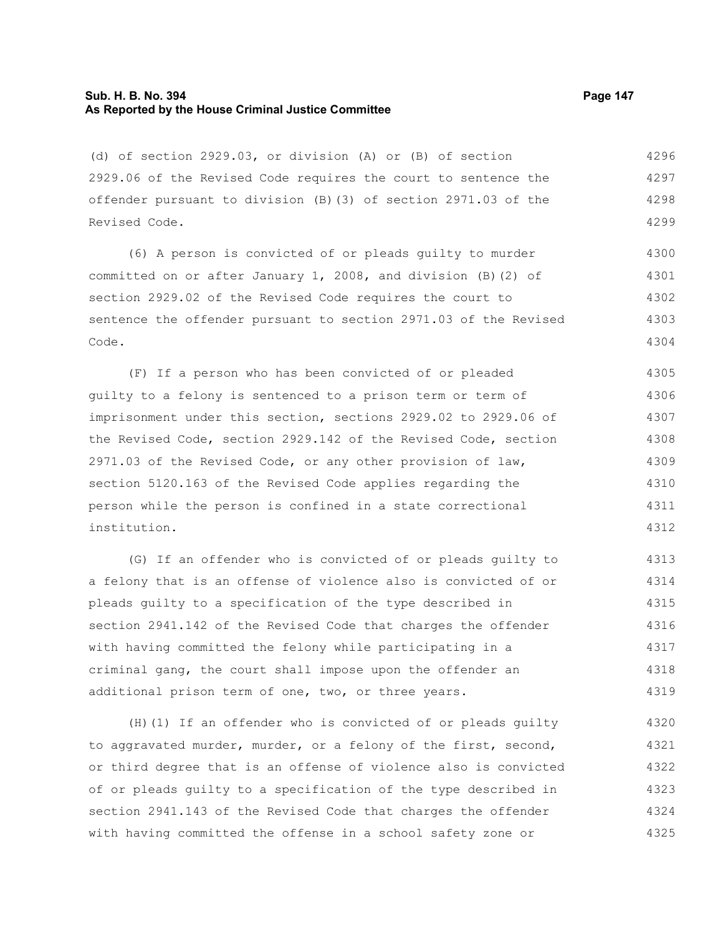## **Sub. H. B. No. 394 Page 147 As Reported by the House Criminal Justice Committee**

(d) of section 2929.03, or division (A) or (B) of section 2929.06 of the Revised Code requires the court to sentence the offender pursuant to division (B)(3) of section 2971.03 of the Revised Code. 4296 4297 4298 4299

(6) A person is convicted of or pleads guilty to murder committed on or after January 1, 2008, and division (B)(2) of section 2929.02 of the Revised Code requires the court to sentence the offender pursuant to section 2971.03 of the Revised Code. 4300 4301 4302 4303 4304

(F) If a person who has been convicted of or pleaded guilty to a felony is sentenced to a prison term or term of imprisonment under this section, sections 2929.02 to 2929.06 of the Revised Code, section 2929.142 of the Revised Code, section 2971.03 of the Revised Code, or any other provision of law, section 5120.163 of the Revised Code applies regarding the person while the person is confined in a state correctional institution. 4305 4306 4307 4308 4309 4310 4311 4312

(G) If an offender who is convicted of or pleads guilty to a felony that is an offense of violence also is convicted of or pleads guilty to a specification of the type described in section 2941.142 of the Revised Code that charges the offender with having committed the felony while participating in a criminal gang, the court shall impose upon the offender an additional prison term of one, two, or three years. 4313 4314 4315 4316 4317 4318 4319

(H)(1) If an offender who is convicted of or pleads guilty to aggravated murder, murder, or a felony of the first, second, or third degree that is an offense of violence also is convicted of or pleads guilty to a specification of the type described in section 2941.143 of the Revised Code that charges the offender with having committed the offense in a school safety zone or 4320 4321 4322 4323 4324 4325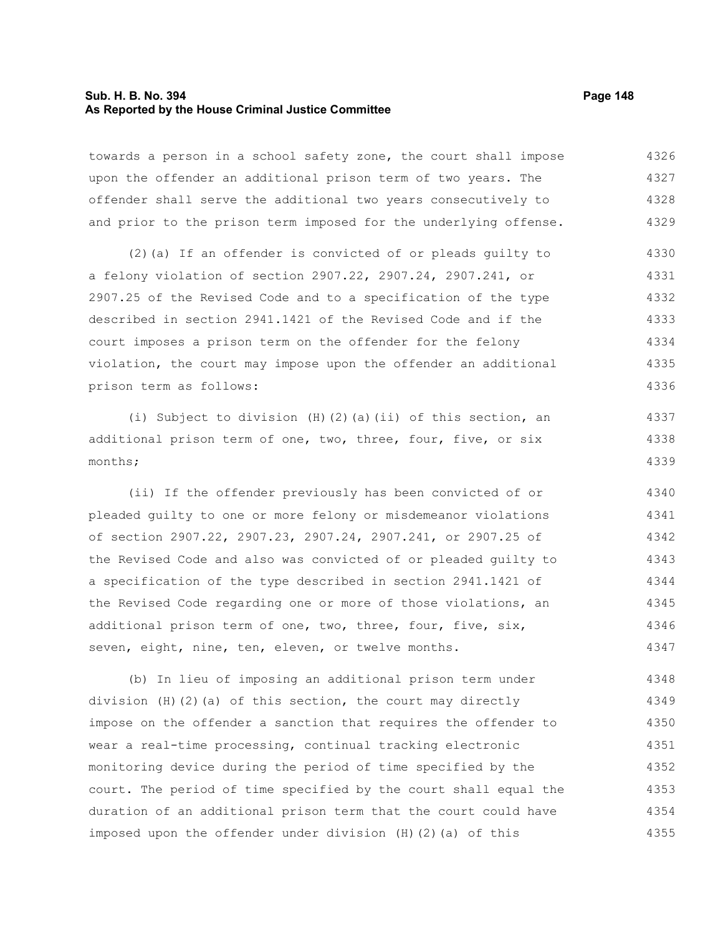#### **Sub. H. B. No. 394 Page 148 As Reported by the House Criminal Justice Committee**

towards a person in a school safety zone, the court shall impose upon the offender an additional prison term of two years. The offender shall serve the additional two years consecutively to and prior to the prison term imposed for the underlying offense. 4326 4327 4328 4329

(2)(a) If an offender is convicted of or pleads guilty to a felony violation of section 2907.22, 2907.24, 2907.241, or 2907.25 of the Revised Code and to a specification of the type described in section 2941.1421 of the Revised Code and if the court imposes a prison term on the offender for the felony violation, the court may impose upon the offender an additional prison term as follows: 4330 4331 4332 4333 4334 4335 4336

(i) Subject to division (H)(2)(a)(ii) of this section, an additional prison term of one, two, three, four, five, or six months;

(ii) If the offender previously has been convicted of or pleaded guilty to one or more felony or misdemeanor violations of section 2907.22, 2907.23, 2907.24, 2907.241, or 2907.25 of the Revised Code and also was convicted of or pleaded guilty to a specification of the type described in section 2941.1421 of the Revised Code regarding one or more of those violations, an additional prison term of one, two, three, four, five, six, seven, eight, nine, ten, eleven, or twelve months. 4340 4341 4342 4343 4344 4345 4346 4347

(b) In lieu of imposing an additional prison term under division (H)(2)(a) of this section, the court may directly impose on the offender a sanction that requires the offender to wear a real-time processing, continual tracking electronic monitoring device during the period of time specified by the court. The period of time specified by the court shall equal the duration of an additional prison term that the court could have imposed upon the offender under division (H)(2)(a) of this 4348 4349 4350 4351 4352 4353 4354 4355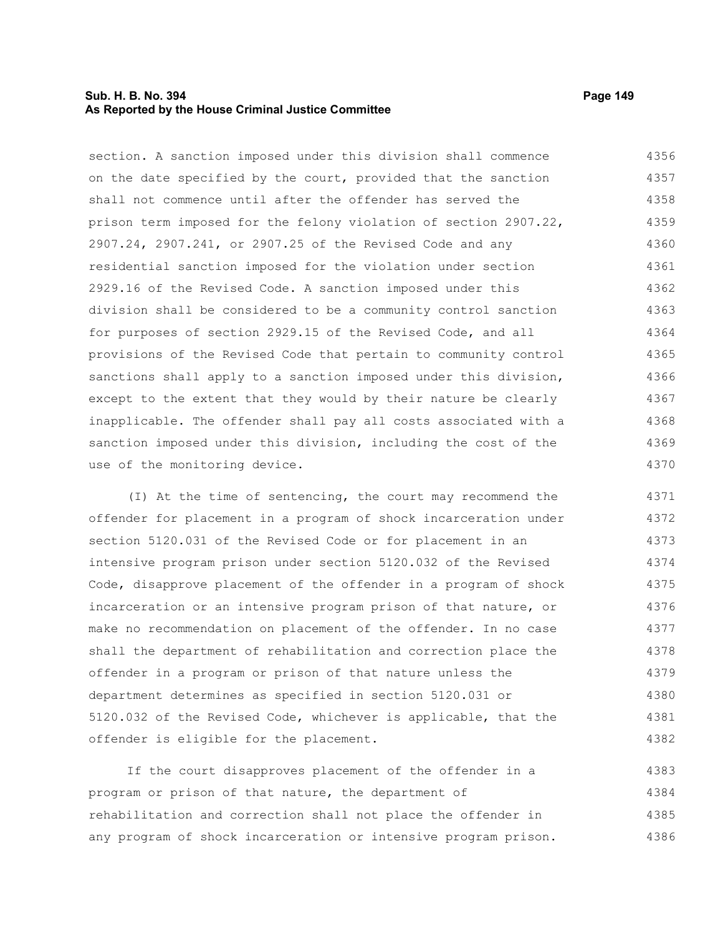## **Sub. H. B. No. 394 Page 149 As Reported by the House Criminal Justice Committee**

section. A sanction imposed under this division shall commence on the date specified by the court, provided that the sanction shall not commence until after the offender has served the prison term imposed for the felony violation of section 2907.22, 2907.24, 2907.241, or 2907.25 of the Revised Code and any residential sanction imposed for the violation under section 2929.16 of the Revised Code. A sanction imposed under this division shall be considered to be a community control sanction for purposes of section 2929.15 of the Revised Code, and all provisions of the Revised Code that pertain to community control sanctions shall apply to a sanction imposed under this division, except to the extent that they would by their nature be clearly inapplicable. The offender shall pay all costs associated with a sanction imposed under this division, including the cost of the use of the monitoring device. 4356 4357 4358 4359 4360 4361 4362 4363 4364 4365 4366 4367 4368 4369 4370

(I) At the time of sentencing, the court may recommend the offender for placement in a program of shock incarceration under section 5120.031 of the Revised Code or for placement in an intensive program prison under section 5120.032 of the Revised Code, disapprove placement of the offender in a program of shock incarceration or an intensive program prison of that nature, or make no recommendation on placement of the offender. In no case shall the department of rehabilitation and correction place the offender in a program or prison of that nature unless the department determines as specified in section 5120.031 or 5120.032 of the Revised Code, whichever is applicable, that the offender is eligible for the placement. 4371 4372 4373 4374 4375 4376 4377 4378 4379 4380 4381 4382

If the court disapproves placement of the offender in a program or prison of that nature, the department of rehabilitation and correction shall not place the offender in any program of shock incarceration or intensive program prison. 4383 4384 4385 4386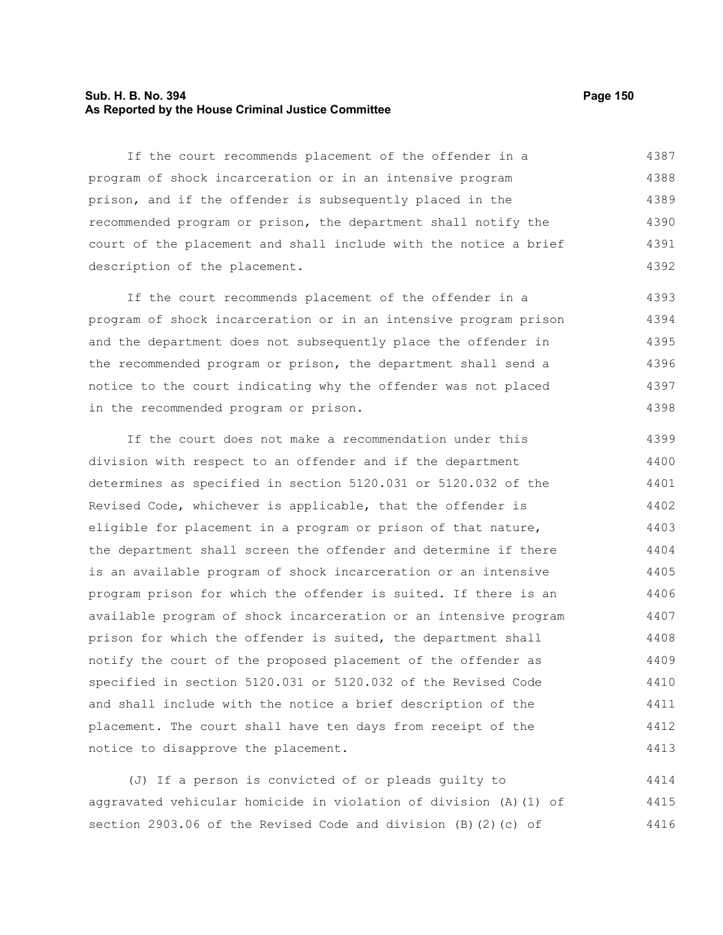### **Sub. H. B. No. 394 Page 150 As Reported by the House Criminal Justice Committee**

If the court recommends placement of the offender in a program of shock incarceration or in an intensive program prison, and if the offender is subsequently placed in the recommended program or prison, the department shall notify the court of the placement and shall include with the notice a brief description of the placement. 4387 4388 4389 4390 4391 4392

If the court recommends placement of the offender in a program of shock incarceration or in an intensive program prison and the department does not subsequently place the offender in the recommended program or prison, the department shall send a notice to the court indicating why the offender was not placed in the recommended program or prison. 4393 4394 4395 4396 4397 4398

If the court does not make a recommendation under this division with respect to an offender and if the department determines as specified in section 5120.031 or 5120.032 of the Revised Code, whichever is applicable, that the offender is eligible for placement in a program or prison of that nature, the department shall screen the offender and determine if there is an available program of shock incarceration or an intensive program prison for which the offender is suited. If there is an available program of shock incarceration or an intensive program prison for which the offender is suited, the department shall notify the court of the proposed placement of the offender as specified in section 5120.031 or 5120.032 of the Revised Code and shall include with the notice a brief description of the placement. The court shall have ten days from receipt of the notice to disapprove the placement. 4399 4400 4401 4402 4403 4404 4405 4406 4407 4408 4409 4410 4411 4412 4413

(J) If a person is convicted of or pleads guilty to aggravated vehicular homicide in violation of division (A)(1) of section 2903.06 of the Revised Code and division (B)(2)(c) of 4414 4415 4416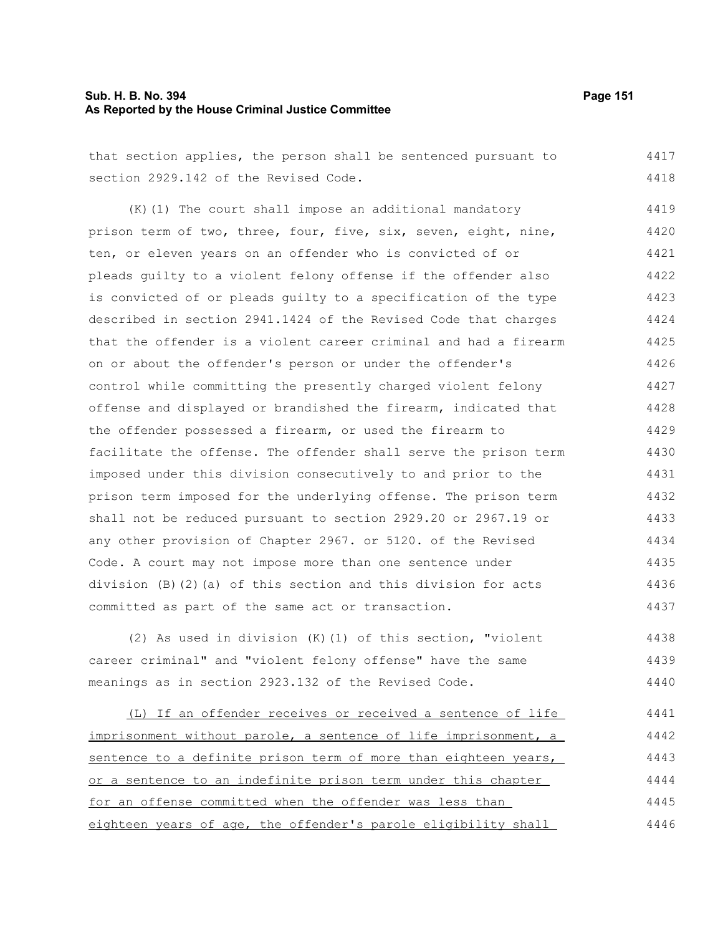# **Sub. H. B. No. 394 Page 151 As Reported by the House Criminal Justice Committee**

| that section applies, the person shall be sentenced pursuant to    | 4417 |
|--------------------------------------------------------------------|------|
| section 2929.142 of the Revised Code.                              | 4418 |
| (K) (1) The court shall impose an additional mandatory             | 4419 |
| prison term of two, three, four, five, six, seven, eight, nine,    | 4420 |
| ten, or eleven years on an offender who is convicted of or         | 4421 |
| pleads quilty to a violent felony offense if the offender also     | 4422 |
| is convicted of or pleads quilty to a specification of the type    | 4423 |
| described in section 2941.1424 of the Revised Code that charges    | 4424 |
| that the offender is a violent career criminal and had a firearm   | 4425 |
| on or about the offender's person or under the offender's          | 4426 |
| control while committing the presently charged violent felony      | 4427 |
| offense and displayed or brandished the firearm, indicated that    | 4428 |
| the offender possessed a firearm, or used the firearm to           | 4429 |
| facilitate the offense. The offender shall serve the prison term   | 4430 |
| imposed under this division consecutively to and prior to the      | 4431 |
| prison term imposed for the underlying offense. The prison term    | 4432 |
| shall not be reduced pursuant to section 2929.20 or 2967.19 or     | 4433 |
| any other provision of Chapter 2967. or 5120. of the Revised       | 4434 |
| Code. A court may not impose more than one sentence under          | 4435 |
| division (B)(2)(a) of this section and this division for acts      | 4436 |
| committed as part of the same act or transaction.                  | 4437 |
| (2) As used in division (K) (1) of this section, "violent          | 4438 |
| career criminal" and "violent felony offense" have the same        | 4439 |
| meanings as in section 2923.132 of the Revised Code.               | 4440 |
| (L) If an offender receives or received a sentence of life         | 4441 |
| imprisonment without parole, a sentence of life imprisonment,<br>a | 4442 |

sentence to a definite prison term of more than eighteen years, or a sentence to an indefinite prison term under this chapter for an offense committed when the offender was less than eighteen years of age, the offender's parole eligibility shall 4443 4444 4445 4446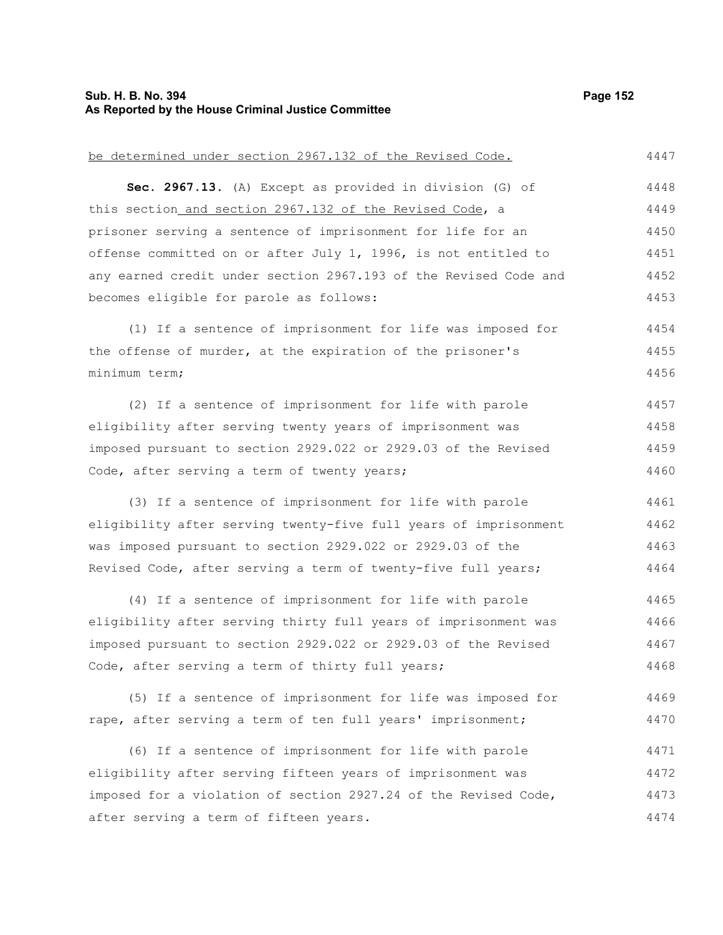# **Sub. H. B. No. 394 Page 152 As Reported by the House Criminal Justice Committee**

| be determined under section 2967.132 of the Revised Code.        | 4447 |
|------------------------------------------------------------------|------|
| Sec. 2967.13. (A) Except as provided in division (G) of          | 4448 |
| this section_and_section_2967.132 of the Revised Code, a         | 4449 |
| prisoner serving a sentence of imprisonment for life for an      | 4450 |
| offense committed on or after July 1, 1996, is not entitled to   | 4451 |
| any earned credit under section 2967.193 of the Revised Code and | 4452 |
| becomes eligible for parole as follows:                          | 4453 |
| (1) If a sentence of imprisonment for life was imposed for       | 4454 |
| the offense of murder, at the expiration of the prisoner's       | 4455 |
| minimum term;                                                    | 4456 |
| (2) If a sentence of imprisonment for life with parole           | 4457 |
| eligibility after serving twenty years of imprisonment was       | 4458 |
| imposed pursuant to section 2929.022 or 2929.03 of the Revised   | 4459 |
| Code, after serving a term of twenty years;                      | 4460 |
| (3) If a sentence of imprisonment for life with parole           | 4461 |
| eligibility after serving twenty-five full years of imprisonment | 4462 |
| was imposed pursuant to section 2929.022 or 2929.03 of the       | 4463 |
| Revised Code, after serving a term of twenty-five full years;    | 4464 |
| (4) If a sentence of imprisonment for life with parole           | 4465 |
| eligibility after serving thirty full years of imprisonment was  | 4466 |
| imposed pursuant to section 2929.022 or 2929.03 of the Revised   | 4467 |
| Code, after serving a term of thirty full years;                 | 4468 |
| (5) If a sentence of imprisonment for life was imposed for       | 4469 |
| rape, after serving a term of ten full years' imprisonment;      | 4470 |
| (6) If a sentence of imprisonment for life with parole           | 4471 |
| eligibility after serving fifteen years of imprisonment was      | 4472 |
| imposed for a violation of section 2927.24 of the Revised Code,  | 4473 |
| after serving a term of fifteen years.                           | 4474 |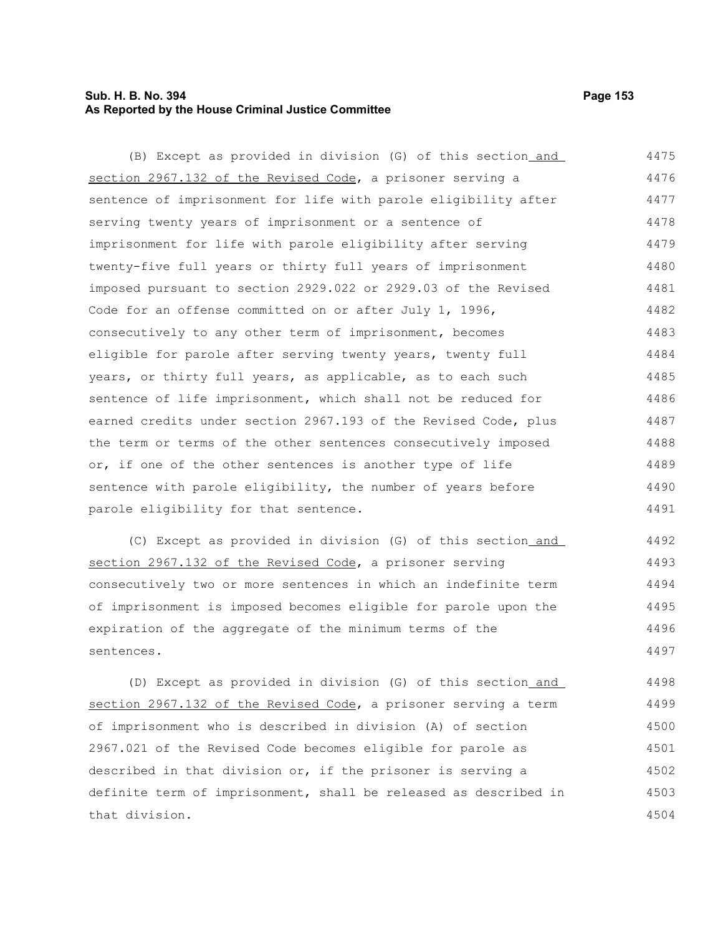# **Sub. H. B. No. 394 Page 153 As Reported by the House Criminal Justice Committee**

(B) Except as provided in division (G) of this section and section 2967.132 of the Revised Code, a prisoner serving a sentence of imprisonment for life with parole eligibility after serving twenty years of imprisonment or a sentence of imprisonment for life with parole eligibility after serving

twenty-five full years or thirty full years of imprisonment imposed pursuant to section 2929.022 or 2929.03 of the Revised Code for an offense committed on or after July 1, 1996, consecutively to any other term of imprisonment, becomes eligible for parole after serving twenty years, twenty full years, or thirty full years, as applicable, as to each such sentence of life imprisonment, which shall not be reduced for earned credits under section 2967.193 of the Revised Code, plus the term or terms of the other sentences consecutively imposed or, if one of the other sentences is another type of life sentence with parole eligibility, the number of years before parole eligibility for that sentence. 4480 4481 4482 4483 4484 4485 4486 4487 4488 4489 4490 4491

(C) Except as provided in division (G) of this section and section 2967.132 of the Revised Code, a prisoner serving consecutively two or more sentences in which an indefinite term of imprisonment is imposed becomes eligible for parole upon the expiration of the aggregate of the minimum terms of the sentences. 4492 4493 4494 4495 4496 4497

(D) Except as provided in division (G) of this section and section 2967.132 of the Revised Code, a prisoner serving a term of imprisonment who is described in division (A) of section 2967.021 of the Revised Code becomes eligible for parole as described in that division or, if the prisoner is serving a definite term of imprisonment, shall be released as described in that division. 4498 4499 4500 4501 4502 4503 4504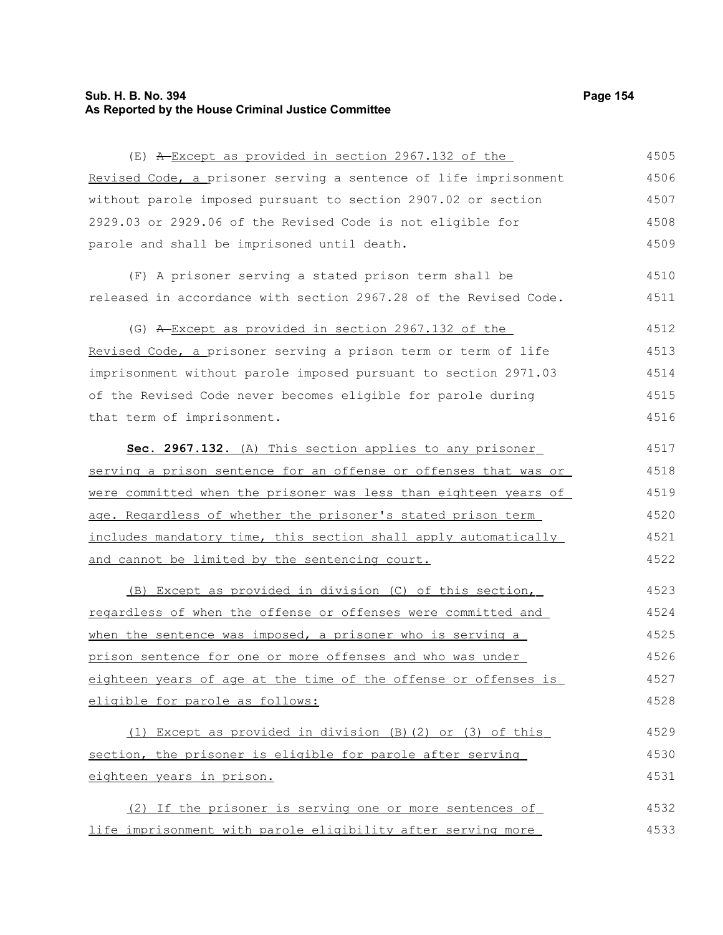# **Sub. H. B. No. 394 Page 154 As Reported by the House Criminal Justice Committee**

| (E) A Except as provided in section 2967.132 of the              | 4505 |
|------------------------------------------------------------------|------|
| Revised Code, a prisoner serving a sentence of life imprisonment | 4506 |
| without parole imposed pursuant to section 2907.02 or section    | 4507 |
| 2929.03 or 2929.06 of the Revised Code is not eligible for       | 4508 |
| parole and shall be imprisoned until death.                      | 4509 |
| (F) A prisoner serving a stated prison term shall be             | 4510 |
| released in accordance with section 2967.28 of the Revised Code. | 4511 |
| (G) A Except as provided in section 2967.132 of the              | 4512 |
| Revised Code, a prisoner serving a prison term or term of life   | 4513 |
| imprisonment without parole imposed pursuant to section 2971.03  | 4514 |
| of the Revised Code never becomes eligible for parole during     | 4515 |
| that term of imprisonment.                                       | 4516 |
| Sec. 2967.132. (A) This section applies to any prisoner          | 4517 |
| serving a prison sentence for an offense or offenses that was or | 4518 |
| were committed when the prisoner was less than eighteen years of | 4519 |
| age. Regardless of whether the prisoner's stated prison term     | 4520 |
| includes mandatory time, this section shall apply automatically  | 4521 |
| and cannot be limited by the sentencing court.                   | 4522 |
| (B) Except as provided in division (C) of this section,          | 4523 |
| regardless of when the offense or offenses were committed and    | 4524 |
| when the sentence was imposed, a prisoner who is serving a       | 4525 |
| prison sentence for one or more offenses and who was under       | 4526 |
| eighteen years of age at the time of the offense or offenses is  | 4527 |
| eligible for parole as follows:                                  | 4528 |
| (1) Except as provided in division (B) (2) or (3) of this        | 4529 |
| section, the prisoner is eligible for parole after serving       | 4530 |
| eighteen years in prison.                                        | 4531 |
| (2) If the prisoner is serving one or more sentences of          | 4532 |
| life imprisonment with parole eligibility after serving more     | 4533 |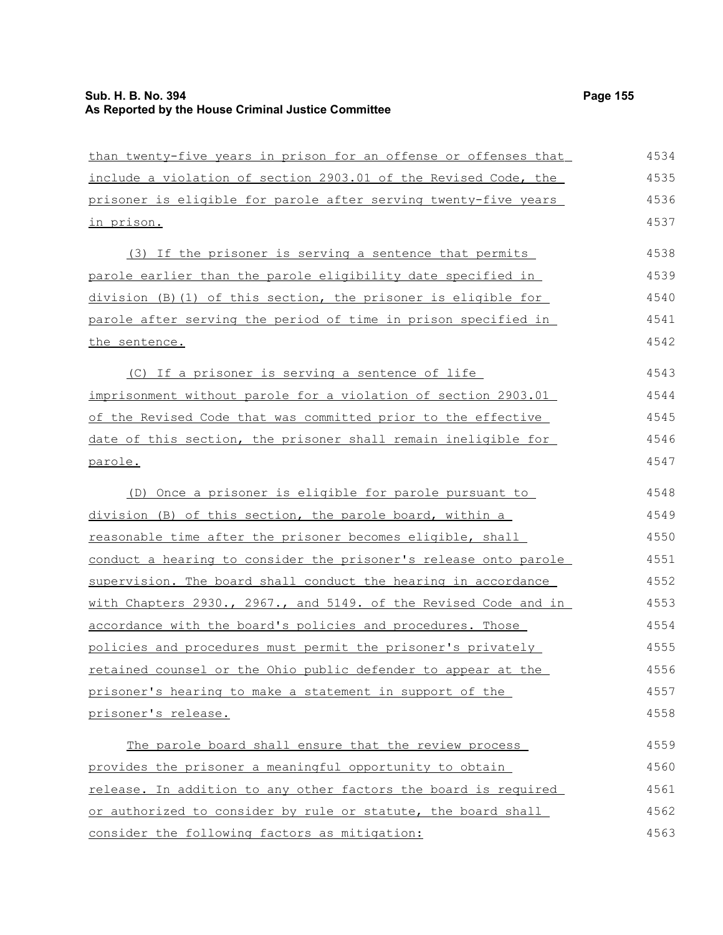| than twenty-five years in prison for an offense or offenses that | 4534 |
|------------------------------------------------------------------|------|
| include a violation of section 2903.01 of the Revised Code, the  | 4535 |
| prisoner is eligible for parole after serving twenty-five years  | 4536 |
| in prison.                                                       | 4537 |
| (3) If the prisoner is serving a sentence that permits           | 4538 |
| parole earlier than the parole eligibility date specified in     | 4539 |
| division (B)(1) of this section, the prisoner is eligible for    | 4540 |
| parole after serving the period of time in prison specified in   | 4541 |
| the sentence.                                                    | 4542 |
| (C) If a prisoner is serving a sentence of life                  | 4543 |
| imprisonment without parole for a violation of section 2903.01   | 4544 |
| of the Revised Code that was committed prior to the effective    | 4545 |
| date of this section, the prisoner shall remain ineligible for   | 4546 |
| parole.                                                          | 4547 |
| Once a prisoner is eligible for parole pursuant to<br>(D)        | 4548 |
| division (B) of this section, the parole board, within a         | 4549 |
| reasonable time after the prisoner becomes eligible, shall       | 4550 |
| conduct a hearing to consider the prisoner's release onto parole | 4551 |
| supervision. The board shall conduct the hearing in accordance   | 4552 |
| with Chapters 2930., 2967., and 5149. of the Revised Code and in | 4553 |
| accordance with the board's policies and procedures. Those       | 4554 |
| policies and procedures must permit the prisoner's privately     | 4555 |
| retained counsel or the Ohio public defender to appear at the    | 4556 |
| prisoner's hearing to make a statement in support of the         | 4557 |
| prisoner's release.                                              | 4558 |
| The parole board shall ensure that the review process            | 4559 |
| provides the prisoner a meaningful opportunity to obtain         | 4560 |
| release. In addition to any other factors the board is required  | 4561 |
| or authorized to consider by rule or statute, the board shall    | 4562 |
| consider the following factors as mitigation:                    | 4563 |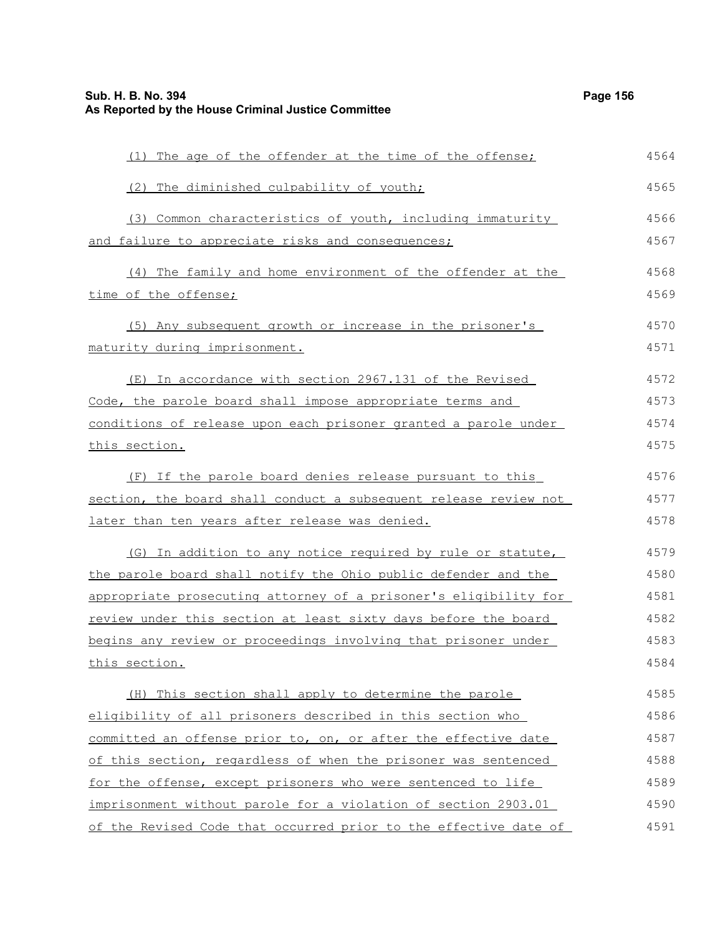| (1) The age of the offender at the time of the offense;          | 4564 |
|------------------------------------------------------------------|------|
| (2) The diminished culpability of youth;                         | 4565 |
| (3) Common characteristics of youth, including immaturity        | 4566 |
| and failure to appreciate risks and consequences;                | 4567 |
| (4) The family and home environment of the offender at the       | 4568 |
| time of the offense;                                             | 4569 |
| (5) Any subsequent growth or increase in the prisoner's          | 4570 |
| maturity during imprisonment.                                    | 4571 |
| (E) In accordance with section 2967.131 of the Revised           | 4572 |
| Code, the parole board shall impose appropriate terms and        | 4573 |
| conditions of release upon each prisoner granted a parole under  | 4574 |
| this section.                                                    | 4575 |
| (F) If the parole board denies release pursuant to this          | 4576 |
| section, the board shall conduct a subsequent release review not | 4577 |
| later than ten years after release was denied.                   | 4578 |
| (G) In addition to any notice required by rule or statute,       | 4579 |
| the parole board shall notify the Ohio public defender and the   | 4580 |
| appropriate prosecuting attorney of a prisoner's eligibility for | 4581 |
| review under this section at least sixty days before the board   | 4582 |
| begins any review or proceedings involving that prisoner under   | 4583 |
| this section.                                                    | 4584 |
| (H) This section shall apply to determine the parole             | 4585 |
| eligibility of all prisoners described in this section who       | 4586 |
| committed an offense prior to, on, or after the effective date   | 4587 |
| of this section, regardless of when the prisoner was sentenced   | 4588 |
| for the offense, except prisoners who were sentenced to life     | 4589 |
| imprisonment without parole for a violation of section 2903.01   | 4590 |
| of the Revised Code that occurred prior to the effective date of | 4591 |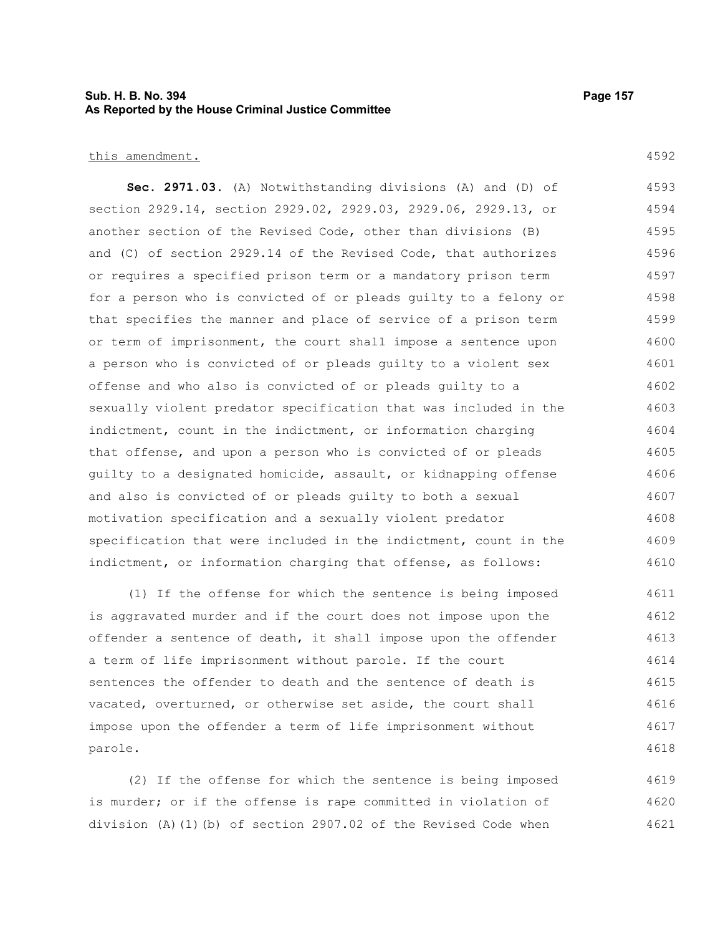# **Sub. H. B. No. 394 Page 157 As Reported by the House Criminal Justice Committee**

#### this amendment.

**Sec. 2971.03.** (A) Notwithstanding divisions (A) and (D) of section 2929.14, section 2929.02, 2929.03, 2929.06, 2929.13, or another section of the Revised Code, other than divisions (B) and (C) of section 2929.14 of the Revised Code, that authorizes or requires a specified prison term or a mandatory prison term for a person who is convicted of or pleads guilty to a felony or that specifies the manner and place of service of a prison term or term of imprisonment, the court shall impose a sentence upon a person who is convicted of or pleads guilty to a violent sex offense and who also is convicted of or pleads guilty to a sexually violent predator specification that was included in the indictment, count in the indictment, or information charging that offense, and upon a person who is convicted of or pleads guilty to a designated homicide, assault, or kidnapping offense and also is convicted of or pleads guilty to both a sexual motivation specification and a sexually violent predator specification that were included in the indictment, count in the indictment, or information charging that offense, as follows: 4593 4594 4595 4596 4597 4598 4599 4600 4601 4602 4603 4604 4605 4606 4607 4608 4609 4610

(1) If the offense for which the sentence is being imposed is aggravated murder and if the court does not impose upon the offender a sentence of death, it shall impose upon the offender a term of life imprisonment without parole. If the court sentences the offender to death and the sentence of death is vacated, overturned, or otherwise set aside, the court shall impose upon the offender a term of life imprisonment without parole. 4611 4612 4613 4614 4615 4616 4617 4618

(2) If the offense for which the sentence is being imposed is murder; or if the offense is rape committed in violation of division (A)(1)(b) of section 2907.02 of the Revised Code when 4619 4620 4621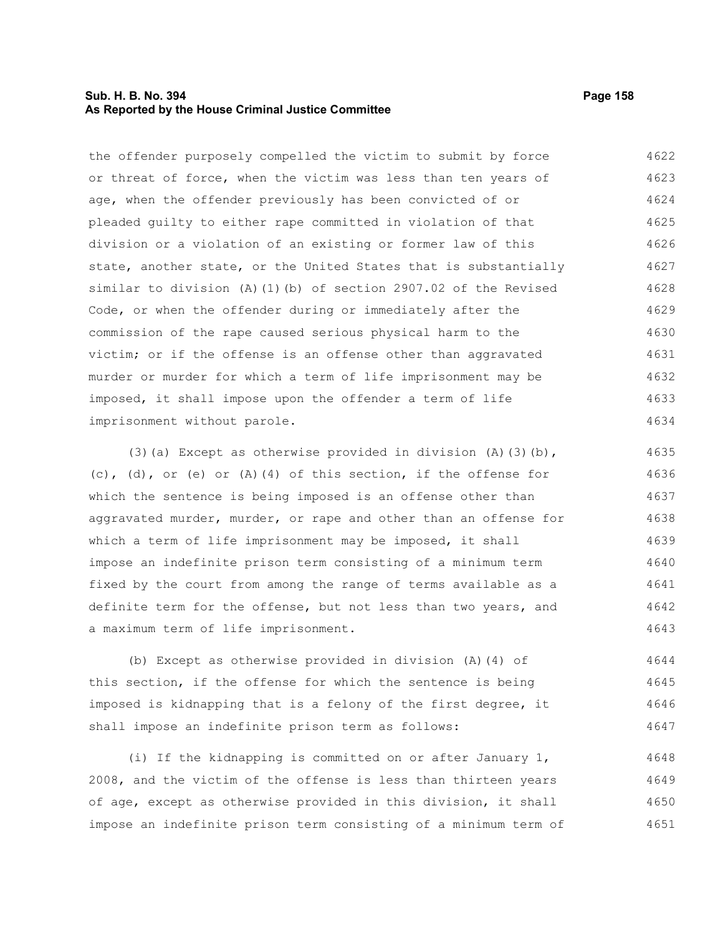## **Sub. H. B. No. 394 Page 158 As Reported by the House Criminal Justice Committee**

imprisonment without parole.

the offender purposely compelled the victim to submit by force or threat of force, when the victim was less than ten years of age, when the offender previously has been convicted of or pleaded guilty to either rape committed in violation of that division or a violation of an existing or former law of this state, another state, or the United States that is substantially similar to division (A)(1)(b) of section 2907.02 of the Revised Code, or when the offender during or immediately after the commission of the rape caused serious physical harm to the victim; or if the offense is an offense other than aggravated murder or murder for which a term of life imprisonment may be imposed, it shall impose upon the offender a term of life 4622 4623 4624 4625 4626 4627 4628 4629 4630 4631 4632 4633

(3)(a) Except as otherwise provided in division  $(A)$  (3)(b), (c), (d), or (e) or (A)(4) of this section, if the offense for which the sentence is being imposed is an offense other than aggravated murder, murder, or rape and other than an offense for which a term of life imprisonment may be imposed, it shall impose an indefinite prison term consisting of a minimum term fixed by the court from among the range of terms available as a definite term for the offense, but not less than two years, and a maximum term of life imprisonment. 4635 4636 4637 4638 4639 4640 4641 4642 4643

(b) Except as otherwise provided in division (A)(4) of this section, if the offense for which the sentence is being imposed is kidnapping that is a felony of the first degree, it shall impose an indefinite prison term as follows: 4644 4645 4646 4647

(i) If the kidnapping is committed on or after January 1, 2008, and the victim of the offense is less than thirteen years of age, except as otherwise provided in this division, it shall impose an indefinite prison term consisting of a minimum term of 4648 4649 4650 4651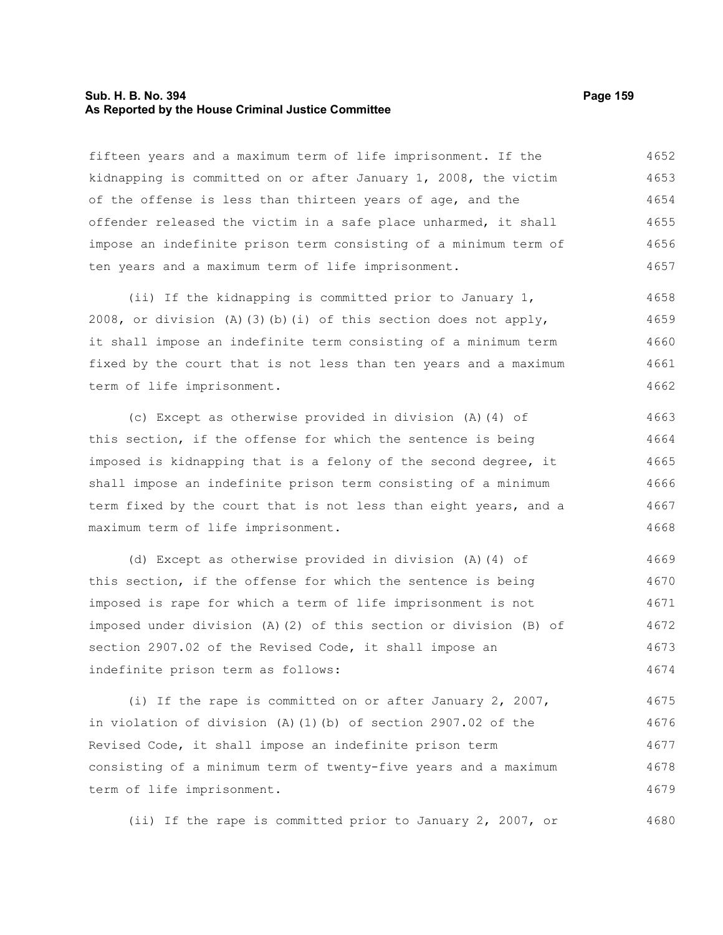#### **Sub. H. B. No. 394 Page 159 As Reported by the House Criminal Justice Committee**

fifteen years and a maximum term of life imprisonment. If the kidnapping is committed on or after January 1, 2008, the victim of the offense is less than thirteen years of age, and the offender released the victim in a safe place unharmed, it shall impose an indefinite prison term consisting of a minimum term of ten years and a maximum term of life imprisonment. 4652 4653 4654 4655 4656 4657

(ii) If the kidnapping is committed prior to January 1, 2008, or division (A)(3)(b)(i) of this section does not apply, it shall impose an indefinite term consisting of a minimum term fixed by the court that is not less than ten years and a maximum term of life imprisonment. 4658 4659 4660 4661 4662

(c) Except as otherwise provided in division (A)(4) of this section, if the offense for which the sentence is being imposed is kidnapping that is a felony of the second degree, it shall impose an indefinite prison term consisting of a minimum term fixed by the court that is not less than eight years, and a maximum term of life imprisonment. 4663 4664 4665 4666 4667 4668

(d) Except as otherwise provided in division (A)(4) of this section, if the offense for which the sentence is being imposed is rape for which a term of life imprisonment is not imposed under division (A)(2) of this section or division (B) of section 2907.02 of the Revised Code, it shall impose an indefinite prison term as follows: 4669 4670 4671 4672 4673 4674

(i) If the rape is committed on or after January 2, 2007, in violation of division (A)(1)(b) of section 2907.02 of the Revised Code, it shall impose an indefinite prison term consisting of a minimum term of twenty-five years and a maximum term of life imprisonment. 4675 4676 4677 4678 4679

(ii) If the rape is committed prior to January 2, 2007, or 4680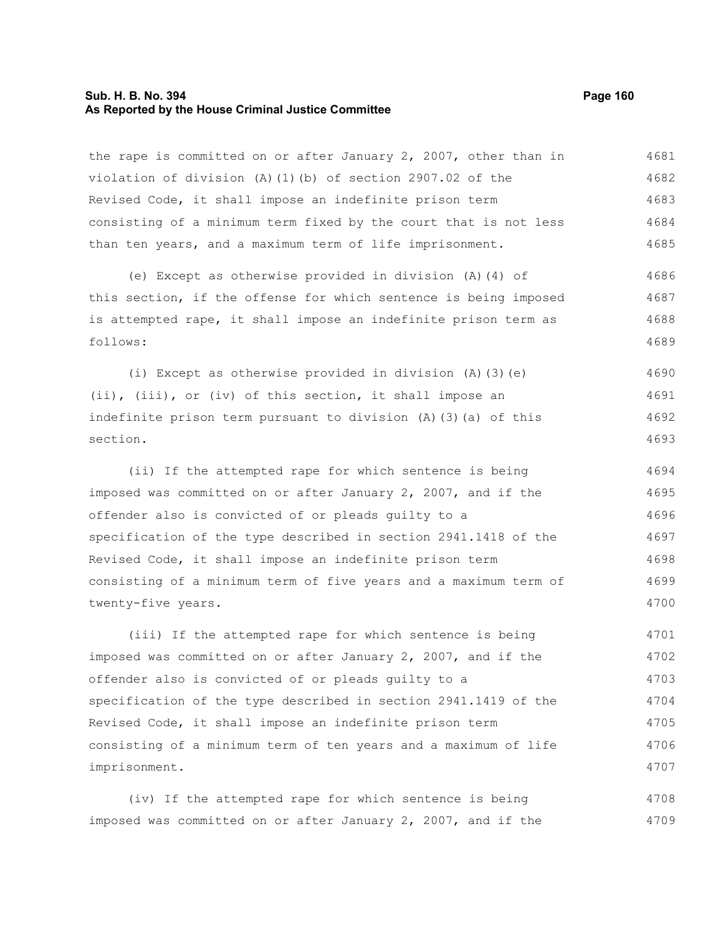#### **Sub. H. B. No. 394 Page 160 As Reported by the House Criminal Justice Committee**

the rape is committed on or after January 2, 2007, other than in violation of division (A)(1)(b) of section 2907.02 of the Revised Code, it shall impose an indefinite prison term consisting of a minimum term fixed by the court that is not less than ten years, and a maximum term of life imprisonment. 4681 4682 4683 4684 4685

(e) Except as otherwise provided in division (A)(4) of this section, if the offense for which sentence is being imposed is attempted rape, it shall impose an indefinite prison term as follows: 4686 4687 4688 4689

(i) Except as otherwise provided in division (A)(3)(e) (ii), (iii), or (iv) of this section, it shall impose an indefinite prison term pursuant to division (A)(3)(a) of this section. 4690 4691 4692 4693

(ii) If the attempted rape for which sentence is being imposed was committed on or after January 2, 2007, and if the offender also is convicted of or pleads guilty to a specification of the type described in section 2941.1418 of the Revised Code, it shall impose an indefinite prison term consisting of a minimum term of five years and a maximum term of twenty-five years. 4694 4695 4696 4697 4698 4699 4700

(iii) If the attempted rape for which sentence is being imposed was committed on or after January 2, 2007, and if the offender also is convicted of or pleads guilty to a specification of the type described in section 2941.1419 of the Revised Code, it shall impose an indefinite prison term consisting of a minimum term of ten years and a maximum of life imprisonment. 4701 4702 4703 4704 4705 4706 4707

(iv) If the attempted rape for which sentence is being imposed was committed on or after January 2, 2007, and if the 4708 4709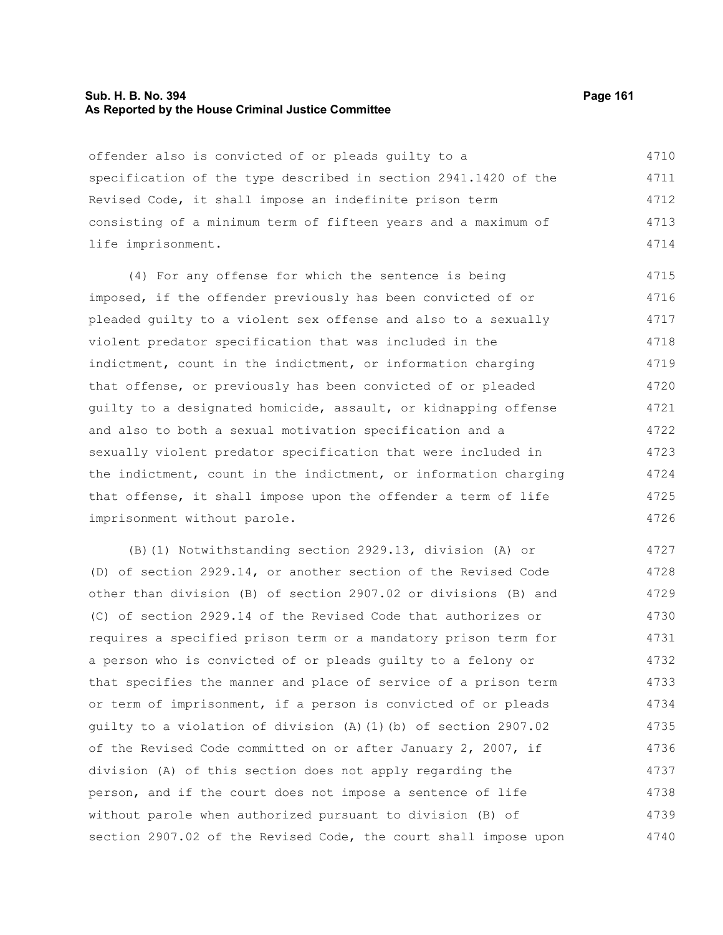#### **Sub. H. B. No. 394 Page 161 As Reported by the House Criminal Justice Committee**

offender also is convicted of or pleads guilty to a specification of the type described in section 2941.1420 of the Revised Code, it shall impose an indefinite prison term consisting of a minimum term of fifteen years and a maximum of life imprisonment. 4710 4711 4712 4713 4714

(4) For any offense for which the sentence is being imposed, if the offender previously has been convicted of or pleaded guilty to a violent sex offense and also to a sexually violent predator specification that was included in the indictment, count in the indictment, or information charging that offense, or previously has been convicted of or pleaded guilty to a designated homicide, assault, or kidnapping offense and also to both a sexual motivation specification and a sexually violent predator specification that were included in the indictment, count in the indictment, or information charging that offense, it shall impose upon the offender a term of life imprisonment without parole. 4715 4716 4717 4718 4719 4720 4721 4722 4723 4724 4725 4726

(B)(1) Notwithstanding section 2929.13, division (A) or (D) of section 2929.14, or another section of the Revised Code other than division (B) of section 2907.02 or divisions (B) and (C) of section 2929.14 of the Revised Code that authorizes or requires a specified prison term or a mandatory prison term for a person who is convicted of or pleads guilty to a felony or that specifies the manner and place of service of a prison term or term of imprisonment, if a person is convicted of or pleads guilty to a violation of division (A)(1)(b) of section 2907.02 of the Revised Code committed on or after January 2, 2007, if division (A) of this section does not apply regarding the person, and if the court does not impose a sentence of life without parole when authorized pursuant to division (B) of section 2907.02 of the Revised Code, the court shall impose upon 4727 4728 4729 4730 4731 4732 4733 4734 4735 4736 4737 4738 4739 4740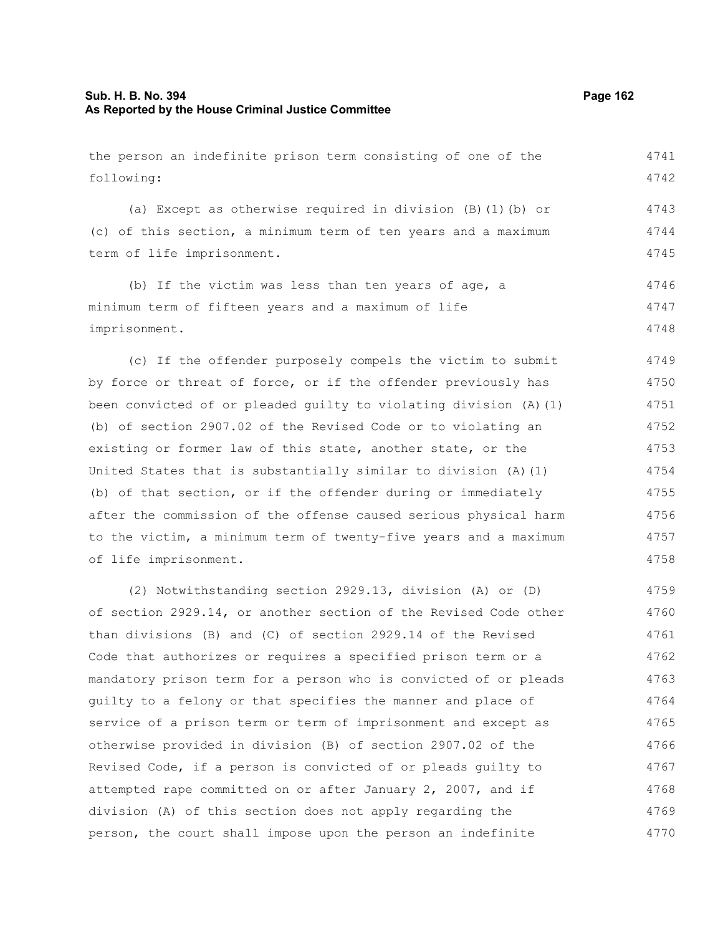# **Sub. H. B. No. 394 Page 162 As Reported by the House Criminal Justice Committee**

the person an indefinite prison term consisting of one of the following: (a) Except as otherwise required in division (B)(1)(b) or (c) of this section, a minimum term of ten years and a maximum term of life imprisonment. (b) If the victim was less than ten years of age, a minimum term of fifteen years and a maximum of life imprisonment. (c) If the offender purposely compels the victim to submit by force or threat of force, or if the offender previously has been convicted of or pleaded guilty to violating division (A)(1) (b) of section 2907.02 of the Revised Code or to violating an existing or former law of this state, another state, or the United States that is substantially similar to division (A)(1) (b) of that section, or if the offender during or immediately after the commission of the offense caused serious physical harm to the victim, a minimum term of twenty-five years and a maximum of life imprisonment. (2) Notwithstanding section 2929.13, division (A) or (D) of section 2929.14, or another section of the Revised Code other 4741 4742 4743 4744 4745 4746 4747 4748 4749 4750 4751 4752 4753 4754 4755 4756 4757 4758 4759 4760

than divisions (B) and (C) of section 2929.14 of the Revised Code that authorizes or requires a specified prison term or a mandatory prison term for a person who is convicted of or pleads guilty to a felony or that specifies the manner and place of service of a prison term or term of imprisonment and except as otherwise provided in division (B) of section 2907.02 of the Revised Code, if a person is convicted of or pleads guilty to attempted rape committed on or after January 2, 2007, and if division (A) of this section does not apply regarding the person, the court shall impose upon the person an indefinite 4761 4762 4763 4764 4765 4766 4767 4768 4769 4770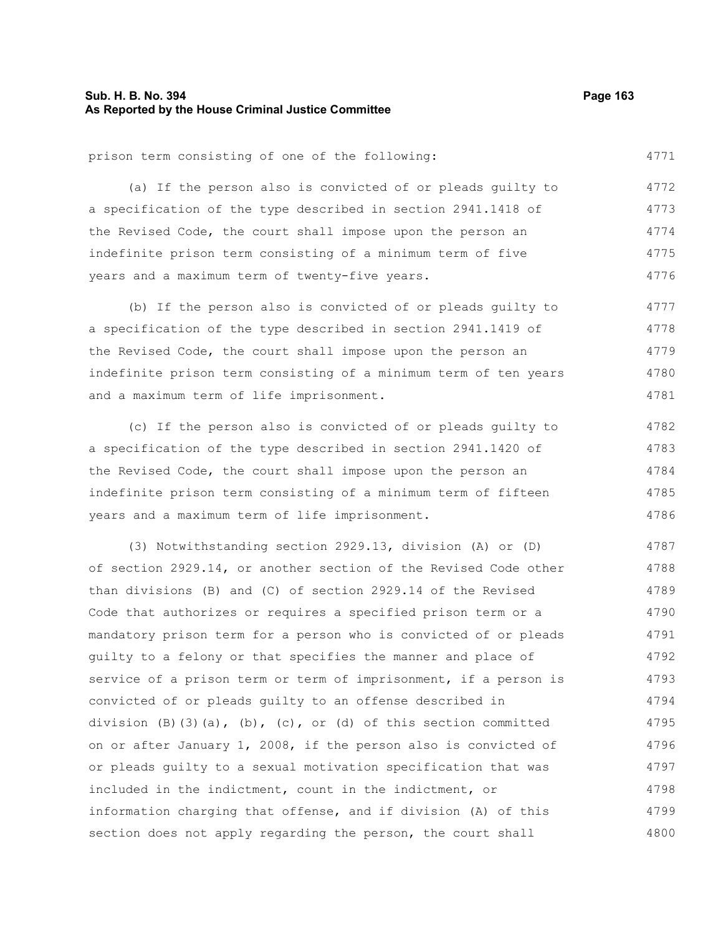# **Sub. H. B. No. 394 Page 163 As Reported by the House Criminal Justice Committee**

prison term consisting of one of the following:

(a) If the person also is convicted of or pleads guilty to a specification of the type described in section 2941.1418 of the Revised Code, the court shall impose upon the person an indefinite prison term consisting of a minimum term of five years and a maximum term of twenty-five years. 4772 4773 4774 4775 4776

(b) If the person also is convicted of or pleads guilty to a specification of the type described in section 2941.1419 of the Revised Code, the court shall impose upon the person an indefinite prison term consisting of a minimum term of ten years and a maximum term of life imprisonment. 4777 4778 4779 4780 4781

(c) If the person also is convicted of or pleads guilty to a specification of the type described in section 2941.1420 of the Revised Code, the court shall impose upon the person an indefinite prison term consisting of a minimum term of fifteen years and a maximum term of life imprisonment. 4782 4783 4784 4785 4786

(3) Notwithstanding section 2929.13, division (A) or (D) of section 2929.14, or another section of the Revised Code other than divisions (B) and (C) of section 2929.14 of the Revised Code that authorizes or requires a specified prison term or a mandatory prison term for a person who is convicted of or pleads guilty to a felony or that specifies the manner and place of service of a prison term or term of imprisonment, if a person is convicted of or pleads guilty to an offense described in division  $(B)(3)(a)$ ,  $(b)$ ,  $(c)$ , or  $(d)$  of this section committed on or after January 1, 2008, if the person also is convicted of or pleads guilty to a sexual motivation specification that was included in the indictment, count in the indictment, or information charging that offense, and if division (A) of this section does not apply regarding the person, the court shall 4787 4788 4789 4790 4791 4792 4793 4794 4795 4796 4797 4798 4799 4800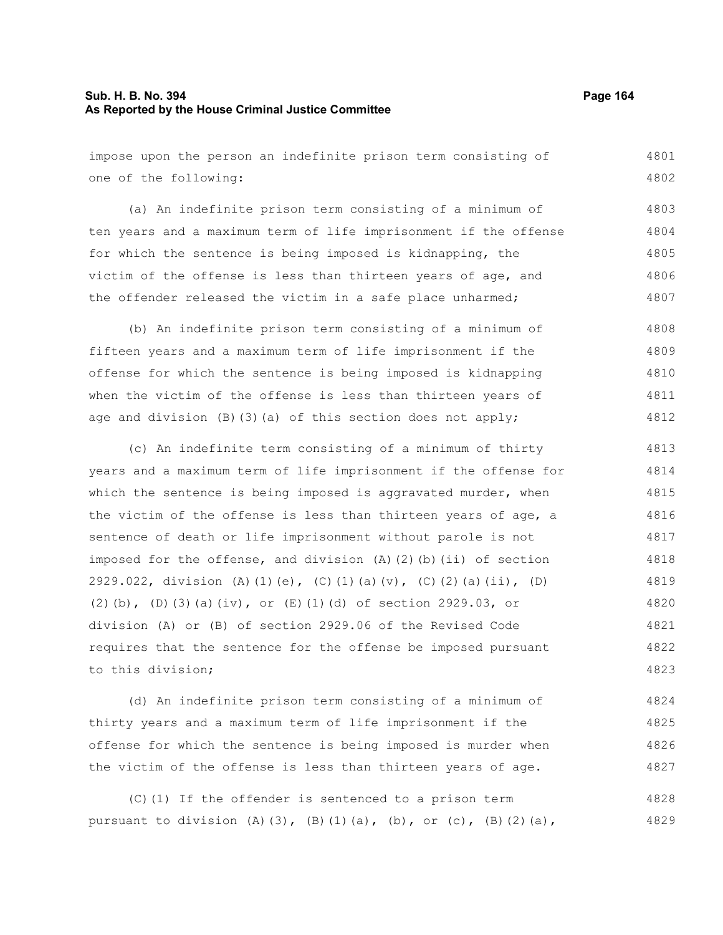# **Sub. H. B. No. 394 Page 164 As Reported by the House Criminal Justice Committee**

| impose upon the person an indefinite prison term consisting of         | 4801 |
|------------------------------------------------------------------------|------|
| one of the following:                                                  | 4802 |
| (a) An indefinite prison term consisting of a minimum of               | 4803 |
|                                                                        |      |
| ten years and a maximum term of life imprisonment if the offense       | 4804 |
| for which the sentence is being imposed is kidnapping, the             | 4805 |
| victim of the offense is less than thirteen years of age, and          | 4806 |
| the offender released the victim in a safe place unharmed;             | 4807 |
| (b) An indefinite prison term consisting of a minimum of               | 4808 |
| fifteen years and a maximum term of life imprisonment if the           | 4809 |
| offense for which the sentence is being imposed is kidnapping          | 4810 |
| when the victim of the offense is less than thirteen years of          | 4811 |
| age and division $(B)$ $(3)$ $(a)$ of this section does not apply;     | 4812 |
| (c) An indefinite term consisting of a minimum of thirty               | 4813 |
|                                                                        |      |
| years and a maximum term of life imprisonment if the offense for       | 4814 |
| which the sentence is being imposed is aggravated murder, when         | 4815 |
| the victim of the offense is less than thirteen years of age, a        | 4816 |
| sentence of death or life imprisonment without parole is not           | 4817 |
| imposed for the offense, and division (A)(2)(b)(ii) of section         | 4818 |
| 2929.022, division (A)(1)(e), (C)(1)(a)(v), (C)(2)(a)(ii), (D)         | 4819 |
| $(2)$ (b), $(D)$ (3) (a) (iv), or $(E)$ (1) (d) of section 2929.03, or | 4820 |
| division (A) or (B) of section 2929.06 of the Revised Code             | 4821 |
| requires that the sentence for the offense be imposed pursuant         | 4822 |
| to this division;                                                      | 4823 |
|                                                                        |      |

(d) An indefinite prison term consisting of a minimum of thirty years and a maximum term of life imprisonment if the offense for which the sentence is being imposed is murder when the victim of the offense is less than thirteen years of age. 4824 4825 4826 4827

(C)(1) If the offender is sentenced to a prison term pursuant to division (A)(3), (B)(1)(a), (b), or (c), (B)(2)(a), 4828 4829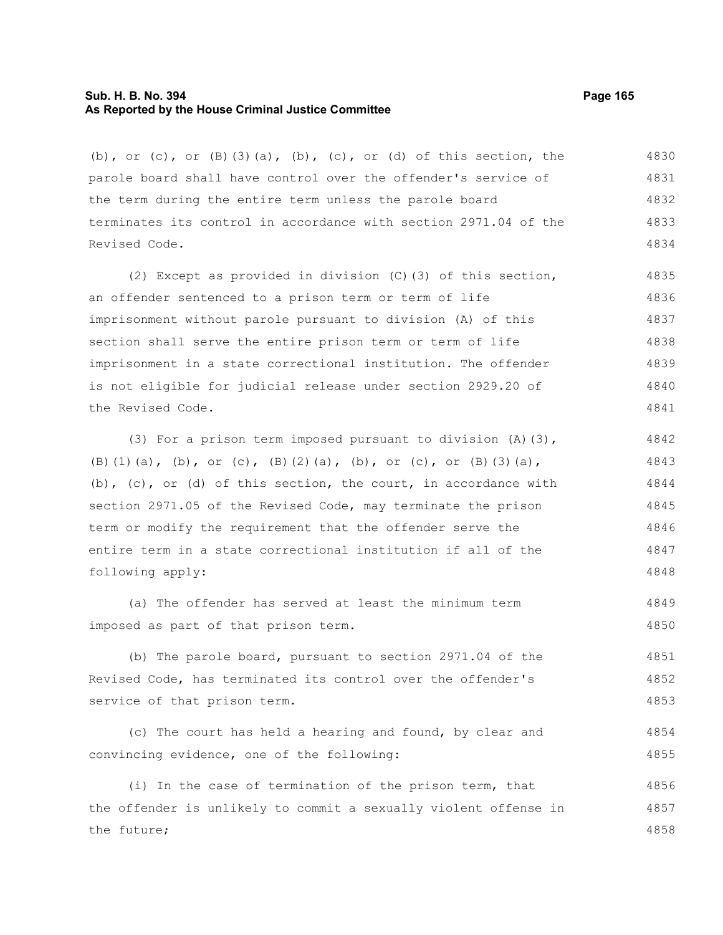#### **Sub. H. B. No. 394 Page 165 As Reported by the House Criminal Justice Committee**

(b), or (c), or  $(B)(3)(a)$ , (b), (c), or (d) of this section, the parole board shall have control over the offender's service of the term during the entire term unless the parole board terminates its control in accordance with section 2971.04 of the Revised Code. 4830 4831 4832 4833 4834

(2) Except as provided in division (C)(3) of this section, an offender sentenced to a prison term or term of life imprisonment without parole pursuant to division (A) of this section shall serve the entire prison term or term of life imprisonment in a state correctional institution. The offender is not eligible for judicial release under section 2929.20 of the Revised Code. 4835 4836 4837 4838 4839 4840 4841

(3) For a prison term imposed pursuant to division (A)(3), (B)(1)(a), (b), or (c), (B)(2)(a), (b), or (c), or (B)(3)(a), (b), (c), or (d) of this section, the court, in accordance with section 2971.05 of the Revised Code, may terminate the prison term or modify the requirement that the offender serve the entire term in a state correctional institution if all of the following apply: 4842 4843 4844 4845 4846 4847 4848

(a) The offender has served at least the minimum term imposed as part of that prison term. 4849 4850

(b) The parole board, pursuant to section 2971.04 of the Revised Code, has terminated its control over the offender's service of that prison term. 4851 4852 4853

(c) The court has held a hearing and found, by clear and convincing evidence, one of the following: 4854 4855

(i) In the case of termination of the prison term, that the offender is unlikely to commit a sexually violent offense in the future; 4856 4857 4858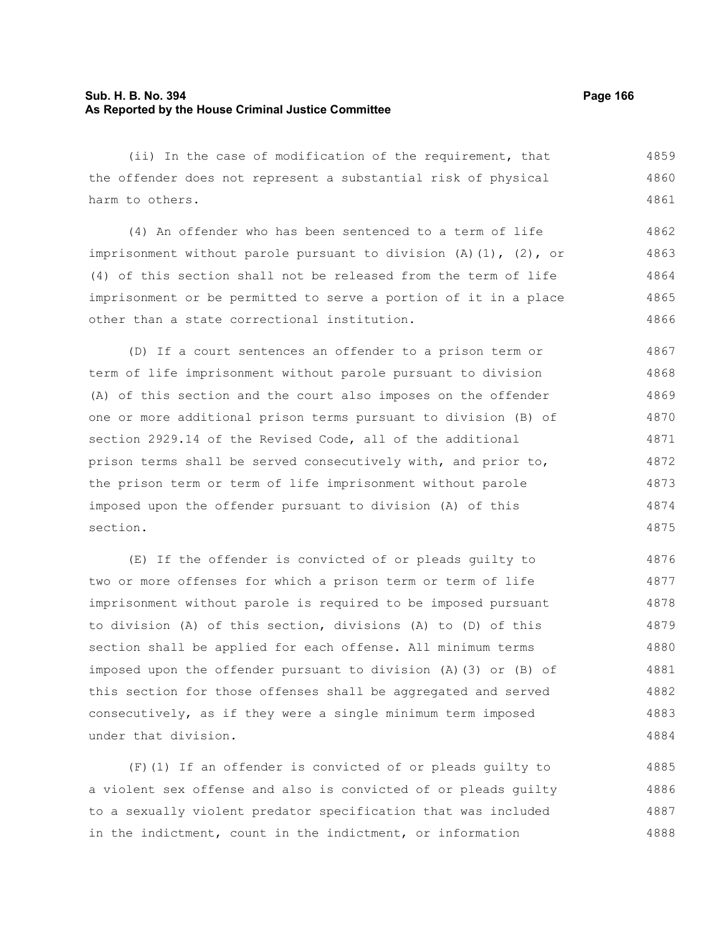# **Sub. H. B. No. 394 Page 166 As Reported by the House Criminal Justice Committee**

(ii) In the case of modification of the requirement, that the offender does not represent a substantial risk of physical harm to others. 4859 4860 4861

(4) An offender who has been sentenced to a term of life imprisonment without parole pursuant to division (A)(1), (2), or (4) of this section shall not be released from the term of life imprisonment or be permitted to serve a portion of it in a place other than a state correctional institution. 4862 4863 4864 4865 4866

(D) If a court sentences an offender to a prison term or term of life imprisonment without parole pursuant to division (A) of this section and the court also imposes on the offender one or more additional prison terms pursuant to division (B) of section 2929.14 of the Revised Code, all of the additional prison terms shall be served consecutively with, and prior to, the prison term or term of life imprisonment without parole imposed upon the offender pursuant to division (A) of this section. 4867 4868 4869 4870 4871 4872 4873 4874 4875

(E) If the offender is convicted of or pleads guilty to two or more offenses for which a prison term or term of life imprisonment without parole is required to be imposed pursuant to division (A) of this section, divisions (A) to (D) of this section shall be applied for each offense. All minimum terms imposed upon the offender pursuant to division (A)(3) or (B) of this section for those offenses shall be aggregated and served consecutively, as if they were a single minimum term imposed under that division. 4876 4877 4878 4879 4880 4881 4882 4883 4884

(F)(1) If an offender is convicted of or pleads guilty to a violent sex offense and also is convicted of or pleads guilty to a sexually violent predator specification that was included in the indictment, count in the indictment, or information 4885 4886 4887 4888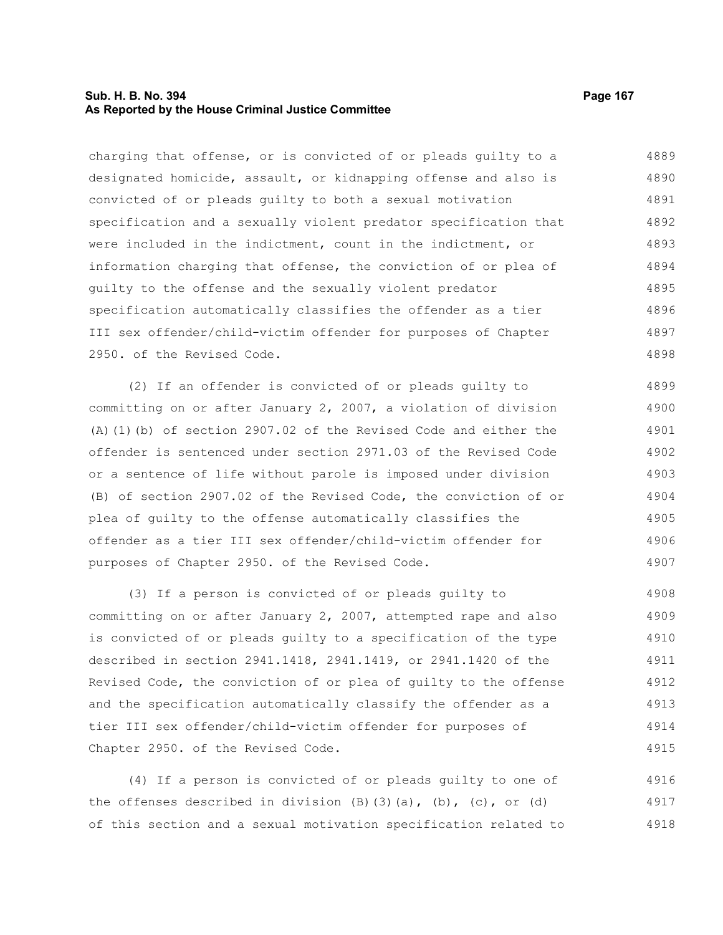# **Sub. H. B. No. 394 Page 167 As Reported by the House Criminal Justice Committee**

charging that offense, or is convicted of or pleads guilty to a designated homicide, assault, or kidnapping offense and also is convicted of or pleads guilty to both a sexual motivation specification and a sexually violent predator specification that were included in the indictment, count in the indictment, or information charging that offense, the conviction of or plea of guilty to the offense and the sexually violent predator specification automatically classifies the offender as a tier III sex offender/child-victim offender for purposes of Chapter 2950. of the Revised Code. 4889 4890 4891 4892 4893 4894 4895 4896 4897 4898

(2) If an offender is convicted of or pleads guilty to committing on or after January 2, 2007, a violation of division (A)(1)(b) of section 2907.02 of the Revised Code and either the offender is sentenced under section 2971.03 of the Revised Code or a sentence of life without parole is imposed under division (B) of section 2907.02 of the Revised Code, the conviction of or plea of guilty to the offense automatically classifies the offender as a tier III sex offender/child-victim offender for purposes of Chapter 2950. of the Revised Code. 4899 4900 4901 4902 4903 4904 4905 4906 4907

(3) If a person is convicted of or pleads guilty to committing on or after January 2, 2007, attempted rape and also is convicted of or pleads guilty to a specification of the type described in section 2941.1418, 2941.1419, or 2941.1420 of the Revised Code, the conviction of or plea of guilty to the offense and the specification automatically classify the offender as a tier III sex offender/child-victim offender for purposes of Chapter 2950. of the Revised Code. 4908 4909 4910 4911 4912 4913 4914 4915

(4) If a person is convicted of or pleads guilty to one of the offenses described in division  $(B)$  (3)(a),  $(b)$ ,  $(c)$ , or (d) of this section and a sexual motivation specification related to 4916 4917 4918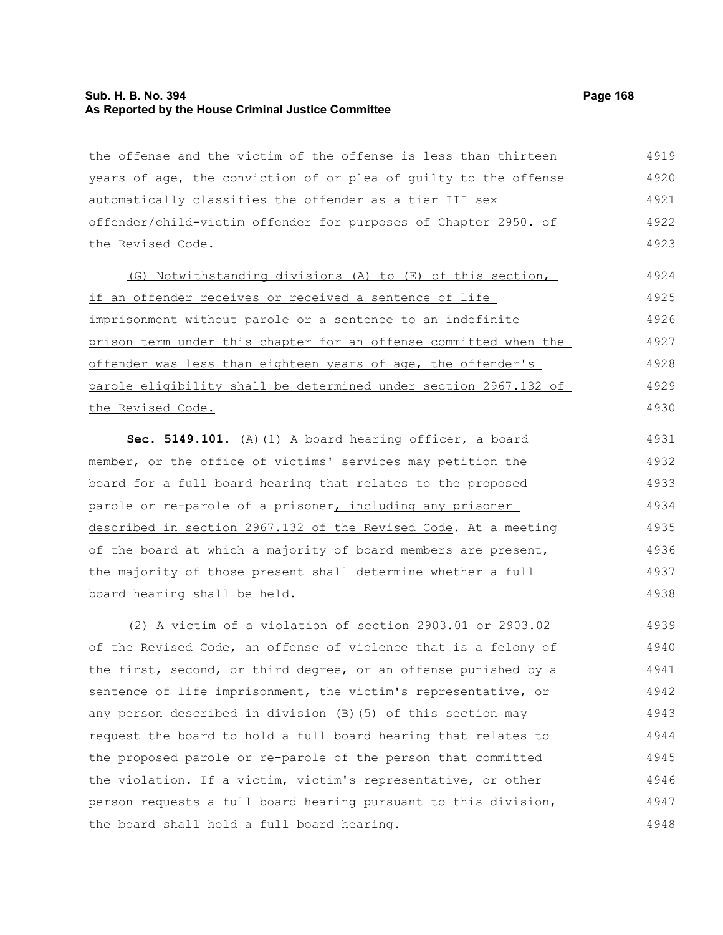# **Sub. H. B. No. 394 Page 168 As Reported by the House Criminal Justice Committee**

| the offense and the victim of the offense is less than thirteen  | 4919 |
|------------------------------------------------------------------|------|
| years of age, the conviction of or plea of guilty to the offense | 4920 |
| automatically classifies the offender as a tier III sex          | 4921 |
| offender/child-victim offender for purposes of Chapter 2950. of  | 4922 |
| the Revised Code.                                                | 4923 |
| (G) Notwithstanding divisions (A) to (E) of this section,        | 4924 |
| if an offender receives or received a sentence of life           | 4925 |
| imprisonment without parole or a sentence to an indefinite       | 4926 |
| prison term under this chapter for an offense committed when the | 4927 |
| offender was less than eighteen years of age, the offender's     | 4928 |
| parole eligibility shall be determined under section 2967.132 of | 4929 |
| the Revised Code.                                                | 4930 |
| Sec. 5149.101. (A) (1) A board hearing officer, a board          | 4931 |
| member, or the office of victims' services may petition the      | 4932 |
| board for a full board hearing that relates to the proposed      | 4933 |
| parole or re-parole of a prisoner, including any prisoner        | 4934 |
| described in section 2967.132 of the Revised Code. At a meeting  | 4935 |
| of the board at which a majority of board members are present,   | 4936 |
| the majority of those present shall determine whether a full     | 4937 |
| board hearing shall be held.                                     | 4938 |
| $(2)$ A victim of a violation of section 2903.01 or 2903.02      | 4939 |
| of the Revised Code, an offense of violence that is a felony of  | 4940 |
| the first, second, or third degree, or an offense punished by a  | 4941 |
| sentence of life imprisonment, the victim's representative, or   | 4942 |
| any person described in division (B) (5) of this section may     | 4943 |
| request the board to hold a full board hearing that relates to   | 4944 |
| the proposed parole or re-parole of the person that committed    | 4945 |
| the violation. If a victim, victim's representative, or other    | 4946 |
| person requests a full board hearing pursuant to this division,  | 4947 |
| the board shall hold a full board hearing.                       | 4948 |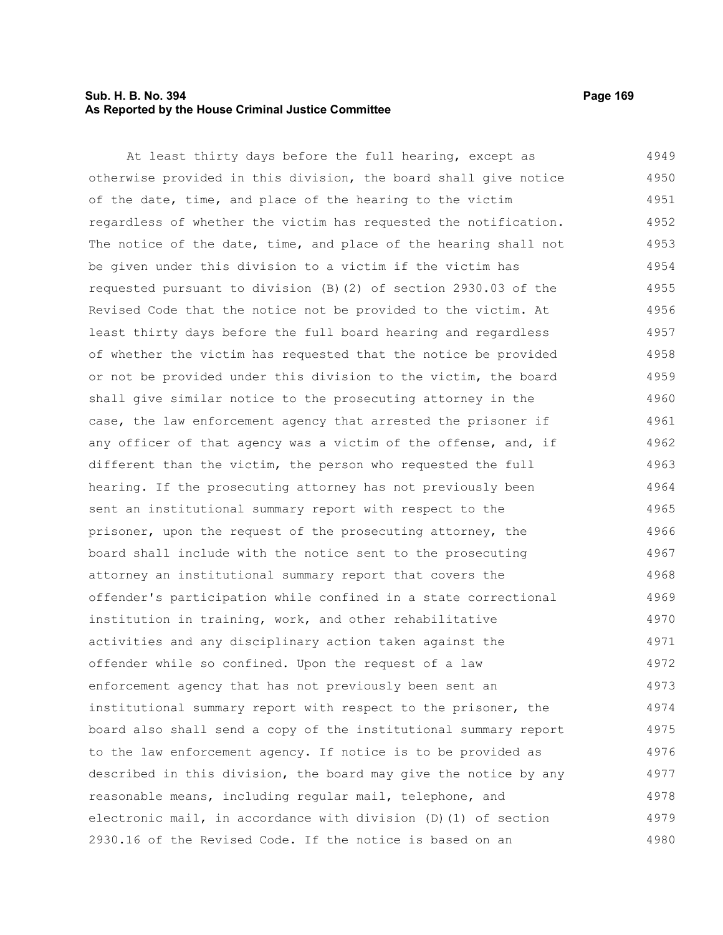# **Sub. H. B. No. 394 Page 169 As Reported by the House Criminal Justice Committee**

At least thirty days before the full hearing, except as otherwise provided in this division, the board shall give notice of the date, time, and place of the hearing to the victim regardless of whether the victim has requested the notification. The notice of the date, time, and place of the hearing shall not be given under this division to a victim if the victim has requested pursuant to division (B)(2) of section 2930.03 of the Revised Code that the notice not be provided to the victim. At least thirty days before the full board hearing and regardless of whether the victim has requested that the notice be provided or not be provided under this division to the victim, the board shall give similar notice to the prosecuting attorney in the case, the law enforcement agency that arrested the prisoner if any officer of that agency was a victim of the offense, and, if different than the victim, the person who requested the full hearing. If the prosecuting attorney has not previously been sent an institutional summary report with respect to the prisoner, upon the request of the prosecuting attorney, the board shall include with the notice sent to the prosecuting attorney an institutional summary report that covers the offender's participation while confined in a state correctional institution in training, work, and other rehabilitative activities and any disciplinary action taken against the offender while so confined. Upon the request of a law enforcement agency that has not previously been sent an institutional summary report with respect to the prisoner, the board also shall send a copy of the institutional summary report to the law enforcement agency. If notice is to be provided as described in this division, the board may give the notice by any reasonable means, including regular mail, telephone, and electronic mail, in accordance with division (D)(1) of section 2930.16 of the Revised Code. If the notice is based on an 4949 4950 4951 4952 4953 4954 4955 4956 4957 4958 4959 4960 4961 4962 4963 4964 4965 4966 4967 4968 4969 4970 4971 4972 4973 4974 4975 4976 4977 4978 4979 4980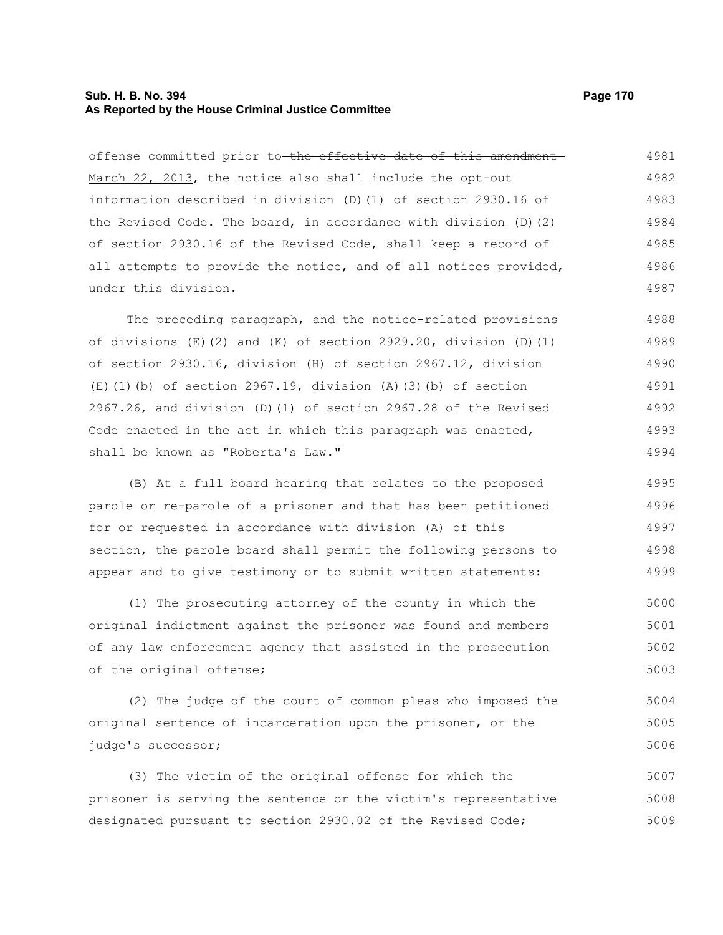### **Sub. H. B. No. 394 Page 170 As Reported by the House Criminal Justice Committee**

offense committed prior to the effective date of this amendment March 22, 2013, the notice also shall include the opt-out information described in division (D)(1) of section 2930.16 of the Revised Code. The board, in accordance with division (D)(2) of section 2930.16 of the Revised Code, shall keep a record of all attempts to provide the notice, and of all notices provided, under this division. 4981 4982 4983 4984 4985 4986 4987

The preceding paragraph, and the notice-related provisions of divisions (E)(2) and (K) of section 2929.20, division (D)(1) of section 2930.16, division (H) of section 2967.12, division  $(E)$ (1)(b) of section 2967.19, division (A)(3)(b) of section 2967.26, and division (D)(1) of section 2967.28 of the Revised Code enacted in the act in which this paragraph was enacted, shall be known as "Roberta's Law." 4988 4989 4990 4991 4992 4993 4994

(B) At a full board hearing that relates to the proposed parole or re-parole of a prisoner and that has been petitioned for or requested in accordance with division (A) of this section, the parole board shall permit the following persons to appear and to give testimony or to submit written statements: 4995 4996 4997 4998 4999

(1) The prosecuting attorney of the county in which the original indictment against the prisoner was found and members of any law enforcement agency that assisted in the prosecution of the original offense; 5000 5001 5002 5003

(2) The judge of the court of common pleas who imposed the original sentence of incarceration upon the prisoner, or the judge's successor; 5004 5005 5006

(3) The victim of the original offense for which the prisoner is serving the sentence or the victim's representative designated pursuant to section 2930.02 of the Revised Code; 5007 5008 5009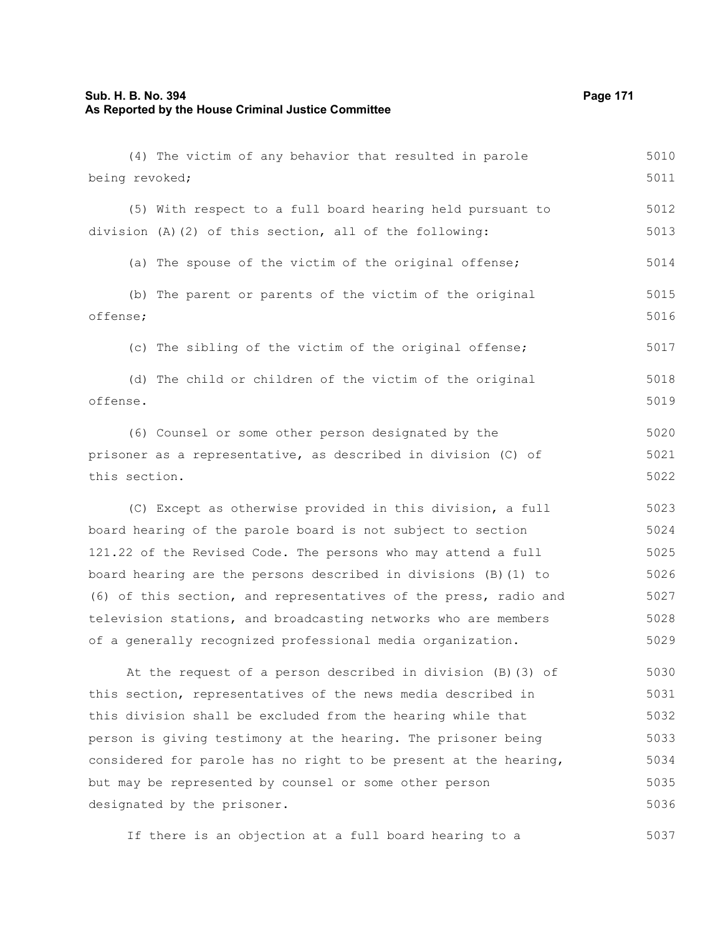# **Sub. H. B. No. 394 Page 171 As Reported by the House Criminal Justice Committee**

being revoked;

(4) The victim of any behavior that resulted in parole (5) With respect to a full board hearing held pursuant to division (A)(2) of this section, all of the following: (a) The spouse of the victim of the original offense; (b) The parent or parents of the victim of the original

offense; 5015 5016

(c) The sibling of the victim of the original offense;

(d) The child or children of the victim of the original offense. 5018 5019

(6) Counsel or some other person designated by the prisoner as a representative, as described in division (C) of this section. 5020 5021 5022

(C) Except as otherwise provided in this division, a full board hearing of the parole board is not subject to section 121.22 of the Revised Code. The persons who may attend a full board hearing are the persons described in divisions (B)(1) to (6) of this section, and representatives of the press, radio and television stations, and broadcasting networks who are members of a generally recognized professional media organization. 5023 5024 5025 5026 5027 5028 5029

At the request of a person described in division (B)(3) of this section, representatives of the news media described in this division shall be excluded from the hearing while that person is giving testimony at the hearing. The prisoner being considered for parole has no right to be present at the hearing, but may be represented by counsel or some other person designated by the prisoner. 5030 5031 5032 5033 5034 5035 5036

If there is an objection at a full board hearing to a 5037

5010 5011

5012 5013

5014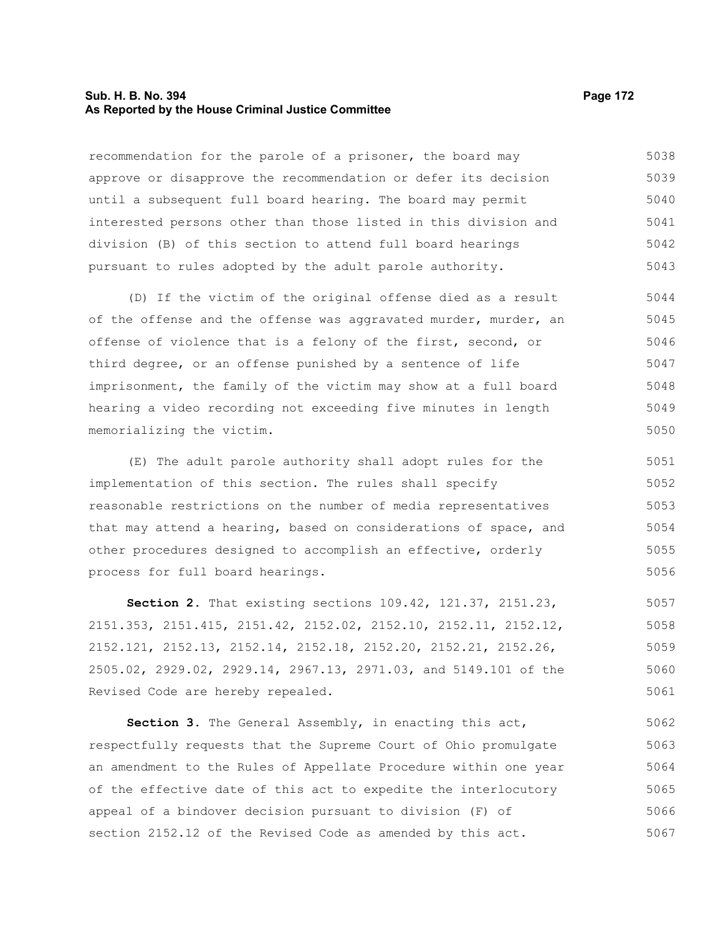### **Sub. H. B. No. 394 Page 172 As Reported by the House Criminal Justice Committee**

recommendation for the parole of a prisoner, the board may approve or disapprove the recommendation or defer its decision until a subsequent full board hearing. The board may permit interested persons other than those listed in this division and division (B) of this section to attend full board hearings pursuant to rules adopted by the adult parole authority. 5038 5039 5040 5041 5042 5043

(D) If the victim of the original offense died as a result of the offense and the offense was aggravated murder, murder, an offense of violence that is a felony of the first, second, or third degree, or an offense punished by a sentence of life imprisonment, the family of the victim may show at a full board hearing a video recording not exceeding five minutes in length memorializing the victim. 5044 5045 5046 5047 5048 5049 5050

(E) The adult parole authority shall adopt rules for the implementation of this section. The rules shall specify reasonable restrictions on the number of media representatives that may attend a hearing, based on considerations of space, and other procedures designed to accomplish an effective, orderly process for full board hearings. 5051 5052 5053 5054 5055 5056

**Section 2.** That existing sections 109.42, 121.37, 2151.23, 2151.353, 2151.415, 2151.42, 2152.02, 2152.10, 2152.11, 2152.12, 2152.121, 2152.13, 2152.14, 2152.18, 2152.20, 2152.21, 2152.26, 2505.02, 2929.02, 2929.14, 2967.13, 2971.03, and 5149.101 of the Revised Code are hereby repealed. 5057 5058 5059 5060 5061

Section 3. The General Assembly, in enacting this act, respectfully requests that the Supreme Court of Ohio promulgate an amendment to the Rules of Appellate Procedure within one year of the effective date of this act to expedite the interlocutory appeal of a bindover decision pursuant to division (F) of section 2152.12 of the Revised Code as amended by this act. 5062 5063 5064 5065 5066 5067